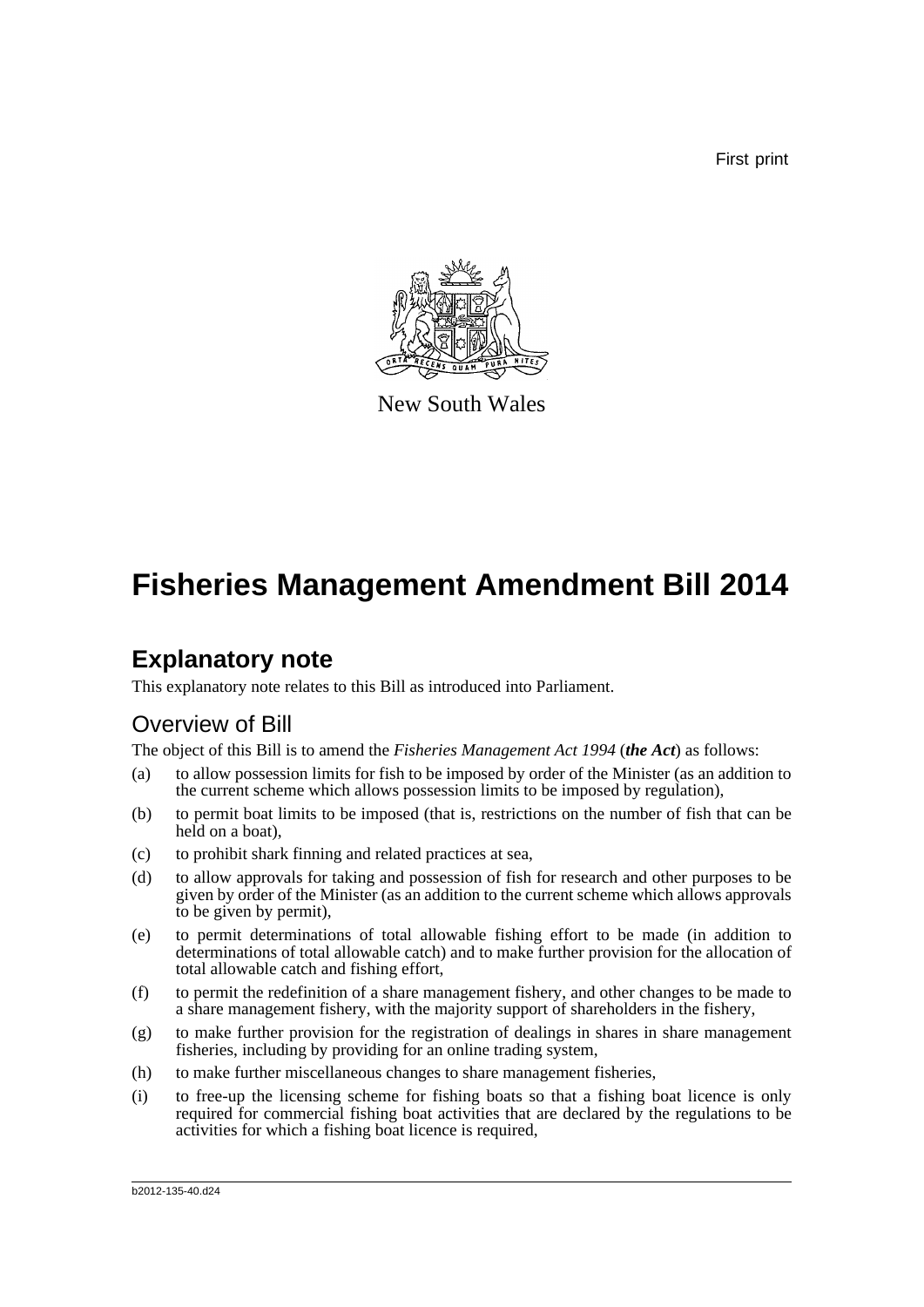First print



New South Wales

# **Fisheries Management Amendment Bill 2014**

## **Explanatory note**

This explanatory note relates to this Bill as introduced into Parliament.

### Overview of Bill

The object of this Bill is to amend the *Fisheries Management Act 1994* (*the Act*) as follows:

- (a) to allow possession limits for fish to be imposed by order of the Minister (as an addition to the current scheme which allows possession limits to be imposed by regulation),
- (b) to permit boat limits to be imposed (that is, restrictions on the number of fish that can be held on a boat),
- (c) to prohibit shark finning and related practices at sea,
- (d) to allow approvals for taking and possession of fish for research and other purposes to be given by order of the Minister (as an addition to the current scheme which allows approvals to be given by permit),
- (e) to permit determinations of total allowable fishing effort to be made (in addition to determinations of total allowable catch) and to make further provision for the allocation of total allowable catch and fishing effort,
- (f) to permit the redefinition of a share management fishery, and other changes to be made to a share management fishery, with the majority support of shareholders in the fishery,
- (g) to make further provision for the registration of dealings in shares in share management fisheries, including by providing for an online trading system,
- (h) to make further miscellaneous changes to share management fisheries,
- (i) to free-up the licensing scheme for fishing boats so that a fishing boat licence is only required for commercial fishing boat activities that are declared by the regulations to be activities for which a fishing boat licence is required,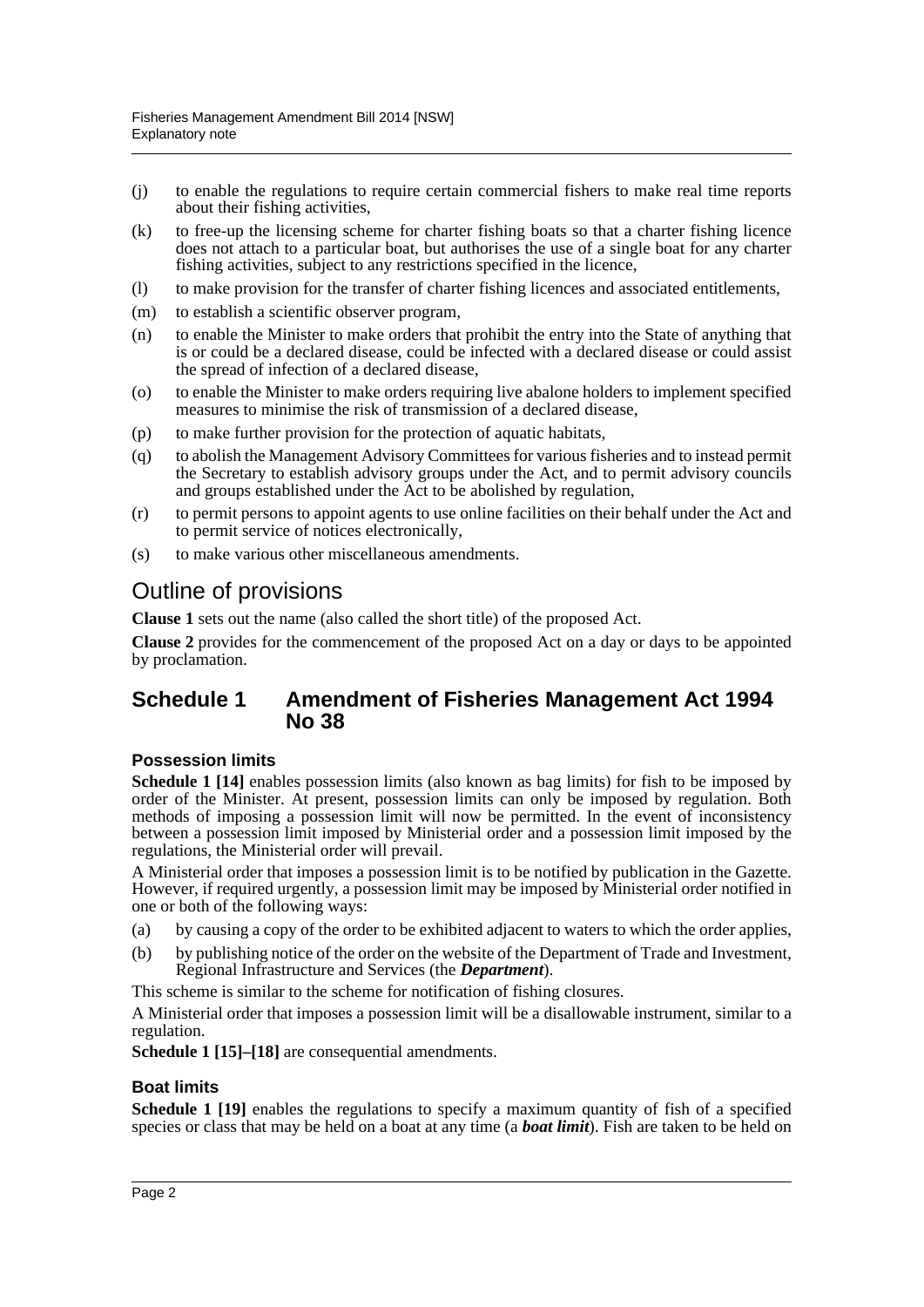- (j) to enable the regulations to require certain commercial fishers to make real time reports about their fishing activities,
- (k) to free-up the licensing scheme for charter fishing boats so that a charter fishing licence does not attach to a particular boat, but authorises the use of a single boat for any charter fishing activities, subject to any restrictions specified in the licence,
- (l) to make provision for the transfer of charter fishing licences and associated entitlements,
- (m) to establish a scientific observer program,
- (n) to enable the Minister to make orders that prohibit the entry into the State of anything that is or could be a declared disease, could be infected with a declared disease or could assist the spread of infection of a declared disease,
- (o) to enable the Minister to make orders requiring live abalone holders to implement specified measures to minimise the risk of transmission of a declared disease,
- (p) to make further provision for the protection of aquatic habitats,
- (q) to abolish the Management Advisory Committees for various fisheries and to instead permit the Secretary to establish advisory groups under the Act, and to permit advisory councils and groups established under the Act to be abolished by regulation,
- (r) to permit persons to appoint agents to use online facilities on their behalf under the Act and to permit service of notices electronically,
- (s) to make various other miscellaneous amendments.

### Outline of provisions

**Clause 1** sets out the name (also called the short title) of the proposed Act.

**Clause 2** provides for the commencement of the proposed Act on a day or days to be appointed by proclamation.

#### **Schedule 1 Amendment of Fisheries Management Act 1994 No 38**

#### **Possession limits**

**Schedule 1 [14]** enables possession limits (also known as bag limits) for fish to be imposed by order of the Minister. At present, possession limits can only be imposed by regulation. Both methods of imposing a possession limit will now be permitted. In the event of inconsistency between a possession limit imposed by Ministerial order and a possession limit imposed by the regulations, the Ministerial order will prevail.

A Ministerial order that imposes a possession limit is to be notified by publication in the Gazette. However, if required urgently, a possession limit may be imposed by Ministerial order notified in one or both of the following ways:

- (a) by causing a copy of the order to be exhibited adjacent to waters to which the order applies,
- (b) by publishing notice of the order on the website of the Department of Trade and Investment, Regional Infrastructure and Services (the *Department*).

This scheme is similar to the scheme for notification of fishing closures.

A Ministerial order that imposes a possession limit will be a disallowable instrument, similar to a regulation.

**Schedule 1 [15]–[18]** are consequential amendments.

#### **Boat limits**

**Schedule 1 [19]** enables the regulations to specify a maximum quantity of fish of a specified species or class that may be held on a boat at any time (a *boat limit*). Fish are taken to be held on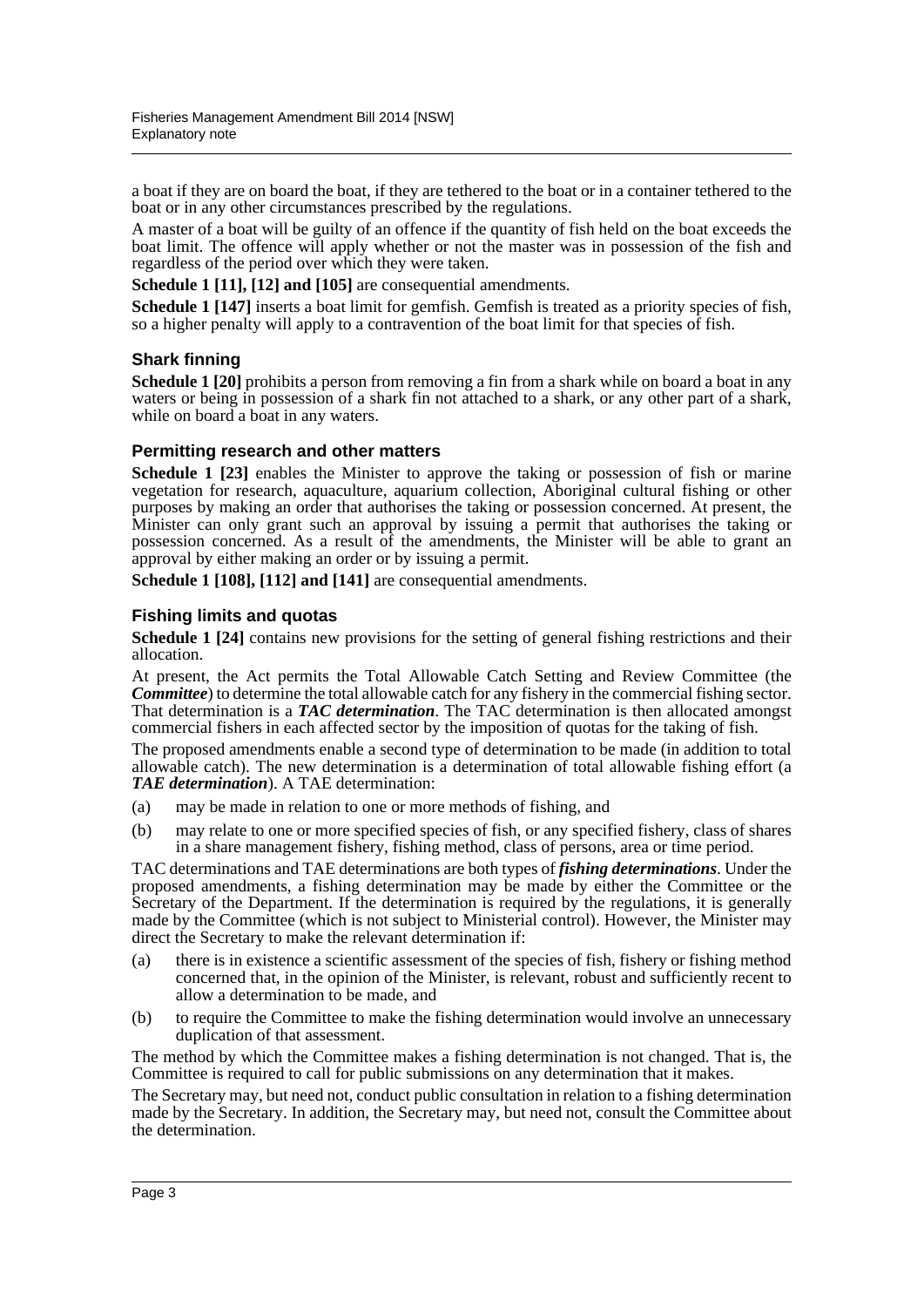a boat if they are on board the boat, if they are tethered to the boat or in a container tethered to the boat or in any other circumstances prescribed by the regulations.

A master of a boat will be guilty of an offence if the quantity of fish held on the boat exceeds the boat limit. The offence will apply whether or not the master was in possession of the fish and regardless of the period over which they were taken.

**Schedule 1 [11], [12] and [105]** are consequential amendments.

**Schedule 1 [147]** inserts a boat limit for gemfish. Gemfish is treated as a priority species of fish, so a higher penalty will apply to a contravention of the boat limit for that species of fish.

#### **Shark finning**

**Schedule 1 [20]** prohibits a person from removing a fin from a shark while on board a boat in any waters or being in possession of a shark fin not attached to a shark, or any other part of a shark, while on board a boat in any waters.

#### **Permitting research and other matters**

Schedule 1 [23] enables the Minister to approve the taking or possession of fish or marine vegetation for research, aquaculture, aquarium collection, Aboriginal cultural fishing or other purposes by making an order that authorises the taking or possession concerned. At present, the Minister can only grant such an approval by issuing a permit that authorises the taking or possession concerned. As a result of the amendments, the Minister will be able to grant an approval by either making an order or by issuing a permit.

**Schedule 1 [108], [112] and [141]** are consequential amendments.

#### **Fishing limits and quotas**

**Schedule 1 [24]** contains new provisions for the setting of general fishing restrictions and their allocation.

At present, the Act permits the Total Allowable Catch Setting and Review Committee (the *Committee*) to determine the total allowable catch for any fishery in the commercial fishing sector. That determination is a *TAC determination*. The TAC determination is then allocated amongst commercial fishers in each affected sector by the imposition of quotas for the taking of fish.

The proposed amendments enable a second type of determination to be made (in addition to total allowable catch). The new determination is a determination of total allowable fishing effort (a *TAE determination*). A TAE determination:

- (a) may be made in relation to one or more methods of fishing, and
- (b) may relate to one or more specified species of fish, or any specified fishery, class of shares in a share management fishery, fishing method, class of persons, area or time period.

TAC determinations and TAE determinations are both types of *fishing determinations*. Under the proposed amendments, a fishing determination may be made by either the Committee or the Secretary of the Department. If the determination is required by the regulations, it is generally made by the Committee (which is not subject to Ministerial control). However, the Minister may direct the Secretary to make the relevant determination if:

- (a) there is in existence a scientific assessment of the species of fish, fishery or fishing method concerned that, in the opinion of the Minister, is relevant, robust and sufficiently recent to allow a determination to be made, and
- (b) to require the Committee to make the fishing determination would involve an unnecessary duplication of that assessment.

The method by which the Committee makes a fishing determination is not changed. That is, the Committee is required to call for public submissions on any determination that it makes.

The Secretary may, but need not, conduct public consultation in relation to a fishing determination made by the Secretary. In addition, the Secretary may, but need not, consult the Committee about the determination.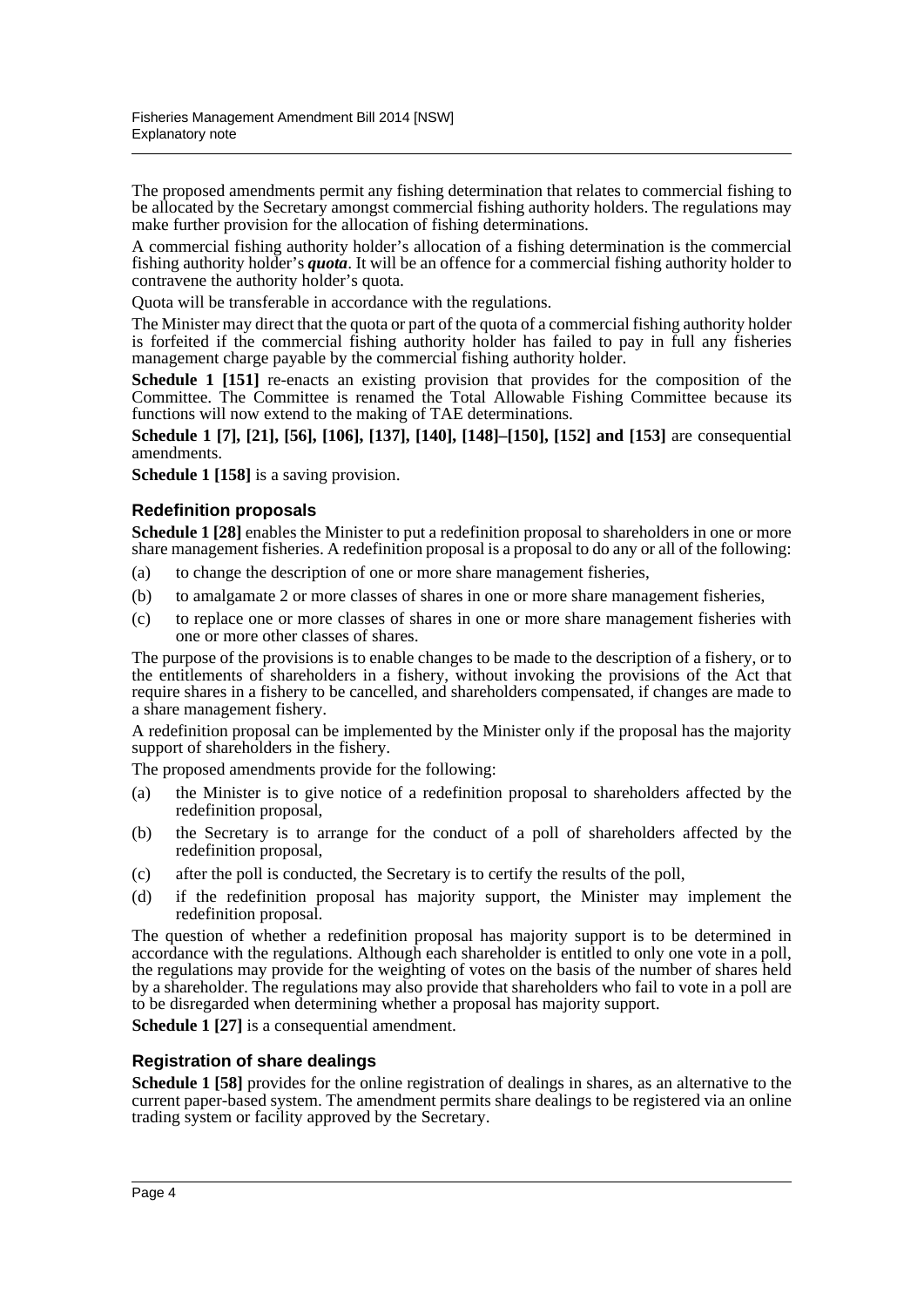The proposed amendments permit any fishing determination that relates to commercial fishing to be allocated by the Secretary amongst commercial fishing authority holders. The regulations may make further provision for the allocation of fishing determinations.

A commercial fishing authority holder's allocation of a fishing determination is the commercial fishing authority holder's *quota*. It will be an offence for a commercial fishing authority holder to contravene the authority holder's quota.

Quota will be transferable in accordance with the regulations.

The Minister may direct that the quota or part of the quota of a commercial fishing authority holder is forfeited if the commercial fishing authority holder has failed to pay in full any fisheries management charge payable by the commercial fishing authority holder.

**Schedule 1 [151]** re-enacts an existing provision that provides for the composition of the Committee. The Committee is renamed the Total Allowable Fishing Committee because its functions will now extend to the making of TAE determinations.

**Schedule 1 [7], [21], [56], [106], [137], [140], [148]–[150], [152] and [153]** are consequential amendments.

**Schedule 1 [158]** is a saving provision.

#### **Redefinition proposals**

**Schedule 1 [28]** enables the Minister to put a redefinition proposal to shareholders in one or more share management fisheries. A redefinition proposal is a proposal to do any or all of the following:

- (a) to change the description of one or more share management fisheries,
- (b) to amalgamate 2 or more classes of shares in one or more share management fisheries,
- (c) to replace one or more classes of shares in one or more share management fisheries with one or more other classes of shares.

The purpose of the provisions is to enable changes to be made to the description of a fishery, or to the entitlements of shareholders in a fishery, without invoking the provisions of the Act that require shares in a fishery to be cancelled, and shareholders compensated, if changes are made to a share management fishery.

A redefinition proposal can be implemented by the Minister only if the proposal has the majority support of shareholders in the fishery.

The proposed amendments provide for the following:

- (a) the Minister is to give notice of a redefinition proposal to shareholders affected by the redefinition proposal,
- (b) the Secretary is to arrange for the conduct of a poll of shareholders affected by the redefinition proposal,
- (c) after the poll is conducted, the Secretary is to certify the results of the poll,
- (d) if the redefinition proposal has majority support, the Minister may implement the redefinition proposal.

The question of whether a redefinition proposal has majority support is to be determined in accordance with the regulations. Although each shareholder is entitled to only one vote in a poll, the regulations may provide for the weighting of votes on the basis of the number of shares held by a shareholder. The regulations may also provide that shareholders who fail to vote in a poll are to be disregarded when determining whether a proposal has majority support.

**Schedule 1 [27]** is a consequential amendment.

#### **Registration of share dealings**

**Schedule 1 [58]** provides for the online registration of dealings in shares, as an alternative to the current paper-based system. The amendment permits share dealings to be registered via an online trading system or facility approved by the Secretary.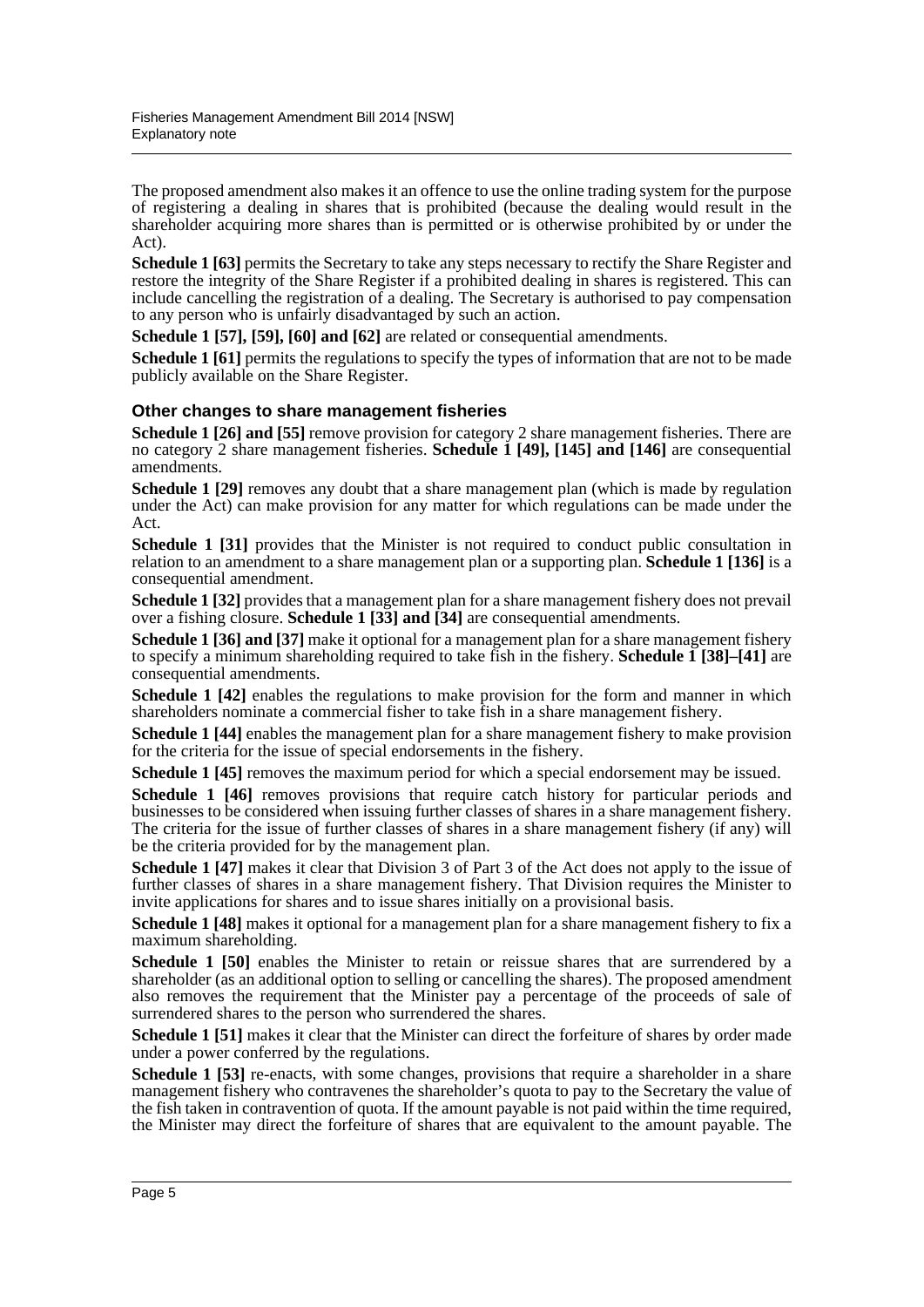The proposed amendment also makes it an offence to use the online trading system for the purpose of registering a dealing in shares that is prohibited (because the dealing would result in the shareholder acquiring more shares than is permitted or is otherwise prohibited by or under the Act).

**Schedule 1 [63]** permits the Secretary to take any steps necessary to rectify the Share Register and restore the integrity of the Share Register if a prohibited dealing in shares is registered. This can include cancelling the registration of a dealing. The Secretary is authorised to pay compensation to any person who is unfairly disadvantaged by such an action.

**Schedule 1 [57], [59], [60] and [62]** are related or consequential amendments.

**Schedule 1 [61]** permits the regulations to specify the types of information that are not to be made publicly available on the Share Register.

#### **Other changes to share management fisheries**

**Schedule 1 [26] and [55]** remove provision for category 2 share management fisheries. There are no category 2 share management fisheries. **Schedule 1 [49], [145] and [146]** are consequential amendments.

**Schedule 1 [29]** removes any doubt that a share management plan (which is made by regulation under the Act) can make provision for any matter for which regulations can be made under the Act.

**Schedule 1 [31]** provides that the Minister is not required to conduct public consultation in relation to an amendment to a share management plan or a supporting plan. **Schedule 1 [136]** is a consequential amendment.

**Schedule 1 [32]** provides that a management plan for a share management fishery does not prevail over a fishing closure. **Schedule 1 [33] and [34]** are consequential amendments.

**Schedule 1 [36] and [37]** make it optional for a management plan for a share management fishery to specify a minimum shareholding required to take fish in the fishery. **Schedule 1 [38]–[41]** are consequential amendments.

**Schedule 1 [42]** enables the regulations to make provision for the form and manner in which shareholders nominate a commercial fisher to take fish in a share management fishery.

**Schedule 1 [44]** enables the management plan for a share management fishery to make provision for the criteria for the issue of special endorsements in the fishery.

**Schedule 1 [45]** removes the maximum period for which a special endorsement may be issued.

Schedule 1 [46] removes provisions that require catch history for particular periods and businesses to be considered when issuing further classes of shares in a share management fishery. The criteria for the issue of further classes of shares in a share management fishery (if any) will be the criteria provided for by the management plan.

**Schedule 1 [47]** makes it clear that Division 3 of Part 3 of the Act does not apply to the issue of further classes of shares in a share management fishery. That Division requires the Minister to invite applications for shares and to issue shares initially on a provisional basis.

**Schedule 1 [48]** makes it optional for a management plan for a share management fishery to fix a maximum shareholding.

**Schedule 1 [50]** enables the Minister to retain or reissue shares that are surrendered by a shareholder (as an additional option to selling or cancelling the shares). The proposed amendment also removes the requirement that the Minister pay a percentage of the proceeds of sale of surrendered shares to the person who surrendered the shares.

**Schedule 1 [51]** makes it clear that the Minister can direct the forfeiture of shares by order made under a power conferred by the regulations.

**Schedule 1 [53]** re-enacts, with some changes, provisions that require a shareholder in a share management fishery who contravenes the shareholder's quota to pay to the Secretary the value of the fish taken in contravention of quota. If the amount payable is not paid within the time required, the Minister may direct the forfeiture of shares that are equivalent to the amount payable. The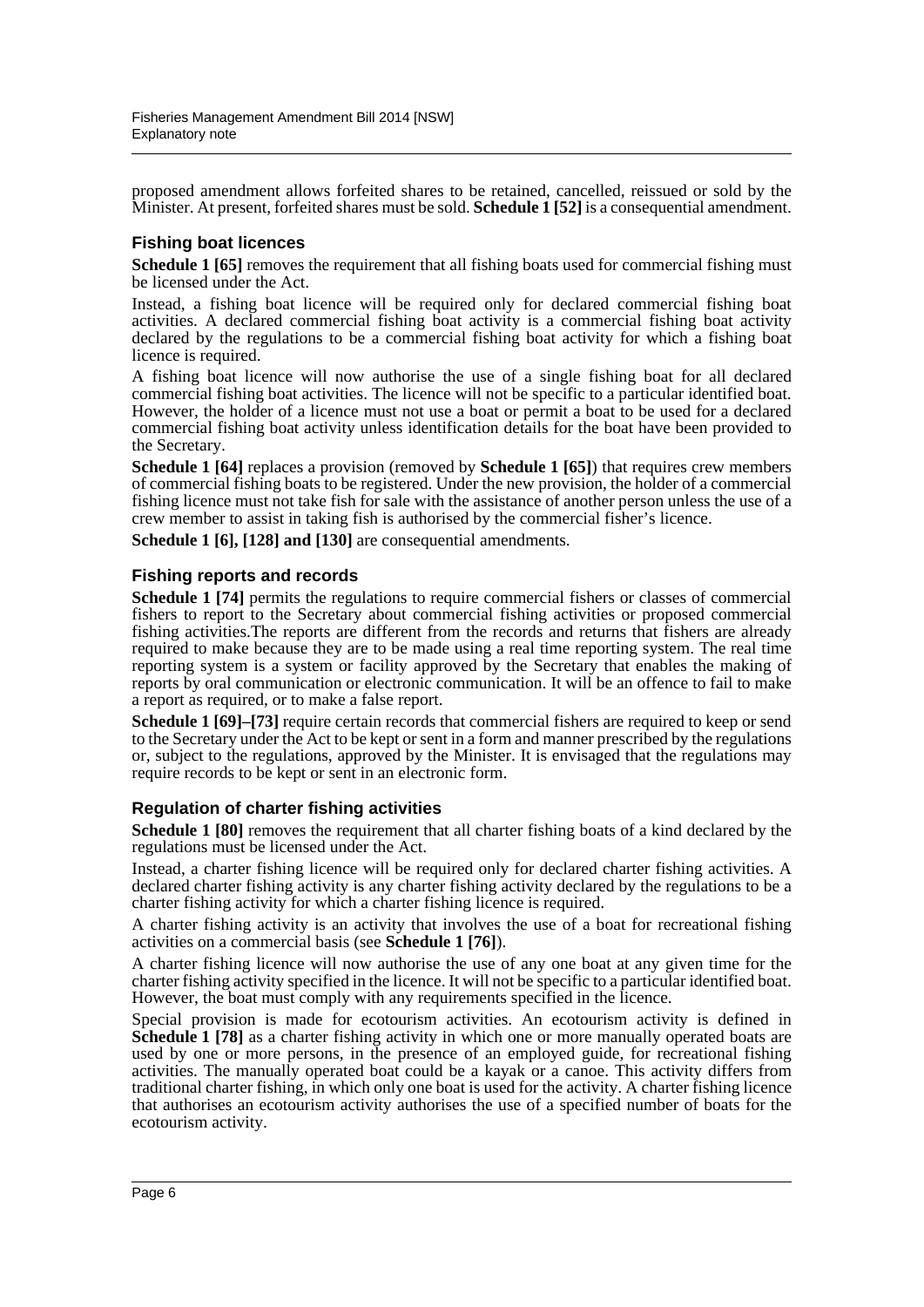proposed amendment allows forfeited shares to be retained, cancelled, reissued or sold by the Minister. At present, forfeited shares must be sold. **Schedule 1 [52]** is a consequential amendment.

#### **Fishing boat licences**

**Schedule 1 [65]** removes the requirement that all fishing boats used for commercial fishing must be licensed under the Act.

Instead, a fishing boat licence will be required only for declared commercial fishing boat activities. A declared commercial fishing boat activity is a commercial fishing boat activity declared by the regulations to be a commercial fishing boat activity for which a fishing boat licence is required.

A fishing boat licence will now authorise the use of a single fishing boat for all declared commercial fishing boat activities. The licence will not be specific to a particular identified boat. However, the holder of a licence must not use a boat or permit a boat to be used for a declared commercial fishing boat activity unless identification details for the boat have been provided to the Secretary.

**Schedule 1 [64]** replaces a provision (removed by **Schedule 1 [65]**) that requires crew members of commercial fishing boats to be registered. Under the new provision, the holder of a commercial fishing licence must not take fish for sale with the assistance of another person unless the use of a crew member to assist in taking fish is authorised by the commercial fisher's licence.

**Schedule 1 [6], [128] and [130]** are consequential amendments.

#### **Fishing reports and records**

**Schedule 1 [74]** permits the regulations to require commercial fishers or classes of commercial fishers to report to the Secretary about commercial fishing activities or proposed commercial fishing activities.The reports are different from the records and returns that fishers are already required to make because they are to be made using a real time reporting system. The real time reporting system is a system or facility approved by the Secretary that enables the making of reports by oral communication or electronic communication. It will be an offence to fail to make a report as required, or to make a false report.

**Schedule 1 [69]–[73]** require certain records that commercial fishers are required to keep or send to the Secretary under the Act to be kept or sent in a form and manner prescribed by the regulations or, subject to the regulations, approved by the Minister. It is envisaged that the regulations may require records to be kept or sent in an electronic form.

#### **Regulation of charter fishing activities**

**Schedule 1 [80]** removes the requirement that all charter fishing boats of a kind declared by the regulations must be licensed under the Act.

Instead, a charter fishing licence will be required only for declared charter fishing activities. A declared charter fishing activity is any charter fishing activity declared by the regulations to be a charter fishing activity for which a charter fishing licence is required.

A charter fishing activity is an activity that involves the use of a boat for recreational fishing activities on a commercial basis (see **Schedule 1 [76]**).

A charter fishing licence will now authorise the use of any one boat at any given time for the charter fishing activity specified in the licence. It will not be specific to a particular identified boat. However, the boat must comply with any requirements specified in the licence.

Special provision is made for ecotourism activities. An ecotourism activity is defined in **Schedule 1 [78]** as a charter fishing activity in which one or more manually operated boats are used by one or more persons, in the presence of an employed guide, for recreational fishing activities. The manually operated boat could be a kayak or a canoe. This activity differs from traditional charter fishing, in which only one boat is used for the activity. A charter fishing licence that authorises an ecotourism activity authorises the use of a specified number of boats for the ecotourism activity.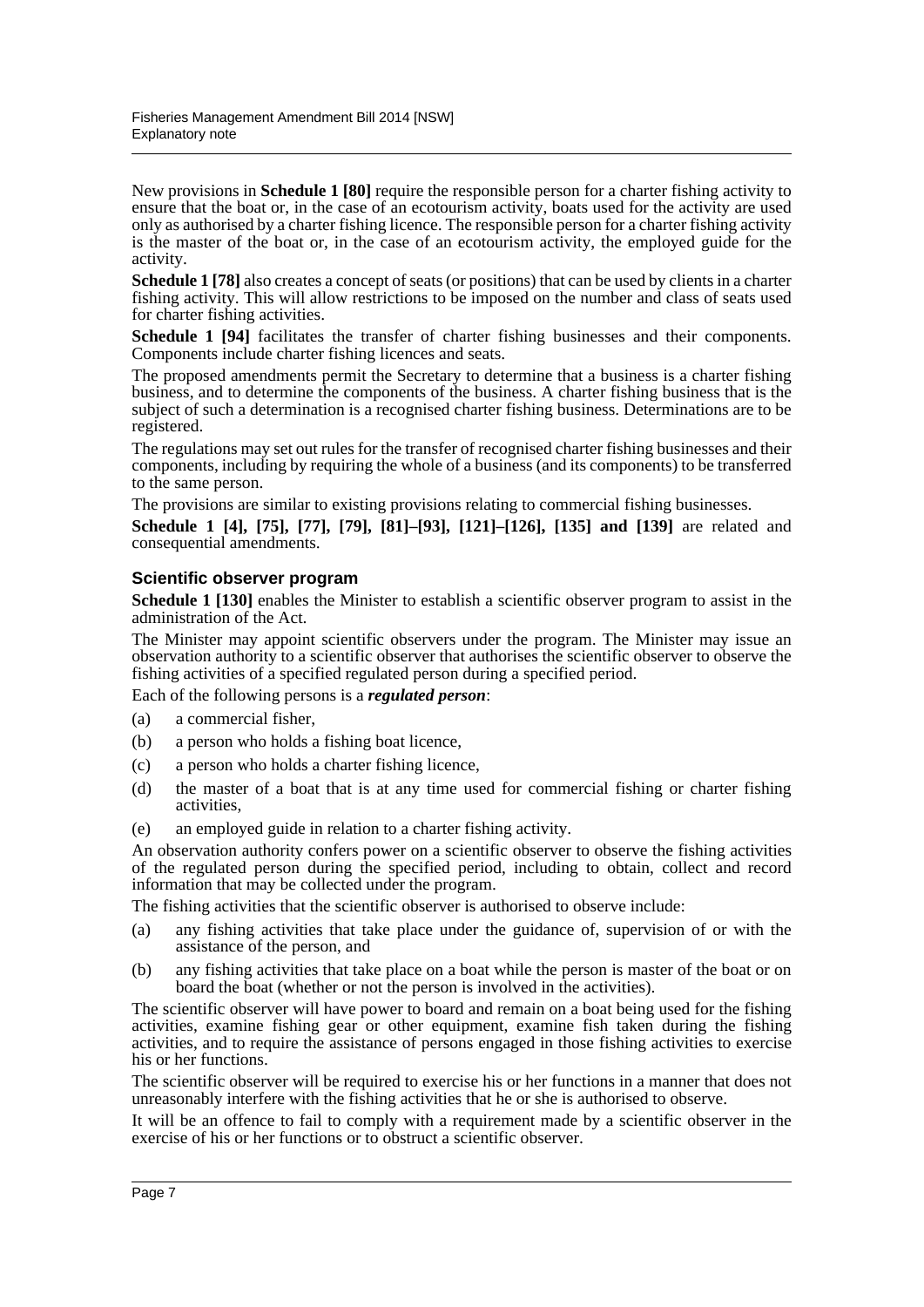New provisions in **Schedule 1 [80]** require the responsible person for a charter fishing activity to ensure that the boat or, in the case of an ecotourism activity, boats used for the activity are used only as authorised by a charter fishing licence. The responsible person for a charter fishing activity is the master of the boat or, in the case of an ecotourism activity, the employed guide for the activity.

**Schedule 1 [78]** also creates a concept of seats (or positions) that can be used by clients in a charter fishing activity. This will allow restrictions to be imposed on the number and class of seats used for charter fishing activities.

**Schedule 1 [94]** facilitates the transfer of charter fishing businesses and their components. Components include charter fishing licences and seats.

The proposed amendments permit the Secretary to determine that a business is a charter fishing business, and to determine the components of the business. A charter fishing business that is the subject of such a determination is a recognised charter fishing business. Determinations are to be registered.

The regulations may set out rules for the transfer of recognised charter fishing businesses and their components, including by requiring the whole of a business (and its components) to be transferred to the same person.

The provisions are similar to existing provisions relating to commercial fishing businesses.

**Schedule 1 [4], [75], [77], [79], [81]–[93], [121]–[126], [135] and [139]** are related and consequential amendments.

#### **Scientific observer program**

**Schedule 1 [130]** enables the Minister to establish a scientific observer program to assist in the administration of the Act.

The Minister may appoint scientific observers under the program. The Minister may issue an observation authority to a scientific observer that authorises the scientific observer to observe the fishing activities of a specified regulated person during a specified period.

Each of the following persons is a *regulated person*:

- (a) a commercial fisher,
- (b) a person who holds a fishing boat licence,
- (c) a person who holds a charter fishing licence,
- (d) the master of a boat that is at any time used for commercial fishing or charter fishing activities,
- (e) an employed guide in relation to a charter fishing activity.

An observation authority confers power on a scientific observer to observe the fishing activities of the regulated person during the specified period, including to obtain, collect and record information that may be collected under the program.

The fishing activities that the scientific observer is authorised to observe include:

- (a) any fishing activities that take place under the guidance of, supervision of or with the assistance of the person, and
- (b) any fishing activities that take place on a boat while the person is master of the boat or on board the boat (whether or not the person is involved in the activities).

The scientific observer will have power to board and remain on a boat being used for the fishing activities, examine fishing gear or other equipment, examine fish taken during the fishing activities, and to require the assistance of persons engaged in those fishing activities to exercise his or her functions.

The scientific observer will be required to exercise his or her functions in a manner that does not unreasonably interfere with the fishing activities that he or she is authorised to observe.

It will be an offence to fail to comply with a requirement made by a scientific observer in the exercise of his or her functions or to obstruct a scientific observer.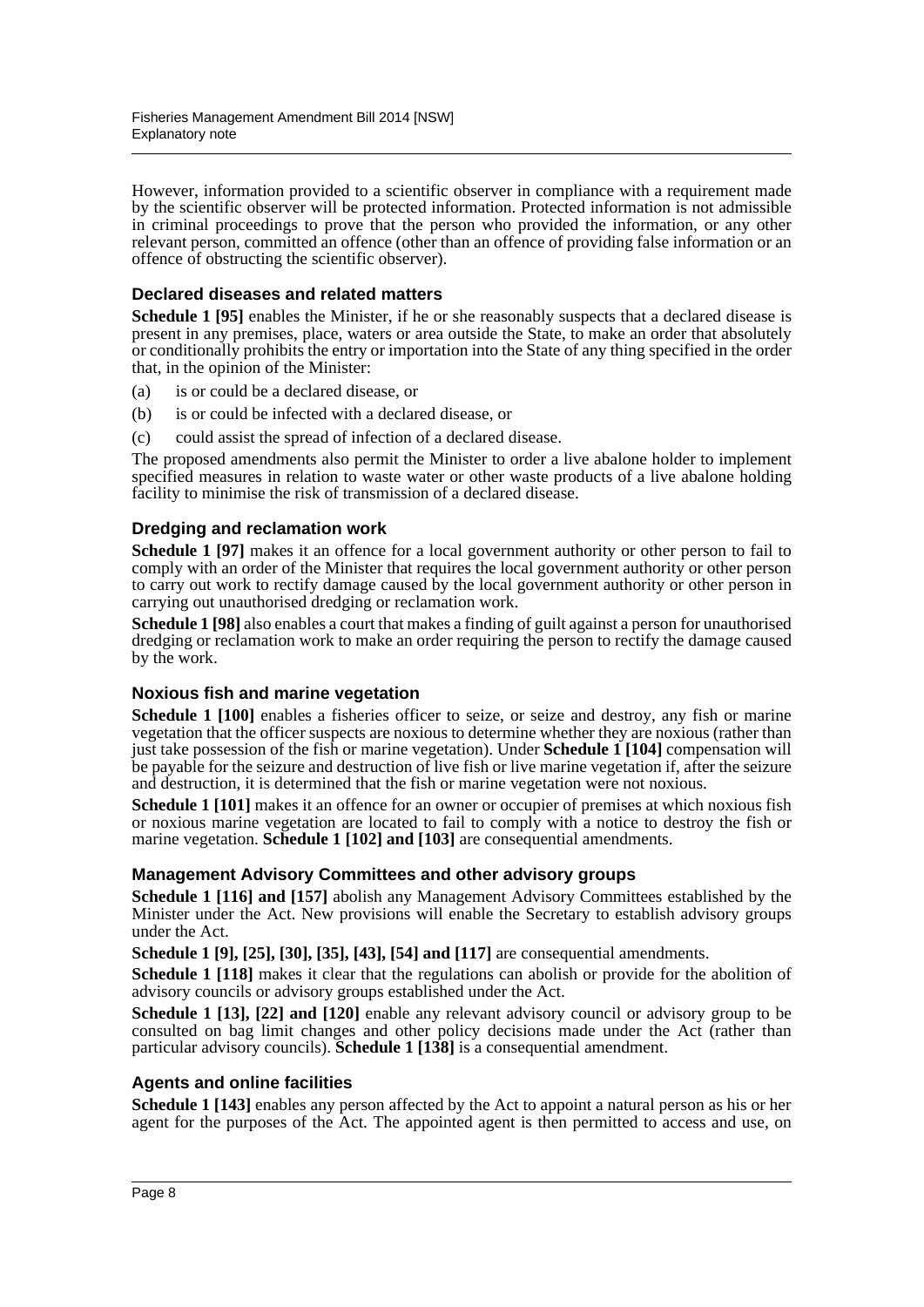However, information provided to a scientific observer in compliance with a requirement made by the scientific observer will be protected information. Protected information is not admissible in criminal proceedings to prove that the person who provided the information, or any other relevant person, committed an offence (other than an offence of providing false information or an offence of obstructing the scientific observer).

#### **Declared diseases and related matters**

**Schedule 1 [95]** enables the Minister, if he or she reasonably suspects that a declared disease is present in any premises, place, waters or area outside the State, to make an order that absolutely or conditionally prohibits the entry or importation into the State of any thing specified in the order that, in the opinion of the Minister:

- (a) is or could be a declared disease, or
- (b) is or could be infected with a declared disease, or
- (c) could assist the spread of infection of a declared disease.

The proposed amendments also permit the Minister to order a live abalone holder to implement specified measures in relation to waste water or other waste products of a live abalone holding facility to minimise the risk of transmission of a declared disease.

#### **Dredging and reclamation work**

**Schedule 1 [97]** makes it an offence for a local government authority or other person to fail to comply with an order of the Minister that requires the local government authority or other person to carry out work to rectify damage caused by the local government authority or other person in carrying out unauthorised dredging or reclamation work.

**Schedule 1 [98]** also enables a court that makes a finding of guilt against a person for unauthorised dredging or reclamation work to make an order requiring the person to rectify the damage caused by the work.

#### **Noxious fish and marine vegetation**

Schedule 1 [100] enables a fisheries officer to seize, or seize and destroy, any fish or marine vegetation that the officer suspects are noxious to determine whether they are noxious (rather than just take possession of the fish or marine vegetation). Under **Schedule 1 [104]** compensation will be payable for the seizure and destruction of live fish or live marine vegetation if, after the seizure and destruction, it is determined that the fish or marine vegetation were not noxious.

**Schedule 1 [101]** makes it an offence for an owner or occupier of premises at which noxious fish or noxious marine vegetation are located to fail to comply with a notice to destroy the fish or marine vegetation. **Schedule 1 [102] and [103]** are consequential amendments.

#### **Management Advisory Committees and other advisory groups**

**Schedule 1 [116] and [157]** abolish any Management Advisory Committees established by the Minister under the Act. New provisions will enable the Secretary to establish advisory groups under the Act.

**Schedule 1 [9], [25], [30], [35], [43], [54] and [117]** are consequential amendments.

**Schedule 1 [118]** makes it clear that the regulations can abolish or provide for the abolition of advisory councils or advisory groups established under the Act.

**Schedule 1 [13], [22] and [120]** enable any relevant advisory council or advisory group to be consulted on bag limit changes and other policy decisions made under the Act (rather than particular advisory councils). **Schedule 1 [138]** is a consequential amendment.

#### **Agents and online facilities**

**Schedule 1 [143]** enables any person affected by the Act to appoint a natural person as his or her agent for the purposes of the Act. The appointed agent is then permitted to access and use, on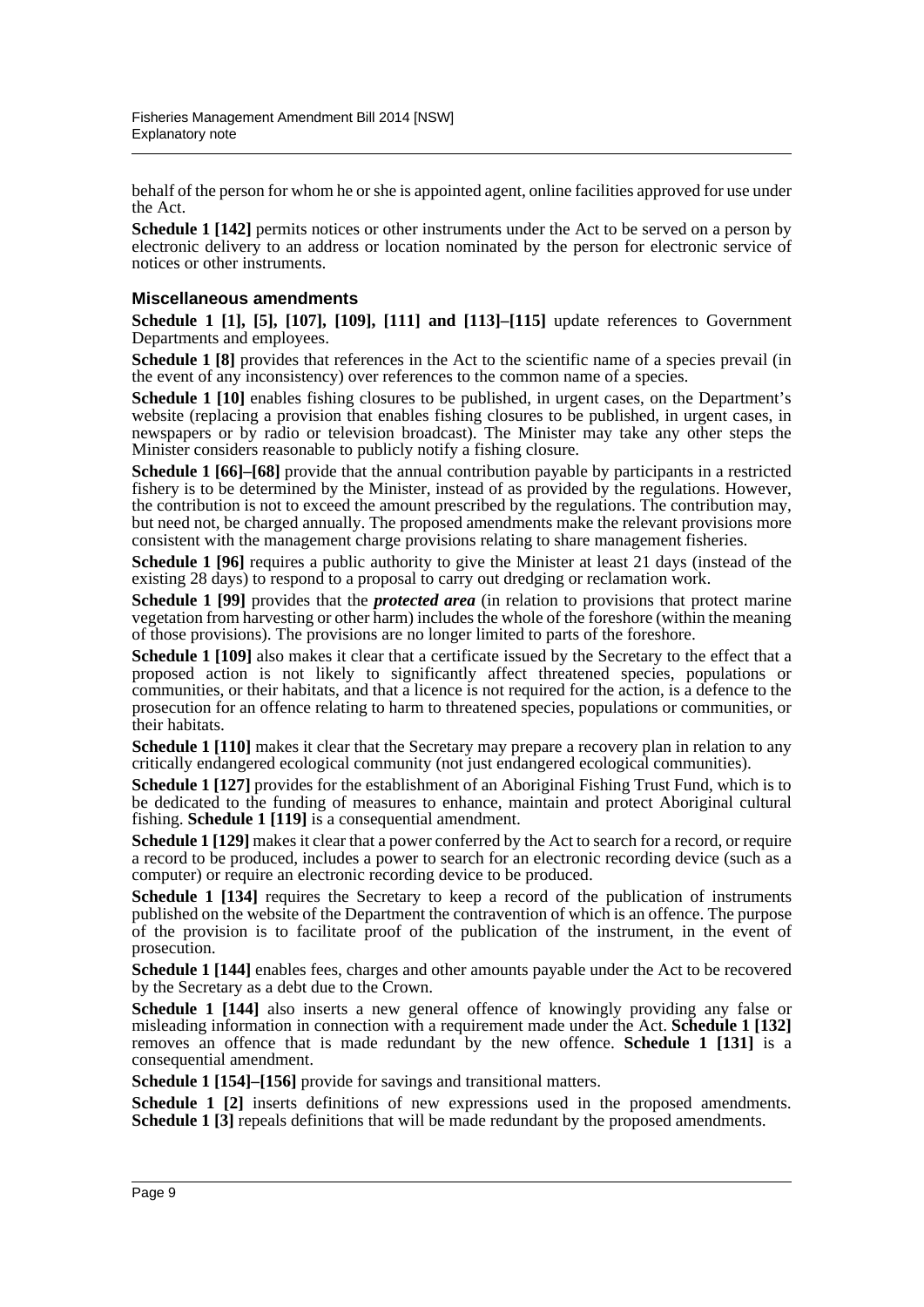behalf of the person for whom he or she is appointed agent, online facilities approved for use under the Act.

**Schedule 1 [142]** permits notices or other instruments under the Act to be served on a person by electronic delivery to an address or location nominated by the person for electronic service of notices or other instruments.

#### **Miscellaneous amendments**

**Schedule 1 [1], [5], [107], [109], [111] and [113]–[115]** update references to Government Departments and employees.

**Schedule 1 [8]** provides that references in the Act to the scientific name of a species prevail (in the event of any inconsistency) over references to the common name of a species.

**Schedule 1 [10]** enables fishing closures to be published, in urgent cases, on the Department's website (replacing a provision that enables fishing closures to be published, in urgent cases, in newspapers or by radio or television broadcast). The Minister may take any other steps the Minister considers reasonable to publicly notify a fishing closure.

**Schedule 1 [66]–[68]** provide that the annual contribution payable by participants in a restricted fishery is to be determined by the Minister, instead of as provided by the regulations. However, the contribution is not to exceed the amount prescribed by the regulations. The contribution may, but need not, be charged annually. The proposed amendments make the relevant provisions more consistent with the management charge provisions relating to share management fisheries.

**Schedule 1 [96]** requires a public authority to give the Minister at least 21 days (instead of the existing 28 days) to respond to a proposal to carry out dredging or reclamation work.

**Schedule 1 [99]** provides that the *protected area* (in relation to provisions that protect marine vegetation from harvesting or other harm) includes the whole of the foreshore (within the meaning of those provisions). The provisions are no longer limited to parts of the foreshore.

**Schedule 1 [109]** also makes it clear that a certificate issued by the Secretary to the effect that a proposed action is not likely to significantly affect threatened species, populations or communities, or their habitats, and that a licence is not required for the action, is a defence to the prosecution for an offence relating to harm to threatened species, populations or communities, or their habitats.

**Schedule 1 [110]** makes it clear that the Secretary may prepare a recovery plan in relation to any critically endangered ecological community (not just endangered ecological communities).

**Schedule 1 [127]** provides for the establishment of an Aboriginal Fishing Trust Fund, which is to be dedicated to the funding of measures to enhance, maintain and protect Aboriginal cultural fishing. **Schedule 1 [119]** is a consequential amendment.

**Schedule 1 [129]** makes it clear that a power conferred by the Act to search for a record, or require a record to be produced, includes a power to search for an electronic recording device (such as a computer) or require an electronic recording device to be produced.

**Schedule 1 [134]** requires the Secretary to keep a record of the publication of instruments published on the website of the Department the contravention of which is an offence. The purpose of the provision is to facilitate proof of the publication of the instrument, in the event of prosecution.

**Schedule 1 [144]** enables fees, charges and other amounts payable under the Act to be recovered by the Secretary as a debt due to the Crown.

**Schedule 1 [144]** also inserts a new general offence of knowingly providing any false or misleading information in connection with a requirement made under the Act. **Schedule 1 [132]** removes an offence that is made redundant by the new offence. **Schedule 1 [131]** is a consequential amendment.

**Schedule 1 [154]–[156]** provide for savings and transitional matters.

**Schedule 1 [2]** inserts definitions of new expressions used in the proposed amendments. **Schedule 1 [3]** repeals definitions that will be made redundant by the proposed amendments.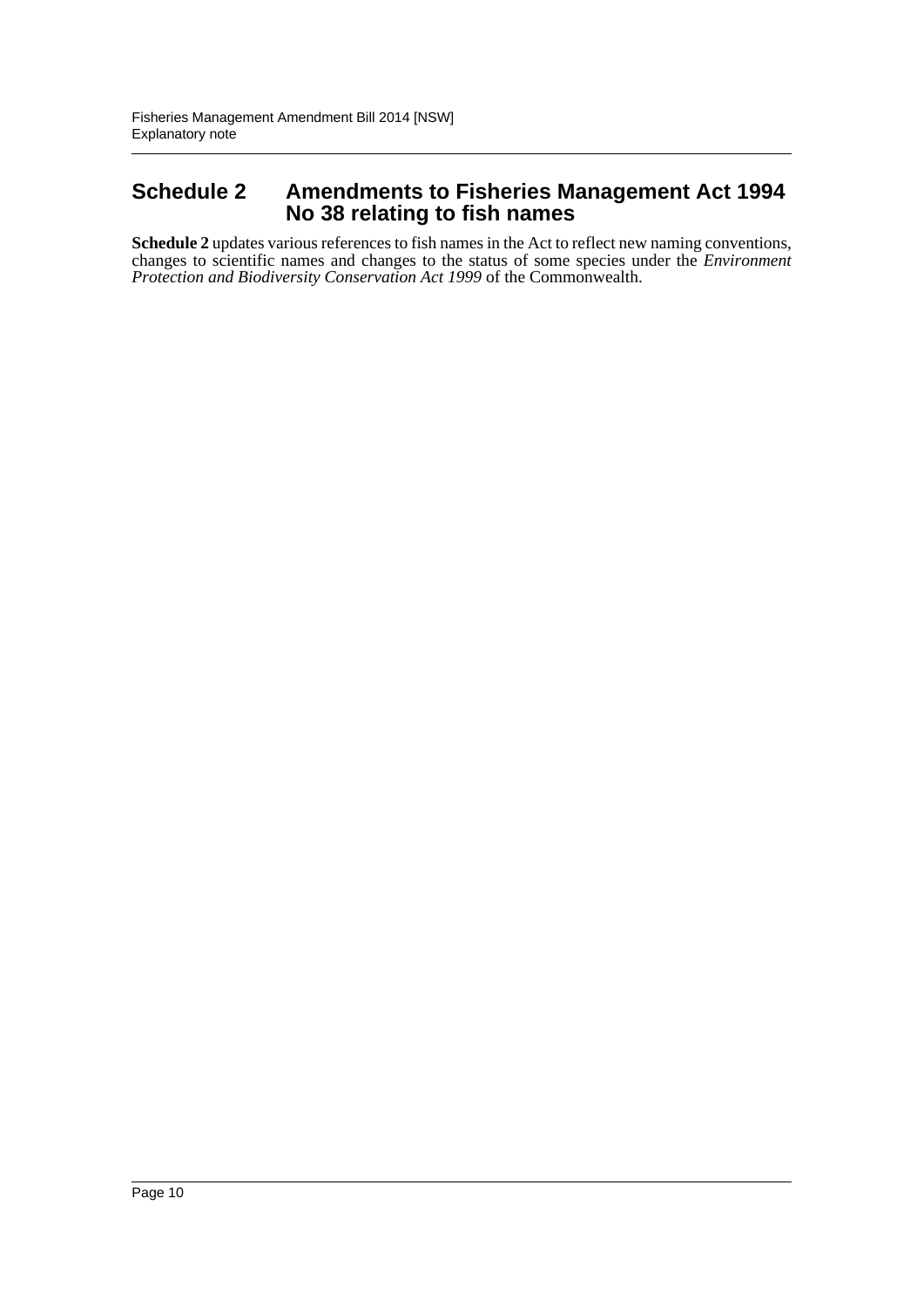### **Schedule 2 Amendments to Fisheries Management Act 1994 No 38 relating to fish names**

**Schedule 2** updates various references to fish names in the Act to reflect new naming conventions, changes to scientific names and changes to the status of some species under the *Environment Protection and Biodiversity Conservation Act 1999* of the Commonwealth.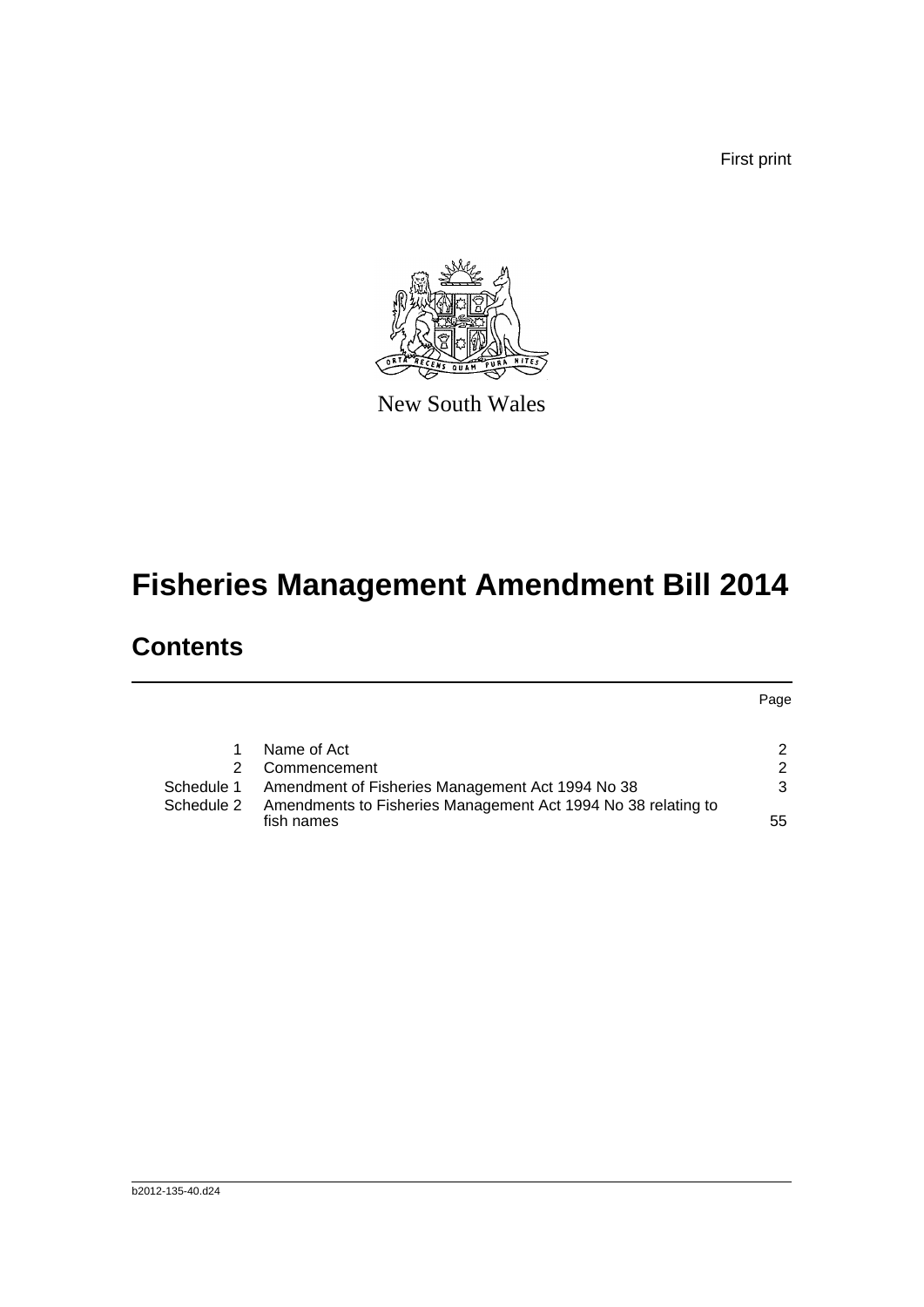First print



New South Wales

# **Fisheries Management Amendment Bill 2014**

# **Contents**

|            |                                                                             | Page |
|------------|-----------------------------------------------------------------------------|------|
|            |                                                                             |      |
|            | Name of Act                                                                 | າ    |
|            | Commencement                                                                | 2    |
| Schedule 1 | Amendment of Fisheries Management Act 1994 No 38                            | 3    |
| Schedule 2 | Amendments to Fisheries Management Act 1994 No 38 relating to<br>fish names | 55   |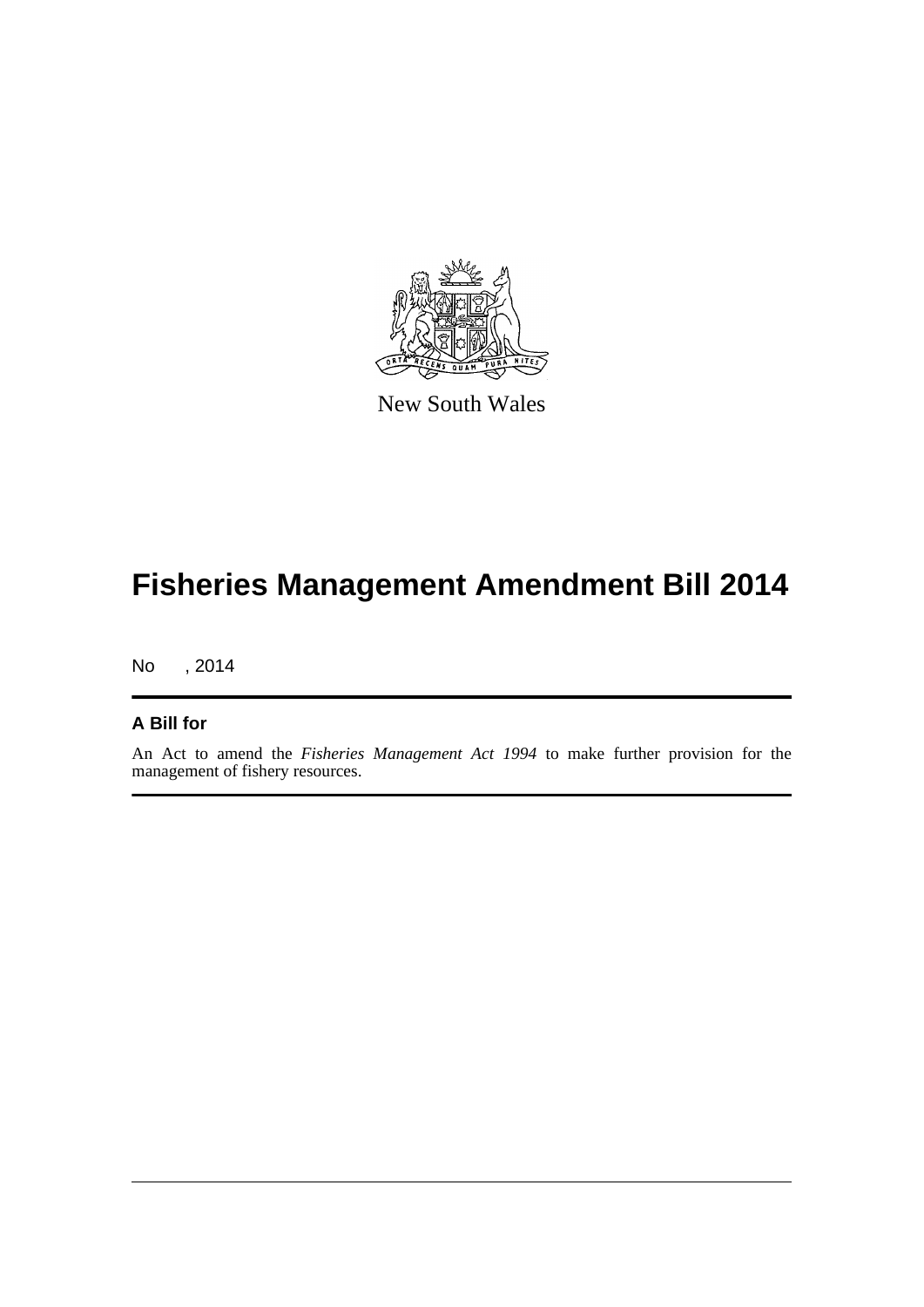

New South Wales

# **Fisheries Management Amendment Bill 2014**

No , 2014

#### **A Bill for**

An Act to amend the *Fisheries Management Act 1994* to make further provision for the management of fishery resources.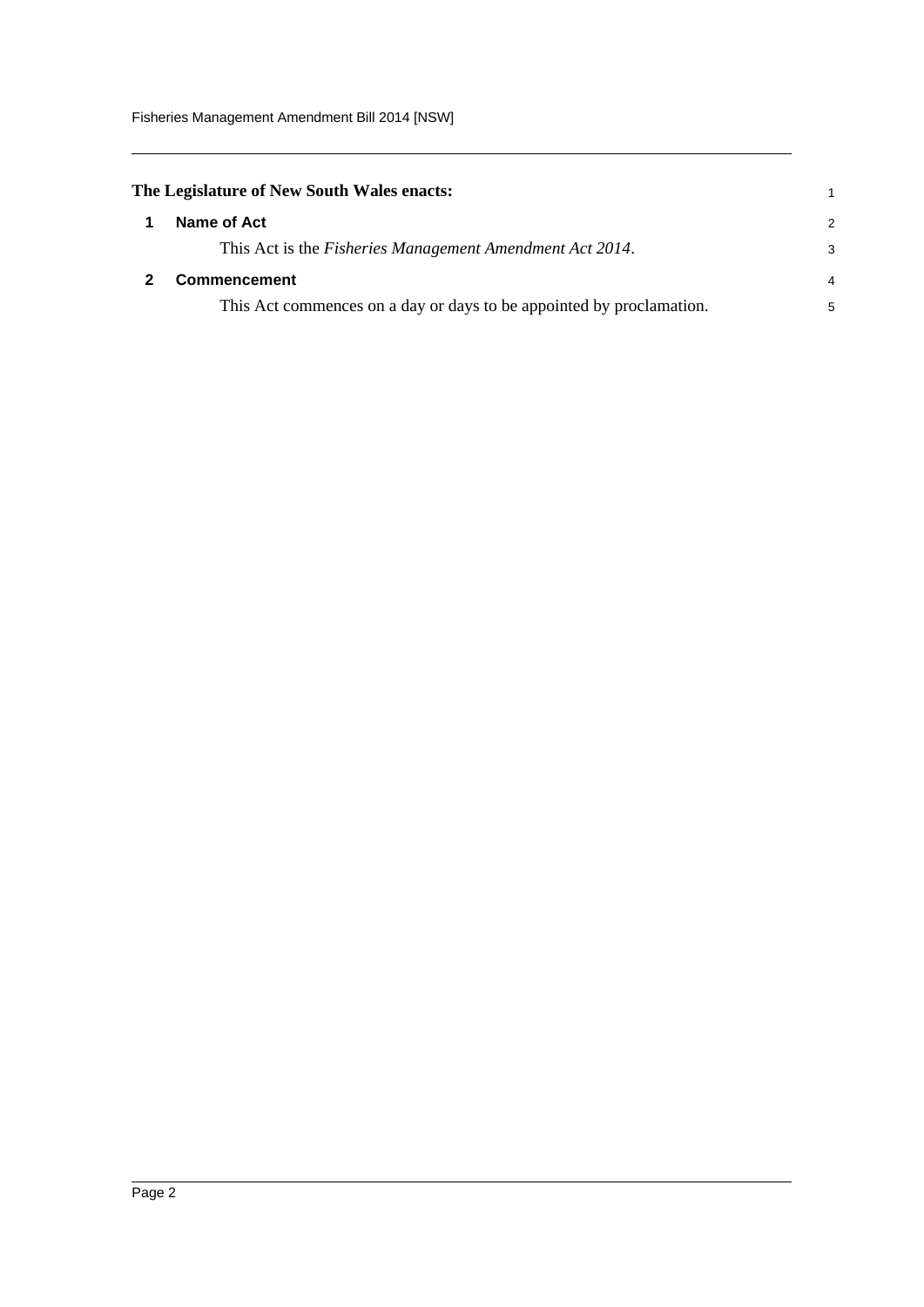<span id="page-12-1"></span><span id="page-12-0"></span>

| The Legislature of New South Wales enacts:                           |               |  |  |  |
|----------------------------------------------------------------------|---------------|--|--|--|
| Name of Act                                                          | $\mathcal{P}$ |  |  |  |
| This Act is the <i>Fisheries Management Amendment Act 2014</i> .     | 3             |  |  |  |
| <b>Commencement</b>                                                  | 4             |  |  |  |
| This Act commences on a day or days to be appointed by proclamation. | 5             |  |  |  |
|                                                                      |               |  |  |  |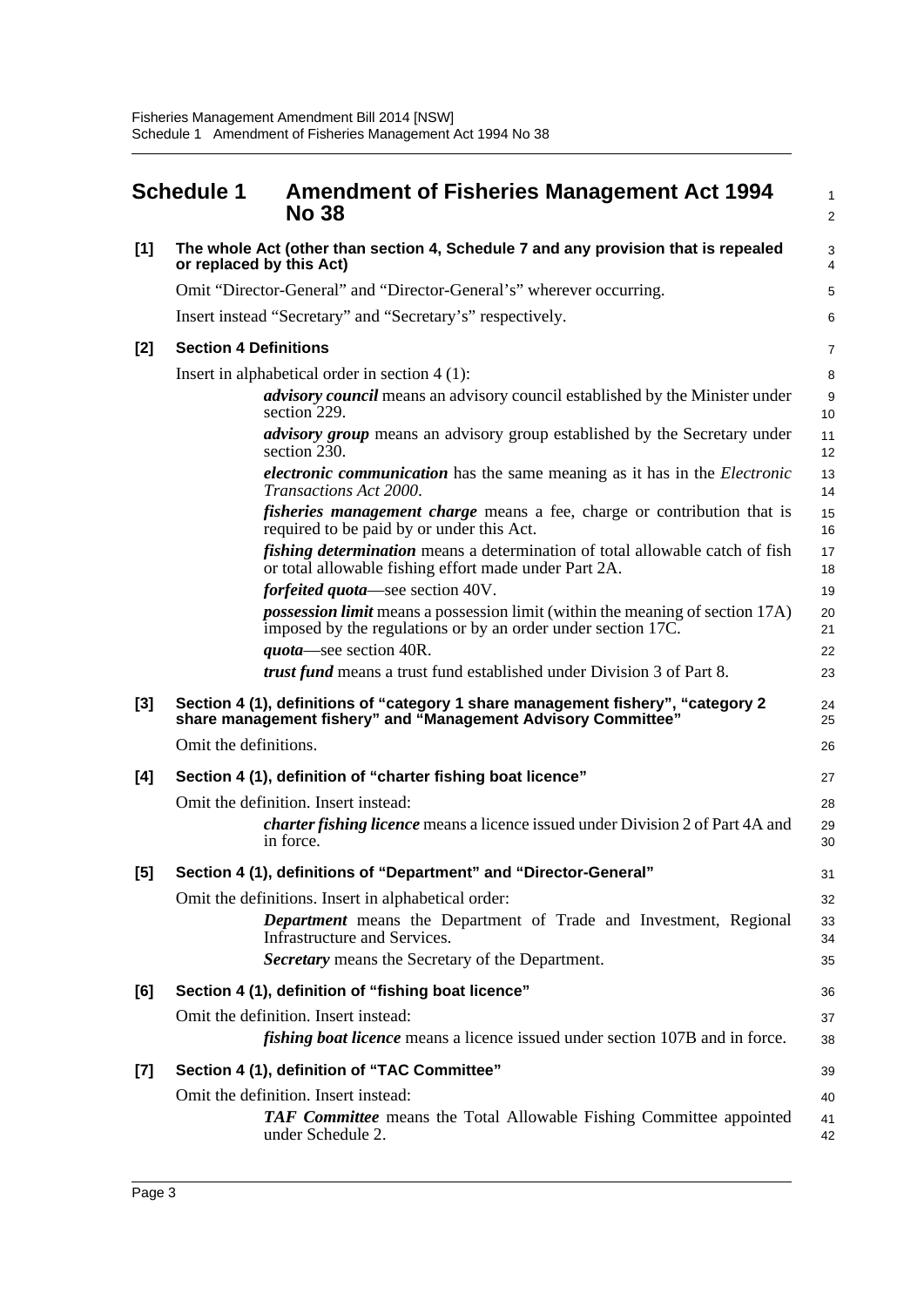<span id="page-13-0"></span>

|       | <b>Schedule 1</b><br><b>No 38</b>    | <b>Amendment of Fisheries Management Act 1994</b>                                                                                                    | $\mathbf{1}$<br>2      |
|-------|--------------------------------------|------------------------------------------------------------------------------------------------------------------------------------------------------|------------------------|
| $[1]$ | or replaced by this Act)             | The whole Act (other than section 4, Schedule 7 and any provision that is repealed                                                                   | 3<br>4                 |
|       |                                      | Omit "Director-General" and "Director-General's" wherever occurring.                                                                                 | 5                      |
|       |                                      | Insert instead "Secretary" and "Secretary's" respectively.                                                                                           | 6                      |
| [2]   | <b>Section 4 Definitions</b>         |                                                                                                                                                      | $\overline{7}$         |
|       |                                      | Insert in alphabetical order in section $4(1)$ :                                                                                                     | 8                      |
|       | section 229.                         | advisory council means an advisory council established by the Minister under                                                                         | $\boldsymbol{9}$<br>10 |
|       | section 230.                         | advisory group means an advisory group established by the Secretary under                                                                            | 11<br>12               |
|       |                                      | <i>electronic communication</i> has the same meaning as it has in the <i>Electronic</i><br>Transactions Act 2000.                                    | 13<br>14               |
|       |                                      | <i>fisheries management charge</i> means a fee, charge or contribution that is<br>required to be paid by or under this Act.                          | 15<br>16               |
|       |                                      | <i>fishing determination</i> means a determination of total allowable catch of fish<br>or total allowable fishing effort made under Part 2A.         | 17<br>18               |
|       |                                      | <i>forfeited quota</i> —see section 40V.                                                                                                             | 19                     |
|       |                                      | <i>possession limit</i> means a possession limit (within the meaning of section 17A)<br>imposed by the regulations or by an order under section 17C. | 20<br>21               |
|       |                                      | <i>quota</i> —see section 40R.                                                                                                                       | 22                     |
|       |                                      | <i>trust fund</i> means a trust fund established under Division 3 of Part 8.                                                                         | 23                     |
| $[3]$ |                                      | Section 4 (1), definitions of "category 1 share management fishery", "category 2<br>share management fishery" and "Management Advisory Committee"    | 24<br>25               |
|       | Omit the definitions.                |                                                                                                                                                      | 26                     |
| [4]   |                                      | Section 4 (1), definition of "charter fishing boat licence"                                                                                          | 27                     |
|       | Omit the definition. Insert instead: |                                                                                                                                                      | 28                     |
|       | in force.                            | <i>charter fishing licence</i> means a licence issued under Division 2 of Part 4A and                                                                | 29<br>30               |
| [5]   |                                      | Section 4 (1), definitions of "Department" and "Director-General"                                                                                    | 31                     |
|       |                                      | Omit the definitions. Insert in alphabetical order:                                                                                                  | 32                     |
|       |                                      | Department means the Department of Trade and Investment, Regional<br>Infrastructure and Services.                                                    | 33<br>34               |
|       |                                      | <b>Secretary</b> means the Secretary of the Department.                                                                                              | 35                     |
| [6]   |                                      | Section 4 (1), definition of "fishing boat licence"                                                                                                  | 36                     |
|       | Omit the definition. Insert instead: |                                                                                                                                                      | 37                     |
|       |                                      | <i>fishing boat licence</i> means a licence issued under section 107B and in force.                                                                  | 38                     |
| $[7]$ |                                      | Section 4 (1), definition of "TAC Committee"                                                                                                         | 39                     |
|       | Omit the definition. Insert instead: |                                                                                                                                                      | 40                     |
|       |                                      | <b>TAF Committee</b> means the Total Allowable Fishing Committee appointed<br>under Schedule 2.                                                      | 41<br>42               |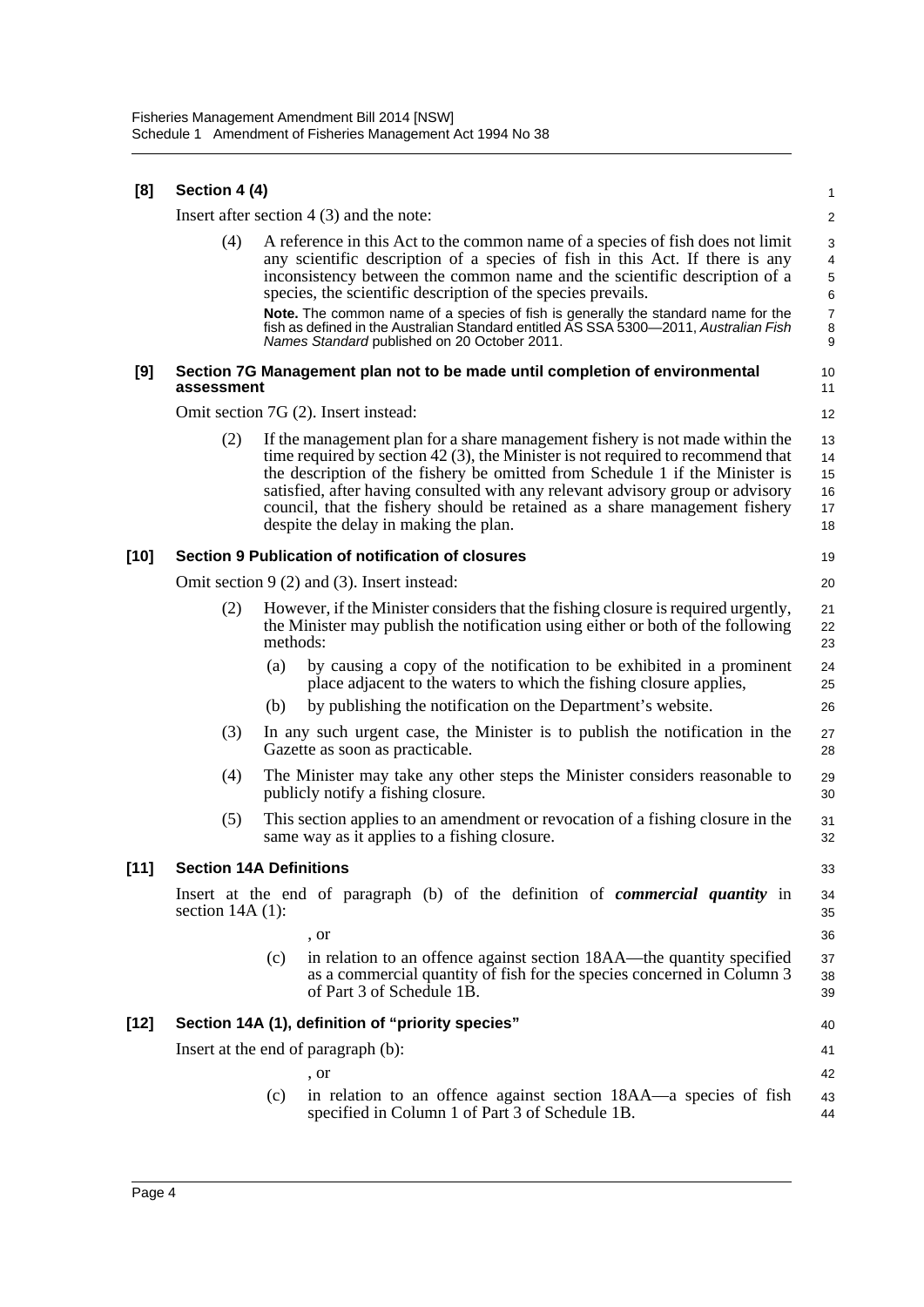| [8]    | Section 4 (4)      |                                                                                                                                                                                                                                                                                                                                                                                                                                                            | $\mathbf{1}$                            |  |  |  |  |  |
|--------|--------------------|------------------------------------------------------------------------------------------------------------------------------------------------------------------------------------------------------------------------------------------------------------------------------------------------------------------------------------------------------------------------------------------------------------------------------------------------------------|-----------------------------------------|--|--|--|--|--|
|        |                    | Insert after section $4(3)$ and the note:                                                                                                                                                                                                                                                                                                                                                                                                                  | $\overline{2}$                          |  |  |  |  |  |
|        | (4)                | A reference in this Act to the common name of a species of fish does not limit<br>any scientific description of a species of fish in this Act. If there is any<br>inconsistency between the common name and the scientific description of a<br>species, the scientific description of the species prevails.                                                                                                                                                | 3<br>$\overline{4}$<br>$\mathbf 5$<br>6 |  |  |  |  |  |
|        |                    | Note. The common name of a species of fish is generally the standard name for the<br>fish as defined in the Australian Standard entitled AS SSA 5300-2011, Australian Fish<br>Names Standard published on 20 October 2011.                                                                                                                                                                                                                                 | $\boldsymbol{7}$<br>8<br>9              |  |  |  |  |  |
| [9]    | assessment         | Section 7G Management plan not to be made until completion of environmental                                                                                                                                                                                                                                                                                                                                                                                | 10<br>11                                |  |  |  |  |  |
|        |                    | Omit section 7G (2). Insert instead:                                                                                                                                                                                                                                                                                                                                                                                                                       | 12                                      |  |  |  |  |  |
|        | (2)                | If the management plan for a share management fishery is not made within the<br>time required by section $42(3)$ , the Minister is not required to recommend that<br>the description of the fishery be omitted from Schedule 1 if the Minister is<br>satisfied, after having consulted with any relevant advisory group or advisory<br>council, that the fishery should be retained as a share management fishery<br>despite the delay in making the plan. | 13<br>14<br>15<br>16<br>17<br>18        |  |  |  |  |  |
| [10]   |                    | Section 9 Publication of notification of closures                                                                                                                                                                                                                                                                                                                                                                                                          | 19                                      |  |  |  |  |  |
|        |                    | Omit section $9(2)$ and (3). Insert instead:                                                                                                                                                                                                                                                                                                                                                                                                               |                                         |  |  |  |  |  |
|        | (2)                | However, if the Minister considers that the fishing closure is required urgently,<br>the Minister may publish the notification using either or both of the following<br>methods:                                                                                                                                                                                                                                                                           | 21<br>22<br>23                          |  |  |  |  |  |
|        |                    | by causing a copy of the notification to be exhibited in a prominent<br>(a)<br>place adjacent to the waters to which the fishing closure applies,                                                                                                                                                                                                                                                                                                          | 24<br>25                                |  |  |  |  |  |
|        |                    | by publishing the notification on the Department's website.<br>(b)                                                                                                                                                                                                                                                                                                                                                                                         | 26                                      |  |  |  |  |  |
|        | (3)                | In any such urgent case, the Minister is to publish the notification in the<br>Gazette as soon as practicable.                                                                                                                                                                                                                                                                                                                                             | 27<br>28                                |  |  |  |  |  |
|        | (4)                | The Minister may take any other steps the Minister considers reasonable to<br>publicly notify a fishing closure.                                                                                                                                                                                                                                                                                                                                           | 29<br>30                                |  |  |  |  |  |
|        | (5)                | This section applies to an amendment or revocation of a fishing closure in the<br>same way as it applies to a fishing closure.                                                                                                                                                                                                                                                                                                                             | 31<br>32                                |  |  |  |  |  |
| $[11]$ |                    | <b>Section 14A Definitions</b>                                                                                                                                                                                                                                                                                                                                                                                                                             | 33                                      |  |  |  |  |  |
|        | section $14A(1)$ : | Insert at the end of paragraph (b) of the definition of <i>commercial quantity</i> in                                                                                                                                                                                                                                                                                                                                                                      | 34<br>35                                |  |  |  |  |  |
|        |                    | , or<br>in relation to an offence against section 18AA—the quantity specified<br>(c)<br>as a commercial quantity of fish for the species concerned in Column 3<br>of Part 3 of Schedule 1B.                                                                                                                                                                                                                                                                | 36<br>37<br>38<br>39                    |  |  |  |  |  |
| [12]   |                    | Section 14A (1), definition of "priority species"                                                                                                                                                                                                                                                                                                                                                                                                          | 40                                      |  |  |  |  |  |
|        |                    | Insert at the end of paragraph (b):                                                                                                                                                                                                                                                                                                                                                                                                                        | 41                                      |  |  |  |  |  |
|        |                    | , or                                                                                                                                                                                                                                                                                                                                                                                                                                                       | 42                                      |  |  |  |  |  |
|        |                    | in relation to an offence against section 18AA—a species of fish<br>(c)<br>specified in Column 1 of Part 3 of Schedule 1B.                                                                                                                                                                                                                                                                                                                                 | 43<br>44                                |  |  |  |  |  |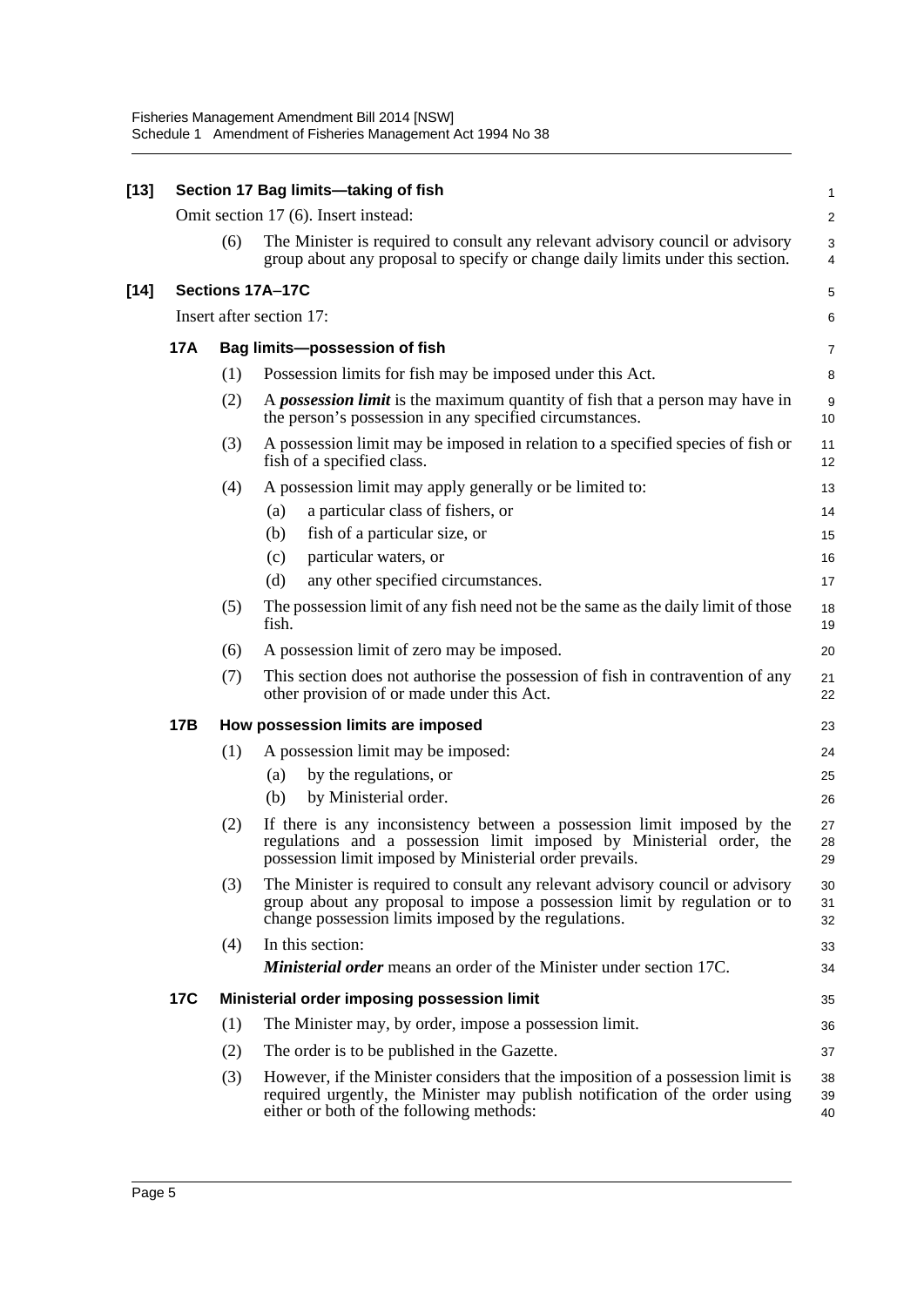| $[13]$ |     |                                      | Section 17 Bag limits-taking of fish                                                                                                                                                                               | $\mathbf{1}$   |  |  |  |  |
|--------|-----|--------------------------------------|--------------------------------------------------------------------------------------------------------------------------------------------------------------------------------------------------------------------|----------------|--|--|--|--|
|        |     | Omit section 17 (6). Insert instead: |                                                                                                                                                                                                                    |                |  |  |  |  |
|        |     | (6)                                  | The Minister is required to consult any relevant advisory council or advisory<br>group about any proposal to specify or change daily limits under this section.                                                    | 3<br>4         |  |  |  |  |
| $[14]$ |     | Sections 17A-17C                     |                                                                                                                                                                                                                    |                |  |  |  |  |
|        |     | Insert after section 17:             |                                                                                                                                                                                                                    |                |  |  |  |  |
|        | 17A |                                      | Bag limits-possession of fish                                                                                                                                                                                      | 7              |  |  |  |  |
|        |     | (1)                                  | Possession limits for fish may be imposed under this Act.                                                                                                                                                          | 8              |  |  |  |  |
|        |     | (2)                                  | A <i>possession limit</i> is the maximum quantity of fish that a person may have in<br>the person's possession in any specified circumstances.                                                                     | 9<br>10        |  |  |  |  |
|        |     | (3)                                  | A possession limit may be imposed in relation to a specified species of fish or<br>fish of a specified class.                                                                                                      | 11<br>12       |  |  |  |  |
|        |     | (4)                                  | A possession limit may apply generally or be limited to:                                                                                                                                                           | 13             |  |  |  |  |
|        |     |                                      | a particular class of fishers, or<br>(a)                                                                                                                                                                           | 14             |  |  |  |  |
|        |     |                                      | fish of a particular size, or<br>(b)                                                                                                                                                                               | 15             |  |  |  |  |
|        |     |                                      | particular waters, or<br>(c)                                                                                                                                                                                       | 16             |  |  |  |  |
|        |     |                                      | any other specified circumstances.<br>(d)                                                                                                                                                                          | 17             |  |  |  |  |
|        |     | (5)                                  | The possession limit of any fish need not be the same as the daily limit of those<br>fish.                                                                                                                         | 18<br>19       |  |  |  |  |
|        |     | (6)                                  | A possession limit of zero may be imposed.                                                                                                                                                                         | 20             |  |  |  |  |
|        |     | (7)                                  | This section does not authorise the possession of fish in contravention of any<br>other provision of or made under this Act.                                                                                       | 21<br>22       |  |  |  |  |
|        | 17B |                                      | How possession limits are imposed                                                                                                                                                                                  | 23             |  |  |  |  |
|        |     | (1)                                  | A possession limit may be imposed:                                                                                                                                                                                 | 24             |  |  |  |  |
|        |     |                                      | by the regulations, or<br>(a)                                                                                                                                                                                      | 25             |  |  |  |  |
|        |     |                                      | by Ministerial order.<br>(b)                                                                                                                                                                                       | 26             |  |  |  |  |
|        |     | (2)                                  | If there is any inconsistency between a possession limit imposed by the<br>regulations and a possession limit imposed by Ministerial order, the<br>possession limit imposed by Ministerial order prevails.         | 27<br>28<br>29 |  |  |  |  |
|        |     | (3)                                  | The Minister is required to consult any relevant advisory council or advisory<br>group about any proposal to impose a possession limit by regulation or to<br>change possession limits imposed by the regulations. | 30<br>31<br>32 |  |  |  |  |
|        |     | (4)                                  | In this section:<br><b>Ministerial order</b> means an order of the Minister under section 17C.                                                                                                                     | 33<br>34       |  |  |  |  |
|        | 17C |                                      | Ministerial order imposing possession limit                                                                                                                                                                        | 35             |  |  |  |  |
|        |     | (1)                                  | The Minister may, by order, impose a possession limit.                                                                                                                                                             | 36             |  |  |  |  |
|        |     | (2)                                  | The order is to be published in the Gazette.                                                                                                                                                                       | 37             |  |  |  |  |
|        |     | (3)                                  | However, if the Minister considers that the imposition of a possession limit is<br>required urgently, the Minister may publish notification of the order using<br>either or both of the following methods:         | 38<br>39<br>40 |  |  |  |  |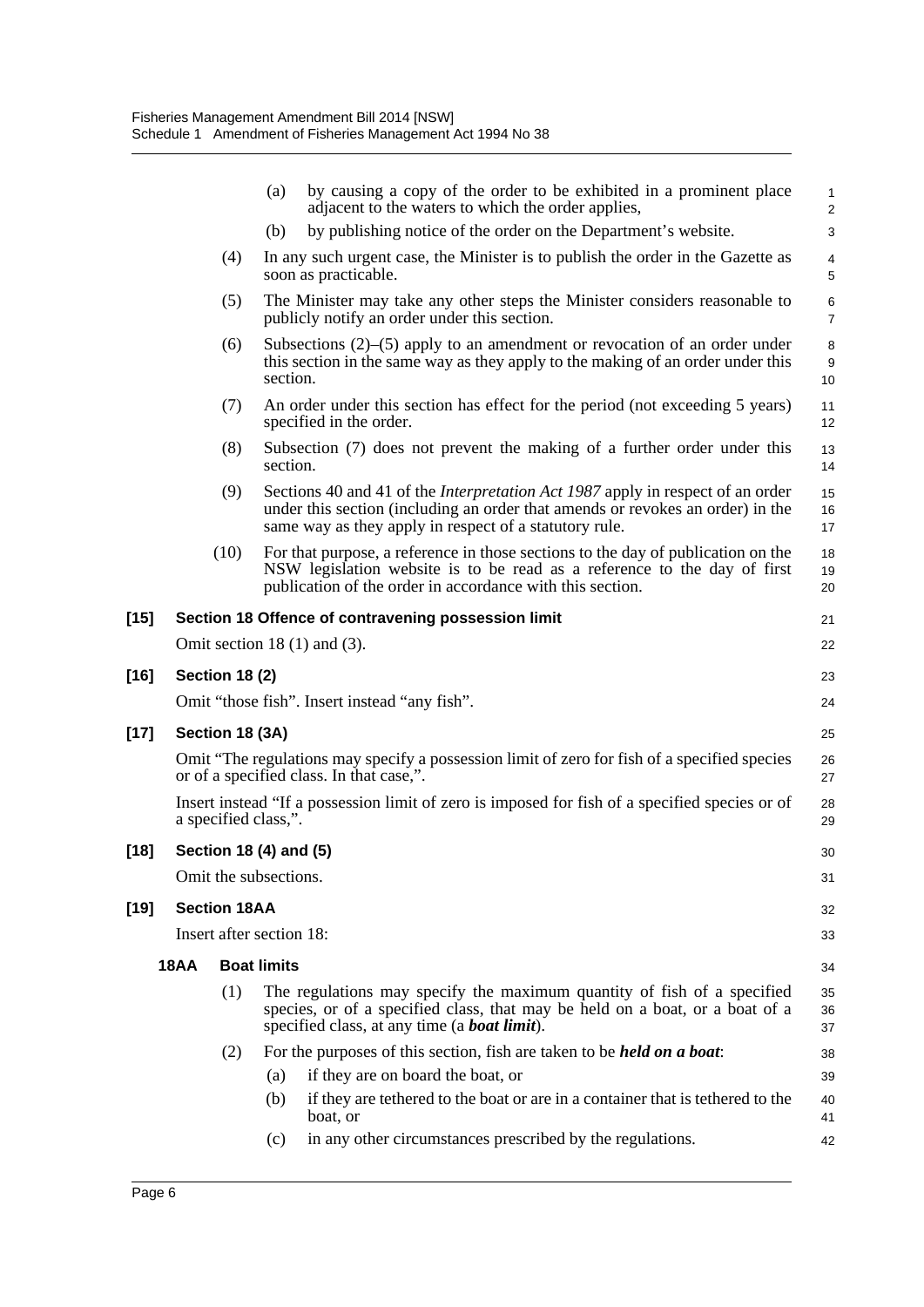|        |             |                       | by causing a copy of the order to be exhibited in a prominent place<br>(a)<br>adjacent to the waters to which the order applies,                                                                                                  | $\mathbf{1}$<br>2           |
|--------|-------------|-----------------------|-----------------------------------------------------------------------------------------------------------------------------------------------------------------------------------------------------------------------------------|-----------------------------|
|        |             |                       | by publishing notice of the order on the Department's website.<br>(b)                                                                                                                                                             | 3                           |
|        |             | (4)                   | In any such urgent case, the Minister is to publish the order in the Gazette as<br>soon as practicable.                                                                                                                           | 4<br>$\mathbf 5$            |
|        | (5)         |                       | The Minister may take any other steps the Minister considers reasonable to<br>publicly notify an order under this section.                                                                                                        | 6<br>$\overline{7}$         |
|        |             | (6)                   | Subsections $(2)$ – $(5)$ apply to an amendment or revocation of an order under<br>this section in the same way as they apply to the making of an order under this<br>section.                                                    | 8<br>$\boldsymbol{9}$<br>10 |
|        |             | (7)                   | An order under this section has effect for the period (not exceeding 5 years)<br>specified in the order.                                                                                                                          | 11<br>12                    |
|        |             | (8)                   | Subsection (7) does not prevent the making of a further order under this<br>section.                                                                                                                                              | 13<br>14                    |
|        |             | (9)                   | Sections 40 and 41 of the <i>Interpretation Act 1987</i> apply in respect of an order<br>under this section (including an order that amends or revokes an order) in the<br>same way as they apply in respect of a statutory rule. | 15<br>16<br>17              |
|        |             | (10)                  | For that purpose, a reference in those sections to the day of publication on the<br>NSW legislation website is to be read as a reference to the day of first<br>publication of the order in accordance with this section.         | 18<br>19<br>20              |
| [15]   |             |                       | Section 18 Offence of contravening possession limit                                                                                                                                                                               | 21                          |
|        |             |                       | Omit section $18(1)$ and $(3)$ .                                                                                                                                                                                                  | 22                          |
| $[16]$ |             | <b>Section 18 (2)</b> |                                                                                                                                                                                                                                   | 23                          |
|        |             |                       | Omit "those fish". Insert instead "any fish".                                                                                                                                                                                     | 24                          |
| $[17]$ |             | Section 18 (3A)       |                                                                                                                                                                                                                                   | 25                          |
|        |             |                       | Omit "The regulations may specify a possession limit of zero for fish of a specified species<br>or of a specified class. In that case,".                                                                                          | 26<br>27                    |
|        |             |                       | Insert instead "If a possession limit of zero is imposed for fish of a specified species or of<br>a specified class,".                                                                                                            | 28<br>29                    |
| [18]   |             |                       | Section 18 (4) and (5)                                                                                                                                                                                                            | 30                          |
|        |             |                       | Omit the subsections.                                                                                                                                                                                                             | 31                          |
| [19]   |             | <b>Section 18AA</b>   |                                                                                                                                                                                                                                   | 32                          |
|        |             |                       | Insert after section 18:                                                                                                                                                                                                          | 33                          |
|        | <b>18AA</b> |                       | <b>Boat limits</b>                                                                                                                                                                                                                | 34                          |
|        |             | (1)                   | The regulations may specify the maximum quantity of fish of a specified<br>species, or of a specified class, that may be held on a boat, or a boat of a<br>specified class, at any time (a <b>boat limit</b> ).                   | 35<br>36<br>37              |
|        |             | (2)                   | For the purposes of this section, fish are taken to be <i>held on a boat</i> :                                                                                                                                                    | 38                          |
|        |             |                       | if they are on board the boat, or<br>(a)                                                                                                                                                                                          | 39                          |
|        |             |                       | if they are tethered to the boat or are in a container that is tethered to the<br>(b)<br>boat, or                                                                                                                                 | 40<br>41                    |
|        |             |                       | in any other circumstances prescribed by the regulations.<br>(c)                                                                                                                                                                  | 42                          |

**[16] Section 18 (2)**

[17]

 $[18]$ 

[19]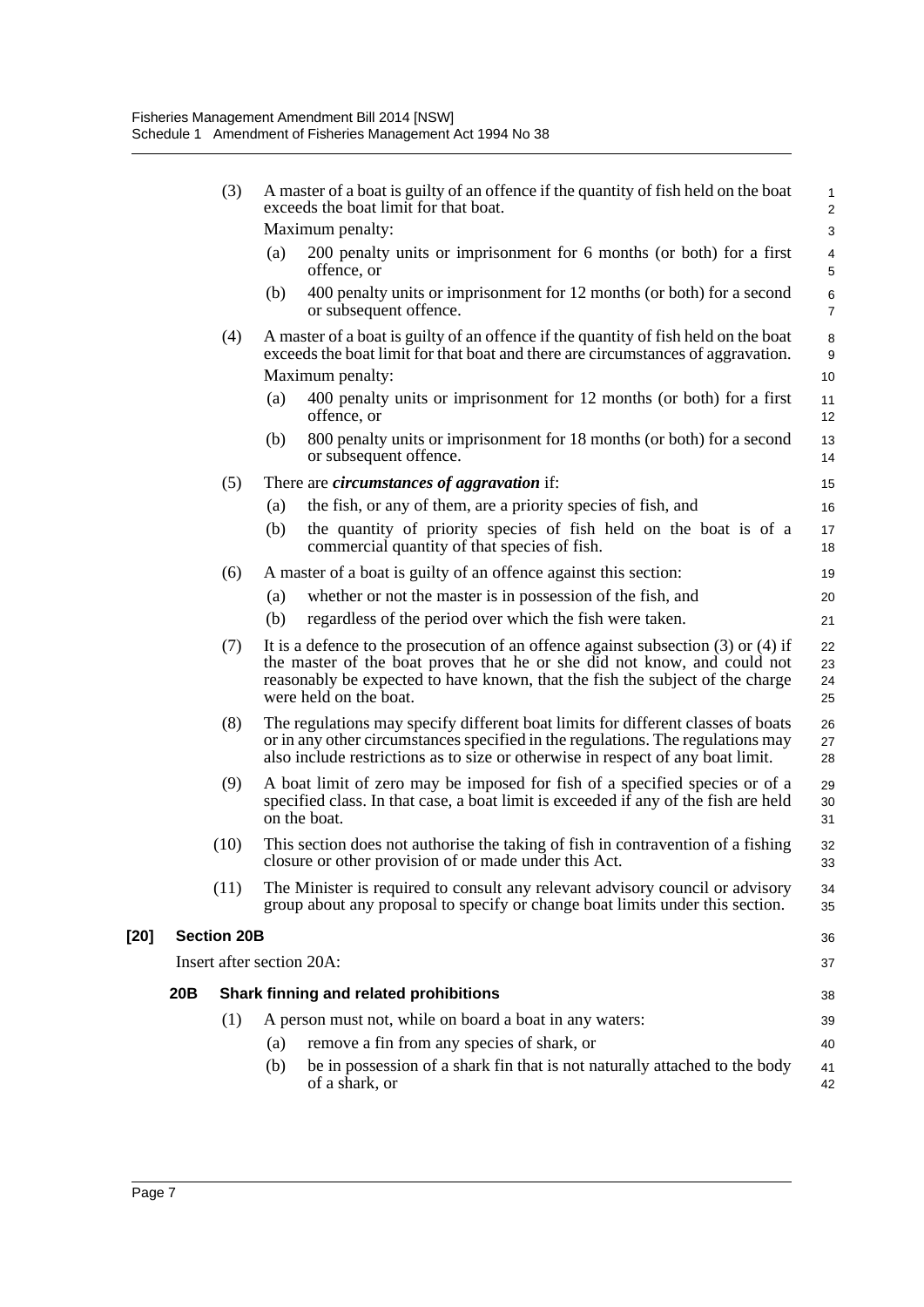|        |     | (3)                | A master of a boat is guilty of an offence if the quantity of fish held on the boat<br>exceeds the boat limit for that boat.                                                                                                                                                 | $\mathbf{1}$<br>$\overline{2}$        |
|--------|-----|--------------------|------------------------------------------------------------------------------------------------------------------------------------------------------------------------------------------------------------------------------------------------------------------------------|---------------------------------------|
|        |     |                    | Maximum penalty:                                                                                                                                                                                                                                                             | 3                                     |
|        |     |                    | 200 penalty units or imprisonment for 6 months (or both) for a first<br>(a)<br>offence, or                                                                                                                                                                                   | $\overline{\mathbf{4}}$<br>$\sqrt{5}$ |
|        |     |                    | 400 penalty units or imprisonment for 12 months (or both) for a second<br>(b)<br>or subsequent offence.                                                                                                                                                                      | $\,6$<br>$\overline{7}$               |
|        |     | (4)                | A master of a boat is guilty of an offence if the quantity of fish held on the boat<br>exceeds the boat limit for that boat and there are circumstances of aggravation.<br>Maximum penalty:                                                                                  | $\,$ 8 $\,$<br>$\boldsymbol{9}$<br>10 |
|        |     |                    | 400 penalty units or imprisonment for 12 months (or both) for a first<br>(a)<br>offence, or                                                                                                                                                                                  | 11<br>12                              |
|        |     |                    | 800 penalty units or imprisonment for 18 months (or both) for a second<br>(b)<br>or subsequent offence.                                                                                                                                                                      | 13<br>14                              |
|        |     | (5)                | There are <i>circumstances of aggravation</i> if:                                                                                                                                                                                                                            | 15                                    |
|        |     |                    | the fish, or any of them, are a priority species of fish, and<br>(a)                                                                                                                                                                                                         | 16                                    |
|        |     |                    | the quantity of priority species of fish held on the boat is of a<br>(b)<br>commercial quantity of that species of fish.                                                                                                                                                     | 17<br>18                              |
|        |     | (6)                | A master of a boat is guilty of an offence against this section:                                                                                                                                                                                                             | 19                                    |
|        |     |                    | whether or not the master is in possession of the fish, and<br>(a)                                                                                                                                                                                                           | 20                                    |
|        |     |                    | regardless of the period over which the fish were taken.<br>(b)                                                                                                                                                                                                              | 21                                    |
|        |     | (7)                | It is a defence to the prosecution of an offence against subsection $(3)$ or $(4)$ if<br>the master of the boat proves that he or she did not know, and could not<br>reasonably be expected to have known, that the fish the subject of the charge<br>were held on the boat. | 22<br>23<br>24<br>25                  |
|        |     | (8)                | The regulations may specify different boat limits for different classes of boats<br>or in any other circumstances specified in the regulations. The regulations may<br>also include restrictions as to size or otherwise in respect of any boat limit.                       | 26<br>27<br>28                        |
|        |     | (9)                | A boat limit of zero may be imposed for fish of a specified species or of a<br>specified class. In that case, a boat limit is exceeded if any of the fish are held<br>on the boat.                                                                                           | 29<br>30<br>31                        |
|        |     | (10)               | This section does not authorise the taking of fish in contravention of a fishing<br>closure or other provision of or made under this Act.                                                                                                                                    | 32<br>33                              |
|        |     | (11)               | The Minister is required to consult any relevant advisory council or advisory<br>group about any proposal to specify or change boat limits under this section.                                                                                                               | 34<br>35                              |
| $[20]$ |     | <b>Section 20B</b> |                                                                                                                                                                                                                                                                              | 36                                    |
|        |     |                    | Insert after section 20A:                                                                                                                                                                                                                                                    | 37                                    |
|        | 20B |                    | Shark finning and related prohibitions                                                                                                                                                                                                                                       | 38                                    |
|        |     | (1)                | A person must not, while on board a boat in any waters:                                                                                                                                                                                                                      | 39                                    |
|        |     |                    | remove a fin from any species of shark, or<br>(a)                                                                                                                                                                                                                            | 40                                    |
|        |     |                    | be in possession of a shark fin that is not naturally attached to the body<br>(b)<br>of a shark, or                                                                                                                                                                          | 41<br>42                              |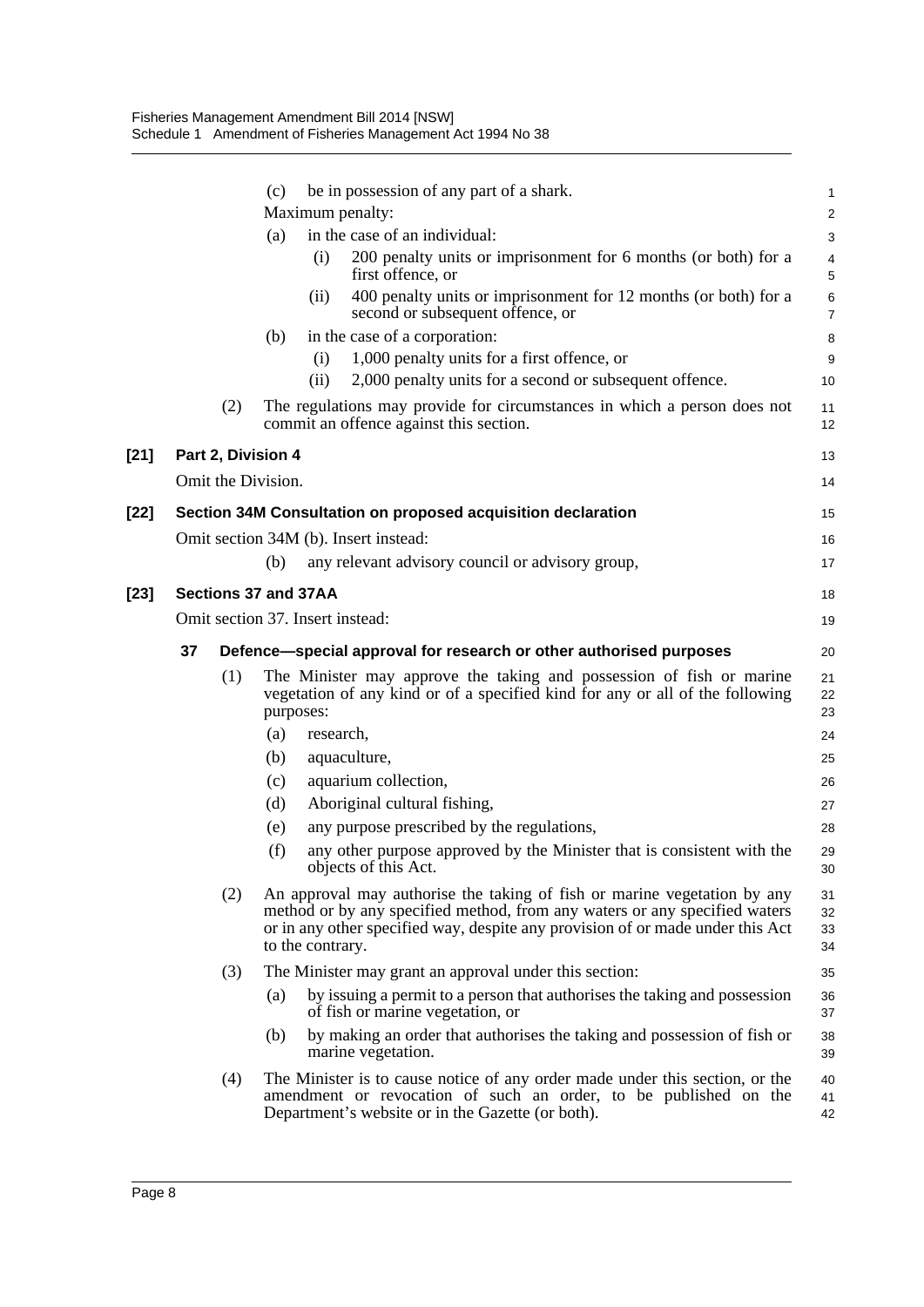|        |                    | be in possession of any part of a shark.<br>(c)                                                                                                                                                                                                              | 1                    |
|--------|--------------------|--------------------------------------------------------------------------------------------------------------------------------------------------------------------------------------------------------------------------------------------------------------|----------------------|
|        |                    | Maximum penalty:                                                                                                                                                                                                                                             | 2                    |
|        |                    | in the case of an individual:<br>(a)                                                                                                                                                                                                                         | 3                    |
|        |                    | 200 penalty units or imprisonment for 6 months (or both) for a<br>(i)<br>first offence, or                                                                                                                                                                   | 4<br>5               |
|        |                    | 400 penalty units or imprisonment for 12 months (or both) for a<br>(ii)<br>second or subsequent offence, or                                                                                                                                                  | 6<br>$\overline{7}$  |
|        |                    | in the case of a corporation:<br>(b)                                                                                                                                                                                                                         | 8                    |
|        |                    | 1,000 penalty units for a first offence, or<br>(i)                                                                                                                                                                                                           | 9                    |
|        |                    | (ii)<br>2,000 penalty units for a second or subsequent offence.                                                                                                                                                                                              | 10                   |
|        | (2)                | The regulations may provide for circumstances in which a person does not<br>commit an offence against this section.                                                                                                                                          | 11<br>12             |
| $[21]$ | Part 2, Division 4 |                                                                                                                                                                                                                                                              | 13                   |
|        | Omit the Division. |                                                                                                                                                                                                                                                              | 14                   |
| [22]   |                    | Section 34M Consultation on proposed acquisition declaration                                                                                                                                                                                                 | 15                   |
|        |                    | Omit section 34M (b). Insert instead:                                                                                                                                                                                                                        | 16                   |
|        |                    | any relevant advisory council or advisory group,<br>(b)                                                                                                                                                                                                      | 17                   |
| [23]   |                    | Sections 37 and 37AA                                                                                                                                                                                                                                         | 18                   |
|        |                    | Omit section 37. Insert instead:                                                                                                                                                                                                                             | 19                   |
|        | 37                 | Defence—special approval for research or other authorised purposes                                                                                                                                                                                           | 20                   |
|        | (1)                | The Minister may approve the taking and possession of fish or marine<br>vegetation of any kind or of a specified kind for any or all of the following<br>purposes:                                                                                           | 21<br>22<br>23       |
|        |                    | (a)<br>research,                                                                                                                                                                                                                                             | 24                   |
|        |                    | aquaculture,<br>(b)                                                                                                                                                                                                                                          | 25                   |
|        |                    | aquarium collection,<br>(c)                                                                                                                                                                                                                                  | 26                   |
|        |                    | Aboriginal cultural fishing,<br>(d)                                                                                                                                                                                                                          | 27                   |
|        |                    | any purpose prescribed by the regulations,<br>(e)                                                                                                                                                                                                            | 28                   |
|        |                    | any other purpose approved by the Minister that is consistent with the<br>(f)<br>objects of this Act.                                                                                                                                                        | 29<br>30             |
|        | (2)                | An approval may authorise the taking of fish or marine vegetation by any<br>method or by any specified method, from any waters or any specified waters<br>or in any other specified way, despite any provision of or made under this Act<br>to the contrary. | 31<br>32<br>33<br>34 |
|        | (3)                | The Minister may grant an approval under this section:                                                                                                                                                                                                       | 35                   |
|        |                    | by issuing a permit to a person that authorises the taking and possession<br>(a)<br>of fish or marine vegetation, or                                                                                                                                         | 36<br>37             |
|        |                    | by making an order that authorises the taking and possession of fish or<br>(b)<br>marine vegetation.                                                                                                                                                         | 38<br>39             |
|        | (4)                | The Minister is to cause notice of any order made under this section, or the<br>amendment or revocation of such an order, to be published on the<br>Department's website or in the Gazette (or both).                                                        | 40<br>41<br>42       |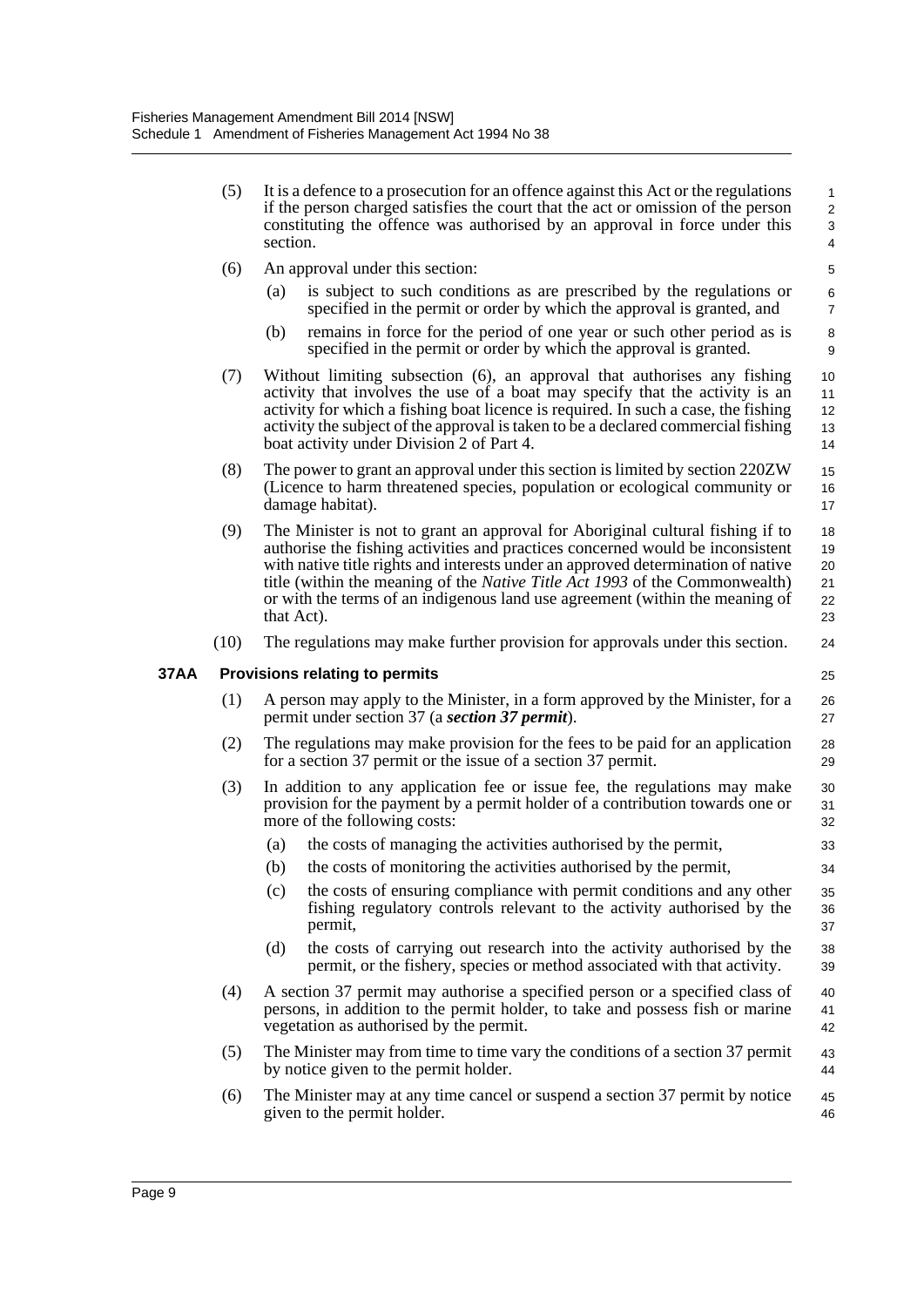| (5) | It is a defence to a prosecution for an offence against this Act or the regulations<br>if the person charged satisfies the court that the act or omission of the person<br>constituting the offence was authorised by an approval in force under this<br>section.                                                                                                                |                            |  |  |  |  |
|-----|----------------------------------------------------------------------------------------------------------------------------------------------------------------------------------------------------------------------------------------------------------------------------------------------------------------------------------------------------------------------------------|----------------------------|--|--|--|--|
| (6) | An approval under this section:                                                                                                                                                                                                                                                                                                                                                  | 5                          |  |  |  |  |
|     | is subject to such conditions as are prescribed by the regulations or<br>(a)<br>specified in the permit or order by which the approval is granted, and                                                                                                                                                                                                                           | $\,6\,$<br>$\overline{7}$  |  |  |  |  |
|     | remains in force for the period of one year or such other period as is<br>(b)<br>specified in the permit or order by which the approval is granted.                                                                                                                                                                                                                              | 8<br>9                     |  |  |  |  |
| (7) | Without limiting subsection (6), an approval that authorises any fishing<br>activity that involves the use of a boat may specify that the activity is an<br>activity for which a fishing boat licence is required. In such a case, the fishing<br>activity the subject of the approval is taken to be a declared commercial fishing<br>boat activity under Division 2 of Part 4. | 10<br>11<br>12<br>13<br>14 |  |  |  |  |
| (8) | The power to grant an approval under this section is limited by section 220ZW<br>(Licence to harm threatened species, population or ecological community or<br>damage habitat).                                                                                                                                                                                                  | 15<br>16<br>17             |  |  |  |  |
| (9) | The Minister is not to grant an approval for Aboriginal cultural fishing if to<br>authorise the fishing activities and practices concerned would be inconsistent<br>with native title rights and interests under an approved determination of native<br>title (within the meaning of the Native Title Act 1993 of the Commonwealth)                                              | 18<br>19<br>20<br>21       |  |  |  |  |

(10) The regulations may make further provision for approvals under this section.

or with the terms of an indigenous land use agreement (within the meaning of

33  $34$ 

#### **37AA Provisions relating to permits**

that Act).

- (1) A person may apply to the Minister, in a form approved by the Minister, for a permit under section 37 (a *section 37 permit*).
- (2) The regulations may make provision for the fees to be paid for an application for a section 37 permit or the issue of a section 37 permit. 28 29
- (3) In addition to any application fee or issue fee, the regulations may make provision for the payment by a permit holder of a contribution towards one or more of the following costs: 30 31 32
	- (a) the costs of managing the activities authorised by the permit,
	- (b) the costs of monitoring the activities authorised by the permit,
	- (c) the costs of ensuring compliance with permit conditions and any other fishing regulatory controls relevant to the activity authorised by the permit, 35 36 37
	- (d) the costs of carrying out research into the activity authorised by the permit, or the fishery, species or method associated with that activity. 38 39
- (4) A section 37 permit may authorise a specified person or a specified class of persons, in addition to the permit holder, to take and possess fish or marine vegetation as authorised by the permit. 40 41 42
- (5) The Minister may from time to time vary the conditions of a section 37 permit by notice given to the permit holder. 43 44
- (6) The Minister may at any time cancel or suspend a section 37 permit by notice given to the permit holder. 45 46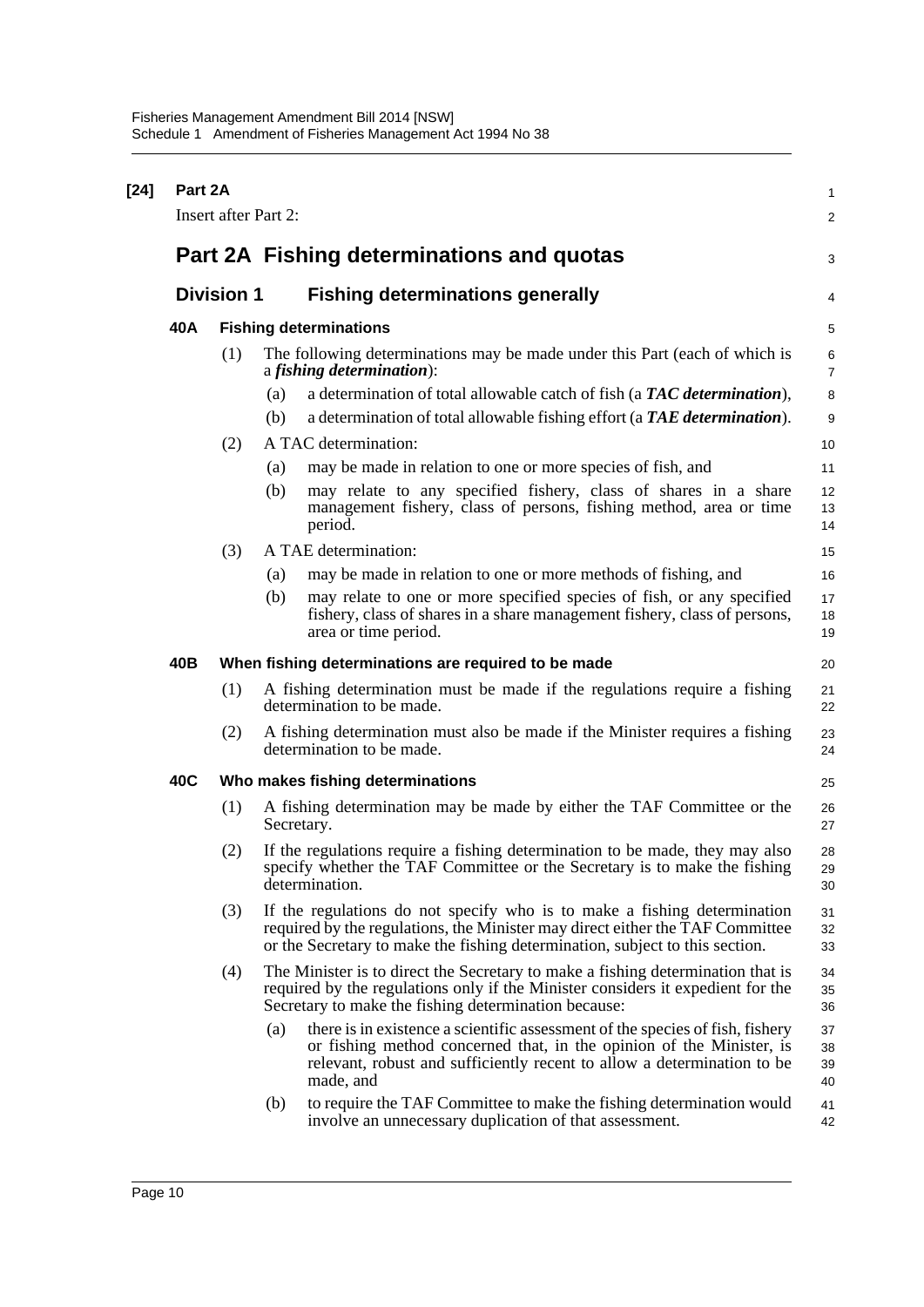| $[24]$ | Part 2A | <b>Insert after Part 2:</b> |     |                                                                                                                                                                                                                                               | 1<br>2               |
|--------|---------|-----------------------------|-----|-----------------------------------------------------------------------------------------------------------------------------------------------------------------------------------------------------------------------------------------------|----------------------|
|        |         |                             |     | Part 2A Fishing determinations and quotas                                                                                                                                                                                                     | 3                    |
|        |         |                             |     |                                                                                                                                                                                                                                               |                      |
|        |         | <b>Division 1</b>           |     | <b>Fishing determinations generally</b>                                                                                                                                                                                                       | 4                    |
|        | 40A     |                             |     | <b>Fishing determinations</b>                                                                                                                                                                                                                 | 5                    |
|        |         | (1)                         |     | The following determinations may be made under this Part (each of which is<br>a <i>fishing determination</i> ):                                                                                                                               | 6<br>$\overline{7}$  |
|        |         |                             | (a) | a determination of total allowable catch of fish (a TAC determination),                                                                                                                                                                       | 8                    |
|        |         |                             | (b) | a determination of total allowable fishing effort (a TAE determination).                                                                                                                                                                      | 9                    |
|        |         | (2)                         |     | A TAC determination:                                                                                                                                                                                                                          | 10                   |
|        |         |                             | (a) | may be made in relation to one or more species of fish, and                                                                                                                                                                                   | 11                   |
|        |         |                             | (b) | may relate to any specified fishery, class of shares in a share<br>management fishery, class of persons, fishing method, area or time<br>period.                                                                                              | 12<br>13<br>14       |
|        |         | (3)                         |     | A TAE determination:                                                                                                                                                                                                                          | 15                   |
|        |         |                             | (a) | may be made in relation to one or more methods of fishing, and                                                                                                                                                                                | 16                   |
|        |         |                             | (b) | may relate to one or more specified species of fish, or any specified<br>fishery, class of shares in a share management fishery, class of persons,<br>area or time period.                                                                    | 17<br>18<br>19       |
|        | 40B     |                             |     | When fishing determinations are required to be made                                                                                                                                                                                           | 20                   |
|        |         | (1)                         |     | A fishing determination must be made if the regulations require a fishing<br>determination to be made.                                                                                                                                        | 21<br>22             |
|        |         | (2)                         |     | A fishing determination must also be made if the Minister requires a fishing<br>determination to be made.                                                                                                                                     | 23<br>24             |
|        | 40C     |                             |     | Who makes fishing determinations                                                                                                                                                                                                              | 25                   |
|        |         | (1)                         |     | A fishing determination may be made by either the TAF Committee or the<br>Secretary.                                                                                                                                                          | 26<br>27             |
|        |         | (2)                         |     | If the regulations require a fishing determination to be made, they may also<br>specify whether the TAF Committee or the Secretary is to make the fishing<br>determination.                                                                   | 28<br>29<br>30       |
|        |         | (3)                         |     | If the regulations do not specify who is to make a fishing determination<br>required by the regulations, the Minister may direct either the TAF Committee<br>or the Secretary to make the fishing determination, subject to this section.     | 31<br>32<br>33       |
|        |         | (4)                         |     | The Minister is to direct the Secretary to make a fishing determination that is<br>required by the regulations only if the Minister considers it expedient for the<br>Secretary to make the fishing determination because:                    | 34<br>35<br>36       |
|        |         |                             | (a) | there is in existence a scientific assessment of the species of fish, fishery<br>or fishing method concerned that, in the opinion of the Minister, is<br>relevant, robust and sufficiently recent to allow a determination to be<br>made, and | 37<br>38<br>39<br>40 |
|        |         |                             | (b) | to require the TAF Committee to make the fishing determination would<br>involve an unnecessary duplication of that assessment.                                                                                                                | 41<br>42             |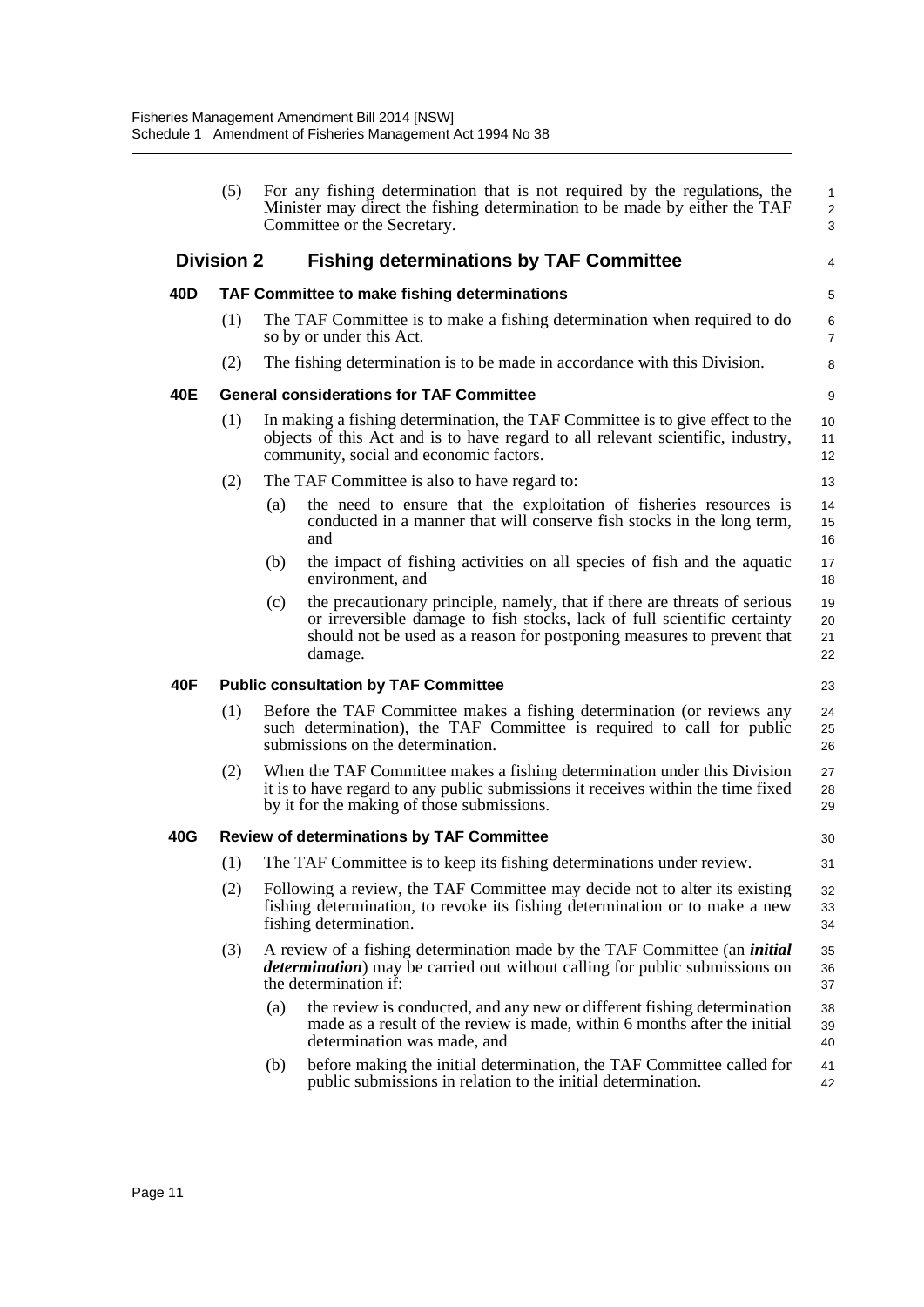|     | (5)               |     | For any fishing determination that is not required by the regulations, the<br>Minister may direct the fishing determination to be made by either the TAF<br>Committee or the Secretary.                                                    | $\mathbf{1}$<br>$\sqrt{2}$<br>3 |
|-----|-------------------|-----|--------------------------------------------------------------------------------------------------------------------------------------------------------------------------------------------------------------------------------------------|---------------------------------|
|     | <b>Division 2</b> |     | <b>Fishing determinations by TAF Committee</b>                                                                                                                                                                                             | 4                               |
| 40D |                   |     | TAF Committee to make fishing determinations                                                                                                                                                                                               | 5                               |
|     | (1)               |     | The TAF Committee is to make a fishing determination when required to do<br>so by or under this Act.                                                                                                                                       | $\,6\,$<br>$\overline{7}$       |
|     | (2)               |     | The fishing determination is to be made in accordance with this Division.                                                                                                                                                                  | 8                               |
| 40E |                   |     | <b>General considerations for TAF Committee</b>                                                                                                                                                                                            | 9                               |
|     | (1)               |     | In making a fishing determination, the TAF Committee is to give effect to the<br>objects of this Act and is to have regard to all relevant scientific, industry,<br>community, social and economic factors.                                | 10<br>11<br>12                  |
|     | (2)               |     | The TAF Committee is also to have regard to:                                                                                                                                                                                               | 13                              |
|     |                   | (a) | the need to ensure that the exploitation of fisheries resources is<br>conducted in a manner that will conserve fish stocks in the long term,<br>and                                                                                        | 14<br>15<br>16                  |
|     |                   | (b) | the impact of fishing activities on all species of fish and the aquatic<br>environment, and                                                                                                                                                | 17<br>18                        |
|     |                   | (c) | the precautionary principle, namely, that if there are threats of serious<br>or irreversible damage to fish stocks, lack of full scientific certainty<br>should not be used as a reason for postponing measures to prevent that<br>damage. | 19<br>20<br>21<br>22            |
| 40F |                   |     | <b>Public consultation by TAF Committee</b>                                                                                                                                                                                                | 23                              |
|     | (1)               |     | Before the TAF Committee makes a fishing determination (or reviews any<br>such determination), the TAF Committee is required to call for public<br>submissions on the determination.                                                       | 24<br>25<br>26                  |
|     | (2)               |     | When the TAF Committee makes a fishing determination under this Division<br>it is to have regard to any public submissions it receives within the time fixed<br>by it for the making of those submissions.                                 | 27<br>28<br>29                  |
| 40G |                   |     | <b>Review of determinations by TAF Committee</b>                                                                                                                                                                                           | 30                              |
|     | (1)               |     | The TAF Committee is to keep its fishing determinations under review.                                                                                                                                                                      | 31                              |
|     | (2)               |     | Following a review, the TAF Committee may decide not to alter its existing<br>fishing determination, to revoke its fishing determination or to make a new<br>fishing determination.                                                        | 32<br>33<br>34                  |
|     | (3)               |     | A review of a fishing determination made by the TAF Committee (an <i>initial</i><br><i>determination</i> ) may be carried out without calling for public submissions on<br>the determination if:                                           | 35<br>36<br>37                  |
|     |                   | (a) | the review is conducted, and any new or different fishing determination<br>made as a result of the review is made, within 6 months after the initial<br>determination was made, and                                                        | 38<br>39<br>40                  |
|     |                   | (b) | before making the initial determination, the TAF Committee called for<br>public submissions in relation to the initial determination.                                                                                                      | 41<br>42                        |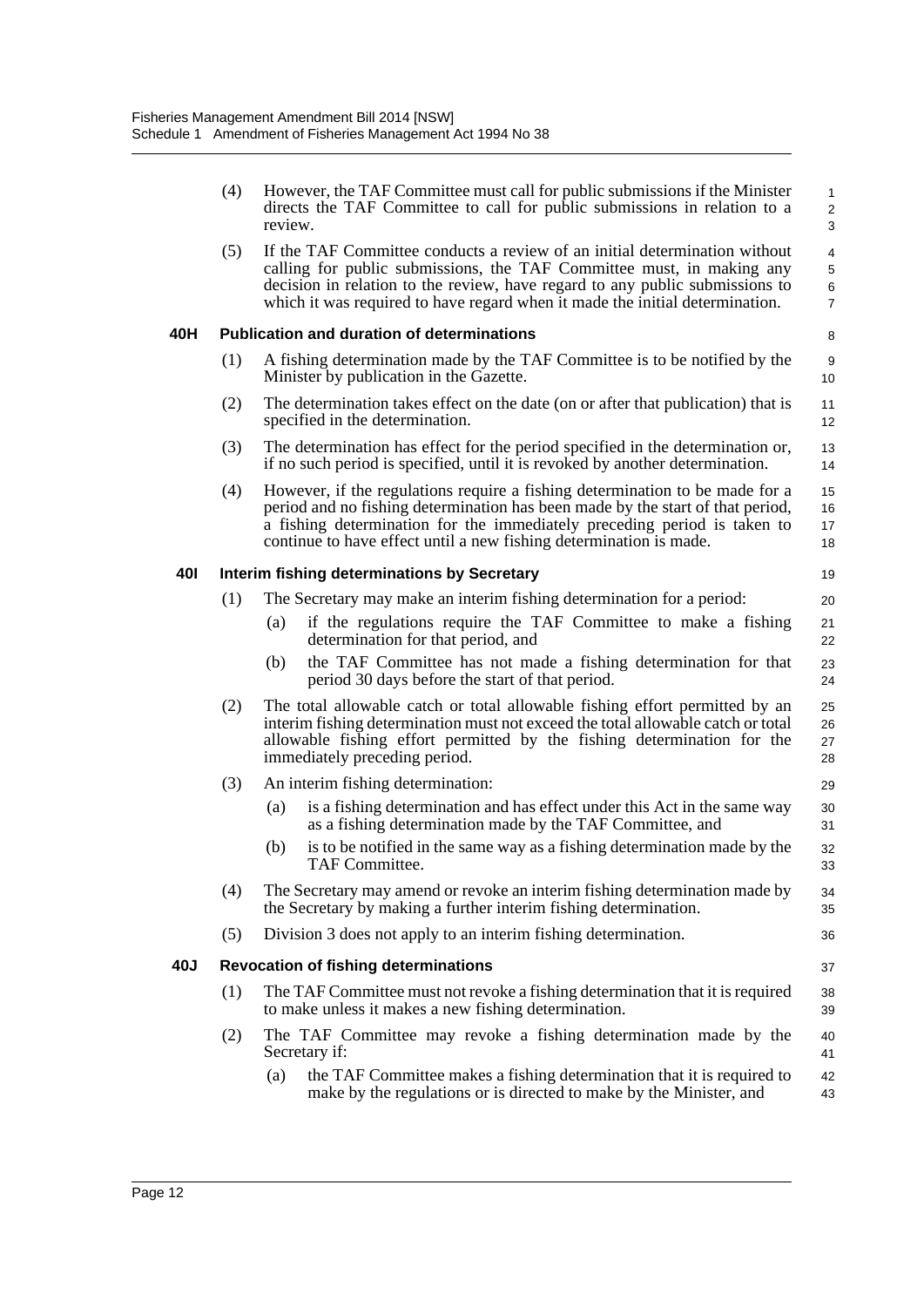|            | (4) | review. | However, the TAF Committee must call for public submissions if the Minister<br>directs the TAF Committee to call for public submissions in relation to a                                                                                                                                                            | $\mathbf{1}$<br>$\overline{2}$<br>3 |
|------------|-----|---------|---------------------------------------------------------------------------------------------------------------------------------------------------------------------------------------------------------------------------------------------------------------------------------------------------------------------|-------------------------------------|
|            | (5) |         | If the TAF Committee conducts a review of an initial determination without<br>calling for public submissions, the TAF Committee must, in making any<br>decision in relation to the review, have regard to any public submissions to<br>which it was required to have regard when it made the initial determination. | 4<br>5<br>6<br>$\overline{7}$       |
| 40H        |     |         | <b>Publication and duration of determinations</b>                                                                                                                                                                                                                                                                   | 8                                   |
|            | (1) |         | A fishing determination made by the TAF Committee is to be notified by the<br>Minister by publication in the Gazette.                                                                                                                                                                                               | 9<br>10 <sup>°</sup>                |
|            | (2) |         | The determination takes effect on the date (on or after that publication) that is<br>specified in the determination.                                                                                                                                                                                                | 11<br>12                            |
|            | (3) |         | The determination has effect for the period specified in the determination or,<br>if no such period is specified, until it is revoked by another determination.                                                                                                                                                     | 13<br>14                            |
|            | (4) |         | However, if the regulations require a fishing determination to be made for a<br>period and no fishing determination has been made by the start of that period,<br>a fishing determination for the immediately preceding period is taken to<br>continue to have effect until a new fishing determination is made.    | 15<br>16<br>17<br>18                |
| <b>401</b> |     |         | Interim fishing determinations by Secretary                                                                                                                                                                                                                                                                         | 19                                  |
|            | (1) |         | The Secretary may make an interim fishing determination for a period:                                                                                                                                                                                                                                               | 20                                  |
|            |     | (a)     | if the regulations require the TAF Committee to make a fishing<br>determination for that period, and                                                                                                                                                                                                                | 21<br>22                            |
|            |     | (b)     | the TAF Committee has not made a fishing determination for that<br>period 30 days before the start of that period.                                                                                                                                                                                                  | 23<br>24                            |
|            | (2) |         | The total allowable catch or total allowable fishing effort permitted by an<br>interim fishing determination must not exceed the total allowable catch or total<br>allowable fishing effort permitted by the fishing determination for the<br>immediately preceding period.                                         | 25<br>26<br>27<br>28                |
|            | (3) |         | An interim fishing determination:                                                                                                                                                                                                                                                                                   | 29                                  |
|            |     | (a)     | is a fishing determination and has effect under this Act in the same way<br>as a fishing determination made by the TAF Committee, and                                                                                                                                                                               | 30<br>31                            |
|            |     | (b)     | is to be notified in the same way as a fishing determination made by the<br>TAF Committee.                                                                                                                                                                                                                          | 32<br>33                            |
|            | (4) |         | The Secretary may amend or revoke an interim fishing determination made by<br>the Secretary by making a further interim fishing determination.                                                                                                                                                                      | 34<br>35                            |
|            | (5) |         | Division 3 does not apply to an interim fishing determination.                                                                                                                                                                                                                                                      | 36                                  |
| 40J        |     |         | <b>Revocation of fishing determinations</b>                                                                                                                                                                                                                                                                         | 37                                  |
|            | (1) |         | The TAF Committee must not revoke a fishing determination that it is required<br>to make unless it makes a new fishing determination.                                                                                                                                                                               | 38<br>39                            |
|            | (2) |         | The TAF Committee may revoke a fishing determination made by the<br>Secretary if:                                                                                                                                                                                                                                   | 40<br>41                            |
|            |     | (a)     | the TAF Committee makes a fishing determination that it is required to<br>make by the regulations or is directed to make by the Minister, and                                                                                                                                                                       | 42<br>43                            |
|            |     |         |                                                                                                                                                                                                                                                                                                                     |                                     |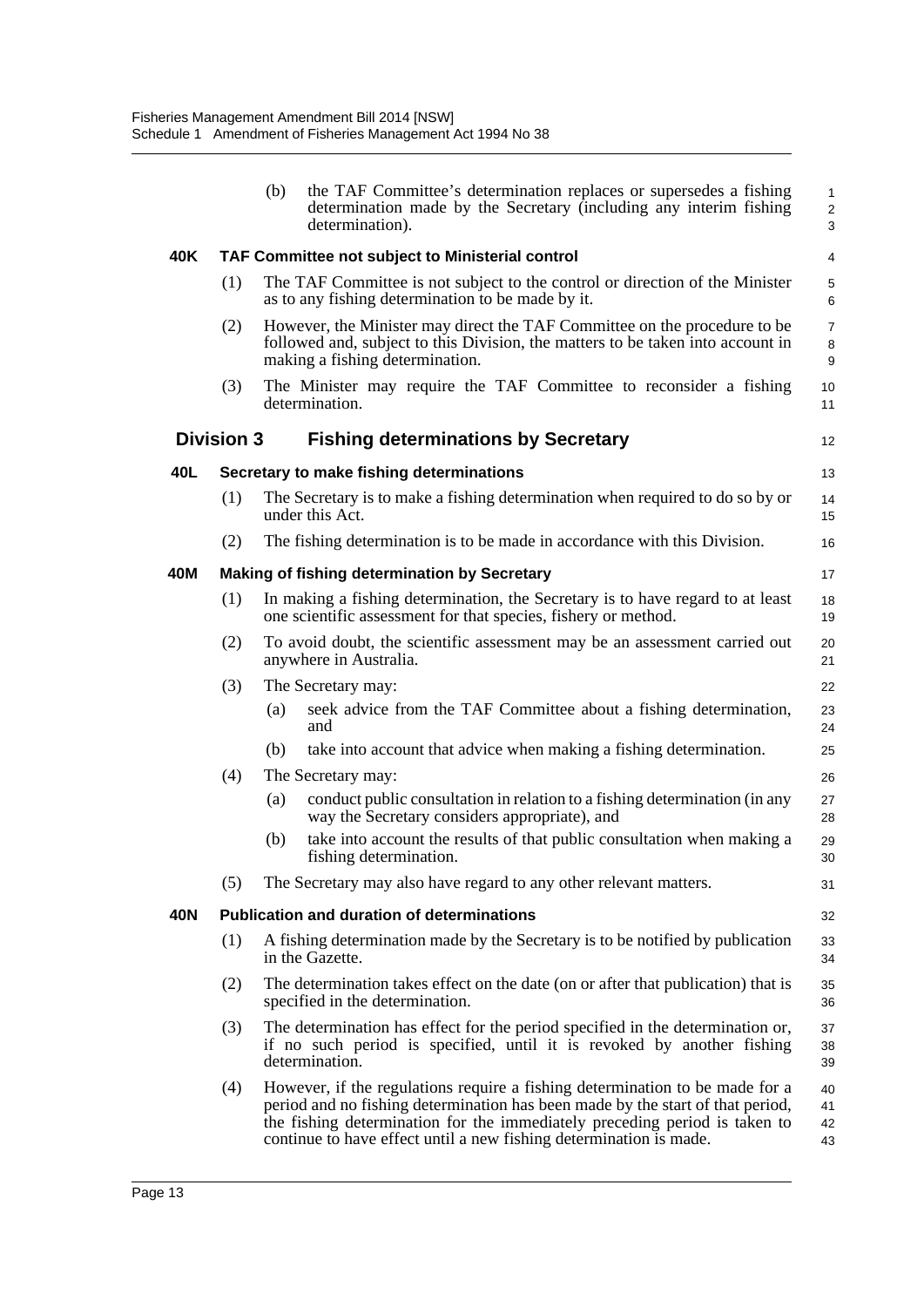|     |                   | the TAF Committee's determination replaces or supersedes a fishing<br>(b)<br>determination made by the Secretary (including any interim fishing<br>determination).                                                                                                                                                 | $\mathbf{1}$<br>2<br>3   |
|-----|-------------------|--------------------------------------------------------------------------------------------------------------------------------------------------------------------------------------------------------------------------------------------------------------------------------------------------------------------|--------------------------|
| 40K |                   | <b>TAF Committee not subject to Ministerial control</b>                                                                                                                                                                                                                                                            | 4                        |
|     | (1)               | The TAF Committee is not subject to the control or direction of the Minister<br>as to any fishing determination to be made by it.                                                                                                                                                                                  | 5<br>6                   |
|     | (2)               | However, the Minister may direct the TAF Committee on the procedure to be<br>followed and, subject to this Division, the matters to be taken into account in<br>making a fishing determination.                                                                                                                    | $\overline{7}$<br>8<br>9 |
|     | (3)               | The Minister may require the TAF Committee to reconsider a fishing<br>determination.                                                                                                                                                                                                                               | 10<br>11                 |
|     | <b>Division 3</b> | <b>Fishing determinations by Secretary</b>                                                                                                                                                                                                                                                                         | 12                       |
| 40L |                   | Secretary to make fishing determinations                                                                                                                                                                                                                                                                           | 13                       |
|     | (1)               | The Secretary is to make a fishing determination when required to do so by or<br>under this Act.                                                                                                                                                                                                                   | 14<br>15                 |
|     | (2)               | The fishing determination is to be made in accordance with this Division.                                                                                                                                                                                                                                          | 16                       |
| 40M |                   | Making of fishing determination by Secretary                                                                                                                                                                                                                                                                       | 17                       |
|     | (1)               | In making a fishing determination, the Secretary is to have regard to at least<br>one scientific assessment for that species, fishery or method.                                                                                                                                                                   | 18<br>19                 |
|     | (2)               | To avoid doubt, the scientific assessment may be an assessment carried out<br>anywhere in Australia.                                                                                                                                                                                                               | 20<br>21                 |
|     | (3)               | The Secretary may:                                                                                                                                                                                                                                                                                                 | 22                       |
|     |                   | seek advice from the TAF Committee about a fishing determination,<br>(a)<br>and                                                                                                                                                                                                                                    | 23<br>24                 |
|     |                   | take into account that advice when making a fishing determination.<br>(b)                                                                                                                                                                                                                                          | 25                       |
|     | (4)               | The Secretary may:                                                                                                                                                                                                                                                                                                 | 26                       |
|     |                   | conduct public consultation in relation to a fishing determination (in any<br>(a)<br>way the Secretary considers appropriate), and                                                                                                                                                                                 | 27<br>28                 |
|     |                   | take into account the results of that public consultation when making a<br>(b)<br>fishing determination.                                                                                                                                                                                                           | 29<br>30                 |
|     | (5)               | The Secretary may also have regard to any other relevant matters.                                                                                                                                                                                                                                                  | 31                       |
| 40N |                   | <b>Publication and duration of determinations</b>                                                                                                                                                                                                                                                                  | 32                       |
|     | (1)               | A fishing determination made by the Secretary is to be notified by publication<br>in the Gazette.                                                                                                                                                                                                                  | 33<br>34                 |
|     | (2)               | The determination takes effect on the date (on or after that publication) that is<br>specified in the determination.                                                                                                                                                                                               | 35<br>36                 |
|     | (3)               | The determination has effect for the period specified in the determination or,<br>if no such period is specified, until it is revoked by another fishing<br>determination.                                                                                                                                         | 37<br>38<br>39           |
|     | (4)               | However, if the regulations require a fishing determination to be made for a<br>period and no fishing determination has been made by the start of that period,<br>the fishing determination for the immediately preceding period is taken to<br>continue to have effect until a new fishing determination is made. | 40<br>41<br>42<br>43     |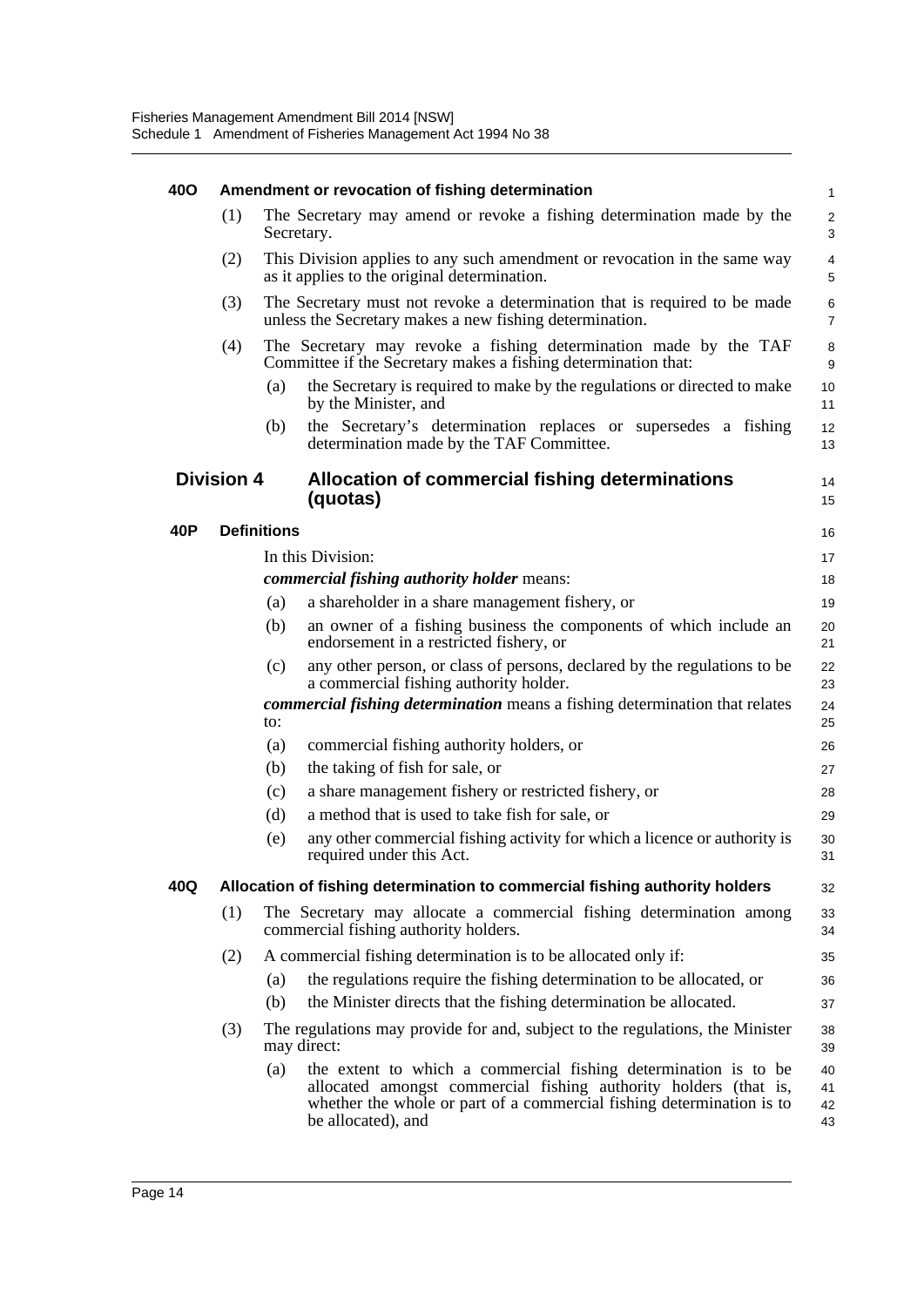| <b>400</b>        |     |                    | Amendment or revocation of fishing determination                                                                                                                                                                                   | $\mathbf{1}$         |
|-------------------|-----|--------------------|------------------------------------------------------------------------------------------------------------------------------------------------------------------------------------------------------------------------------------|----------------------|
|                   | (1) |                    | The Secretary may amend or revoke a fishing determination made by the<br>Secretary.                                                                                                                                                | $\overline{2}$<br>3  |
|                   | (2) |                    | This Division applies to any such amendment or revocation in the same way<br>as it applies to the original determination.                                                                                                          | 4<br>5               |
|                   | (3) |                    | The Secretary must not revoke a determination that is required to be made<br>unless the Secretary makes a new fishing determination.                                                                                               | 6<br>$\overline{7}$  |
|                   | (4) |                    | The Secretary may revoke a fishing determination made by the TAF<br>Committee if the Secretary makes a fishing determination that:                                                                                                 | 8<br>9               |
|                   |     | (a)                | the Secretary is required to make by the regulations or directed to make<br>by the Minister, and                                                                                                                                   | 10<br>11             |
|                   |     | (b)                | the Secretary's determination replaces or supersedes a fishing<br>determination made by the TAF Committee.                                                                                                                         | 12<br>13             |
| <b>Division 4</b> |     |                    | Allocation of commercial fishing determinations<br>(quotas)                                                                                                                                                                        | 14<br>15             |
| 40P               |     | <b>Definitions</b> |                                                                                                                                                                                                                                    | 16                   |
|                   |     |                    | In this Division:                                                                                                                                                                                                                  | 17                   |
|                   |     |                    | <i>commercial fishing authority holder means:</i>                                                                                                                                                                                  | 18                   |
|                   |     | (a)                | a shareholder in a share management fishery, or                                                                                                                                                                                    | 19                   |
|                   |     | (b)                | an owner of a fishing business the components of which include an<br>endorsement in a restricted fishery, or                                                                                                                       | 20<br>21             |
|                   |     | (c)                | any other person, or class of persons, declared by the regulations to be<br>a commercial fishing authority holder.                                                                                                                 | 22<br>23             |
|                   |     | to:                | <b><i>commercial fishing determination</i></b> means a fishing determination that relates                                                                                                                                          | 24<br>25             |
|                   |     | (a)                | commercial fishing authority holders, or                                                                                                                                                                                           | 26                   |
|                   |     | (b)                | the taking of fish for sale, or                                                                                                                                                                                                    | 27                   |
|                   |     | (c)                | a share management fishery or restricted fishery, or                                                                                                                                                                               | 28                   |
|                   |     | (d)                | a method that is used to take fish for sale, or                                                                                                                                                                                    | 29                   |
|                   |     | (e)                | any other commercial fishing activity for which a licence or authority is<br>required under this Act.                                                                                                                              | 30<br>31             |
| 40Q               |     |                    | Allocation of fishing determination to commercial fishing authority holders                                                                                                                                                        | 32                   |
|                   | (1) |                    | The Secretary may allocate a commercial fishing determination among<br>commercial fishing authority holders.                                                                                                                       | 33<br>34             |
|                   | (2) |                    | A commercial fishing determination is to be allocated only if:                                                                                                                                                                     | 35                   |
|                   |     | (a)                | the regulations require the fishing determination to be allocated, or                                                                                                                                                              | 36                   |
|                   |     | (b)                | the Minister directs that the fishing determination be allocated.                                                                                                                                                                  | 37                   |
|                   | (3) |                    | The regulations may provide for and, subject to the regulations, the Minister<br>may direct:                                                                                                                                       | 38<br>39             |
|                   |     | (a)                | the extent to which a commercial fishing determination is to be<br>allocated amongst commercial fishing authority holders (that is,<br>whether the whole or part of a commercial fishing determination is to<br>be allocated), and | 40<br>41<br>42<br>43 |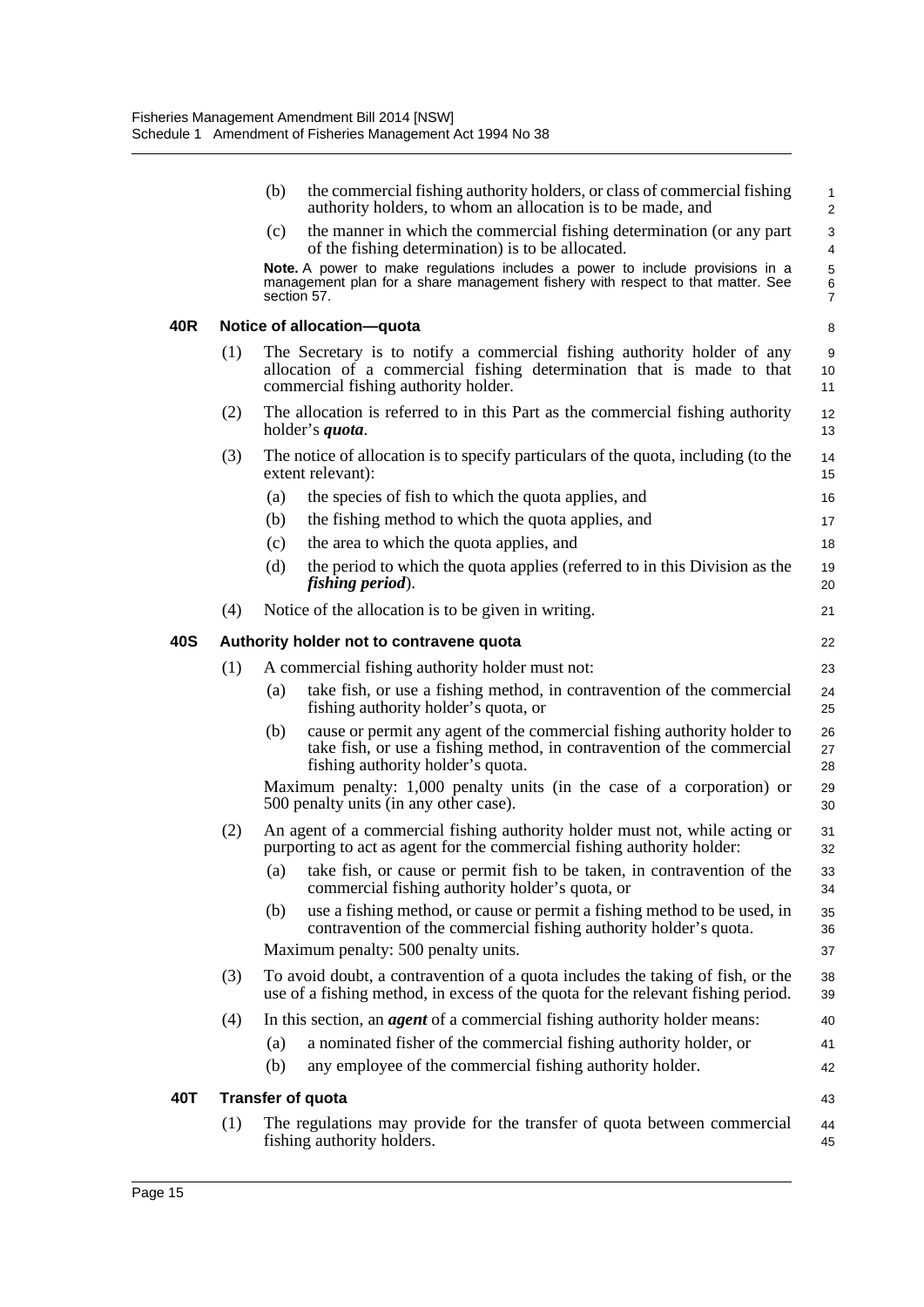|     |     | (b)         | the commercial fishing authority holders, or class of commercial fishing<br>authority holders, to whom an allocation is to be made, and                                                  | 1<br>$\overline{c}$ |
|-----|-----|-------------|------------------------------------------------------------------------------------------------------------------------------------------------------------------------------------------|---------------------|
|     |     | (c)         | the manner in which the commercial fishing determination (or any part<br>of the fishing determination) is to be allocated.                                                               | 3<br>4              |
|     |     | section 57. | Note. A power to make regulations includes a power to include provisions in a<br>management plan for a share management fishery with respect to that matter. See                         | 5<br>6<br>7         |
| 40R |     |             | Notice of allocation-quota                                                                                                                                                               | 8                   |
|     | (1) |             | The Secretary is to notify a commercial fishing authority holder of any<br>allocation of a commercial fishing determination that is made to that<br>commercial fishing authority holder. | 9<br>10<br>11       |
|     | (2) |             | The allocation is referred to in this Part as the commercial fishing authority<br>holder's <i>quota</i> .                                                                                | 12<br>13            |
|     | (3) |             | The notice of allocation is to specify particulars of the quota, including (to the<br>extent relevant):                                                                                  | 14<br>15            |
|     |     | (a)         | the species of fish to which the quota applies, and                                                                                                                                      | 16                  |
|     |     | (b)         | the fishing method to which the quota applies, and                                                                                                                                       | 17                  |
|     |     | (c)         | the area to which the quota applies, and                                                                                                                                                 | 18                  |
|     |     | (d)         | the period to which the quota applies (referred to in this Division as the<br>fishing period).                                                                                           | 19<br>20            |
|     | (4) |             | Notice of the allocation is to be given in writing.                                                                                                                                      | 21                  |
| 40S |     |             | Authority holder not to contravene quota                                                                                                                                                 | 22                  |
|     | (1) |             | A commercial fishing authority holder must not:                                                                                                                                          | 23                  |
|     |     | (a)         | take fish, or use a fishing method, in contravention of the commercial<br>fishing authority holder's quota, or                                                                           | 24<br>25            |
|     |     | (b)         | cause or permit any agent of the commercial fishing authority holder to<br>take fish, or use a fishing method, in contravention of the commercial<br>fishing authority holder's quota.   | 26<br>27<br>28      |
|     |     |             | Maximum penalty: 1,000 penalty units (in the case of a corporation) or<br>500 penalty units (in any other case).                                                                         | 29<br>30            |
|     | (2) |             | An agent of a commercial fishing authority holder must not, while acting or<br>purporting to act as agent for the commercial fishing authority holder:                                   | 31<br>32            |
|     |     |             | (a) take fish, or cause or permit fish to be taken, in contravention of the<br>commercial fishing authority holder's quota, or                                                           | 33<br>34            |
|     |     | (b)         | use a fishing method, or cause or permit a fishing method to be used, in<br>contravention of the commercial fishing authority holder's quota.                                            | 35<br>36            |
|     |     |             | Maximum penalty: 500 penalty units.                                                                                                                                                      | 37                  |
|     | (3) |             | To avoid doubt, a contravention of a quota includes the taking of fish, or the<br>use of a fishing method, in excess of the quota for the relevant fishing period.                       | 38<br>39            |
|     | (4) |             | In this section, an <i>agent</i> of a commercial fishing authority holder means:                                                                                                         | 40                  |
|     |     | (a)         | a nominated fisher of the commercial fishing authority holder, or                                                                                                                        | 41                  |
|     |     | (b)         | any employee of the commercial fishing authority holder.                                                                                                                                 | 42                  |
| 40T |     |             | <b>Transfer of quota</b>                                                                                                                                                                 | 43                  |
|     | (1) |             | The regulations may provide for the transfer of quota between commercial<br>fishing authority holders.                                                                                   | 44<br>45            |
|     |     |             |                                                                                                                                                                                          |                     |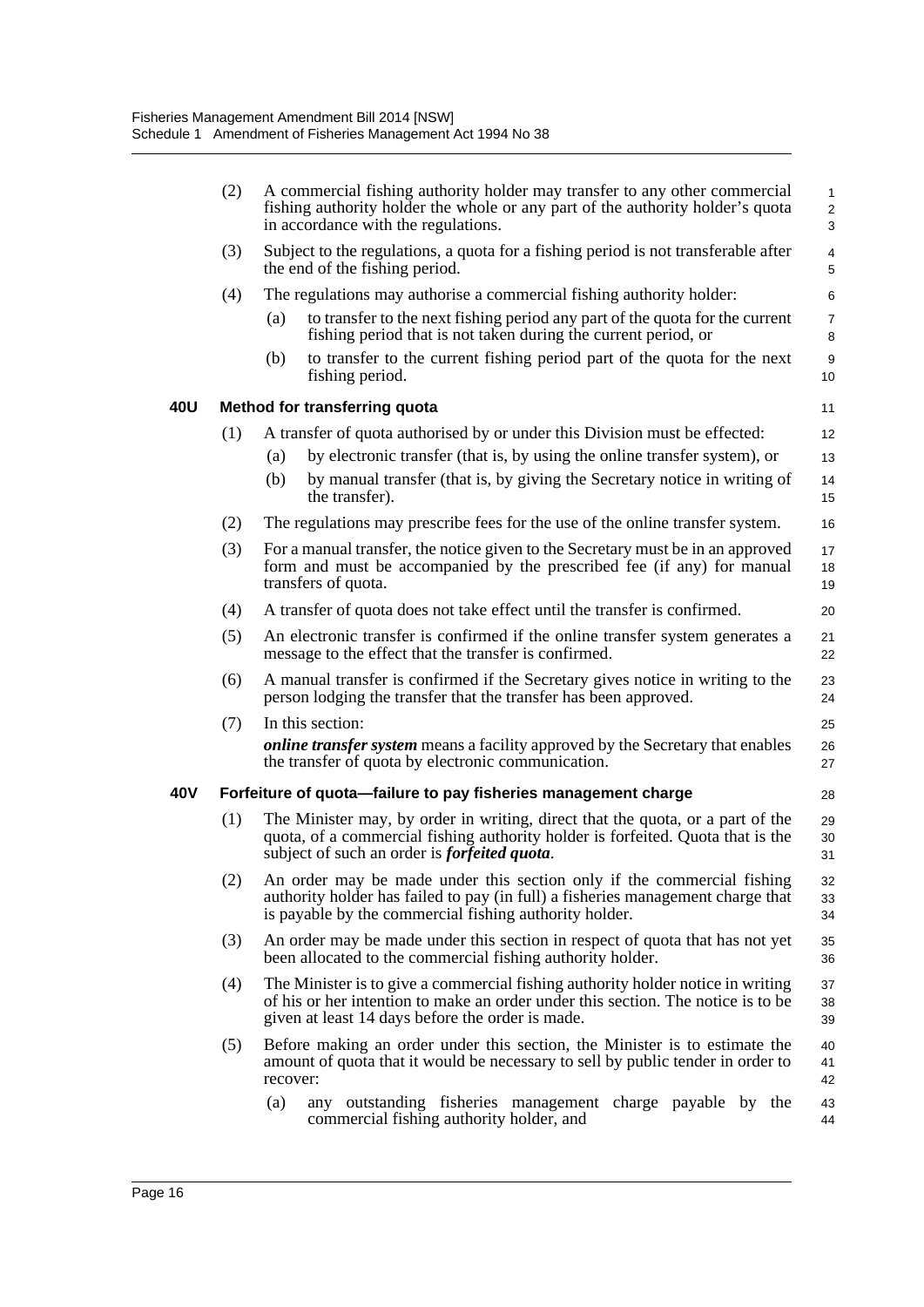|     | (2) | A commercial fishing authority holder may transfer to any other commercial<br>fishing authority holder the whole or any part of the authority holder's quota<br>in accordance with the regulations.                       | $\mathbf{1}$<br>$\overline{2}$<br>3 |
|-----|-----|---------------------------------------------------------------------------------------------------------------------------------------------------------------------------------------------------------------------------|-------------------------------------|
|     | (3) | Subject to the regulations, a quota for a fishing period is not transferable after<br>the end of the fishing period.                                                                                                      | 4<br>5                              |
|     | (4) | The regulations may authorise a commercial fishing authority holder:                                                                                                                                                      | 6                                   |
|     |     | to transfer to the next fishing period any part of the quota for the current<br>(a)<br>fishing period that is not taken during the current period, or                                                                     | $\overline{7}$<br>8                 |
|     |     | to transfer to the current fishing period part of the quota for the next<br>(b)<br>fishing period.                                                                                                                        | 9<br>10                             |
| 40U |     | Method for transferring quota                                                                                                                                                                                             | 11                                  |
|     | (1) | A transfer of quota authorised by or under this Division must be effected:                                                                                                                                                | 12                                  |
|     |     | by electronic transfer (that is, by using the online transfer system), or<br>(a)                                                                                                                                          | 13                                  |
|     |     | by manual transfer (that is, by giving the Secretary notice in writing of<br>(b)<br>the transfer).                                                                                                                        | 14<br>15                            |
|     | (2) | The regulations may prescribe fees for the use of the online transfer system.                                                                                                                                             | 16                                  |
|     | (3) | For a manual transfer, the notice given to the Secretary must be in an approved<br>form and must be accompanied by the prescribed fee (if any) for manual<br>transfers of quota.                                          | 17<br>18<br>19                      |
|     | (4) | A transfer of quota does not take effect until the transfer is confirmed.                                                                                                                                                 | 20                                  |
|     | (5) | An electronic transfer is confirmed if the online transfer system generates a<br>message to the effect that the transfer is confirmed.                                                                                    | 21<br>22                            |
|     | (6) | A manual transfer is confirmed if the Secretary gives notice in writing to the<br>person lodging the transfer that the transfer has been approved.                                                                        | 23<br>24                            |
|     | (7) | In this section:                                                                                                                                                                                                          | 25                                  |
|     |     | <i>online transfer system</i> means a facility approved by the Secretary that enables<br>the transfer of quota by electronic communication.                                                                               | 26<br>27                            |
| 40V |     | Forfeiture of quota-failure to pay fisheries management charge                                                                                                                                                            | 28                                  |
|     | (1) | The Minister may, by order in writing, direct that the quota, or a part of the<br>quota, of a commercial fishing authority holder is forfeited. Quota that is the<br>subject of such an order is <i>forfeited quota</i> . | 29<br>30<br>31                      |
|     | (2) | An order may be made under this section only if the commercial fishing<br>authority holder has failed to pay (in full) a fisheries management charge that<br>is payable by the commercial fishing authority holder.       | 32<br>33<br>34                      |
|     | (3) | An order may be made under this section in respect of quota that has not yet<br>been allocated to the commercial fishing authority holder.                                                                                | 35<br>36                            |
|     | (4) | The Minister is to give a commercial fishing authority holder notice in writing<br>of his or her intention to make an order under this section. The notice is to be<br>given at least 14 days before the order is made.   | 37<br>38<br>39                      |
|     | (5) | Before making an order under this section, the Minister is to estimate the<br>amount of quota that it would be necessary to sell by public tender in order to<br>recover:                                                 | 40<br>41<br>42                      |
|     |     | (a)<br>any outstanding fisheries management charge payable by the<br>commercial fishing authority holder, and                                                                                                             | 43<br>44                            |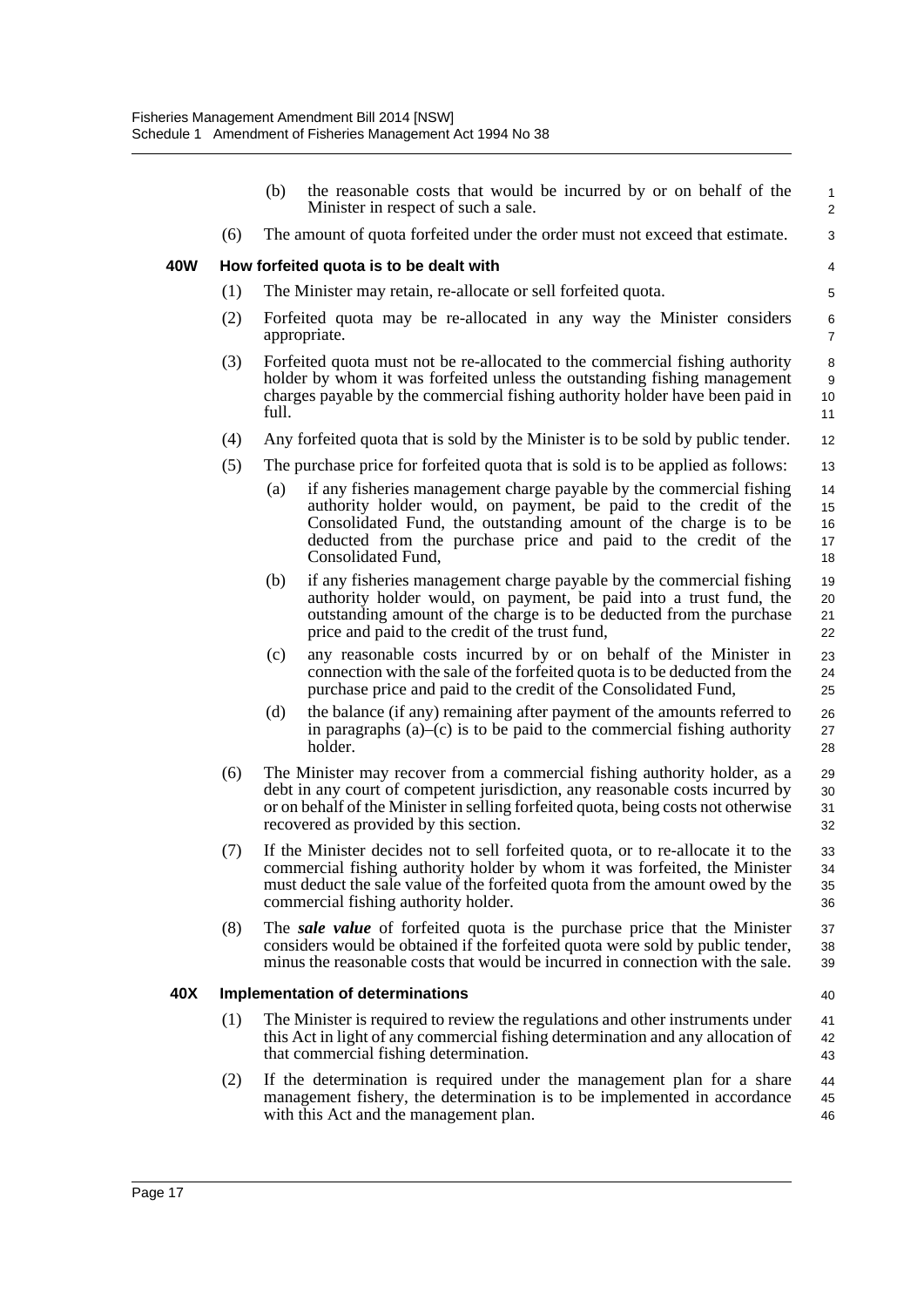|     |     | (b)   | the reasonable costs that would be incurred by or on behalf of the<br>Minister in respect of such a sale.                                                                                                                                                                                            | $\mathbf{1}$<br>2          |
|-----|-----|-------|------------------------------------------------------------------------------------------------------------------------------------------------------------------------------------------------------------------------------------------------------------------------------------------------------|----------------------------|
|     | (6) |       | The amount of quota forfeited under the order must not exceed that estimate.                                                                                                                                                                                                                         | 3                          |
| 40W |     |       | How forfeited quota is to be dealt with                                                                                                                                                                                                                                                              | 4                          |
|     | (1) |       | The Minister may retain, re-allocate or sell forfeited quota.                                                                                                                                                                                                                                        | 5                          |
|     | (2) |       | Forfeited quota may be re-allocated in any way the Minister considers<br>appropriate.                                                                                                                                                                                                                | 6<br>$\overline{7}$        |
|     | (3) | full. | Forfeited quota must not be re-allocated to the commercial fishing authority<br>holder by whom it was forfeited unless the outstanding fishing management<br>charges payable by the commercial fishing authority holder have been paid in                                                            | 8<br>9<br>10<br>11         |
|     | (4) |       | Any forfeited quota that is sold by the Minister is to be sold by public tender.                                                                                                                                                                                                                     | 12                         |
|     | (5) |       | The purchase price for forfeited quota that is sold is to be applied as follows:                                                                                                                                                                                                                     | 13                         |
|     |     | (a)   | if any fisheries management charge payable by the commercial fishing<br>authority holder would, on payment, be paid to the credit of the<br>Consolidated Fund, the outstanding amount of the charge is to be<br>deducted from the purchase price and paid to the credit of the<br>Consolidated Fund, | 14<br>15<br>16<br>17<br>18 |
|     |     | (b)   | if any fisheries management charge payable by the commercial fishing<br>authority holder would, on payment, be paid into a trust fund, the<br>outstanding amount of the charge is to be deducted from the purchase<br>price and paid to the credit of the trust fund,                                | 19<br>20<br>21<br>22       |
|     |     | (c)   | any reasonable costs incurred by or on behalf of the Minister in<br>connection with the sale of the forfeited quota is to be deducted from the<br>purchase price and paid to the credit of the Consolidated Fund,                                                                                    | 23<br>24<br>25             |
|     |     | (d)   | the balance (if any) remaining after payment of the amounts referred to<br>in paragraphs $(a)$ – $(c)$ is to be paid to the commercial fishing authority<br>holder.                                                                                                                                  | 26<br>27<br>28             |
|     | (6) |       | The Minister may recover from a commercial fishing authority holder, as a<br>debt in any court of competent jurisdiction, any reasonable costs incurred by<br>or on behalf of the Minister in selling forfeited quota, being costs not otherwise<br>recovered as provided by this section.           | 29<br>30<br>31<br>32       |
|     | (7) |       | If the Minister decides not to sell forfeited quota, or to re-allocate it to the<br>commercial fishing authority holder by whom it was forfeited, the Minister<br>must deduct the sale value of the forfeited quota from the amount owed by the<br>commercial fishing authority holder.              | 33<br>34<br>35<br>36       |
|     | (8) |       | The <i>sale value</i> of forfeited quota is the purchase price that the Minister<br>considers would be obtained if the forfeited quota were sold by public tender,<br>minus the reasonable costs that would be incurred in connection with the sale.                                                 | 37<br>38<br>39             |
| 40X |     |       | <b>Implementation of determinations</b>                                                                                                                                                                                                                                                              | 40                         |
|     | (1) |       | The Minister is required to review the regulations and other instruments under<br>this Act in light of any commercial fishing determination and any allocation of<br>that commercial fishing determination.                                                                                          | 41<br>42<br>43             |
|     | (2) |       | If the determination is required under the management plan for a share<br>management fishery, the determination is to be implemented in accordance<br>with this Act and the management plan.                                                                                                         | 44<br>45<br>46             |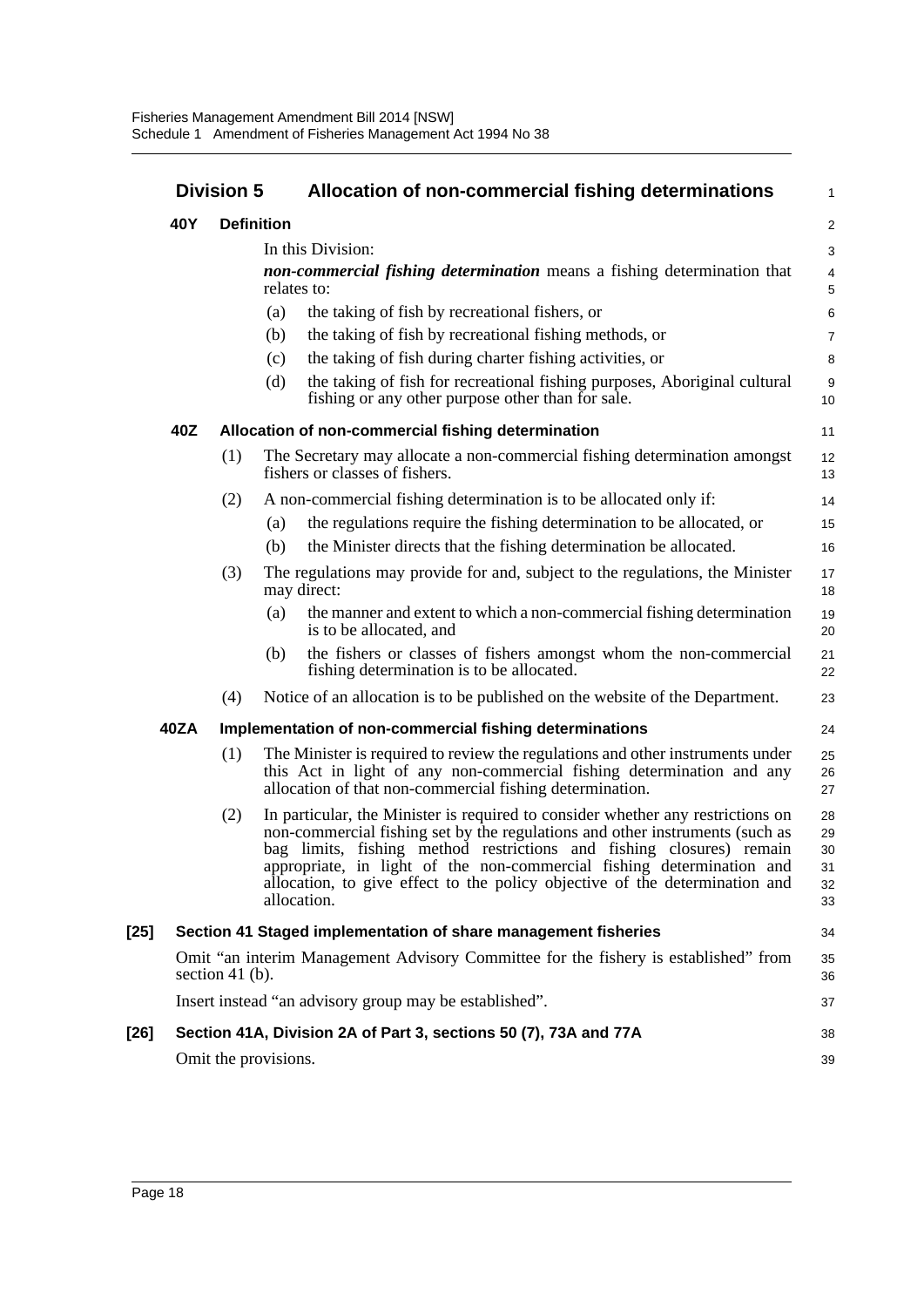|        | <b>Division 5</b> |                    |                                  | Allocation of non-commercial fishing determinations                                                                                                                                                                                                                                                                                                                                             |                                  |
|--------|-------------------|--------------------|----------------------------------|-------------------------------------------------------------------------------------------------------------------------------------------------------------------------------------------------------------------------------------------------------------------------------------------------------------------------------------------------------------------------------------------------|----------------------------------|
|        | 40Y               | <b>Definition</b>  |                                  |                                                                                                                                                                                                                                                                                                                                                                                                 | $\mathbf{2}$                     |
|        |                   |                    | In this Division:<br>relates to: | non-commercial fishing determination means a fishing determination that                                                                                                                                                                                                                                                                                                                         | 3<br>$\overline{4}$<br>5         |
|        |                   |                    | (a)                              | the taking of fish by recreational fishers, or                                                                                                                                                                                                                                                                                                                                                  | 6                                |
|        |                   |                    | (b)                              | the taking of fish by recreational fishing methods, or                                                                                                                                                                                                                                                                                                                                          | $\overline{7}$                   |
|        |                   |                    | (c)                              | the taking of fish during charter fishing activities, or                                                                                                                                                                                                                                                                                                                                        | 8                                |
|        |                   |                    | (d)                              | the taking of fish for recreational fishing purposes, Aboriginal cultural<br>fishing or any other purpose other than for sale.                                                                                                                                                                                                                                                                  | 9<br>10                          |
|        | 40Z               |                    |                                  | Allocation of non-commercial fishing determination                                                                                                                                                                                                                                                                                                                                              | 11                               |
|        |                   | (1)                |                                  | The Secretary may allocate a non-commercial fishing determination amongst<br>fishers or classes of fishers.                                                                                                                                                                                                                                                                                     | 12<br>13                         |
|        |                   | (2)                |                                  | A non-commercial fishing determination is to be allocated only if:                                                                                                                                                                                                                                                                                                                              | 14                               |
|        |                   |                    | (a)                              | the regulations require the fishing determination to be allocated, or                                                                                                                                                                                                                                                                                                                           | 15                               |
|        |                   |                    | (b)                              | the Minister directs that the fishing determination be allocated.                                                                                                                                                                                                                                                                                                                               | 16                               |
|        |                   | (3)                | may direct:                      | The regulations may provide for and, subject to the regulations, the Minister                                                                                                                                                                                                                                                                                                                   | 17<br>18                         |
|        |                   |                    | (a)                              | the manner and extent to which a non-commercial fishing determination<br>is to be allocated, and                                                                                                                                                                                                                                                                                                | 19<br>20                         |
|        |                   |                    | (b)                              | the fishers or classes of fishers amongst whom the non-commercial<br>fishing determination is to be allocated.                                                                                                                                                                                                                                                                                  | 21<br>22                         |
|        |                   | (4)                |                                  | Notice of an allocation is to be published on the website of the Department.                                                                                                                                                                                                                                                                                                                    | 23                               |
|        | 40ZA              |                    |                                  | Implementation of non-commercial fishing determinations                                                                                                                                                                                                                                                                                                                                         | 24                               |
|        |                   | (1)                |                                  | The Minister is required to review the regulations and other instruments under<br>this Act in light of any non-commercial fishing determination and any<br>allocation of that non-commercial fishing determination.                                                                                                                                                                             | 25<br>26<br>27                   |
|        |                   | (2)                | allocation.                      | In particular, the Minister is required to consider whether any restrictions on<br>non-commercial fishing set by the regulations and other instruments (such as<br>bag limits, fishing method restrictions and fishing closures) remain<br>appropriate, in light of the non-commercial fishing determination and<br>allocation, to give effect to the policy objective of the determination and | 28<br>29<br>30<br>31<br>32<br>33 |
| $[25]$ |                   |                    |                                  | Section 41 Staged implementation of share management fisheries                                                                                                                                                                                                                                                                                                                                  | 34                               |
|        |                   | section 41 $(b)$ . |                                  | Omit "an interim Management Advisory Committee for the fishery is established" from                                                                                                                                                                                                                                                                                                             | 35<br>36                         |
|        |                   |                    |                                  | Insert instead "an advisory group may be established".                                                                                                                                                                                                                                                                                                                                          | 37                               |
| [26]   |                   |                    |                                  | Section 41A, Division 2A of Part 3, sections 50 (7), 73A and 77A                                                                                                                                                                                                                                                                                                                                | 38                               |
|        |                   |                    | Omit the provisions.             |                                                                                                                                                                                                                                                                                                                                                                                                 | 39                               |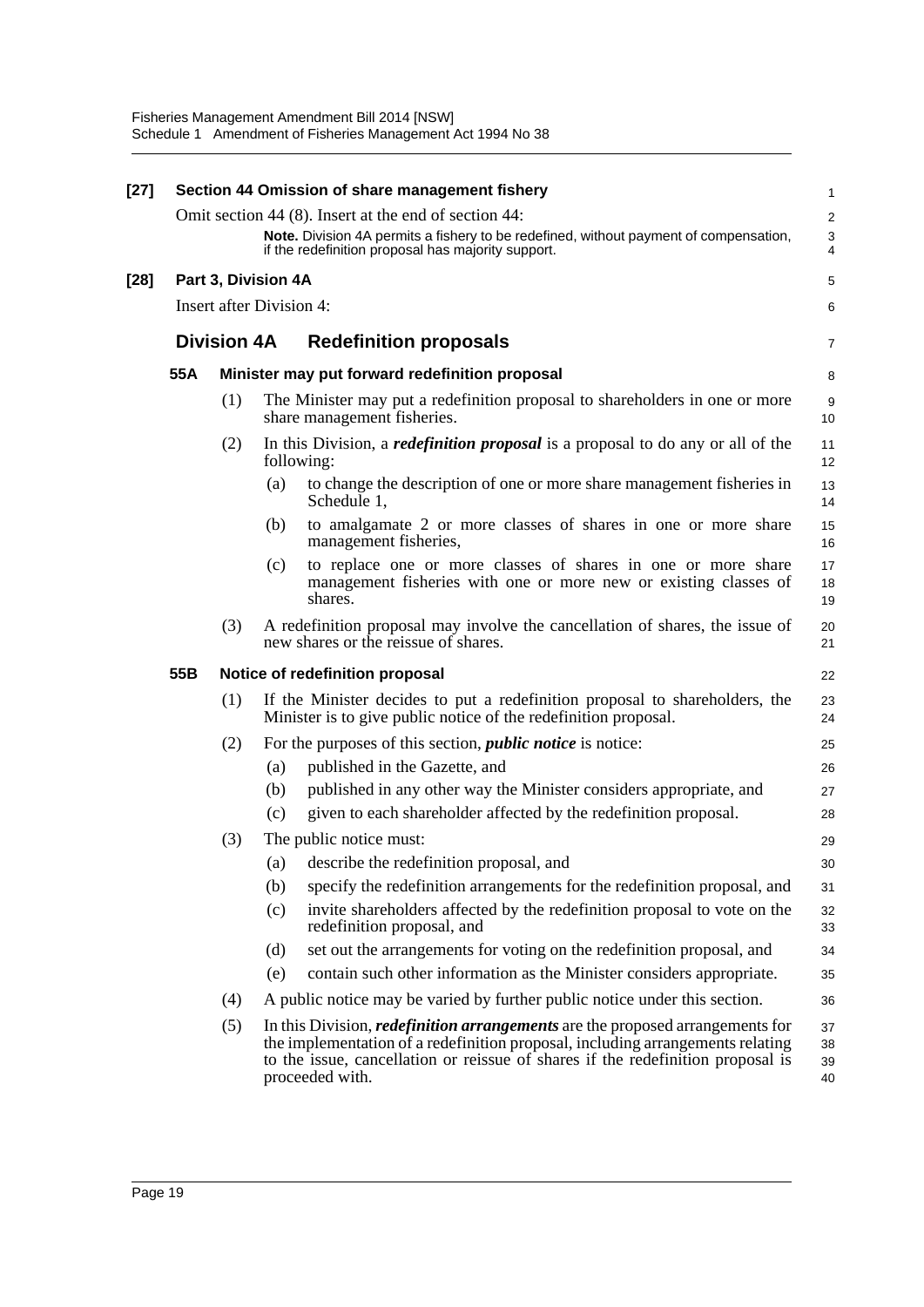| $[27]$ |     |                                 |     | Section 44 Omission of share management fishery                                                                                                                                                                                                                              | 1                    |
|--------|-----|---------------------------------|-----|------------------------------------------------------------------------------------------------------------------------------------------------------------------------------------------------------------------------------------------------------------------------------|----------------------|
|        |     |                                 |     | Omit section 44 (8). Insert at the end of section 44:                                                                                                                                                                                                                        | $\overline{c}$       |
|        |     |                                 |     | Note. Division 4A permits a fishery to be redefined, without payment of compensation,<br>if the redefinition proposal has majority support.                                                                                                                                  | 3<br>4               |
| [28]   |     | Part 3, Division 4A             |     |                                                                                                                                                                                                                                                                              | 5                    |
|        |     | <b>Insert after Division 4:</b> |     |                                                                                                                                                                                                                                                                              | 6                    |
|        |     | <b>Division 4A</b>              |     | <b>Redefinition proposals</b>                                                                                                                                                                                                                                                | 7                    |
|        | 55A |                                 |     | Minister may put forward redefinition proposal                                                                                                                                                                                                                               | 8                    |
|        |     | (1)                             |     | The Minister may put a redefinition proposal to shareholders in one or more<br>share management fisheries.                                                                                                                                                                   | 9<br>10              |
|        |     | (2)                             |     | In this Division, a <i>redefinition proposal</i> is a proposal to do any or all of the<br>following:                                                                                                                                                                         | 11<br>12             |
|        |     |                                 | (a) | to change the description of one or more share management fisheries in<br>Schedule 1.                                                                                                                                                                                        | 13<br>14             |
|        |     |                                 | (b) | to amalgamate 2 or more classes of shares in one or more share<br>management fisheries,                                                                                                                                                                                      | 15<br>16             |
|        |     |                                 | (c) | to replace one or more classes of shares in one or more share<br>management fisheries with one or more new or existing classes of<br>shares.                                                                                                                                 | 17<br>18<br>19       |
|        |     | (3)                             |     | A redefinition proposal may involve the cancellation of shares, the issue of<br>new shares or the reissue of shares.                                                                                                                                                         | 20<br>21             |
|        | 55B |                                 |     | Notice of redefinition proposal                                                                                                                                                                                                                                              | 22                   |
|        |     | (1)                             |     | If the Minister decides to put a redefinition proposal to shareholders, the<br>Minister is to give public notice of the redefinition proposal.                                                                                                                               | 23<br>24             |
|        |     | (2)                             |     | For the purposes of this section, <i>public notice</i> is notice:                                                                                                                                                                                                            | 25                   |
|        |     |                                 | (a) | published in the Gazette, and                                                                                                                                                                                                                                                | 26                   |
|        |     |                                 | (b) | published in any other way the Minister considers appropriate, and                                                                                                                                                                                                           | 27                   |
|        |     |                                 | (c) | given to each shareholder affected by the redefinition proposal.                                                                                                                                                                                                             | 28                   |
|        |     | (3)                             |     | The public notice must:                                                                                                                                                                                                                                                      | 29                   |
|        |     |                                 | (a) | describe the redefinition proposal, and                                                                                                                                                                                                                                      | 30                   |
|        |     |                                 | (b) | specify the redefinition arrangements for the redefinition proposal, and                                                                                                                                                                                                     | 31                   |
|        |     |                                 | (c) | invite shareholders affected by the redefinition proposal to vote on the<br>redefinition proposal, and                                                                                                                                                                       | 32<br>33             |
|        |     |                                 | (d) | set out the arrangements for voting on the redefinition proposal, and                                                                                                                                                                                                        | 34                   |
|        |     |                                 | (e) | contain such other information as the Minister considers appropriate.                                                                                                                                                                                                        | 35                   |
|        |     | (4)                             |     | A public notice may be varied by further public notice under this section.                                                                                                                                                                                                   | 36                   |
|        |     | (5)                             |     | In this Division, <i>redefinition arrangements</i> are the proposed arrangements for<br>the implementation of a redefinition proposal, including arrangements relating<br>to the issue, cancellation or reissue of shares if the redefinition proposal is<br>proceeded with. | 37<br>38<br>39<br>40 |
|        |     |                                 |     |                                                                                                                                                                                                                                                                              |                      |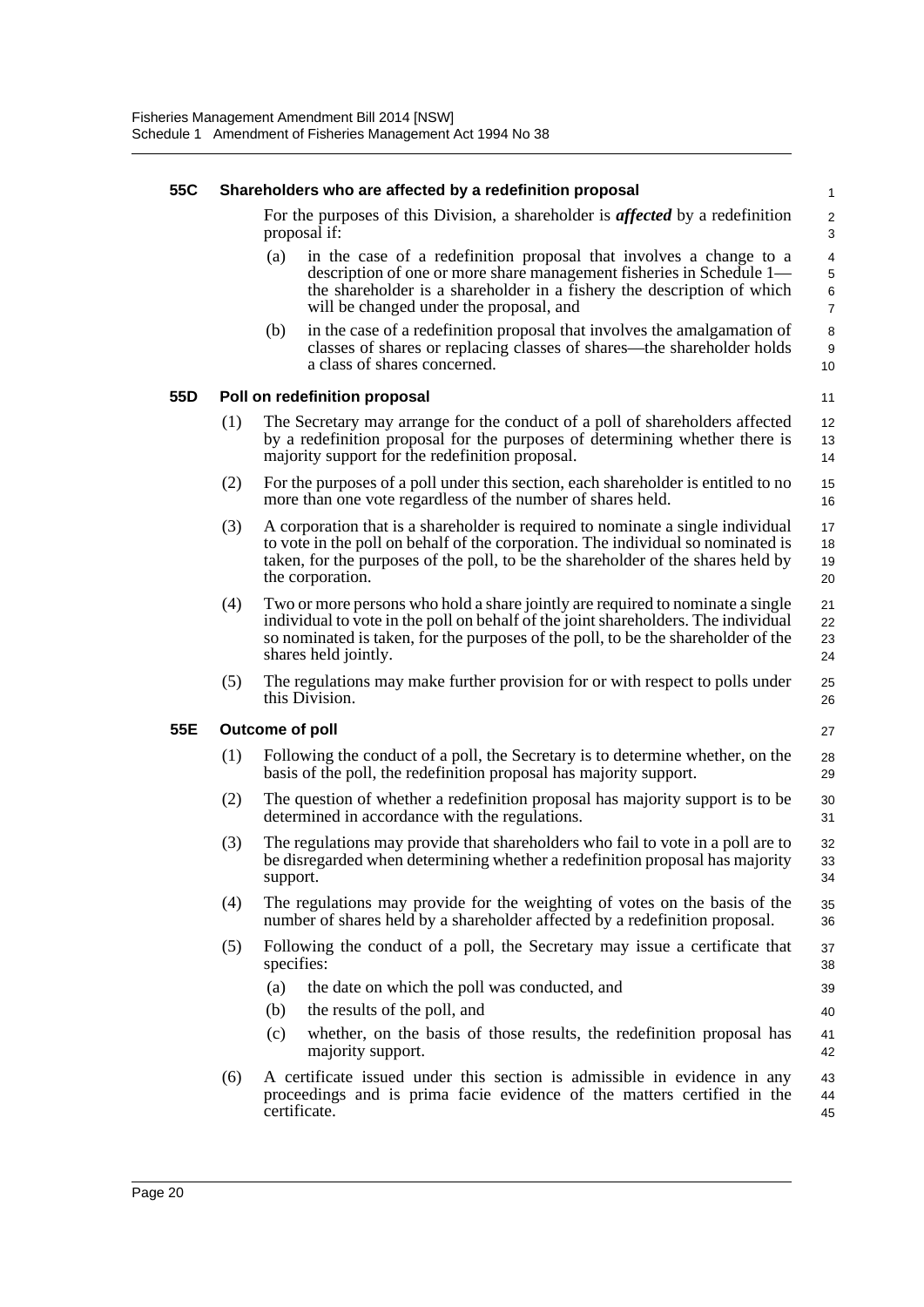#### **55C Shareholders who are affected by a redefinition proposal** For the purposes of this Division, a shareholder is *affected* by a redefinition proposal if: (a) in the case of a redefinition proposal that involves a change to a description of one or more share management fisheries in Schedule 1 the shareholder is a shareholder in a fishery the description of which will be changed under the proposal, and (b) in the case of a redefinition proposal that involves the amalgamation of classes of shares or replacing classes of shares—the shareholder holds a class of shares concerned. **55D Poll on redefinition proposal** (1) The Secretary may arrange for the conduct of a poll of shareholders affected by a redefinition proposal for the purposes of determining whether there is majority support for the redefinition proposal. (2) For the purposes of a poll under this section, each shareholder is entitled to no more than one vote regardless of the number of shares held. (3) A corporation that is a shareholder is required to nominate a single individual to vote in the poll on behalf of the corporation. The individual so nominated is taken, for the purposes of the poll, to be the shareholder of the shares held by the corporation. (4) Two or more persons who hold a share jointly are required to nominate a single individual to vote in the poll on behalf of the joint shareholders. The individual so nominated is taken, for the purposes of the poll, to be the shareholder of the shares held jointly. (5) The regulations may make further provision for or with respect to polls under this Division. **55E Outcome of poll** (1) Following the conduct of a poll, the Secretary is to determine whether, on the basis of the poll, the redefinition proposal has majority support. (2) The question of whether a redefinition proposal has majority support is to be determined in accordance with the regulations. (3) The regulations may provide that shareholders who fail to vote in a poll are to be disregarded when determining whether a redefinition proposal has majority support. (4) The regulations may provide for the weighting of votes on the basis of the number of shares held by a shareholder affected by a redefinition proposal. (5) Following the conduct of a poll, the Secretary may issue a certificate that specifies: (a) the date on which the poll was conducted, and (b) the results of the poll, and (c) whether, on the basis of those results, the redefinition proposal has majority support. (6) A certificate issued under this section is admissible in evidence in any proceedings and is prima facie evidence of the matters certified in the certificate. 1  $\overline{2}$ 3 4 5 6 7 8 9 10 11 12 13 14 15 16 17 18 19 20 21 22 23 24 25 26 27 28 29 30 31 32 33  $34$ 35 36 37 38 39 40 41 42 43 44 45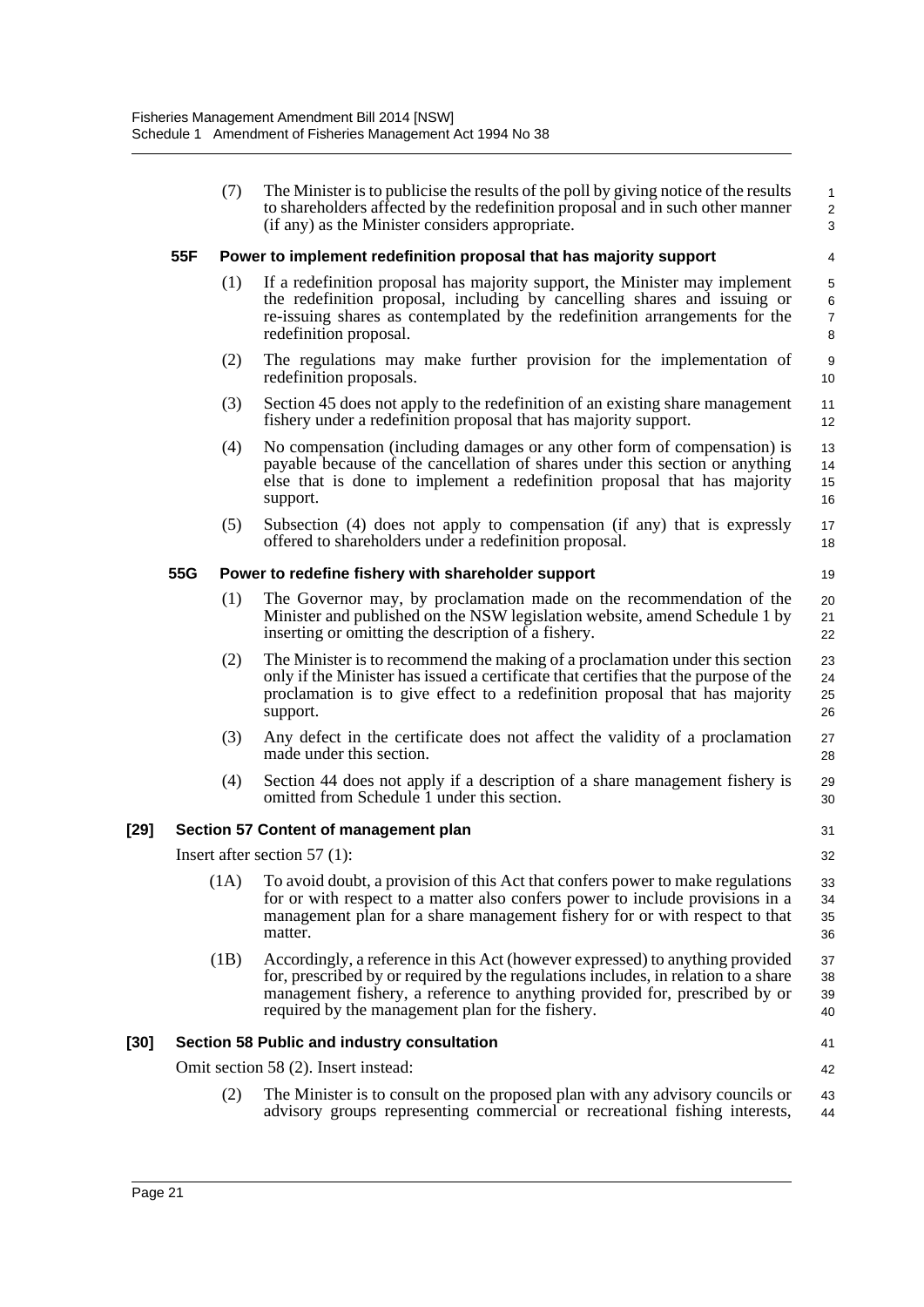|      |     | (7)  | The Minister is to publicise the results of the poll by giving notice of the results<br>to shareholders affected by the redefinition proposal and in such other manner<br>(if any) as the Minister considers appropriate.                                                                             | 1<br>$\overline{\mathbf{c}}$<br>3 |
|------|-----|------|-------------------------------------------------------------------------------------------------------------------------------------------------------------------------------------------------------------------------------------------------------------------------------------------------------|-----------------------------------|
|      | 55F |      | Power to implement redefinition proposal that has majority support                                                                                                                                                                                                                                    | 4                                 |
|      |     | (1)  | If a redefinition proposal has majority support, the Minister may implement<br>the redefinition proposal, including by cancelling shares and issuing or<br>re-issuing shares as contemplated by the redefinition arrangements for the<br>redefinition proposal.                                       | 5<br>6<br>$\overline{7}$<br>8     |
|      |     | (2)  | The regulations may make further provision for the implementation of<br>redefinition proposals.                                                                                                                                                                                                       | 9<br>10                           |
|      |     | (3)  | Section 45 does not apply to the redefinition of an existing share management<br>fishery under a redefinition proposal that has majority support.                                                                                                                                                     | 11<br>12                          |
|      |     | (4)  | No compensation (including damages or any other form of compensation) is<br>payable because of the cancellation of shares under this section or anything<br>else that is done to implement a redefinition proposal that has majority<br>support.                                                      | 13<br>14<br>15<br>16              |
|      |     | (5)  | Subsection (4) does not apply to compensation (if any) that is expressly<br>offered to shareholders under a redefinition proposal.                                                                                                                                                                    | 17<br>18                          |
|      | 55G |      | Power to redefine fishery with shareholder support                                                                                                                                                                                                                                                    | 19                                |
|      |     | (1)  | The Governor may, by proclamation made on the recommendation of the<br>Minister and published on the NSW legislation website, amend Schedule 1 by<br>inserting or omitting the description of a fishery.                                                                                              | 20<br>21<br>22                    |
|      |     | (2)  | The Minister is to recommend the making of a proclamation under this section<br>only if the Minister has issued a certificate that certifies that the purpose of the<br>proclamation is to give effect to a redefinition proposal that has majority<br>support.                                       | 23<br>24<br>25<br>26              |
|      |     | (3)  | Any defect in the certificate does not affect the validity of a proclamation<br>made under this section.                                                                                                                                                                                              | 27<br>28                          |
|      |     | (4)  | Section 44 does not apply if a description of a share management fishery is<br>omitted from Schedule 1 under this section.                                                                                                                                                                            | 29<br>30                          |
| [29] |     |      | Section 57 Content of management plan                                                                                                                                                                                                                                                                 | 31                                |
|      |     |      | Insert after section 57 $(1)$ :                                                                                                                                                                                                                                                                       | 32                                |
|      |     | (1A) | To avoid doubt, a provision of this Act that confers power to make regulations<br>for or with respect to a matter also confers power to include provisions in a<br>management plan for a share management fishery for or with respect to that<br>matter.                                              | 33<br>34<br>35<br>36              |
|      |     | (1B) | Accordingly, a reference in this Act (however expressed) to anything provided<br>for, prescribed by or required by the regulations includes, in relation to a share<br>management fishery, a reference to anything provided for, prescribed by or<br>required by the management plan for the fishery. | 37<br>38<br>39<br>40              |
| [30] |     |      | Section 58 Public and industry consultation                                                                                                                                                                                                                                                           | 41                                |
|      |     |      | Omit section 58 (2). Insert instead:                                                                                                                                                                                                                                                                  | 42                                |
|      |     | (2)  | The Minister is to consult on the proposed plan with any advisory councils or<br>advisory groups representing commercial or recreational fishing interests,                                                                                                                                           | 43<br>44                          |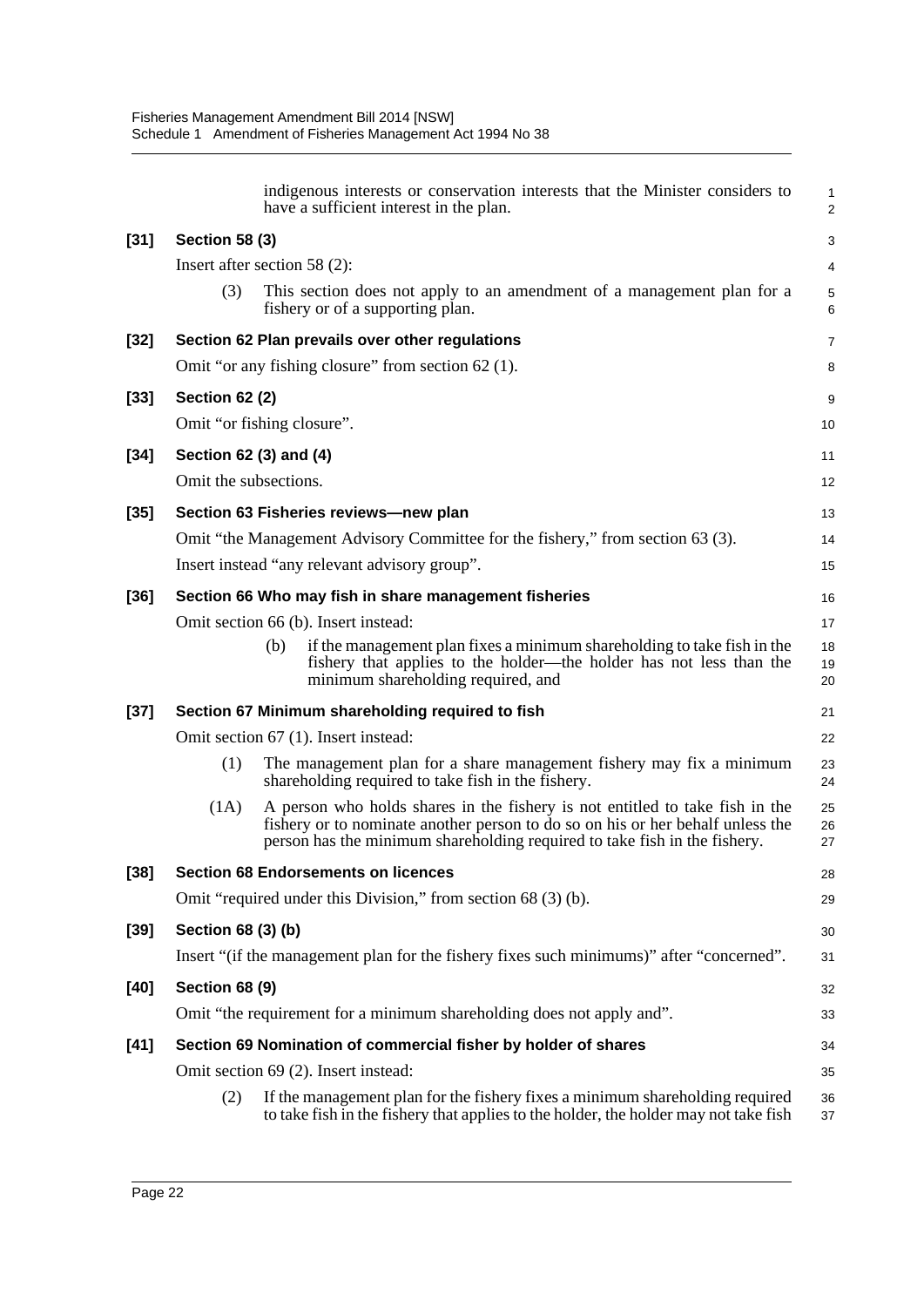|        |                       | indigenous interests or conservation interests that the Minister considers to<br>have a sufficient interest in the plan.                                                                                                                    | 1<br>$\overline{\mathbf{c}}$ |
|--------|-----------------------|---------------------------------------------------------------------------------------------------------------------------------------------------------------------------------------------------------------------------------------------|------------------------------|
| $[31]$ | <b>Section 58 (3)</b> |                                                                                                                                                                                                                                             | 3                            |
|        |                       | Insert after section 58 $(2)$ :                                                                                                                                                                                                             | 4                            |
|        | (3)                   | This section does not apply to an amendment of a management plan for a<br>fishery or of a supporting plan.                                                                                                                                  | 5<br>6                       |
| $[32]$ |                       | Section 62 Plan prevails over other regulations                                                                                                                                                                                             | 7                            |
|        |                       | Omit "or any fishing closure" from section 62 (1).                                                                                                                                                                                          | 8                            |
| $[33]$ | <b>Section 62 (2)</b> |                                                                                                                                                                                                                                             | 9                            |
|        |                       | Omit "or fishing closure".                                                                                                                                                                                                                  | 10                           |
| $[34]$ |                       | Section 62 (3) and (4)                                                                                                                                                                                                                      | 11                           |
|        | Omit the subsections. |                                                                                                                                                                                                                                             | 12                           |
| $[35]$ |                       | Section 63 Fisheries reviews-new plan                                                                                                                                                                                                       | 13                           |
|        |                       | Omit "the Management Advisory Committee for the fishery," from section 63 (3).                                                                                                                                                              | 14                           |
|        |                       | Insert instead "any relevant advisory group".                                                                                                                                                                                               | 15                           |
| $[36]$ |                       | Section 66 Who may fish in share management fisheries                                                                                                                                                                                       | 16                           |
|        |                       | Omit section 66 (b). Insert instead:                                                                                                                                                                                                        | 17                           |
|        |                       | if the management plan fixes a minimum shareholding to take fish in the<br>(b)<br>fishery that applies to the holder—the holder has not less than the<br>minimum shareholding required, and                                                 | 18<br>19<br>20               |
| $[37]$ |                       | Section 67 Minimum shareholding required to fish                                                                                                                                                                                            | 21                           |
|        |                       | Omit section 67 (1). Insert instead:                                                                                                                                                                                                        | 22                           |
|        | (1)                   | The management plan for a share management fishery may fix a minimum<br>shareholding required to take fish in the fishery.                                                                                                                  | 23<br>24                     |
|        | (1A)                  | A person who holds shares in the fishery is not entitled to take fish in the<br>fishery or to nominate another person to do so on his or her behalf unless the<br>person has the minimum shareholding required to take fish in the fishery. | 25<br>26<br>27               |
| $[38]$ |                       | <b>Section 68 Endorsements on licences</b>                                                                                                                                                                                                  | 28                           |
|        |                       | Omit "required under this Division," from section 68 (3) (b).                                                                                                                                                                               | 29                           |
| $[39]$ | Section 68 (3) (b)    |                                                                                                                                                                                                                                             | 30                           |
|        |                       | Insert "(if the management plan for the fishery fixes such minimums)" after "concerned".                                                                                                                                                    | 31                           |
| $[40]$ | <b>Section 68 (9)</b> |                                                                                                                                                                                                                                             | 32                           |
|        |                       | Omit "the requirement for a minimum shareholding does not apply and".                                                                                                                                                                       | 33                           |
| $[41]$ |                       | Section 69 Nomination of commercial fisher by holder of shares                                                                                                                                                                              | 34                           |
|        |                       | Omit section 69 (2). Insert instead:                                                                                                                                                                                                        | 35                           |
|        | (2)                   | If the management plan for the fishery fixes a minimum shareholding required<br>to take fish in the fishery that applies to the holder, the holder may not take fish                                                                        | 36<br>37                     |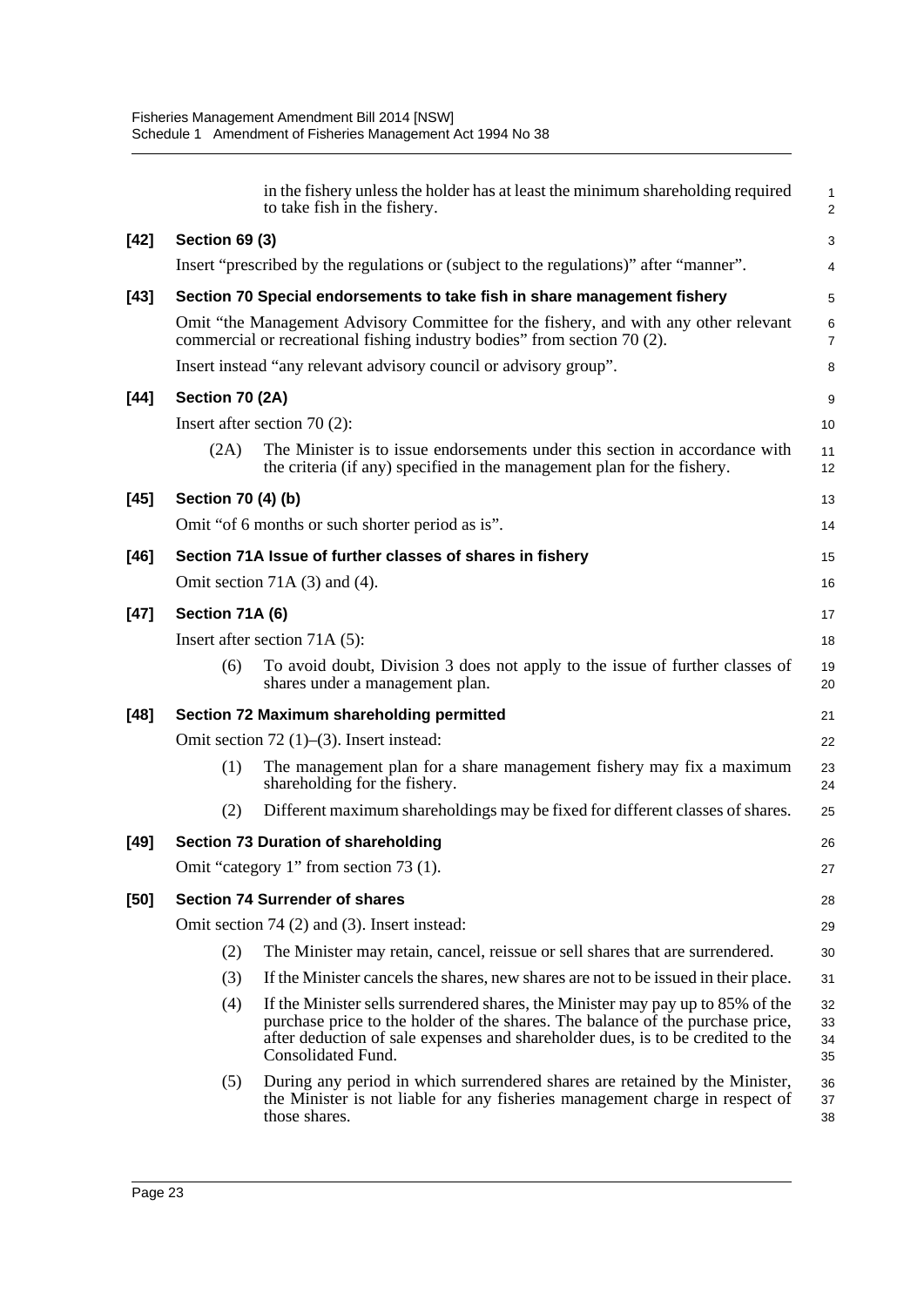|        |                                     | in the fishery unless the holder has at least the minimum shareholding required<br>to take fish in the fishery.                                                                                                                                                            | 1<br>$\overline{a}$  |  |  |  |
|--------|-------------------------------------|----------------------------------------------------------------------------------------------------------------------------------------------------------------------------------------------------------------------------------------------------------------------------|----------------------|--|--|--|
| $[42]$ | <b>Section 69 (3)</b>               |                                                                                                                                                                                                                                                                            | 3                    |  |  |  |
|        |                                     | Insert "prescribed by the regulations or (subject to the regulations)" after "manner".                                                                                                                                                                                     | 4                    |  |  |  |
| $[43]$ |                                     | Section 70 Special endorsements to take fish in share management fishery                                                                                                                                                                                                   | 5                    |  |  |  |
|        |                                     | Omit "the Management Advisory Committee for the fishery, and with any other relevant<br>commercial or recreational fishing industry bodies" from section 70 (2).                                                                                                           | 6<br>7               |  |  |  |
|        |                                     | Insert instead "any relevant advisory council or advisory group".                                                                                                                                                                                                          | 8                    |  |  |  |
| $[44]$ | Section 70 (2A)                     |                                                                                                                                                                                                                                                                            | 9                    |  |  |  |
|        |                                     | Insert after section 70 $(2)$ :                                                                                                                                                                                                                                            | 10                   |  |  |  |
|        | (2A)                                | The Minister is to issue endorsements under this section in accordance with<br>the criteria (if any) specified in the management plan for the fishery.                                                                                                                     | 11<br>12             |  |  |  |
| $[45]$ | Section 70 (4) (b)                  |                                                                                                                                                                                                                                                                            | 13                   |  |  |  |
|        |                                     | Omit "of 6 months or such shorter period as is".                                                                                                                                                                                                                           | 14                   |  |  |  |
| $[46]$ |                                     | Section 71A Issue of further classes of shares in fishery                                                                                                                                                                                                                  | 15                   |  |  |  |
|        |                                     | Omit section 71A $(3)$ and $(4)$ .                                                                                                                                                                                                                                         | 16                   |  |  |  |
| $[47]$ | Section 71A (6)                     |                                                                                                                                                                                                                                                                            | 17                   |  |  |  |
|        | Insert after section 71A (5):<br>18 |                                                                                                                                                                                                                                                                            |                      |  |  |  |
|        | (6)                                 | To avoid doubt, Division 3 does not apply to the issue of further classes of<br>shares under a management plan.                                                                                                                                                            | 19<br>20             |  |  |  |
| $[48]$ |                                     | Section 72 Maximum shareholding permitted                                                                                                                                                                                                                                  | 21                   |  |  |  |
|        |                                     | Omit section $72$ (1)–(3). Insert instead:                                                                                                                                                                                                                                 | 22                   |  |  |  |
|        | (1)                                 | The management plan for a share management fishery may fix a maximum<br>shareholding for the fishery.                                                                                                                                                                      | 23<br>24             |  |  |  |
|        | (2)                                 | Different maximum shareholdings may be fixed for different classes of shares.                                                                                                                                                                                              | 25                   |  |  |  |
| $[49]$ |                                     | <b>Section 73 Duration of shareholding</b>                                                                                                                                                                                                                                 | 26                   |  |  |  |
|        |                                     | Omit "category 1" from section 73 (1).                                                                                                                                                                                                                                     | 27                   |  |  |  |
| $[50]$ |                                     | <b>Section 74 Surrender of shares</b>                                                                                                                                                                                                                                      | 28                   |  |  |  |
|        |                                     | Omit section 74 (2) and (3). Insert instead:                                                                                                                                                                                                                               | 29                   |  |  |  |
|        | (2)                                 | The Minister may retain, cancel, reissue or sell shares that are surrendered.                                                                                                                                                                                              | 30                   |  |  |  |
|        | (3)                                 | If the Minister cancels the shares, new shares are not to be issued in their place.                                                                                                                                                                                        | 31                   |  |  |  |
|        | (4)                                 | If the Minister sells surrendered shares, the Minister may pay up to 85% of the<br>purchase price to the holder of the shares. The balance of the purchase price,<br>after deduction of sale expenses and shareholder dues, is to be credited to the<br>Consolidated Fund. | 32<br>33<br>34<br>35 |  |  |  |
|        | (5)                                 | During any period in which surrendered shares are retained by the Minister,<br>the Minister is not liable for any fisheries management charge in respect of<br>those shares.                                                                                               | 36<br>37<br>38       |  |  |  |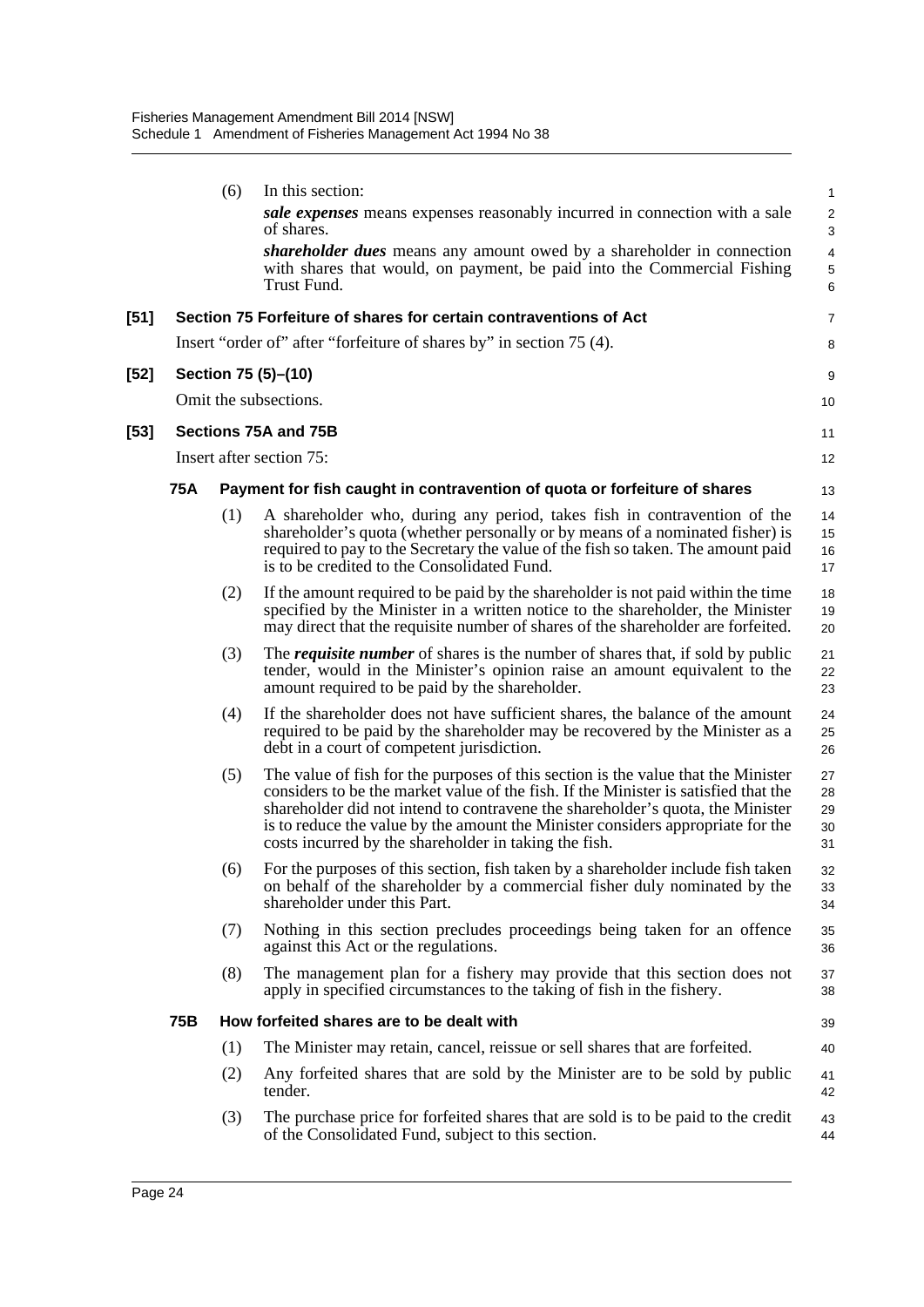|      |     | (6) | In this section:                                                                                                                                                                                                                                                                                                                                                                                       | 1                                  |
|------|-----|-----|--------------------------------------------------------------------------------------------------------------------------------------------------------------------------------------------------------------------------------------------------------------------------------------------------------------------------------------------------------------------------------------------------------|------------------------------------|
|      |     |     | sale expenses means expenses reasonably incurred in connection with a sale<br>of shares.                                                                                                                                                                                                                                                                                                               | $\frac{2}{3}$                      |
|      |     |     | shareholder dues means any amount owed by a shareholder in connection<br>with shares that would, on payment, be paid into the Commercial Fishing<br>Trust Fund.                                                                                                                                                                                                                                        | $\overline{\mathcal{L}}$<br>5<br>6 |
| [51] |     |     | Section 75 Forfeiture of shares for certain contraventions of Act                                                                                                                                                                                                                                                                                                                                      | 7                                  |
|      |     |     | Insert "order of" after "forfeiture of shares by" in section 75 (4).                                                                                                                                                                                                                                                                                                                                   | 8                                  |
| [52] |     |     | Section 75 (5)-(10)                                                                                                                                                                                                                                                                                                                                                                                    | 9                                  |
|      |     |     | Omit the subsections.                                                                                                                                                                                                                                                                                                                                                                                  | 10                                 |
| [53] |     |     | Sections 75A and 75B                                                                                                                                                                                                                                                                                                                                                                                   | 11                                 |
|      |     |     | Insert after section 75:                                                                                                                                                                                                                                                                                                                                                                               | 12                                 |
|      | 75A |     | Payment for fish caught in contravention of quota or forfeiture of shares                                                                                                                                                                                                                                                                                                                              | 13                                 |
|      |     | (1) | A shareholder who, during any period, takes fish in contravention of the<br>shareholder's quota (whether personally or by means of a nominated fisher) is<br>required to pay to the Secretary the value of the fish so taken. The amount paid<br>is to be credited to the Consolidated Fund.                                                                                                           | 14<br>15<br>16<br>17               |
|      |     | (2) | If the amount required to be paid by the shareholder is not paid within the time<br>specified by the Minister in a written notice to the shareholder, the Minister<br>may direct that the requisite number of shares of the shareholder are forfeited.                                                                                                                                                 | 18<br>19<br>20                     |
|      |     | (3) | The <i>requisite number</i> of shares is the number of shares that, if sold by public<br>tender, would in the Minister's opinion raise an amount equivalent to the<br>amount required to be paid by the shareholder.                                                                                                                                                                                   | 21<br>22<br>23                     |
|      |     | (4) | If the shareholder does not have sufficient shares, the balance of the amount<br>required to be paid by the shareholder may be recovered by the Minister as a<br>debt in a court of competent jurisdiction.                                                                                                                                                                                            | 24<br>25<br>26                     |
|      |     | (5) | The value of fish for the purposes of this section is the value that the Minister<br>considers to be the market value of the fish. If the Minister is satisfied that the<br>shareholder did not intend to contravene the shareholder's quota, the Minister<br>is to reduce the value by the amount the Minister considers appropriate for the<br>costs incurred by the shareholder in taking the fish. | 27<br>28<br>29<br>30<br>31         |
|      |     |     | (6) For the purposes of this section, fish taken by a shareholder include fish taken<br>on behalf of the shareholder by a commercial fisher duly nominated by the<br>shareholder under this Part.                                                                                                                                                                                                      | 32<br>33<br>34                     |
|      |     | (7) | Nothing in this section precludes proceedings being taken for an offence<br>against this Act or the regulations.                                                                                                                                                                                                                                                                                       | 35<br>36                           |
|      |     | (8) | The management plan for a fishery may provide that this section does not<br>apply in specified circumstances to the taking of fish in the fishery.                                                                                                                                                                                                                                                     | 37<br>38                           |
|      | 75B |     | How forfeited shares are to be dealt with                                                                                                                                                                                                                                                                                                                                                              | 39                                 |
|      |     | (1) | The Minister may retain, cancel, reissue or sell shares that are forfeited.                                                                                                                                                                                                                                                                                                                            | 40                                 |
|      |     | (2) | Any forfeited shares that are sold by the Minister are to be sold by public<br>tender.                                                                                                                                                                                                                                                                                                                 | 41<br>42                           |
|      |     | (3) | The purchase price for forfeited shares that are sold is to be paid to the credit<br>of the Consolidated Fund, subject to this section.                                                                                                                                                                                                                                                                | 43<br>44                           |
|      |     |     |                                                                                                                                                                                                                                                                                                                                                                                                        |                                    |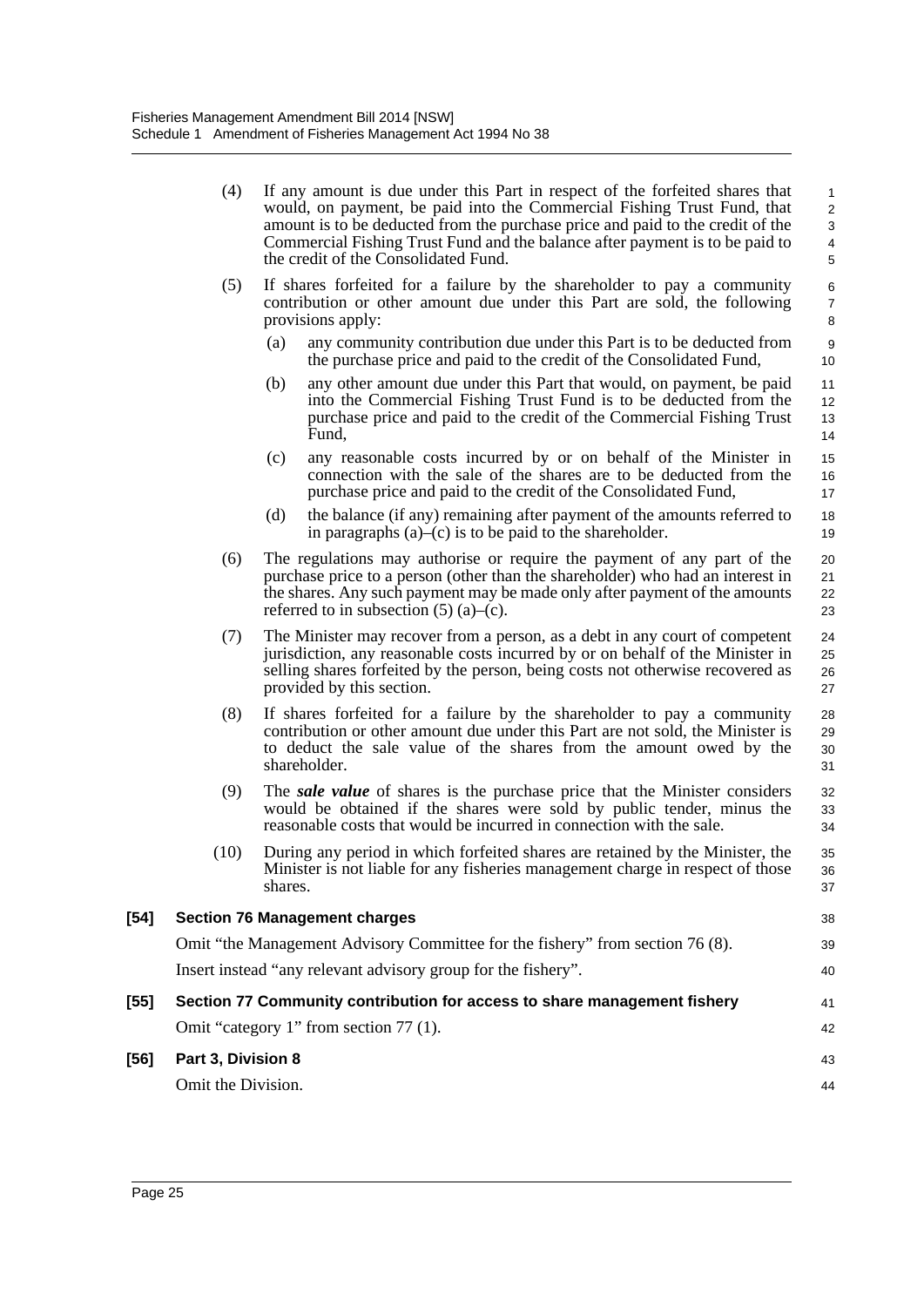|        | (4)                | If any amount is due under this Part in respect of the forfeited shares that<br>would, on payment, be paid into the Commercial Fishing Trust Fund, that<br>amount is to be deducted from the purchase price and paid to the credit of the<br>Commercial Fishing Trust Fund and the balance after payment is to be paid to<br>the credit of the Consolidated Fund. | 1<br>$\overline{a}$<br>3<br>4<br>5 |
|--------|--------------------|-------------------------------------------------------------------------------------------------------------------------------------------------------------------------------------------------------------------------------------------------------------------------------------------------------------------------------------------------------------------|------------------------------------|
|        | (5)                | If shares forfeited for a failure by the shareholder to pay a community<br>contribution or other amount due under this Part are sold, the following<br>provisions apply:                                                                                                                                                                                          | 6<br>$\overline{7}$<br>8           |
|        |                    | any community contribution due under this Part is to be deducted from<br>(a)<br>the purchase price and paid to the credit of the Consolidated Fund,                                                                                                                                                                                                               | 9<br>10                            |
|        |                    | (b)<br>any other amount due under this Part that would, on payment, be paid<br>into the Commercial Fishing Trust Fund is to be deducted from the<br>purchase price and paid to the credit of the Commercial Fishing Trust<br>Fund,                                                                                                                                | 11<br>12<br>13<br>14               |
|        |                    | (c)<br>any reasonable costs incurred by or on behalf of the Minister in<br>connection with the sale of the shares are to be deducted from the<br>purchase price and paid to the credit of the Consolidated Fund,                                                                                                                                                  | 15<br>16<br>17                     |
|        |                    | (d)<br>the balance (if any) remaining after payment of the amounts referred to<br>in paragraphs $(a)$ – $(c)$ is to be paid to the shareholder.                                                                                                                                                                                                                   | 18<br>19                           |
|        | (6)                | The regulations may authorise or require the payment of any part of the<br>purchase price to a person (other than the shareholder) who had an interest in<br>the shares. Any such payment may be made only after payment of the amounts<br>referred to in subsection $(5)$ (a)–(c).                                                                               | 20<br>21<br>22<br>23               |
|        | (7)                | The Minister may recover from a person, as a debt in any court of competent<br>jurisdiction, any reasonable costs incurred by or on behalf of the Minister in<br>selling shares forfeited by the person, being costs not otherwise recovered as<br>provided by this section.                                                                                      | 24<br>25<br>26<br>27               |
|        | (8)                | If shares forfeited for a failure by the shareholder to pay a community<br>contribution or other amount due under this Part are not sold, the Minister is<br>to deduct the sale value of the shares from the amount owed by the<br>shareholder.                                                                                                                   | 28<br>29<br>30<br>31               |
|        | (9)                | The <i>sale value</i> of shares is the purchase price that the Minister considers<br>would be obtained if the shares were sold by public tender, minus the<br>reasonable costs that would be incurred in connection with the sale.                                                                                                                                | 32<br>33<br>34                     |
|        | (10)               | During any period in which forfeited shares are retained by the Minister, the<br>Minister is not liable for any fisheries management charge in respect of those<br>shares.                                                                                                                                                                                        | 35<br>36<br>37                     |
| $[54]$ |                    | <b>Section 76 Management charges</b>                                                                                                                                                                                                                                                                                                                              | 38                                 |
|        |                    | Omit "the Management Advisory Committee for the fishery" from section 76 (8).                                                                                                                                                                                                                                                                                     | 39                                 |
|        |                    | Insert instead "any relevant advisory group for the fishery".                                                                                                                                                                                                                                                                                                     | 40                                 |
| [55]   |                    | Section 77 Community contribution for access to share management fishery                                                                                                                                                                                                                                                                                          | 41                                 |
|        |                    | Omit "category 1" from section 77 (1).                                                                                                                                                                                                                                                                                                                            | 42                                 |
| [56]   | Part 3, Division 8 |                                                                                                                                                                                                                                                                                                                                                                   | 43                                 |
|        | Omit the Division. |                                                                                                                                                                                                                                                                                                                                                                   | 44                                 |
|        |                    |                                                                                                                                                                                                                                                                                                                                                                   |                                    |

 $[54]$ 

**[56]**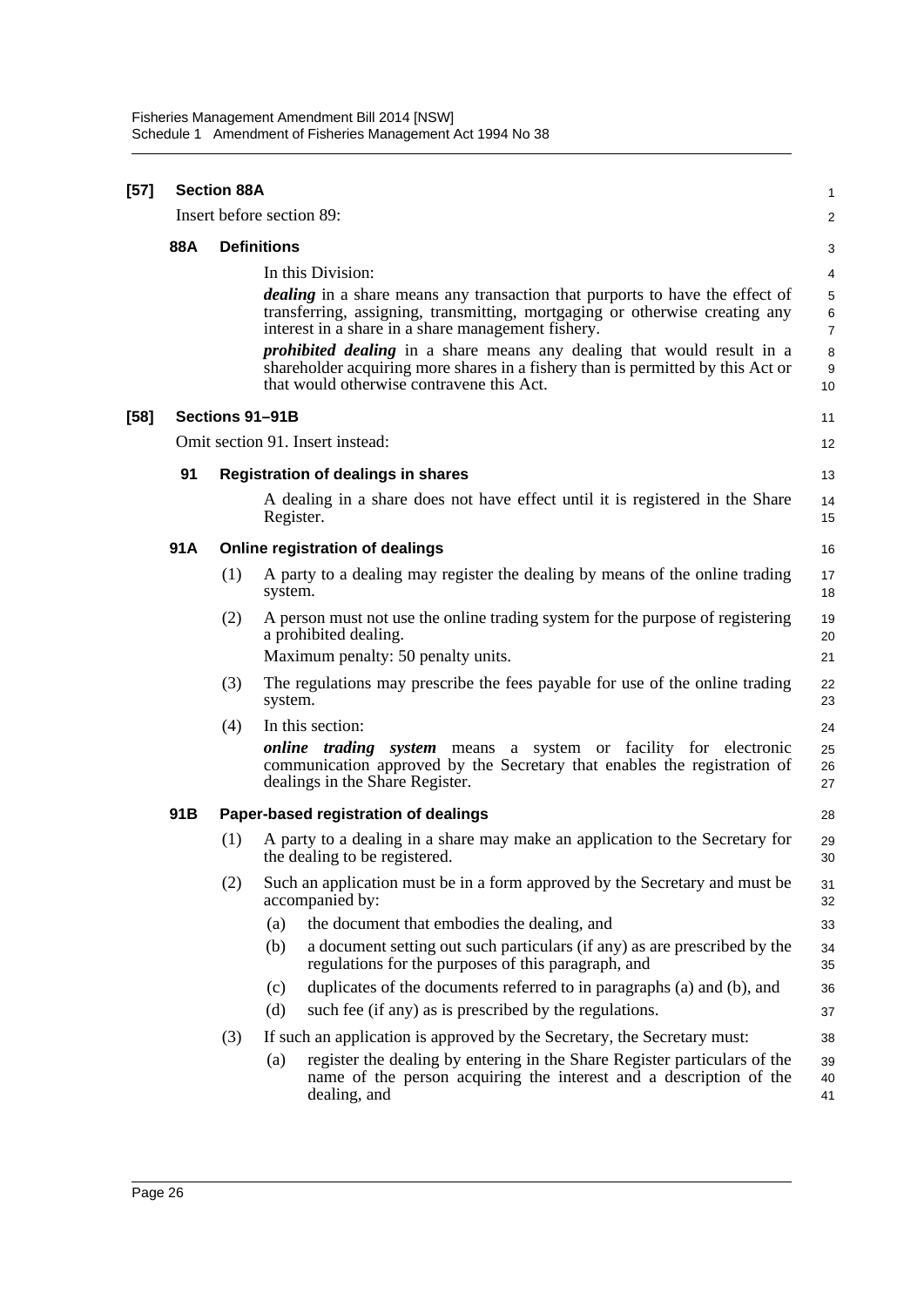| $[57]$ | <b>Section 88A</b> |                    |                                                                                                                                                                                                                                                                                                                                |                                    |  |  |  |
|--------|--------------------|--------------------|--------------------------------------------------------------------------------------------------------------------------------------------------------------------------------------------------------------------------------------------------------------------------------------------------------------------------------|------------------------------------|--|--|--|
|        |                    |                    | Insert before section 89:                                                                                                                                                                                                                                                                                                      | $\overline{2}$                     |  |  |  |
|        | 88A                | <b>Definitions</b> |                                                                                                                                                                                                                                                                                                                                |                                    |  |  |  |
|        |                    |                    | In this Division:<br><i>dealing</i> in a share means any transaction that purports to have the effect of<br>transferring, assigning, transmitting, mortgaging or otherwise creating any<br>interest in a share in a share management fishery.<br><i>prohibited dealing</i> in a share means any dealing that would result in a | 4<br>5<br>6<br>$\overline{7}$<br>8 |  |  |  |
|        |                    |                    | shareholder acquiring more shares in a fishery than is permitted by this Act or<br>that would otherwise contravene this Act.                                                                                                                                                                                                   | 9<br>10                            |  |  |  |
| [58]   |                    |                    | Sections 91-91B                                                                                                                                                                                                                                                                                                                | 11                                 |  |  |  |
|        |                    |                    | Omit section 91. Insert instead:                                                                                                                                                                                                                                                                                               | 12                                 |  |  |  |
|        | 91                 |                    | <b>Registration of dealings in shares</b>                                                                                                                                                                                                                                                                                      | 13                                 |  |  |  |
|        |                    |                    | A dealing in a share does not have effect until it is registered in the Share<br>Register.                                                                                                                                                                                                                                     | 14<br>15                           |  |  |  |
|        | 91A                |                    | Online registration of dealings                                                                                                                                                                                                                                                                                                | 16                                 |  |  |  |
|        |                    | (1)                | A party to a dealing may register the dealing by means of the online trading<br>system.                                                                                                                                                                                                                                        | 17<br>18                           |  |  |  |
|        |                    | (2)                | A person must not use the online trading system for the purpose of registering<br>a prohibited dealing.<br>Maximum penalty: 50 penalty units.                                                                                                                                                                                  | 19<br>20<br>21                     |  |  |  |
|        |                    | (3)                | The regulations may prescribe the fees payable for use of the online trading<br>system.                                                                                                                                                                                                                                        | 22<br>23                           |  |  |  |
|        |                    | (4)                | In this section:<br><i>online trading system</i> means a system or facility for electronic<br>communication approved by the Secretary that enables the registration of<br>dealings in the Share Register.                                                                                                                      | 24<br>25<br>26<br>27               |  |  |  |
|        | 91B                |                    | Paper-based registration of dealings                                                                                                                                                                                                                                                                                           | 28                                 |  |  |  |
|        |                    | (1)                | A party to a dealing in a share may make an application to the Secretary for<br>the dealing to be registered.                                                                                                                                                                                                                  | 29<br>30                           |  |  |  |
|        |                    | (2)                | Such an application must be in a form approved by the Secretary and must be<br>accompanied by:                                                                                                                                                                                                                                 | 31<br>32                           |  |  |  |
|        |                    |                    | the document that embodies the dealing, and<br>(a)                                                                                                                                                                                                                                                                             | 33                                 |  |  |  |
|        |                    |                    | a document setting out such particulars (if any) as are prescribed by the<br>(b)<br>regulations for the purposes of this paragraph, and                                                                                                                                                                                        | 34<br>35                           |  |  |  |
|        |                    |                    | duplicates of the documents referred to in paragraphs (a) and (b), and<br>(c)                                                                                                                                                                                                                                                  | 36                                 |  |  |  |
|        |                    |                    | (d)<br>such fee (if any) as is prescribed by the regulations.                                                                                                                                                                                                                                                                  | 37                                 |  |  |  |
|        |                    | (3)                | If such an application is approved by the Secretary, the Secretary must:                                                                                                                                                                                                                                                       | 38                                 |  |  |  |
|        |                    |                    | register the dealing by entering in the Share Register particulars of the<br>(a)<br>name of the person acquiring the interest and a description of the<br>dealing, and                                                                                                                                                         | 39<br>40<br>41                     |  |  |  |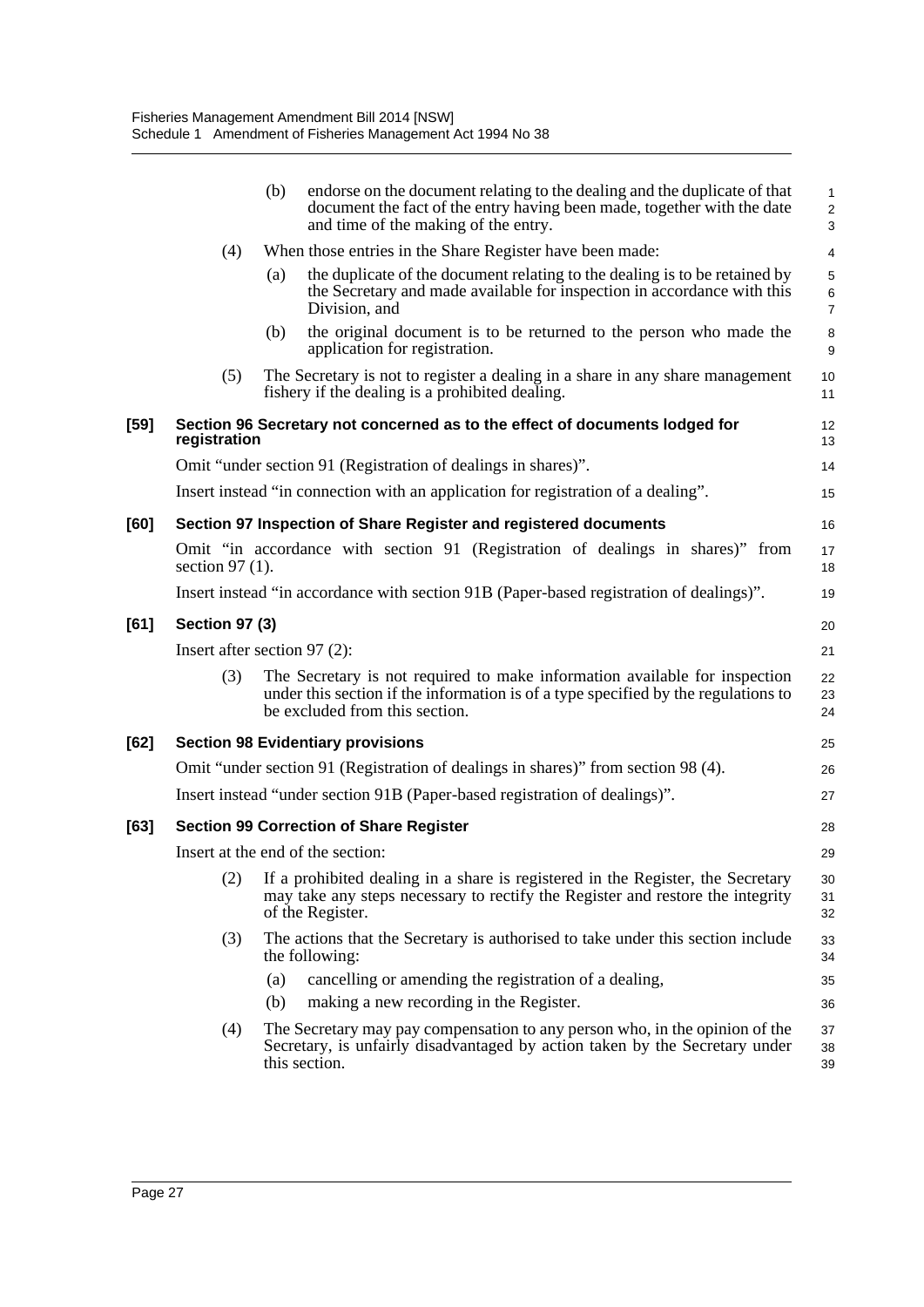|        |                                                                                   | (b)                                     | endorse on the document relating to the dealing and the duplicate of that<br>document the fact of the entry having been made, together with the date<br>and time of the making of the entry.       | 1<br>$\overline{\mathbf{c}}$<br>3 |  |  |  |  |
|--------|-----------------------------------------------------------------------------------|-----------------------------------------|----------------------------------------------------------------------------------------------------------------------------------------------------------------------------------------------------|-----------------------------------|--|--|--|--|
|        | (4)                                                                               |                                         | When those entries in the Share Register have been made:                                                                                                                                           | 4                                 |  |  |  |  |
|        |                                                                                   | (a)                                     | the duplicate of the document relating to the dealing is to be retained by<br>the Secretary and made available for inspection in accordance with this<br>Division, and                             | 5<br>6<br>7                       |  |  |  |  |
|        |                                                                                   | (b)                                     | the original document is to be returned to the person who made the<br>application for registration.                                                                                                | 8<br>9                            |  |  |  |  |
|        | (5)                                                                               |                                         | The Secretary is not to register a dealing in a share in any share management<br>fishery if the dealing is a prohibited dealing.                                                                   | 10<br>11                          |  |  |  |  |
| $[59]$ | registration                                                                      |                                         | Section 96 Secretary not concerned as to the effect of documents lodged for                                                                                                                        | 12<br>13                          |  |  |  |  |
|        |                                                                                   |                                         | Omit "under section 91 (Registration of dealings in shares)".                                                                                                                                      | 14                                |  |  |  |  |
|        |                                                                                   |                                         | Insert instead "in connection with an application for registration of a dealing".                                                                                                                  | 15                                |  |  |  |  |
| [60]   |                                                                                   |                                         | Section 97 Inspection of Share Register and registered documents                                                                                                                                   | 16                                |  |  |  |  |
|        | section 97 $(1)$ .                                                                |                                         | Omit "in accordance with section 91 (Registration of dealings in shares)" from                                                                                                                     | 17<br>18                          |  |  |  |  |
|        |                                                                                   |                                         | Insert instead "in accordance with section 91B (Paper-based registration of dealings)".                                                                                                            | 19                                |  |  |  |  |
| [61]   | <b>Section 97 (3)</b>                                                             |                                         |                                                                                                                                                                                                    |                                   |  |  |  |  |
|        | Insert after section $97(2)$ :<br>21                                              |                                         |                                                                                                                                                                                                    |                                   |  |  |  |  |
|        | (3)                                                                               |                                         | The Secretary is not required to make information available for inspection<br>under this section if the information is of a type specified by the regulations to<br>be excluded from this section. | 22<br>23<br>24                    |  |  |  |  |
| [62]   |                                                                                   |                                         | <b>Section 98 Evidentiary provisions</b>                                                                                                                                                           | 25                                |  |  |  |  |
|        | Omit "under section 91 (Registration of dealings in shares)" from section 98 (4). |                                         |                                                                                                                                                                                                    |                                   |  |  |  |  |
|        |                                                                                   |                                         | Insert instead "under section 91B (Paper-based registration of dealings)".                                                                                                                         | 27                                |  |  |  |  |
| [63]   |                                                                                   |                                         | <b>Section 99 Correction of Share Register</b>                                                                                                                                                     | 28                                |  |  |  |  |
|        |                                                                                   | Insert at the end of the section:<br>29 |                                                                                                                                                                                                    |                                   |  |  |  |  |
|        | (2)                                                                               | of the Register.                        | If a prohibited dealing in a share is registered in the Register, the Secretary<br>may take any steps necessary to rectify the Register and restore the integrity                                  | 30<br>31<br>32                    |  |  |  |  |
|        | (3)                                                                               | the following:                          | The actions that the Secretary is authorised to take under this section include                                                                                                                    | 33<br>34                          |  |  |  |  |
|        |                                                                                   | (a)                                     | cancelling or amending the registration of a dealing,                                                                                                                                              | 35                                |  |  |  |  |
|        |                                                                                   | (b)                                     | making a new recording in the Register.                                                                                                                                                            | 36                                |  |  |  |  |
|        | (4)                                                                               | this section.                           | The Secretary may pay compensation to any person who, in the opinion of the<br>Secretary, is unfairly disadvantaged by action taken by the Secretary under                                         | 37<br>38<br>39                    |  |  |  |  |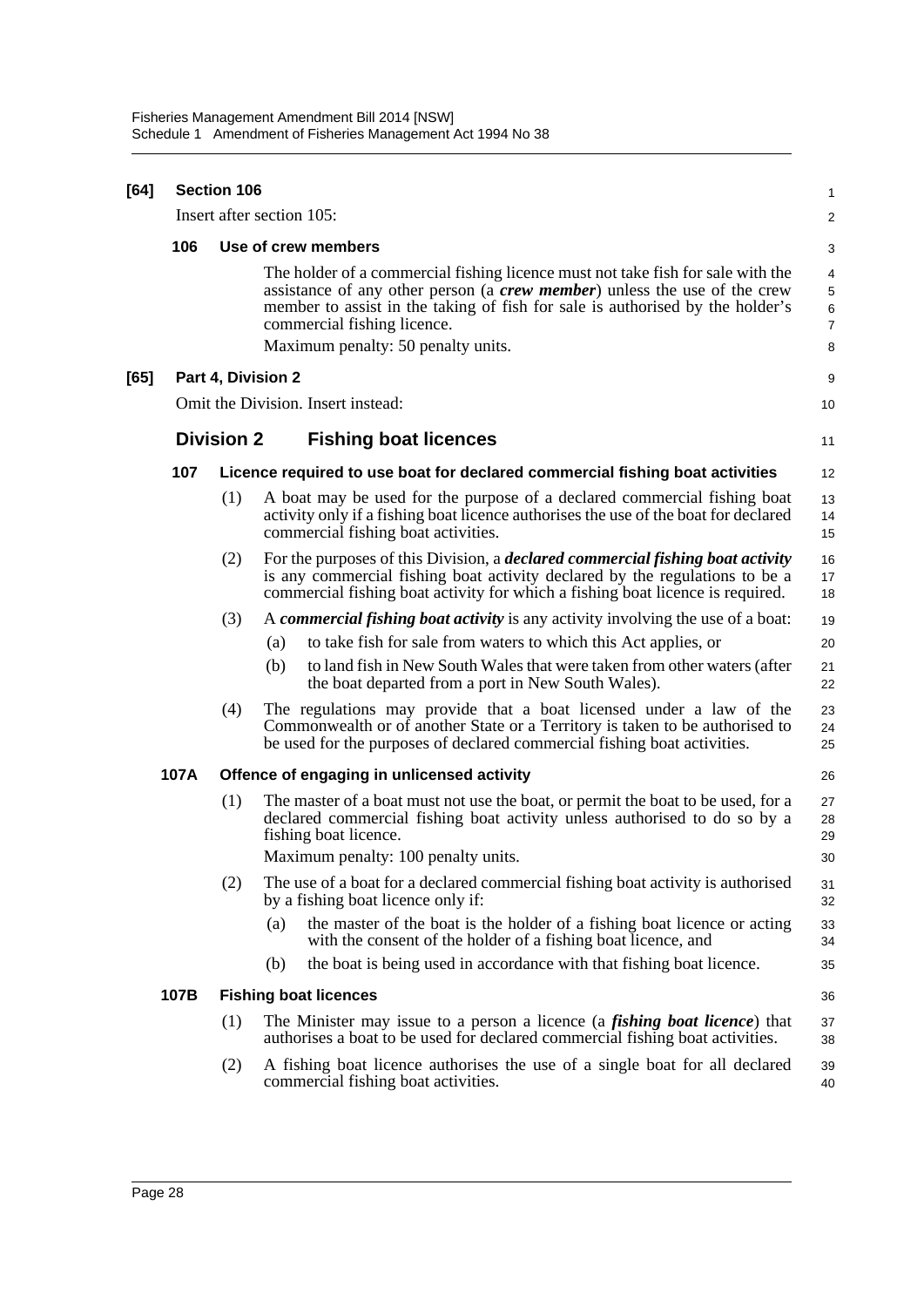| [64] | <b>Section 106</b> |                   |                                                                                                                                                                                                                                                                                                                    |                                    |  |  |  |
|------|--------------------|-------------------|--------------------------------------------------------------------------------------------------------------------------------------------------------------------------------------------------------------------------------------------------------------------------------------------------------------------|------------------------------------|--|--|--|
|      |                    |                   | Insert after section 105:                                                                                                                                                                                                                                                                                          | $\overline{\mathbf{c}}$            |  |  |  |
|      | 106                |                   | Use of crew members                                                                                                                                                                                                                                                                                                | 3                                  |  |  |  |
|      |                    |                   | The holder of a commercial fishing licence must not take fish for sale with the<br>assistance of any other person (a crew member) unless the use of the crew<br>member to assist in the taking of fish for sale is authorised by the holder's<br>commercial fishing licence.<br>Maximum penalty: 50 penalty units. | 4<br>5<br>6<br>$\overline{7}$<br>8 |  |  |  |
| [65] |                    |                   | Part 4, Division 2                                                                                                                                                                                                                                                                                                 | 9                                  |  |  |  |
|      |                    |                   | Omit the Division. Insert instead:                                                                                                                                                                                                                                                                                 | 10                                 |  |  |  |
|      |                    | <b>Division 2</b> | <b>Fishing boat licences</b>                                                                                                                                                                                                                                                                                       | 11                                 |  |  |  |
|      | 107                |                   | Licence required to use boat for declared commercial fishing boat activities                                                                                                                                                                                                                                       | 12                                 |  |  |  |
|      |                    | (1)               | A boat may be used for the purpose of a declared commercial fishing boat<br>activity only if a fishing boat licence authorises the use of the boat for declared<br>commercial fishing boat activities.                                                                                                             | 13<br>14<br>15                     |  |  |  |
|      |                    | (2)               | For the purposes of this Division, a <i>declared commercial fishing boat activity</i><br>is any commercial fishing boat activity declared by the regulations to be a<br>commercial fishing boat activity for which a fishing boat licence is required.                                                             | 16<br>17<br>18                     |  |  |  |
|      |                    | (3)               | A commercial fishing boat activity is any activity involving the use of a boat:                                                                                                                                                                                                                                    | 19                                 |  |  |  |
|      |                    |                   | to take fish for sale from waters to which this Act applies, or<br>(a)                                                                                                                                                                                                                                             | 20                                 |  |  |  |
|      |                    |                   | to land fish in New South Wales that were taken from other waters (after<br>(b)<br>the boat departed from a port in New South Wales).                                                                                                                                                                              | 21<br>22                           |  |  |  |
|      |                    | (4)               | The regulations may provide that a boat licensed under a law of the<br>Commonwealth or of another State or a Territory is taken to be authorised to<br>be used for the purposes of declared commercial fishing boat activities.                                                                                    | 23<br>24<br>25                     |  |  |  |
|      | 107A               |                   | Offence of engaging in unlicensed activity                                                                                                                                                                                                                                                                         | 26                                 |  |  |  |
|      |                    | (1)               | The master of a boat must not use the boat, or permit the boat to be used, for a<br>declared commercial fishing boat activity unless authorised to do so by a<br>fishing boat licence.                                                                                                                             | 27<br>28<br>29                     |  |  |  |
|      |                    |                   | Maximum penalty: 100 penalty units.                                                                                                                                                                                                                                                                                | 30                                 |  |  |  |
|      |                    | (2)               | The use of a boat for a declared commercial fishing boat activity is authorised<br>by a fishing boat licence only if:                                                                                                                                                                                              | 31<br>32                           |  |  |  |
|      |                    |                   | the master of the boat is the holder of a fishing boat licence or acting<br>(a)<br>with the consent of the holder of a fishing boat licence, and                                                                                                                                                                   | 33<br>34                           |  |  |  |
|      |                    |                   | the boat is being used in accordance with that fishing boat licence.<br>(b)                                                                                                                                                                                                                                        | 35                                 |  |  |  |
|      | 107B               |                   | <b>Fishing boat licences</b>                                                                                                                                                                                                                                                                                       | 36                                 |  |  |  |
|      |                    | (1)               | The Minister may issue to a person a licence (a <i>fishing boat licence</i> ) that<br>authorises a boat to be used for declared commercial fishing boat activities.                                                                                                                                                | 37<br>38                           |  |  |  |
|      |                    | (2)               | A fishing boat licence authorises the use of a single boat for all declared<br>commercial fishing boat activities.                                                                                                                                                                                                 | 39<br>40                           |  |  |  |
|      |                    |                   |                                                                                                                                                                                                                                                                                                                    |                                    |  |  |  |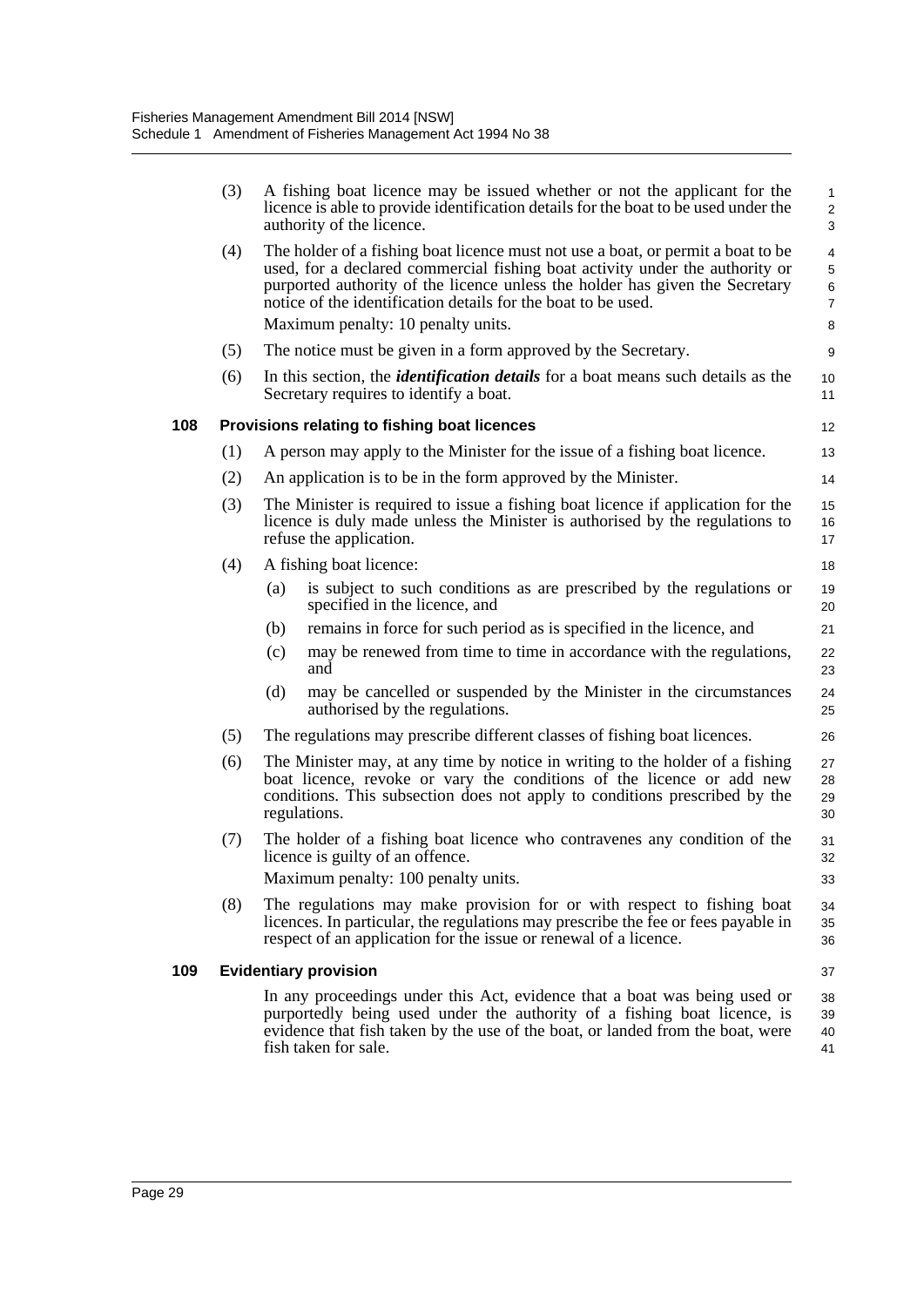|     | (3) | A fishing boat licence may be issued whether or not the applicant for the<br>licence is able to provide identification details for the boat to be used under the<br>authority of the licence.                                                                                                                     | $\mathbf{1}$<br>$\overline{2}$<br>3 |
|-----|-----|-------------------------------------------------------------------------------------------------------------------------------------------------------------------------------------------------------------------------------------------------------------------------------------------------------------------|-------------------------------------|
|     | (4) | The holder of a fishing boat licence must not use a boat, or permit a boat to be<br>used, for a declared commercial fishing boat activity under the authority or<br>purported authority of the licence unless the holder has given the Secretary<br>notice of the identification details for the boat to be used. | 4<br>5<br>$\,6$<br>$\overline{7}$   |
|     |     | Maximum penalty: 10 penalty units.                                                                                                                                                                                                                                                                                | 8                                   |
|     | (5) | The notice must be given in a form approved by the Secretary.                                                                                                                                                                                                                                                     | 9                                   |
|     | (6) | In this section, the <i>identification details</i> for a boat means such details as the<br>Secretary requires to identify a boat.                                                                                                                                                                                 | 10<br>11                            |
| 108 |     | Provisions relating to fishing boat licences                                                                                                                                                                                                                                                                      | $12 \overline{ }$                   |
|     | (1) | A person may apply to the Minister for the issue of a fishing boat licence.                                                                                                                                                                                                                                       | 13                                  |
|     | (2) | An application is to be in the form approved by the Minister.                                                                                                                                                                                                                                                     | 14                                  |
|     | (3) | The Minister is required to issue a fishing boat licence if application for the<br>licence is duly made unless the Minister is authorised by the regulations to<br>refuse the application.                                                                                                                        | 15<br>16<br>17                      |
|     | (4) | A fishing boat licence:                                                                                                                                                                                                                                                                                           | 18                                  |
|     |     | is subject to such conditions as are prescribed by the regulations or<br>(a)<br>specified in the licence, and                                                                                                                                                                                                     | 19<br>20                            |
|     |     | (b)<br>remains in force for such period as is specified in the licence, and                                                                                                                                                                                                                                       | 21                                  |
|     |     | may be renewed from time to time in accordance with the regulations,<br>(c)<br>and                                                                                                                                                                                                                                | 22<br>23                            |
|     |     | (d)<br>may be cancelled or suspended by the Minister in the circumstances<br>authorised by the regulations.                                                                                                                                                                                                       | 24<br>25                            |
|     | (5) | The regulations may prescribe different classes of fishing boat licences.                                                                                                                                                                                                                                         | 26                                  |
|     | (6) | The Minister may, at any time by notice in writing to the holder of a fishing<br>boat licence, revoke or vary the conditions of the licence or add new<br>conditions. This subsection does not apply to conditions prescribed by the<br>regulations.                                                              | 27<br>28<br>29<br>30                |
|     | (7) | The holder of a fishing boat licence who contravenes any condition of the<br>licence is guilty of an offence.                                                                                                                                                                                                     | 31<br>32                            |
|     |     | Maximum penalty: 100 penalty units.                                                                                                                                                                                                                                                                               | 33                                  |
|     | (8) | The regulations may make provision for or with respect to fishing boat<br>licences. In particular, the regulations may prescribe the fee or fees payable in<br>respect of an application for the issue or renewal of a licence.                                                                                   | 34<br>35<br>36                      |
| 109 |     | <b>Evidentiary provision</b>                                                                                                                                                                                                                                                                                      | 37                                  |
|     |     | In any proceedings under this Act, evidence that a boat was being used or<br>purportedly being used under the authority of a fishing boat licence, is<br>evidence that fish taken by the use of the boat, or landed from the boat, were<br>fish taken for sale.                                                   | 38<br>39<br>40<br>41                |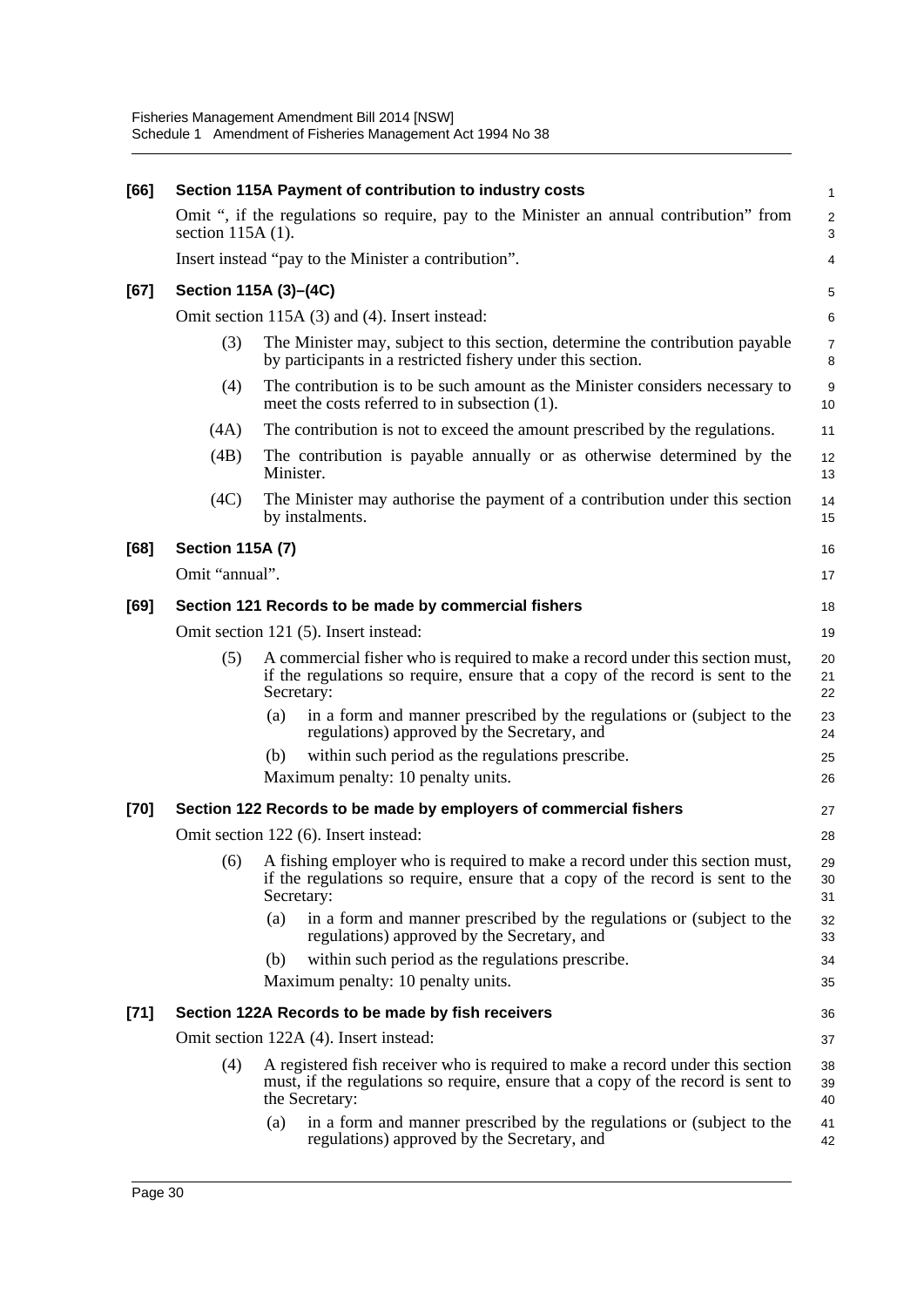| [66]   |                                                      | Section 115A Payment of contribution to industry costs                                                                                                                               | $\mathbf{1}$                  |  |  |  |  |  |  |  |
|--------|------------------------------------------------------|--------------------------------------------------------------------------------------------------------------------------------------------------------------------------------------|-------------------------------|--|--|--|--|--|--|--|
|        | section $115A(1)$ .                                  | Omit ", if the regulations so require, pay to the Minister an annual contribution" from                                                                                              | $\overline{2}$<br>$\mathsf 3$ |  |  |  |  |  |  |  |
|        | Insert instead "pay to the Minister a contribution". |                                                                                                                                                                                      |                               |  |  |  |  |  |  |  |
| [67]   |                                                      | Section 115A (3)-(4C)                                                                                                                                                                |                               |  |  |  |  |  |  |  |
|        | Omit section 115A (3) and (4). Insert instead:       |                                                                                                                                                                                      |                               |  |  |  |  |  |  |  |
|        | (3)                                                  | The Minister may, subject to this section, determine the contribution payable<br>by participants in a restricted fishery under this section.                                         | $\overline{7}$<br>8           |  |  |  |  |  |  |  |
|        | (4)                                                  | The contribution is to be such amount as the Minister considers necessary to<br>meet the costs referred to in subsection (1).                                                        | $\boldsymbol{9}$<br>10        |  |  |  |  |  |  |  |
|        | (4A)                                                 | The contribution is not to exceed the amount prescribed by the regulations.                                                                                                          | 11                            |  |  |  |  |  |  |  |
|        | (4B)                                                 | The contribution is payable annually or as otherwise determined by the<br>Minister.                                                                                                  | 12<br>13                      |  |  |  |  |  |  |  |
|        | (4C)                                                 | The Minister may authorise the payment of a contribution under this section<br>by instalments.                                                                                       | 14<br>15                      |  |  |  |  |  |  |  |
| [68]   | <b>Section 115A (7)</b>                              |                                                                                                                                                                                      | 16                            |  |  |  |  |  |  |  |
|        | Omit "annual".                                       |                                                                                                                                                                                      | 17                            |  |  |  |  |  |  |  |
| [69]   |                                                      | Section 121 Records to be made by commercial fishers                                                                                                                                 | 18                            |  |  |  |  |  |  |  |
|        | Omit section 121 (5). Insert instead:<br>19          |                                                                                                                                                                                      |                               |  |  |  |  |  |  |  |
|        | (5)                                                  | A commercial fisher who is required to make a record under this section must,<br>if the regulations so require, ensure that a copy of the record is sent to the<br>Secretary:        | 20<br>21<br>22                |  |  |  |  |  |  |  |
|        |                                                      | in a form and manner prescribed by the regulations or (subject to the<br>(a)<br>regulations) approved by the Secretary, and                                                          | 23<br>24                      |  |  |  |  |  |  |  |
|        |                                                      | within such period as the regulations prescribe.<br>(b)                                                                                                                              | 25                            |  |  |  |  |  |  |  |
|        |                                                      | Maximum penalty: 10 penalty units.                                                                                                                                                   | 26                            |  |  |  |  |  |  |  |
| [70]   |                                                      | Section 122 Records to be made by employers of commercial fishers                                                                                                                    | 27                            |  |  |  |  |  |  |  |
|        |                                                      | Omit section 122 (6). Insert instead:                                                                                                                                                | 28                            |  |  |  |  |  |  |  |
|        | (6)                                                  | A fishing employer who is required to make a record under this section must,<br>if the regulations so require, ensure that a copy of the record is sent to the<br>Secretary:         | 29<br>30<br>31                |  |  |  |  |  |  |  |
|        |                                                      | in a form and manner prescribed by the regulations or (subject to the<br>(a)<br>regulations) approved by the Secretary, and                                                          | 32<br>33                      |  |  |  |  |  |  |  |
|        |                                                      | (b)<br>within such period as the regulations prescribe.                                                                                                                              | 34                            |  |  |  |  |  |  |  |
|        |                                                      | Maximum penalty: 10 penalty units.                                                                                                                                                   | 35                            |  |  |  |  |  |  |  |
| $[71]$ |                                                      | Section 122A Records to be made by fish receivers                                                                                                                                    | 36                            |  |  |  |  |  |  |  |
|        |                                                      | Omit section 122A (4). Insert instead:                                                                                                                                               | 37                            |  |  |  |  |  |  |  |
|        | (4)                                                  | A registered fish receiver who is required to make a record under this section<br>must, if the regulations so require, ensure that a copy of the record is sent to<br>the Secretary: | 38<br>39<br>40                |  |  |  |  |  |  |  |
|        |                                                      | in a form and manner prescribed by the regulations or (subject to the<br>(a)<br>regulations) approved by the Secretary, and                                                          | 41<br>42                      |  |  |  |  |  |  |  |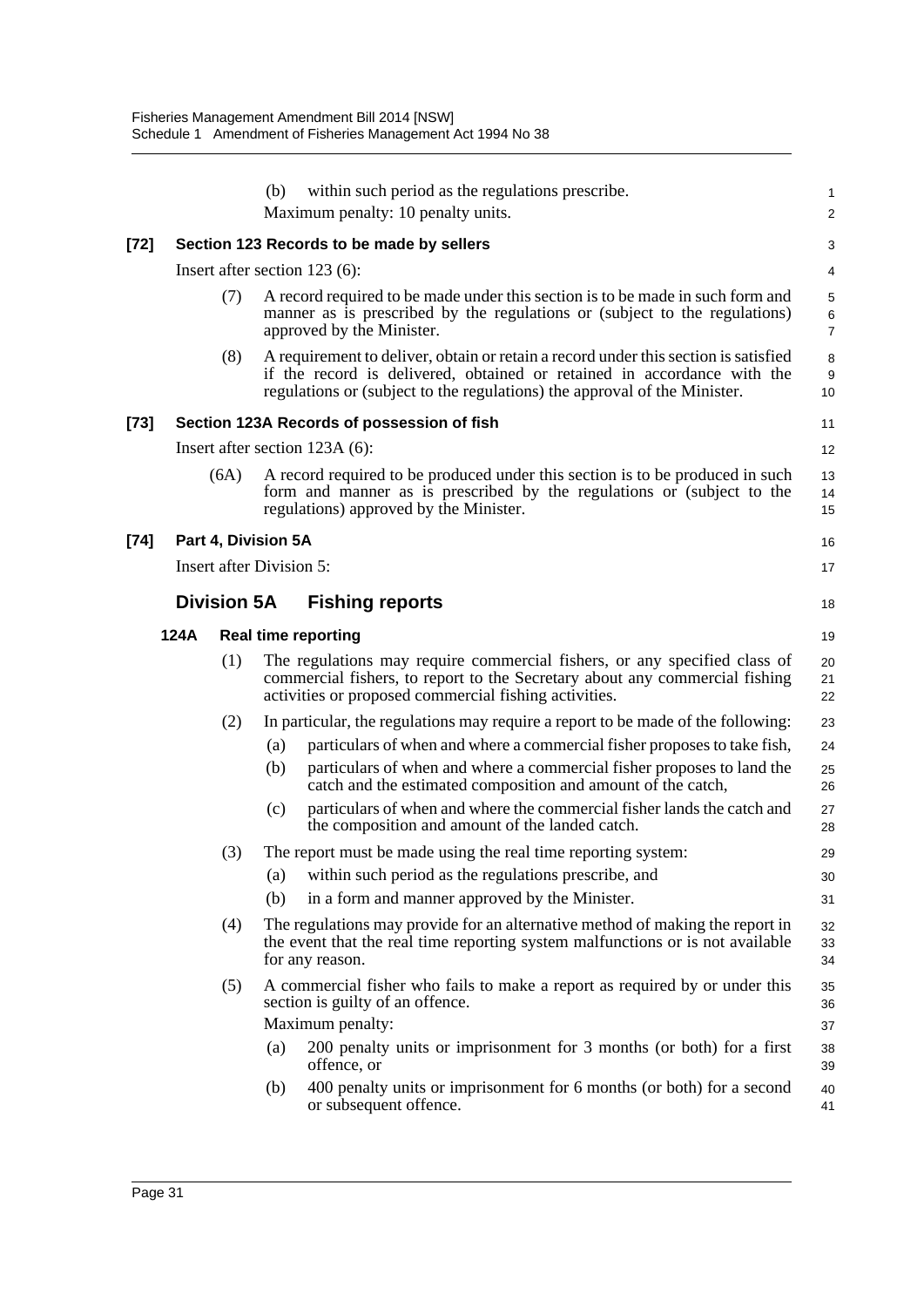|      |                                 | within such period as the regulations prescribe.<br>(b)<br>Maximum penalty: 10 penalty units.                                                                                                                                               | 1<br>$\overline{c}$ |
|------|---------------------------------|---------------------------------------------------------------------------------------------------------------------------------------------------------------------------------------------------------------------------------------------|---------------------|
| [72] |                                 | Section 123 Records to be made by sellers                                                                                                                                                                                                   | 3                   |
|      |                                 | Insert after section 123 (6):                                                                                                                                                                                                               | 4                   |
|      | (7)                             | A record required to be made under this section is to be made in such form and<br>manner as is prescribed by the regulations or (subject to the regulations)<br>approved by the Minister.                                                   | 5<br>6<br>7         |
|      | (8)                             | A requirement to deliver, obtain or retain a record under this section is satisfied<br>if the record is delivered, obtained or retained in accordance with the<br>regulations or (subject to the regulations) the approval of the Minister. | 8<br>9<br>10        |
| [73] |                                 | Section 123A Records of possession of fish                                                                                                                                                                                                  | 11                  |
|      |                                 | Insert after section 123A (6):                                                                                                                                                                                                              | 12                  |
|      | (6A)                            | A record required to be produced under this section is to be produced in such<br>form and manner as is prescribed by the regulations or (subject to the<br>regulations) approved by the Minister.                                           | 13<br>14<br>15      |
| [74] | Part 4, Division 5A             |                                                                                                                                                                                                                                             | 16                  |
|      | <b>Insert after Division 5:</b> |                                                                                                                                                                                                                                             | 17                  |
|      | <b>Division 5A</b>              | <b>Fishing reports</b>                                                                                                                                                                                                                      | 18                  |
|      | 124A                            | <b>Real time reporting</b>                                                                                                                                                                                                                  | 19                  |
|      | (1)                             | The regulations may require commercial fishers, or any specified class of<br>commercial fishers, to report to the Secretary about any commercial fishing<br>activities or proposed commercial fishing activities.                           | 20<br>21<br>22      |
|      | (2)                             | In particular, the regulations may require a report to be made of the following:                                                                                                                                                            | 23                  |
|      |                                 | particulars of when and where a commercial fisher proposes to take fish,<br>(a)                                                                                                                                                             | 24                  |
|      |                                 | particulars of when and where a commercial fisher proposes to land the<br>(b)<br>catch and the estimated composition and amount of the catch,                                                                                               | 25<br>26            |
|      |                                 | particulars of when and where the commercial fisher lands the catch and<br>(c)<br>the composition and amount of the landed catch.                                                                                                           | 27<br>28            |
|      | (3)                             | The report must be made using the real time reporting system:                                                                                                                                                                               | 29                  |
|      |                                 | (a) within such period as the regulations prescribe, and                                                                                                                                                                                    | 30                  |
|      |                                 | in a form and manner approved by the Minister.<br>(b)                                                                                                                                                                                       | 31                  |
|      | (4)                             | The regulations may provide for an alternative method of making the report in<br>the event that the real time reporting system malfunctions or is not available<br>for any reason.                                                          | 32<br>33<br>34      |
|      | (5)                             | A commercial fisher who fails to make a report as required by or under this<br>section is guilty of an offence.                                                                                                                             | 35<br>36            |
|      |                                 | Maximum penalty:                                                                                                                                                                                                                            | 37                  |
|      |                                 | 200 penalty units or imprisonment for 3 months (or both) for a first<br>(a)<br>offence, or                                                                                                                                                  | 38<br>39            |
|      |                                 | 400 penalty units or imprisonment for 6 months (or both) for a second<br>(b)<br>or subsequent offence.                                                                                                                                      | 40<br>41            |
|      |                                 |                                                                                                                                                                                                                                             |                     |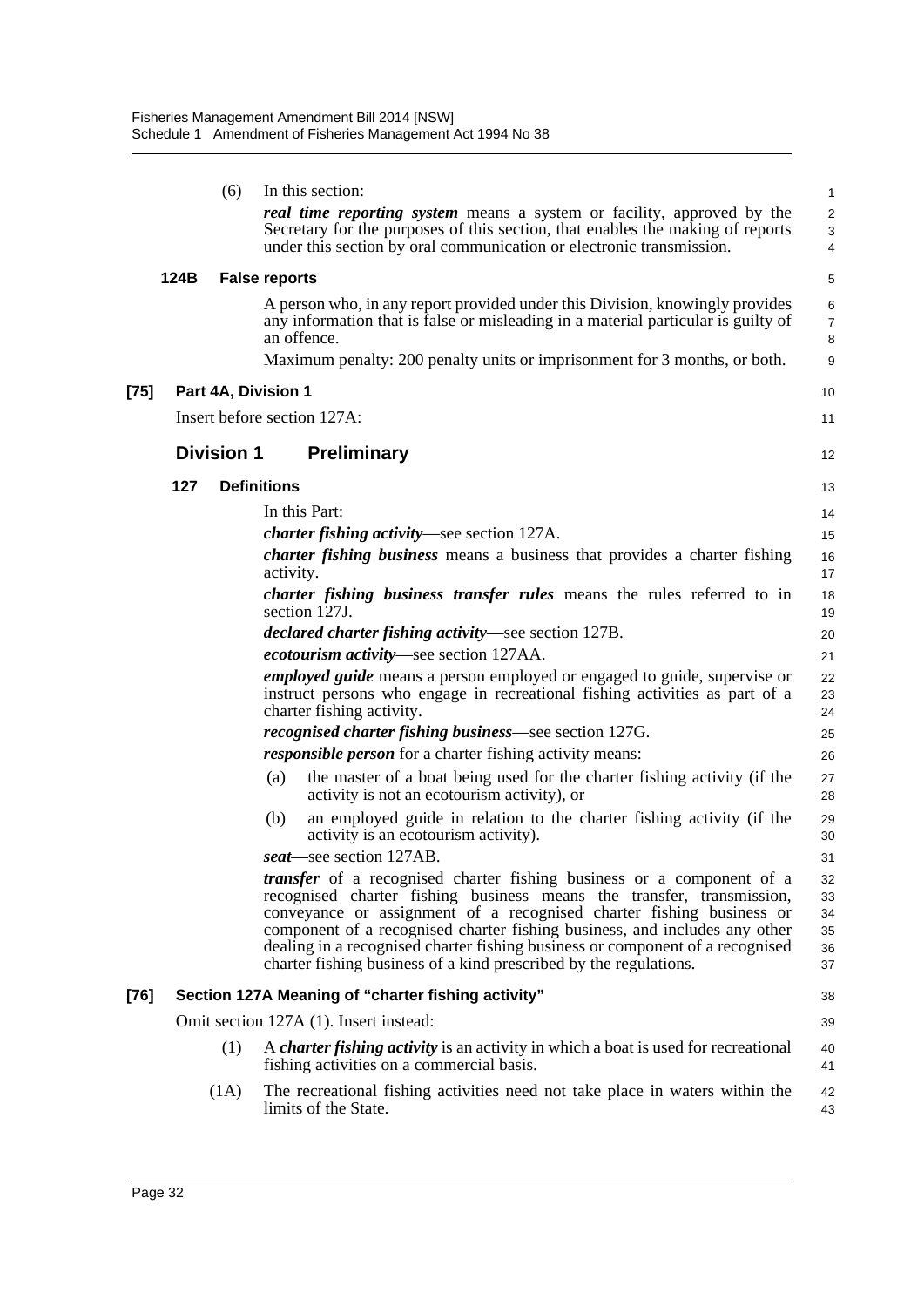|      |      | (6)               | In this section:                                                                                                                                                                                                                                                                                                                                                                                                                                           | 1                                |
|------|------|-------------------|------------------------------------------------------------------------------------------------------------------------------------------------------------------------------------------------------------------------------------------------------------------------------------------------------------------------------------------------------------------------------------------------------------------------------------------------------------|----------------------------------|
|      |      |                   | <b>real time reporting system</b> means a system or facility, approved by the<br>Secretary for the purposes of this section, that enables the making of reports<br>under this section by oral communication or electronic transmission.                                                                                                                                                                                                                    | 2<br>$\mathbf{3}$<br>4           |
|      | 124B |                   | <b>False reports</b>                                                                                                                                                                                                                                                                                                                                                                                                                                       | 5                                |
|      |      |                   | A person who, in any report provided under this Division, knowingly provides<br>any information that is false or misleading in a material particular is guilty of<br>an offence.                                                                                                                                                                                                                                                                           | 6<br>$\overline{7}$<br>8         |
|      |      |                   | Maximum penalty: 200 penalty units or imprisonment for 3 months, or both.                                                                                                                                                                                                                                                                                                                                                                                  | 9                                |
| [75] |      |                   | Part 4A, Division 1                                                                                                                                                                                                                                                                                                                                                                                                                                        | 10                               |
|      |      |                   | Insert before section 127A:                                                                                                                                                                                                                                                                                                                                                                                                                                | 11                               |
|      |      | <b>Division 1</b> | <b>Preliminary</b>                                                                                                                                                                                                                                                                                                                                                                                                                                         | 12                               |
|      | 127  |                   | <b>Definitions</b>                                                                                                                                                                                                                                                                                                                                                                                                                                         | 13                               |
|      |      |                   | In this Part:                                                                                                                                                                                                                                                                                                                                                                                                                                              | 14                               |
|      |      |                   | <i>charter fishing activity</i> —see section 127A.                                                                                                                                                                                                                                                                                                                                                                                                         | 15                               |
|      |      |                   | charter fishing business means a business that provides a charter fishing<br>activity.                                                                                                                                                                                                                                                                                                                                                                     | 16<br>17                         |
|      |      |                   | <i>charter fishing business transfer rules</i> means the rules referred to in<br>section 127J.                                                                                                                                                                                                                                                                                                                                                             | 18<br>19                         |
|      |      |                   | <i>declared charter fishing activity</i> —see section 127B.                                                                                                                                                                                                                                                                                                                                                                                                | 20                               |
|      |      |                   | ecotourism activity—see section 127AA.                                                                                                                                                                                                                                                                                                                                                                                                                     | 21                               |
|      |      |                   | <i>employed guide</i> means a person employed or engaged to guide, supervise or<br>instruct persons who engage in recreational fishing activities as part of a<br>charter fishing activity.                                                                                                                                                                                                                                                                | 22<br>23<br>24                   |
|      |      |                   | <i>recognised charter fishing business</i> —see section 127G.                                                                                                                                                                                                                                                                                                                                                                                              | 25                               |
|      |      |                   | <i>responsible person</i> for a charter fishing activity means:                                                                                                                                                                                                                                                                                                                                                                                            | 26                               |
|      |      |                   | the master of a boat being used for the charter fishing activity (if the<br>(a)<br>activity is not an ecotourism activity), or                                                                                                                                                                                                                                                                                                                             | 27<br>28                         |
|      |      |                   | an employed guide in relation to the charter fishing activity (if the<br>(b)<br>activity is an ecotourism activity).                                                                                                                                                                                                                                                                                                                                       | 29<br>30                         |
|      |      |                   | seat—see section 127AB.                                                                                                                                                                                                                                                                                                                                                                                                                                    | 31                               |
|      |      |                   | transfer of a recognised charter fishing business or a component of a<br>recognised charter fishing business means the transfer, transmission,<br>conveyance or assignment of a recognised charter fishing business or<br>component of a recognised charter fishing business, and includes any other<br>dealing in a recognised charter fishing business or component of a recognised<br>charter fishing business of a kind prescribed by the regulations. | 32<br>33<br>34<br>35<br>36<br>37 |
| [76] |      |                   | Section 127A Meaning of "charter fishing activity"                                                                                                                                                                                                                                                                                                                                                                                                         | 38                               |
|      |      |                   | Omit section 127A (1). Insert instead:                                                                                                                                                                                                                                                                                                                                                                                                                     | 39                               |
|      |      | (1)               | A <i>charter fishing activity</i> is an activity in which a boat is used for recreational<br>fishing activities on a commercial basis.                                                                                                                                                                                                                                                                                                                     | 40<br>41                         |
|      |      | (1A)              | The recreational fishing activities need not take place in waters within the<br>limits of the State.                                                                                                                                                                                                                                                                                                                                                       | 42<br>43                         |
|      |      |                   |                                                                                                                                                                                                                                                                                                                                                                                                                                                            |                                  |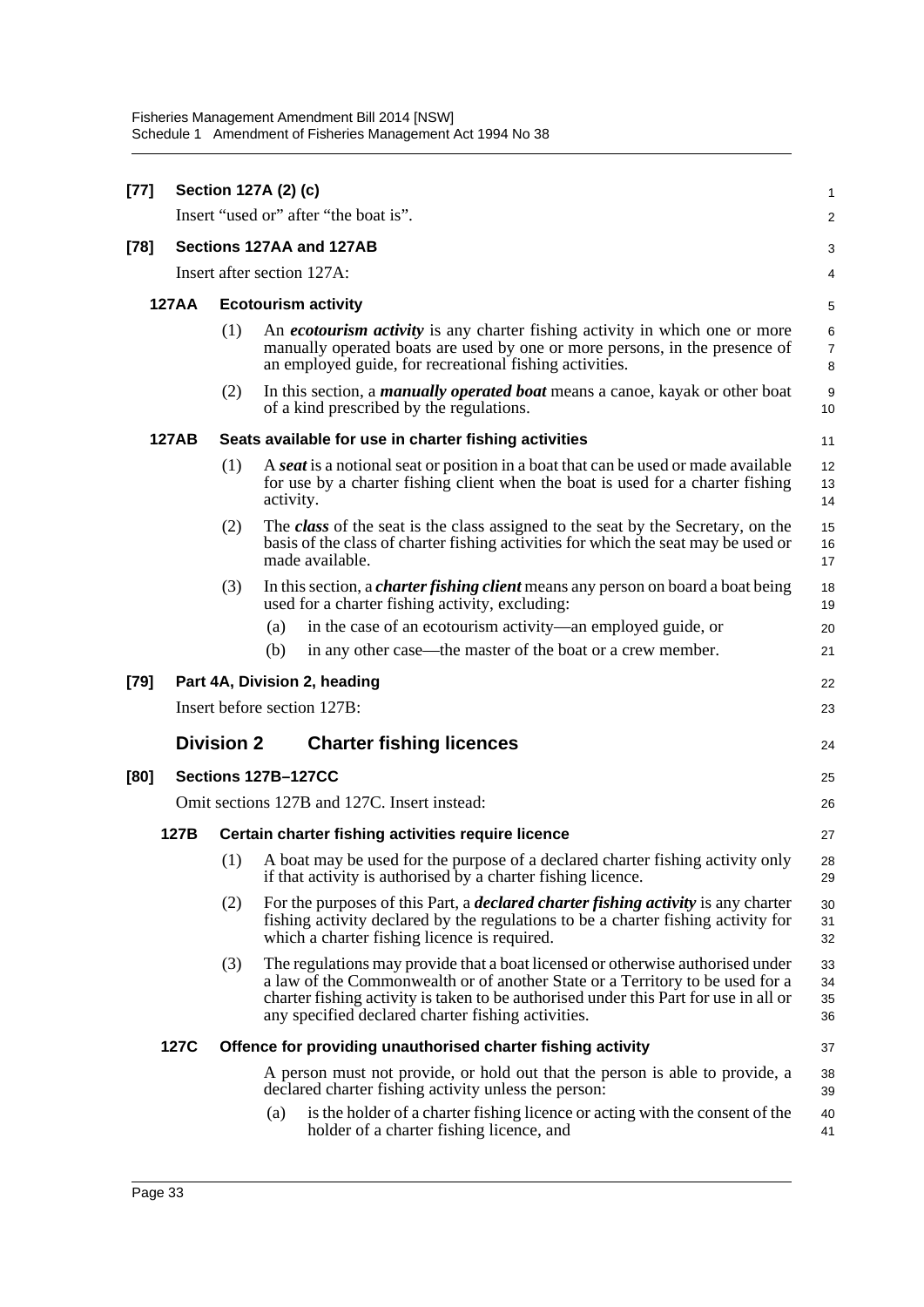| $[77]$ | Section 127A (2) (c) |                          |                                                                                                                                                                                                                                                                                                               |                          |  |  |  |
|--------|----------------------|--------------------------|---------------------------------------------------------------------------------------------------------------------------------------------------------------------------------------------------------------------------------------------------------------------------------------------------------------|--------------------------|--|--|--|
|        |                      |                          | Insert "used or" after "the boat is".                                                                                                                                                                                                                                                                         | $\overline{c}$           |  |  |  |
| $[78]$ |                      | Sections 127AA and 127AB |                                                                                                                                                                                                                                                                                                               |                          |  |  |  |
|        |                      |                          | Insert after section 127A:                                                                                                                                                                                                                                                                                    | 4                        |  |  |  |
|        | <b>127AA</b>         |                          | <b>Ecotourism activity</b>                                                                                                                                                                                                                                                                                    | 5                        |  |  |  |
| (1)    |                      |                          | An <i>ecotourism activity</i> is any charter fishing activity in which one or more<br>manually operated boats are used by one or more persons, in the presence of<br>an employed guide, for recreational fishing activities.                                                                                  | 6<br>$\overline{7}$<br>8 |  |  |  |
|        |                      | (2)                      | In this section, a <i>manually operated boat</i> means a canoe, kayak or other boat<br>of a kind prescribed by the regulations.                                                                                                                                                                               | 9<br>10                  |  |  |  |
|        | 127AB                |                          | Seats available for use in charter fishing activities                                                                                                                                                                                                                                                         | 11                       |  |  |  |
|        |                      | (1)                      | A seat is a notional seat or position in a boat that can be used or made available<br>for use by a charter fishing client when the boat is used for a charter fishing<br>activity.                                                                                                                            | 12<br>13<br>14           |  |  |  |
|        |                      | (2)                      | The class of the seat is the class assigned to the seat by the Secretary, on the<br>basis of the class of charter fishing activities for which the seat may be used or<br>made available.                                                                                                                     | 15<br>16<br>17           |  |  |  |
|        |                      | (3)                      | In this section, a <i>charter fishing client</i> means any person on board a boat being<br>used for a charter fishing activity, excluding:                                                                                                                                                                    | 18<br>19                 |  |  |  |
|        |                      |                          | in the case of an ecotourism activity—an employed guide, or<br>(a)                                                                                                                                                                                                                                            | 20                       |  |  |  |
|        |                      |                          | (b)<br>in any other case—the master of the boat or a crew member.                                                                                                                                                                                                                                             | 21                       |  |  |  |
| [79]   |                      |                          | Part 4A, Division 2, heading                                                                                                                                                                                                                                                                                  | 22                       |  |  |  |
|        |                      |                          | Insert before section 127B:                                                                                                                                                                                                                                                                                   | 23                       |  |  |  |
|        |                      | <b>Division 2</b>        | <b>Charter fishing licences</b>                                                                                                                                                                                                                                                                               | 24                       |  |  |  |
| [80]   |                      |                          | Sections 127B-127CC                                                                                                                                                                                                                                                                                           | 25                       |  |  |  |
|        |                      |                          | Omit sections 127B and 127C. Insert instead:                                                                                                                                                                                                                                                                  | 26                       |  |  |  |
|        | 127B                 |                          | Certain charter fishing activities require licence                                                                                                                                                                                                                                                            | 27                       |  |  |  |
|        |                      | (1)                      | A boat may be used for the purpose of a declared charter fishing activity only<br>if that activity is authorised by a charter fishing licence.                                                                                                                                                                | 28<br>29                 |  |  |  |
|        |                      | (2)                      | For the purposes of this Part, a <i>declared charter fishing activity</i> is any charter<br>fishing activity declared by the regulations to be a charter fishing activity for<br>which a charter fishing licence is required.                                                                                 | 30<br>31<br>32           |  |  |  |
|        |                      | (3)                      | The regulations may provide that a boat licensed or otherwise authorised under<br>a law of the Commonwealth or of another State or a Territory to be used for a<br>charter fishing activity is taken to be authorised under this Part for use in all or<br>any specified declared charter fishing activities. | 33<br>34<br>35<br>36     |  |  |  |
|        | 127C                 |                          | Offence for providing unauthorised charter fishing activity                                                                                                                                                                                                                                                   | 37                       |  |  |  |
|        |                      |                          | A person must not provide, or hold out that the person is able to provide, a<br>declared charter fishing activity unless the person:                                                                                                                                                                          | 38<br>39                 |  |  |  |
|        |                      |                          | is the holder of a charter fishing licence or acting with the consent of the<br>(a)<br>holder of a charter fishing licence, and                                                                                                                                                                               | 40<br>41                 |  |  |  |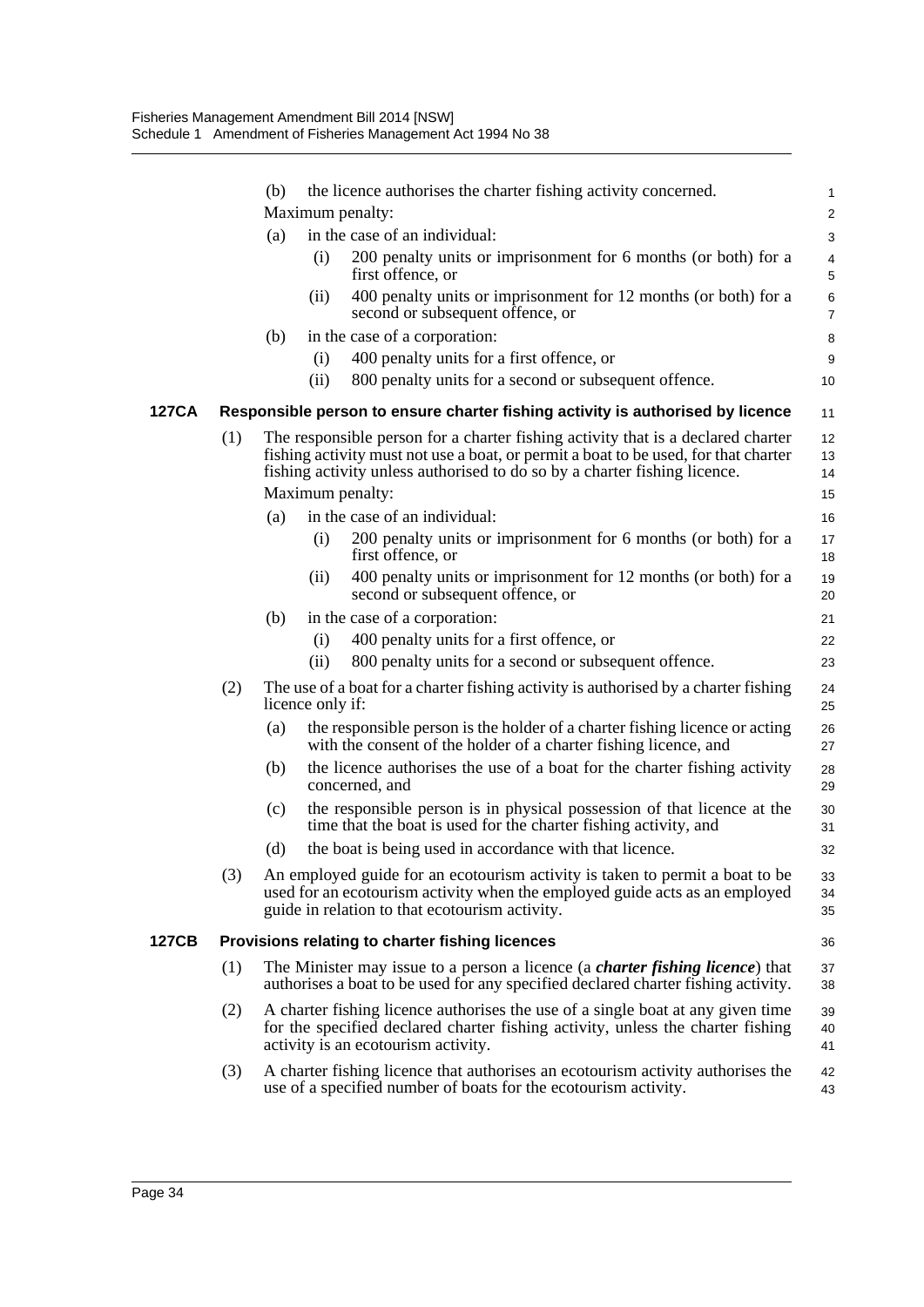|       |     | (b) |                  | the licence authorises the charter fishing activity concerned.                                                                                                                                                                                                           | 1                    |
|-------|-----|-----|------------------|--------------------------------------------------------------------------------------------------------------------------------------------------------------------------------------------------------------------------------------------------------------------------|----------------------|
|       |     |     |                  | Maximum penalty:                                                                                                                                                                                                                                                         | $\overline{2}$       |
|       |     | (a) |                  | in the case of an individual:                                                                                                                                                                                                                                            | 3                    |
|       |     |     | (i)              | 200 penalty units or imprisonment for 6 months (or both) for a<br>first offence, or                                                                                                                                                                                      | 4<br>5               |
|       |     |     | (ii)             | 400 penalty units or imprisonment for 12 months (or both) for a<br>second or subsequent offence, or                                                                                                                                                                      | 6<br>7               |
|       |     | (b) |                  | in the case of a corporation:                                                                                                                                                                                                                                            | 8                    |
|       |     |     | (i)              | 400 penalty units for a first offence, or                                                                                                                                                                                                                                | 9                    |
|       |     |     | (ii)             | 800 penalty units for a second or subsequent offence.                                                                                                                                                                                                                    | 10                   |
| 127CA |     |     |                  | Responsible person to ensure charter fishing activity is authorised by licence                                                                                                                                                                                           | 11                   |
|       | (1) |     |                  | The responsible person for a charter fishing activity that is a declared charter<br>fishing activity must not use a boat, or permit a boat to be used, for that charter<br>fishing activity unless authorised to do so by a charter fishing licence.<br>Maximum penalty: | 12<br>13<br>14<br>15 |
|       |     | (a) |                  | in the case of an individual:                                                                                                                                                                                                                                            | 16                   |
|       |     |     | (i)              | 200 penalty units or imprisonment for 6 months (or both) for a<br>first offence, or                                                                                                                                                                                      | 17<br>18             |
|       |     |     | (ii)             | 400 penalty units or imprisonment for 12 months (or both) for a<br>second or subsequent offence, or                                                                                                                                                                      | 19<br>20             |
|       |     | (b) |                  | in the case of a corporation:                                                                                                                                                                                                                                            | 21                   |
|       |     |     | (i)              | 400 penalty units for a first offence, or                                                                                                                                                                                                                                | 22                   |
|       |     |     | (ii)             | 800 penalty units for a second or subsequent offence.                                                                                                                                                                                                                    | 23                   |
|       | (2) |     | licence only if: | The use of a boat for a charter fishing activity is authorised by a charter fishing                                                                                                                                                                                      | 24<br>25             |
|       |     | (a) |                  | the responsible person is the holder of a charter fishing licence or acting<br>with the consent of the holder of a charter fishing licence, and                                                                                                                          | 26<br>27             |
|       |     | (b) |                  | the licence authorises the use of a boat for the charter fishing activity<br>concerned, and                                                                                                                                                                              | 28<br>29             |
|       |     | (c) |                  | the responsible person is in physical possession of that licence at the<br>time that the boat is used for the charter fishing activity, and                                                                                                                              | 30<br>31             |
|       |     | (d) |                  | the boat is being used in accordance with that licence.                                                                                                                                                                                                                  | 32                   |
|       | (3) |     |                  | An employed guide for an ecotourism activity is taken to permit a boat to be<br>used for an ecotourism activity when the employed guide acts as an employed<br>guide in relation to that ecotourism activity.                                                            | 33<br>34<br>35       |
| 127CB |     |     |                  | Provisions relating to charter fishing licences                                                                                                                                                                                                                          | 36                   |
|       | (1) |     |                  | The Minister may issue to a person a licence (a <i>charter fishing licence</i> ) that<br>authorises a boat to be used for any specified declared charter fishing activity.                                                                                               | 37<br>38             |
|       | (2) |     |                  | A charter fishing licence authorises the use of a single boat at any given time<br>for the specified declared charter fishing activity, unless the charter fishing<br>activity is an ecotourism activity.                                                                | 39<br>40<br>41       |
|       | (3) |     |                  | A charter fishing licence that authorises an ecotourism activity authorises the<br>use of a specified number of boats for the ecotourism activity.                                                                                                                       | 42<br>43             |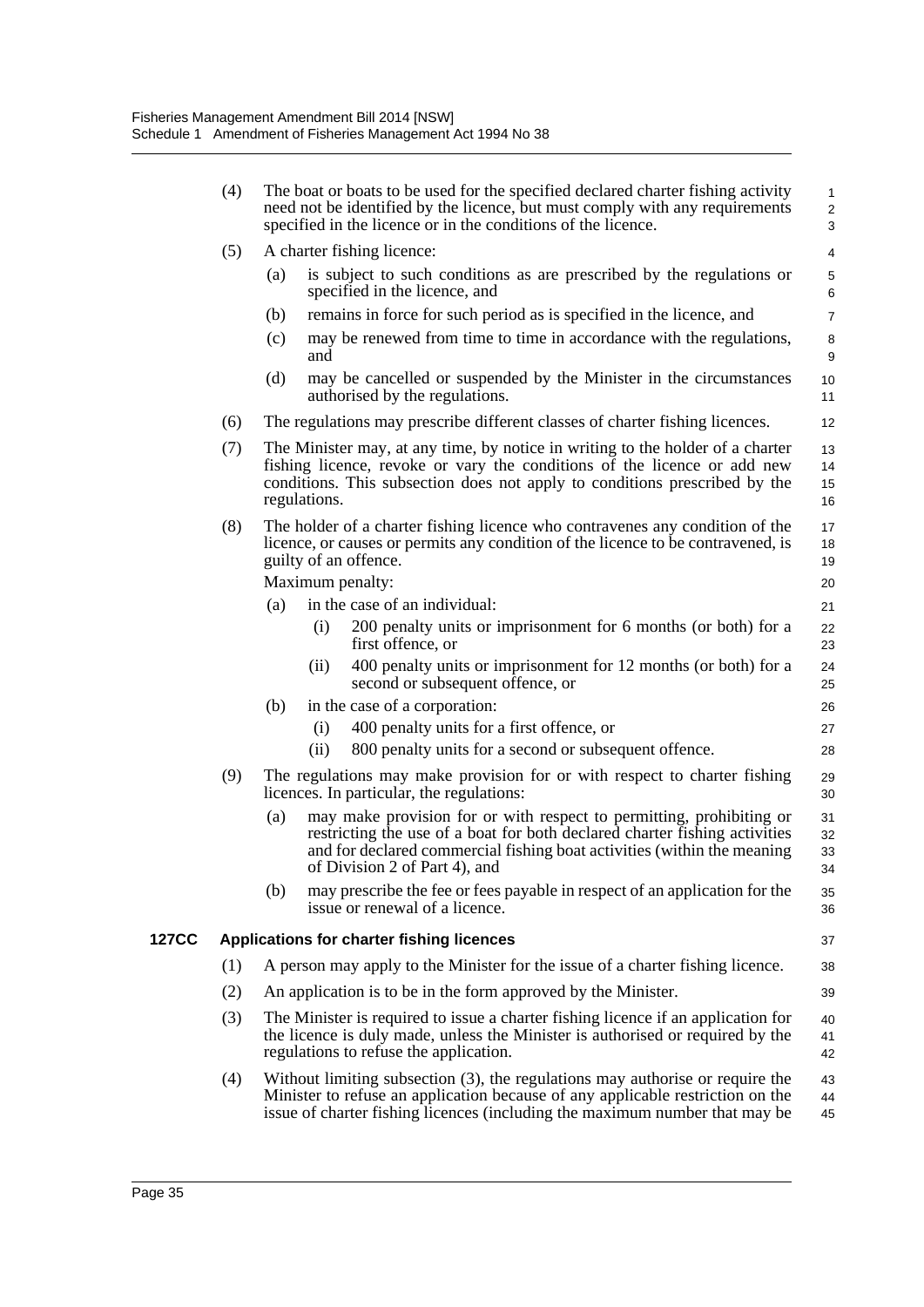|       | (4) | The boat or boats to be used for the specified declared charter fishing activity<br>need not be identified by the licence, but must comply with any requirements<br>specified in the licence or in the conditions of the licence.                                     | 1<br>$\overline{\mathbf{c}}$<br>3 |
|-------|-----|-----------------------------------------------------------------------------------------------------------------------------------------------------------------------------------------------------------------------------------------------------------------------|-----------------------------------|
|       | (5) | A charter fishing licence:                                                                                                                                                                                                                                            | 4                                 |
|       |     | is subject to such conditions as are prescribed by the regulations or<br>(a)<br>specified in the licence, and                                                                                                                                                         | 5<br>6                            |
|       |     | remains in force for such period as is specified in the licence, and<br>(b)                                                                                                                                                                                           | $\overline{7}$                    |
|       |     | may be renewed from time to time in accordance with the regulations,<br>(c)<br>and                                                                                                                                                                                    | 8<br>9                            |
|       |     | (d)<br>may be cancelled or suspended by the Minister in the circumstances<br>authorised by the regulations.                                                                                                                                                           | 10<br>11                          |
|       | (6) | The regulations may prescribe different classes of charter fishing licences.                                                                                                                                                                                          | 12                                |
|       | (7) | The Minister may, at any time, by notice in writing to the holder of a charter<br>fishing licence, revoke or vary the conditions of the licence or add new<br>conditions. This subsection does not apply to conditions prescribed by the<br>regulations.              | 13<br>14<br>15<br>16              |
|       | (8) | The holder of a charter fishing licence who contravenes any condition of the<br>licence, or causes or permits any condition of the licence to be contravened, is<br>guilty of an offence.<br>Maximum penalty:                                                         | 17<br>18<br>19<br>20              |
|       |     | in the case of an individual:<br>(a)                                                                                                                                                                                                                                  | 21                                |
|       |     | (i)<br>200 penalty units or imprisonment for 6 months (or both) for a<br>first offence, or                                                                                                                                                                            | 22<br>23                          |
|       |     | 400 penalty units or imprisonment for 12 months (or both) for a<br>(ii)<br>second or subsequent offence, or                                                                                                                                                           | 24<br>25                          |
|       |     | in the case of a corporation:<br>(b)                                                                                                                                                                                                                                  | 26                                |
|       |     | 400 penalty units for a first offence, or<br>(i)                                                                                                                                                                                                                      | 27                                |
|       |     | 800 penalty units for a second or subsequent offence.<br>(ii)                                                                                                                                                                                                         | 28                                |
|       | (9) | The regulations may make provision for or with respect to charter fishing<br>licences. In particular, the regulations:                                                                                                                                                | 29<br>30                          |
|       |     | may make provision for or with respect to permitting, prohibiting or<br>(a)<br>restricting the use of a boat for both declared charter fishing activities<br>and for declared commercial fishing boat activities (within the meaning<br>of Division 2 of Part 4), and | 31<br>32<br>33<br>34              |
|       |     | (b)<br>may prescribe the fee or fees payable in respect of an application for the<br>issue or renewal of a licence.                                                                                                                                                   | 35<br>36                          |
| 127CC |     | Applications for charter fishing licences                                                                                                                                                                                                                             | 37                                |
|       | (1) | A person may apply to the Minister for the issue of a charter fishing licence.                                                                                                                                                                                        | 38                                |
|       | (2) | An application is to be in the form approved by the Minister.                                                                                                                                                                                                         | 39                                |
|       | (3) | The Minister is required to issue a charter fishing licence if an application for<br>the licence is duly made, unless the Minister is authorised or required by the<br>regulations to refuse the application.                                                         | 40<br>41<br>42                    |
|       | (4) | Without limiting subsection $(3)$ , the regulations may authorise or require the<br>Minister to refuse an application because of any applicable restriction on the<br>issue of charter fishing licences (including the maximum number that may be                     | 43<br>44<br>45                    |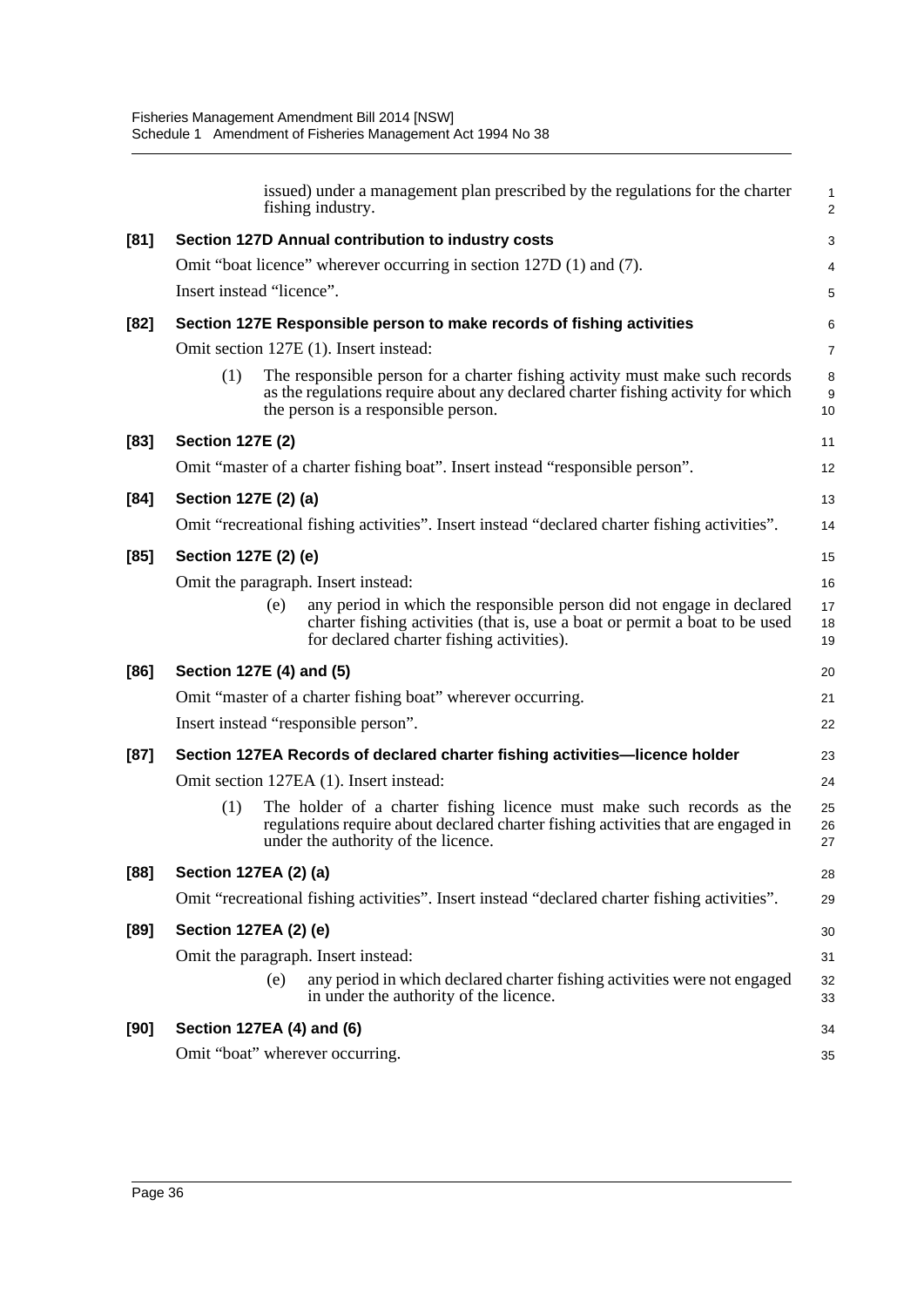| issued) under a management plan prescribed by the regulations for the charter<br>fishing industry.                                                                                                             | 1<br>$\overline{a}$ |
|----------------------------------------------------------------------------------------------------------------------------------------------------------------------------------------------------------------|---------------------|
| Section 127D Annual contribution to industry costs                                                                                                                                                             | 3                   |
| Omit "boat licence" wherever occurring in section 127D (1) and (7).                                                                                                                                            | 4                   |
| Insert instead "licence".                                                                                                                                                                                      | 5                   |
| Section 127E Responsible person to make records of fishing activities                                                                                                                                          | 6                   |
| Omit section 127E (1). Insert instead:                                                                                                                                                                         | 7                   |
| The responsible person for a charter fishing activity must make such records<br>(1)<br>as the regulations require about any declared charter fishing activity for which<br>the person is a responsible person. | 8<br>9<br>10        |
| <b>Section 127E (2)</b>                                                                                                                                                                                        | 11                  |
| Omit "master of a charter fishing boat". Insert instead "responsible person".                                                                                                                                  | 12                  |
| Section 127E (2) (a)                                                                                                                                                                                           | 13                  |
| Omit "recreational fishing activities". Insert instead "declared charter fishing activities".                                                                                                                  | 14                  |
| Section 127E (2) (e)                                                                                                                                                                                           | 15                  |
| Omit the paragraph. Insert instead:                                                                                                                                                                            | 16                  |
| any period in which the responsible person did not engage in declared<br>(e)<br>charter fishing activities (that is, use a boat or permit a boat to be used<br>for declared charter fishing activities).       | 17<br>18<br>19      |
| Section 127E (4) and (5)                                                                                                                                                                                       | 20                  |
| Omit "master of a charter fishing boat" wherever occurring.                                                                                                                                                    | 21                  |
| Insert instead "responsible person".                                                                                                                                                                           | 22                  |
| Section 127EA Records of declared charter fishing activities-licence holder                                                                                                                                    | 23                  |
| Omit section 127EA (1). Insert instead:                                                                                                                                                                        | 24                  |
| (1)<br>The holder of a charter fishing licence must make such records as the<br>regulations require about declared charter fishing activities that are engaged in<br>under the authority of the licence.       | 25<br>26<br>27      |
| <b>Section 127EA (2) (a)</b>                                                                                                                                                                                   | 28                  |
| Omit "recreational fishing activities". Insert instead "declared charter fishing activities".                                                                                                                  | 29                  |
| Section 127EA (2) (e)                                                                                                                                                                                          | 30                  |
| Omit the paragraph. Insert instead:                                                                                                                                                                            | 31                  |
| any period in which declared charter fishing activities were not engaged<br>(e)<br>in under the authority of the licence.                                                                                      | 32<br>33            |
| Section 127EA (4) and (6)                                                                                                                                                                                      | 34                  |
| Omit "boat" wherever occurring.                                                                                                                                                                                | 35                  |
|                                                                                                                                                                                                                |                     |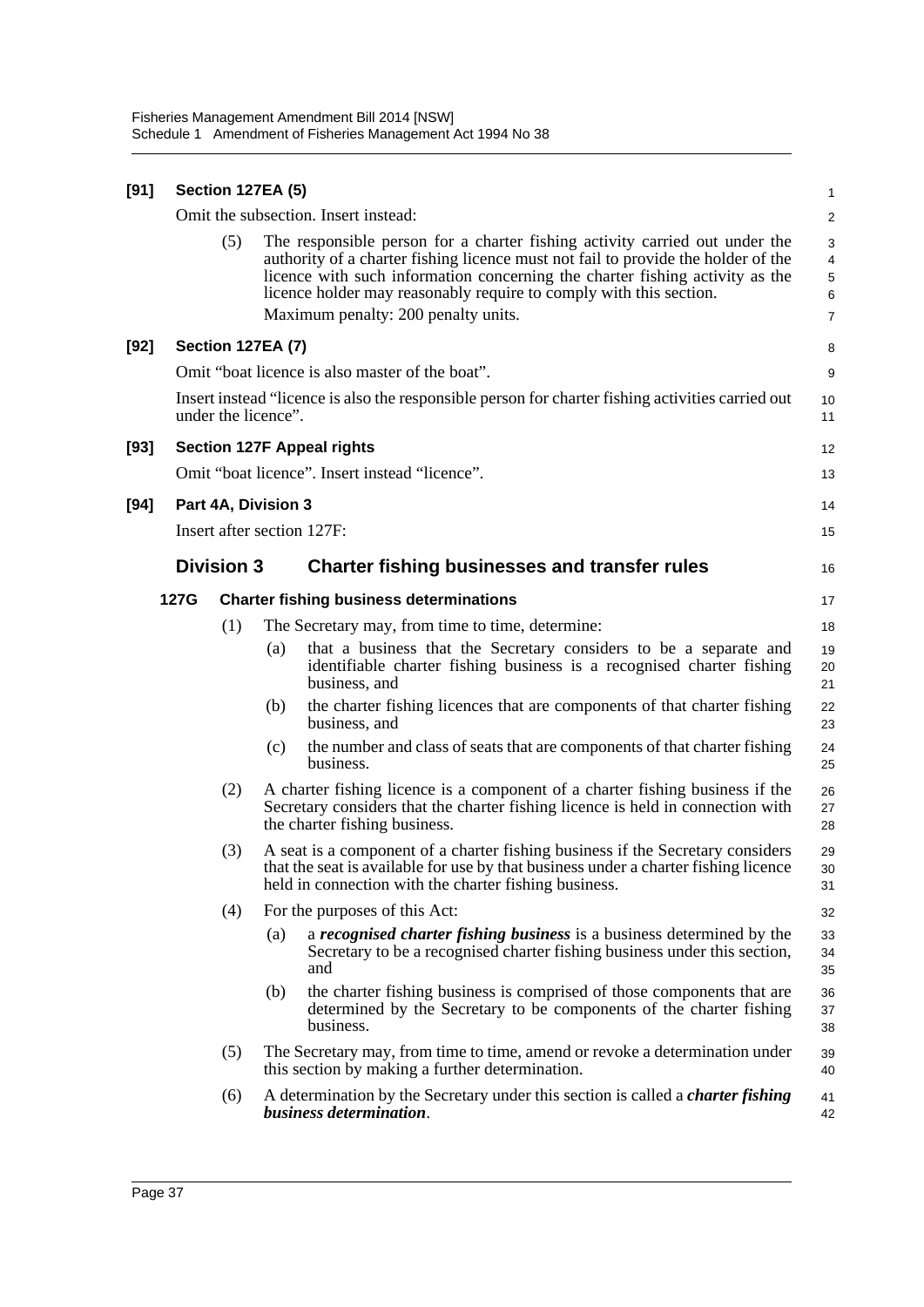| [91] |      | <b>Section 127EA (5)</b> |     |                                                                                                                                                                                                                                                                                                                        | $\mathbf{1}$               |
|------|------|--------------------------|-----|------------------------------------------------------------------------------------------------------------------------------------------------------------------------------------------------------------------------------------------------------------------------------------------------------------------------|----------------------------|
|      |      |                          |     | Omit the subsection. Insert instead:                                                                                                                                                                                                                                                                                   | $\overline{c}$             |
|      |      | (5)                      |     | The responsible person for a charter fishing activity carried out under the<br>authority of a charter fishing licence must not fail to provide the holder of the<br>licence with such information concerning the charter fishing activity as the<br>licence holder may reasonably require to comply with this section. | 3<br>4<br>$\mathbf 5$<br>6 |
|      |      |                          |     | Maximum penalty: 200 penalty units.                                                                                                                                                                                                                                                                                    | $\overline{7}$             |
| [92] |      | <b>Section 127EA (7)</b> |     |                                                                                                                                                                                                                                                                                                                        | 8                          |
|      |      |                          |     | Omit "boat licence is also master of the boat".                                                                                                                                                                                                                                                                        | 9                          |
|      |      | under the licence".      |     | Insert instead "licence is also the responsible person for charter fishing activities carried out                                                                                                                                                                                                                      | 10<br>11                   |
| [93] |      |                          |     | <b>Section 127F Appeal rights</b>                                                                                                                                                                                                                                                                                      | 12                         |
|      |      |                          |     | Omit "boat licence". Insert instead "licence".                                                                                                                                                                                                                                                                         | 13                         |
| [94] |      | Part 4A, Division 3      |     |                                                                                                                                                                                                                                                                                                                        | 14                         |
|      |      |                          |     | Insert after section 127F:                                                                                                                                                                                                                                                                                             | 15                         |
|      |      | <b>Division 3</b>        |     | <b>Charter fishing businesses and transfer rules</b>                                                                                                                                                                                                                                                                   | 16                         |
|      | 127G |                          |     | <b>Charter fishing business determinations</b>                                                                                                                                                                                                                                                                         | 17                         |
|      |      | (1)                      |     | The Secretary may, from time to time, determine:                                                                                                                                                                                                                                                                       | 18                         |
|      |      |                          | (a) | that a business that the Secretary considers to be a separate and<br>identifiable charter fishing business is a recognised charter fishing<br>business, and                                                                                                                                                            | 19<br>20<br>21             |
|      |      |                          | (b) | the charter fishing licences that are components of that charter fishing<br>business, and                                                                                                                                                                                                                              | 22<br>23                   |
|      |      |                          | (c) | the number and class of seats that are components of that charter fishing<br>business.                                                                                                                                                                                                                                 | 24<br>25                   |
|      |      | (2)                      |     | A charter fishing licence is a component of a charter fishing business if the<br>Secretary considers that the charter fishing licence is held in connection with<br>the charter fishing business.                                                                                                                      | 26<br>27<br>28             |
|      |      | (3)                      |     | A seat is a component of a charter fishing business if the Secretary considers<br>that the seat is available for use by that business under a charter fishing licence<br>held in connection with the charter fishing business.                                                                                         | 29<br>30<br>31             |
|      |      | (4)                      |     | For the purposes of this Act:                                                                                                                                                                                                                                                                                          | 32                         |
|      |      |                          | (a) | a <i>recognised charter fishing business</i> is a business determined by the<br>Secretary to be a recognised charter fishing business under this section,<br>and                                                                                                                                                       | 33<br>34<br>35             |
|      |      |                          | (b) | the charter fishing business is comprised of those components that are<br>determined by the Secretary to be components of the charter fishing<br>business.                                                                                                                                                             | 36<br>37<br>38             |
|      |      | (5)                      |     | The Secretary may, from time to time, amend or revoke a determination under<br>this section by making a further determination.                                                                                                                                                                                         | 39<br>40                   |
|      |      | (6)                      |     | A determination by the Secretary under this section is called a <i>charter fishing</i><br>business determination.                                                                                                                                                                                                      | 41<br>42                   |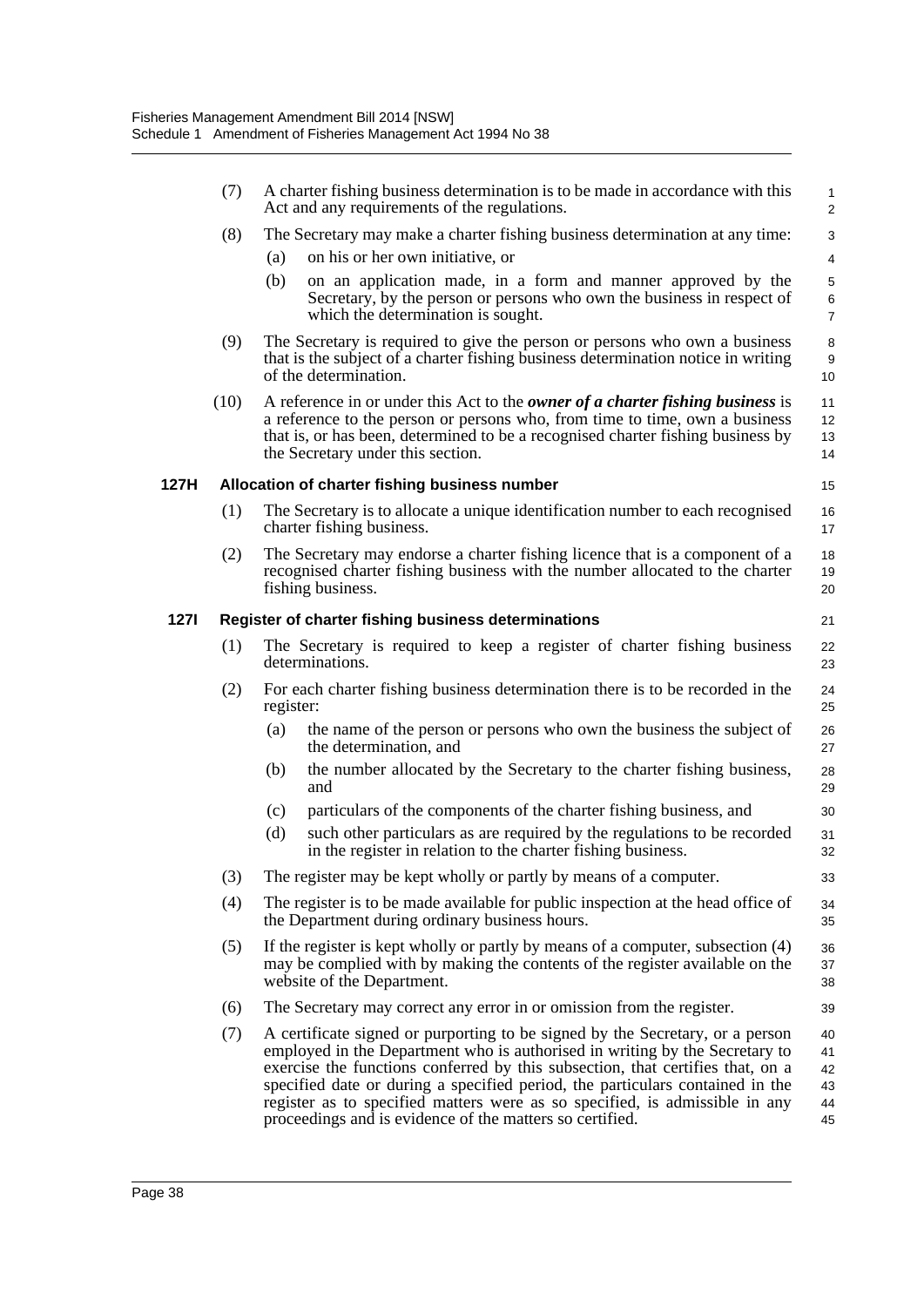|             | (7)  | A charter fishing business determination is to be made in accordance with this<br>Act and any requirements of the regulations.                                                                                                                                                                                                                                                                                                                                             | $\mathbf{1}$<br>$\overline{2}$   |
|-------------|------|----------------------------------------------------------------------------------------------------------------------------------------------------------------------------------------------------------------------------------------------------------------------------------------------------------------------------------------------------------------------------------------------------------------------------------------------------------------------------|----------------------------------|
|             | (8)  | The Secretary may make a charter fishing business determination at any time:                                                                                                                                                                                                                                                                                                                                                                                               | 3                                |
|             |      | on his or her own initiative, or<br>(a)                                                                                                                                                                                                                                                                                                                                                                                                                                    | 4                                |
|             |      | on an application made, in a form and manner approved by the<br>(b)<br>Secretary, by the person or persons who own the business in respect of<br>which the determination is sought.                                                                                                                                                                                                                                                                                        | 5<br>6<br>$\overline{7}$         |
|             | (9)  | The Secretary is required to give the person or persons who own a business<br>that is the subject of a charter fishing business determination notice in writing<br>of the determination.                                                                                                                                                                                                                                                                                   | 8<br>9<br>10                     |
|             | (10) | A reference in or under this Act to the <i>owner of a charter fishing business</i> is<br>a reference to the person or persons who, from time to time, own a business<br>that is, or has been, determined to be a recognised charter fishing business by<br>the Secretary under this section.                                                                                                                                                                               | 11<br>12<br>13<br>14             |
| 127H        |      | Allocation of charter fishing business number                                                                                                                                                                                                                                                                                                                                                                                                                              | 15                               |
|             | (1)  | The Secretary is to allocate a unique identification number to each recognised<br>charter fishing business.                                                                                                                                                                                                                                                                                                                                                                | 16<br>17                         |
|             | (2)  | The Secretary may endorse a charter fishing licence that is a component of a<br>recognised charter fishing business with the number allocated to the charter<br>fishing business.                                                                                                                                                                                                                                                                                          | 18<br>19<br>20                   |
| <b>1271</b> |      | Register of charter fishing business determinations                                                                                                                                                                                                                                                                                                                                                                                                                        | 21                               |
|             | (1)  | The Secretary is required to keep a register of charter fishing business<br>determinations.                                                                                                                                                                                                                                                                                                                                                                                | 22<br>23                         |
|             | (2)  | For each charter fishing business determination there is to be recorded in the<br>register:                                                                                                                                                                                                                                                                                                                                                                                | 24<br>25                         |
|             |      | the name of the person or persons who own the business the subject of<br>(a)<br>the determination, and                                                                                                                                                                                                                                                                                                                                                                     | 26<br>27                         |
|             |      | the number allocated by the Secretary to the charter fishing business,<br>(b)<br>and                                                                                                                                                                                                                                                                                                                                                                                       | 28<br>29                         |
|             |      | particulars of the components of the charter fishing business, and<br>(c)                                                                                                                                                                                                                                                                                                                                                                                                  | 30                               |
|             |      | (d)<br>such other particulars as are required by the regulations to be recorded<br>in the register in relation to the charter fishing business.                                                                                                                                                                                                                                                                                                                            | 31<br>32                         |
|             | (3)  | The register may be kept wholly or partly by means of a computer.                                                                                                                                                                                                                                                                                                                                                                                                          | 33                               |
|             | (4)  | The register is to be made available for public inspection at the head office of<br>the Department during ordinary business hours.                                                                                                                                                                                                                                                                                                                                         | 34<br>35                         |
|             | (5)  | If the register is kept wholly or partly by means of a computer, subsection (4)<br>may be complied with by making the contents of the register available on the<br>website of the Department.                                                                                                                                                                                                                                                                              | 36<br>37<br>38                   |
|             | (6)  | The Secretary may correct any error in or omission from the register.                                                                                                                                                                                                                                                                                                                                                                                                      | 39                               |
|             | (7)  | A certificate signed or purporting to be signed by the Secretary, or a person<br>employed in the Department who is authorised in writing by the Secretary to<br>exercise the functions conferred by this subsection, that certifies that, on a<br>specified date or during a specified period, the particulars contained in the<br>register as to specified matters were as so specified, is admissible in any<br>proceedings and is evidence of the matters so certified. | 40<br>41<br>42<br>43<br>44<br>45 |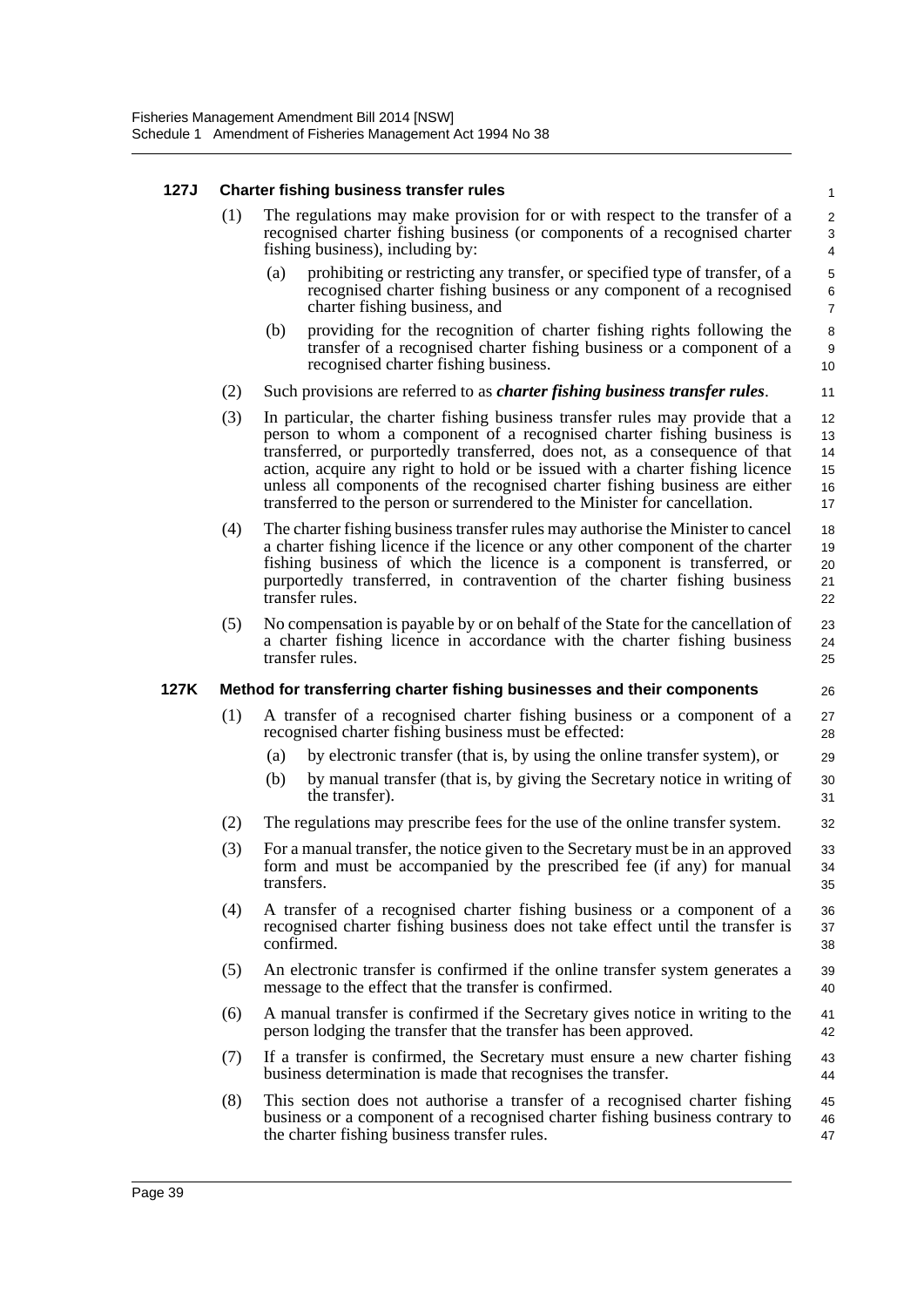#### **127J Charter fishing business transfer rules**

| (1) | The regulations may make provision for or with respect to the transfer of a |
|-----|-----------------------------------------------------------------------------|
|     | recognised charter fishing business (or components of a recognised charter  |
|     | fishing business), including by:                                            |

(a) prohibiting or restricting any transfer, or specified type of transfer, of a recognised charter fishing business or any component of a recognised charter fishing business, and

26

- (b) providing for the recognition of charter fishing rights following the transfer of a recognised charter fishing business or a component of a recognised charter fishing business.
- (2) Such provisions are referred to as *charter fishing business transfer rules*.
- (3) In particular, the charter fishing business transfer rules may provide that a person to whom a component of a recognised charter fishing business is transferred, or purportedly transferred, does not, as a consequence of that action, acquire any right to hold or be issued with a charter fishing licence unless all components of the recognised charter fishing business are either transferred to the person or surrendered to the Minister for cancellation. 12 13 14 15 16 17
- (4) The charter fishing business transfer rules may authorise the Minister to cancel a charter fishing licence if the licence or any other component of the charter fishing business of which the licence is a component is transferred, or purportedly transferred, in contravention of the charter fishing business transfer rules. 18 19 20 21 22
- (5) No compensation is payable by or on behalf of the State for the cancellation of a charter fishing licence in accordance with the charter fishing business transfer rules. 23  $24$ 25

#### **127K Method for transferring charter fishing businesses and their components**

- (1) A transfer of a recognised charter fishing business or a component of a recognised charter fishing business must be effected: 27 28
	- (a) by electronic transfer (that is, by using the online transfer system), or 29
	- (b) by manual transfer (that is, by giving the Secretary notice in writing of the transfer).
- (2) The regulations may prescribe fees for the use of the online transfer system.
- (3) For a manual transfer, the notice given to the Secretary must be in an approved form and must be accompanied by the prescribed fee (if any) for manual transfers.
- (4) A transfer of a recognised charter fishing business or a component of a recognised charter fishing business does not take effect until the transfer is confirmed. 36 37 38
- (5) An electronic transfer is confirmed if the online transfer system generates a message to the effect that the transfer is confirmed. 39 40
- (6) A manual transfer is confirmed if the Secretary gives notice in writing to the person lodging the transfer that the transfer has been approved. 41 42
- (7) If a transfer is confirmed, the Secretary must ensure a new charter fishing business determination is made that recognises the transfer. 43 44
- (8) This section does not authorise a transfer of a recognised charter fishing business or a component of a recognised charter fishing business contrary to the charter fishing business transfer rules. 45 46 47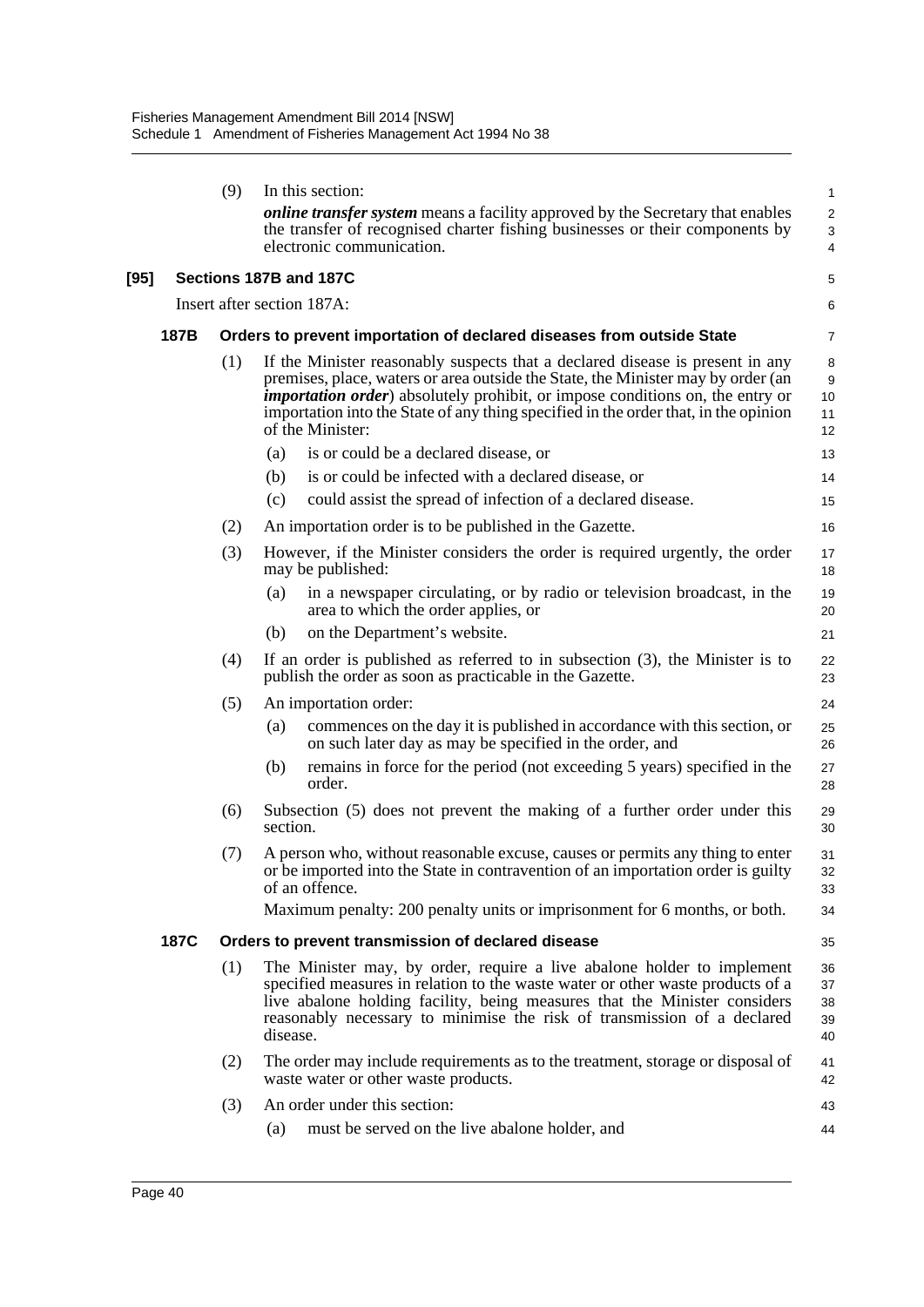|      |      | (9)                                                                   | In this section:                                                                                                                                                                                                                                                                                                                                                      | $\mathbf{1}$               |  |  |  |
|------|------|-----------------------------------------------------------------------|-----------------------------------------------------------------------------------------------------------------------------------------------------------------------------------------------------------------------------------------------------------------------------------------------------------------------------------------------------------------------|----------------------------|--|--|--|
|      |      |                                                                       | online transfer system means a facility approved by the Secretary that enables<br>the transfer of recognised charter fishing businesses or their components by<br>electronic communication.                                                                                                                                                                           | $\overline{2}$<br>3<br>4   |  |  |  |
| [95] |      |                                                                       | Sections 187B and 187C                                                                                                                                                                                                                                                                                                                                                | 5                          |  |  |  |
|      |      |                                                                       | Insert after section 187A:                                                                                                                                                                                                                                                                                                                                            | 6                          |  |  |  |
|      | 187B | Orders to prevent importation of declared diseases from outside State |                                                                                                                                                                                                                                                                                                                                                                       |                            |  |  |  |
|      |      | (1)                                                                   | If the Minister reasonably suspects that a declared disease is present in any<br>premises, place, waters or area outside the State, the Minister may by order (an<br><i>importation order</i> ) absolutely prohibit, or impose conditions on, the entry or<br>importation into the State of any thing specified in the order that, in the opinion<br>of the Minister: | 8<br>9<br>10<br>11<br>12   |  |  |  |
|      |      |                                                                       | is or could be a declared disease, or<br>(a)                                                                                                                                                                                                                                                                                                                          | 13                         |  |  |  |
|      |      |                                                                       | is or could be infected with a declared disease, or<br>(b)                                                                                                                                                                                                                                                                                                            | 14                         |  |  |  |
|      |      |                                                                       | could assist the spread of infection of a declared disease.<br>(c)                                                                                                                                                                                                                                                                                                    | 15                         |  |  |  |
|      |      | (2)                                                                   | An importation order is to be published in the Gazette.                                                                                                                                                                                                                                                                                                               | 16                         |  |  |  |
|      |      | (3)                                                                   | However, if the Minister considers the order is required urgently, the order<br>may be published:                                                                                                                                                                                                                                                                     | 17<br>18                   |  |  |  |
|      |      |                                                                       | in a newspaper circulating, or by radio or television broadcast, in the<br>(a)<br>area to which the order applies, or                                                                                                                                                                                                                                                 | 19<br>20                   |  |  |  |
|      |      |                                                                       | on the Department's website.<br>(b)                                                                                                                                                                                                                                                                                                                                   | 21                         |  |  |  |
|      |      | (4)                                                                   | If an order is published as referred to in subsection $(3)$ , the Minister is to<br>publish the order as soon as practicable in the Gazette.                                                                                                                                                                                                                          | 22<br>23                   |  |  |  |
|      |      | (5)                                                                   | An importation order:                                                                                                                                                                                                                                                                                                                                                 | 24                         |  |  |  |
|      |      |                                                                       | commences on the day it is published in accordance with this section, or<br>(a)<br>on such later day as may be specified in the order, and                                                                                                                                                                                                                            | 25<br>26                   |  |  |  |
|      |      |                                                                       | remains in force for the period (not exceeding 5 years) specified in the<br>(b)<br>order.                                                                                                                                                                                                                                                                             | 27<br>28                   |  |  |  |
|      |      | (6)                                                                   | Subsection (5) does not prevent the making of a further order under this<br>section.                                                                                                                                                                                                                                                                                  | 29<br>30                   |  |  |  |
|      |      | (7)                                                                   | A person who, without reasonable excuse, causes or permits any thing to enter<br>or be imported into the State in contravention of an importation order is guilty<br>of an offence.                                                                                                                                                                                   | 31<br>32<br>33             |  |  |  |
|      |      |                                                                       | Maximum penalty: 200 penalty units or imprisonment for 6 months, or both.                                                                                                                                                                                                                                                                                             | 34                         |  |  |  |
|      | 187C |                                                                       | Orders to prevent transmission of declared disease                                                                                                                                                                                                                                                                                                                    | 35                         |  |  |  |
|      |      | (1)                                                                   | The Minister may, by order, require a live abalone holder to implement<br>specified measures in relation to the waste water or other waste products of a<br>live abalone holding facility, being measures that the Minister considers<br>reasonably necessary to minimise the risk of transmission of a declared<br>disease.                                          | 36<br>37<br>38<br>39<br>40 |  |  |  |
|      |      | (2)                                                                   | The order may include requirements as to the treatment, storage or disposal of<br>waste water or other waste products.                                                                                                                                                                                                                                                | 41<br>42                   |  |  |  |
|      |      | (3)                                                                   | An order under this section:                                                                                                                                                                                                                                                                                                                                          | 43                         |  |  |  |
|      |      |                                                                       | must be served on the live abalone holder, and<br>(a)                                                                                                                                                                                                                                                                                                                 | 44                         |  |  |  |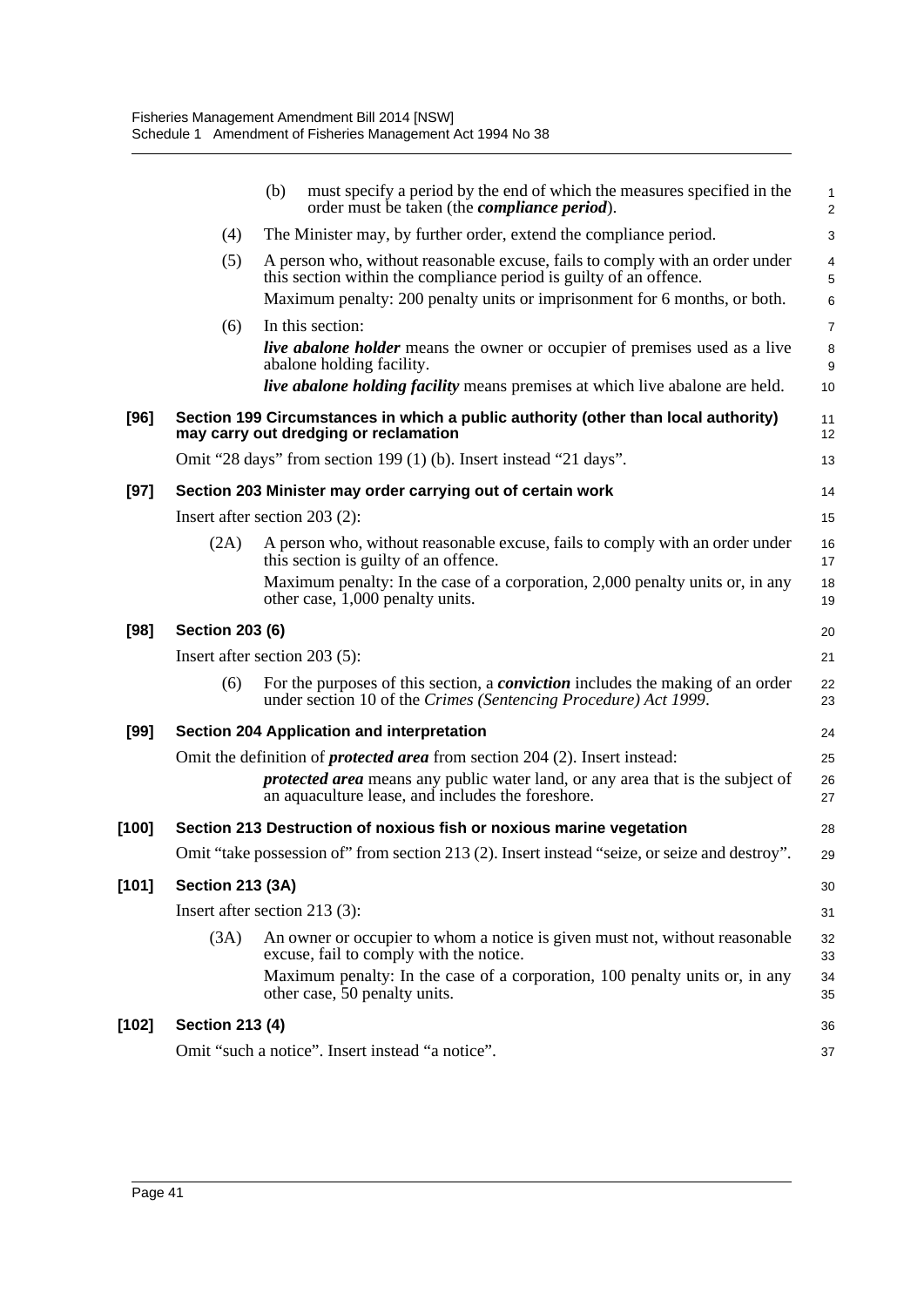|         |                         | must specify a period by the end of which the measures specified in the<br>(b)<br>order must be taken (the <i>compliance period</i> ).                                      | $\mathbf{1}$<br>$\overline{c}$ |
|---------|-------------------------|-----------------------------------------------------------------------------------------------------------------------------------------------------------------------------|--------------------------------|
|         | (4)                     | The Minister may, by further order, extend the compliance period.                                                                                                           | $\mathsf 3$                    |
|         | (5)                     | A person who, without reasonable excuse, fails to comply with an order under<br>this section within the compliance period is guilty of an offence.                          | $\overline{4}$<br>5            |
|         |                         | Maximum penalty: 200 penalty units or imprisonment for 6 months, or both.                                                                                                   | 6                              |
|         | (6)                     | In this section:                                                                                                                                                            | $\overline{7}$                 |
|         |                         | <i>live abalone holder</i> means the owner or occupier of premises used as a live<br>abalone holding facility.                                                              | 8<br>9                         |
|         |                         | <i>live abalone holding facility</i> means premises at which live abalone are held.                                                                                         | 10                             |
| $[96]$  |                         | Section 199 Circumstances in which a public authority (other than local authority)<br>may carry out dredging or reclamation                                                 | 11<br>12                       |
|         |                         | Omit "28 days" from section 199 (1) (b). Insert instead "21 days".                                                                                                          | 13                             |
| $[97]$  |                         | Section 203 Minister may order carrying out of certain work                                                                                                                 | 14                             |
|         |                         | Insert after section 203 (2):                                                                                                                                               | 15                             |
|         | (2A)                    | A person who, without reasonable excuse, fails to comply with an order under<br>this section is guilty of an offence.                                                       | 16<br>17                       |
|         |                         | Maximum penalty: In the case of a corporation, 2,000 penalty units or, in any<br>other case, 1,000 penalty units.                                                           | 18<br>19                       |
| $[98]$  | <b>Section 203 (6)</b>  |                                                                                                                                                                             | 20                             |
|         |                         | Insert after section 203 (5):                                                                                                                                               | 21                             |
|         | (6)                     | For the purposes of this section, a <i>conviction</i> includes the making of an order<br>under section 10 of the Crimes (Sentencing Procedure) Act 1999.                    | 22<br>23                       |
| [99]    |                         | Section 204 Application and interpretation                                                                                                                                  | 24                             |
|         |                         | Omit the definition of <i>protected area</i> from section 204 (2). Insert instead:<br><i>protected area</i> means any public water land, or any area that is the subject of | 25<br>26                       |
|         |                         | an aquaculture lease, and includes the foreshore.                                                                                                                           | 27                             |
| [100]   |                         | Section 213 Destruction of noxious fish or noxious marine vegetation                                                                                                        | 28                             |
|         |                         | Omit "take possession of" from section 213 (2). Insert instead "seize, or seize and destroy".                                                                               | 29                             |
| [101]   | <b>Section 213 (3A)</b> |                                                                                                                                                                             | 30                             |
|         |                         | Insert after section 213 (3):                                                                                                                                               | 31                             |
|         | (3A)                    | An owner or occupier to whom a notice is given must not, without reasonable<br>excuse, fail to comply with the notice.                                                      | 32<br>33                       |
|         |                         | Maximum penalty: In the case of a corporation, 100 penalty units or, in any<br>other case, 50 penalty units.                                                                | 34<br>35                       |
| $[102]$ | <b>Section 213 (4)</b>  |                                                                                                                                                                             | 36                             |
|         |                         | Omit "such a notice". Insert instead "a notice".                                                                                                                            | 37                             |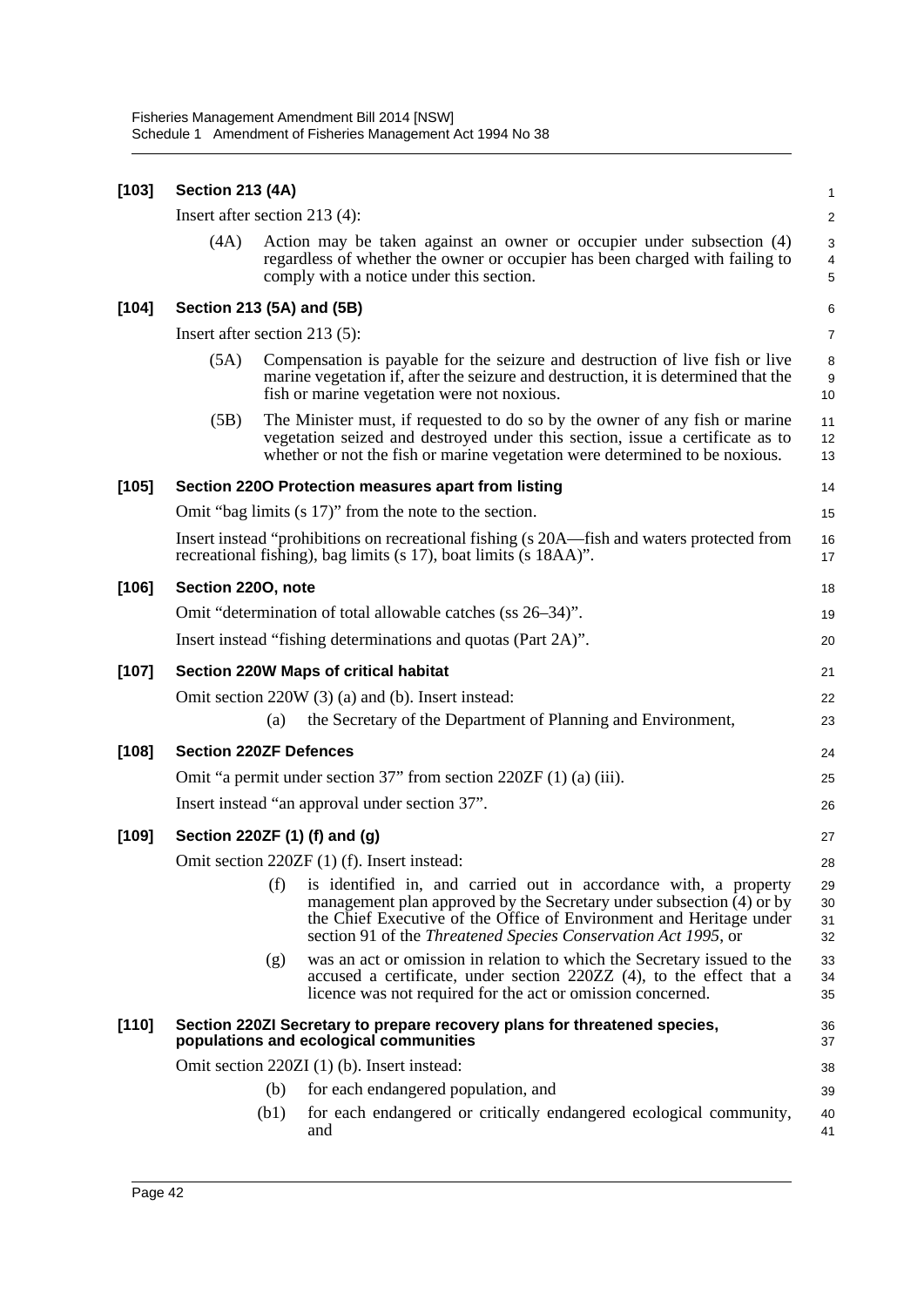| $[103]$ | <b>Section 213 (4A)</b>                                                |      |                                                                                                                                                                                                                                                                                   | 1                       |  |  |
|---------|------------------------------------------------------------------------|------|-----------------------------------------------------------------------------------------------------------------------------------------------------------------------------------------------------------------------------------------------------------------------------------|-------------------------|--|--|
|         | Insert after section 213 (4):                                          |      |                                                                                                                                                                                                                                                                                   | $\overline{\mathbf{c}}$ |  |  |
|         | (4A)                                                                   |      | Action may be taken against an owner or occupier under subsection (4)<br>regardless of whether the owner or occupier has been charged with failing to<br>comply with a notice under this section.                                                                                 | 3<br>4<br>5             |  |  |
| $[104]$ | Section 213 (5A) and (5B)                                              |      |                                                                                                                                                                                                                                                                                   | 6                       |  |  |
|         | Insert after section 213 (5):                                          |      |                                                                                                                                                                                                                                                                                   | 7                       |  |  |
|         | (5A)                                                                   |      | Compensation is payable for the seizure and destruction of live fish or live<br>marine vegetation if, after the seizure and destruction, it is determined that the<br>fish or marine vegetation were not noxious.                                                                 | 8<br>9<br>10            |  |  |
|         | (5B)                                                                   |      | The Minister must, if requested to do so by the owner of any fish or marine<br>vegetation seized and destroyed under this section, issue a certificate as to<br>whether or not the fish or marine vegetation were determined to be noxious.                                       | 11<br>12<br>13          |  |  |
| $[105]$ |                                                                        |      | Section 2200 Protection measures apart from listing                                                                                                                                                                                                                               | 14                      |  |  |
|         |                                                                        |      | Omit "bag limits (s 17)" from the note to the section.                                                                                                                                                                                                                            | 15                      |  |  |
|         |                                                                        |      | Insert instead "prohibitions on recreational fishing (s 20A—fish and waters protected from<br>recreational fishing), bag limits (s 17), boat limits (s 18AA)".                                                                                                                    | 16<br>17                |  |  |
| $[106]$ | Section 2200, note                                                     |      |                                                                                                                                                                                                                                                                                   | 18                      |  |  |
|         | Omit "determination of total allowable catches (ss 26–34)".            |      |                                                                                                                                                                                                                                                                                   |                         |  |  |
|         | Insert instead "fishing determinations and quotas (Part 2A)".          |      |                                                                                                                                                                                                                                                                                   |                         |  |  |
| $[107]$ | Section 220W Maps of critical habitat                                  |      |                                                                                                                                                                                                                                                                                   |                         |  |  |
|         |                                                                        |      | Omit section 220W (3) (a) and (b). Insert instead:                                                                                                                                                                                                                                | 22                      |  |  |
|         |                                                                        | (a)  | the Secretary of the Department of Planning and Environment,                                                                                                                                                                                                                      | 23                      |  |  |
| $[108]$ | <b>Section 220ZF Defences</b>                                          |      |                                                                                                                                                                                                                                                                                   | 24                      |  |  |
|         | Omit "a permit under section $37$ " from section $220ZF(1)$ (a) (iii). |      |                                                                                                                                                                                                                                                                                   |                         |  |  |
|         | Insert instead "an approval under section 37".                         |      |                                                                                                                                                                                                                                                                                   |                         |  |  |
| [109]   |                                                                        |      | Section 220ZF (1) (f) and (g)                                                                                                                                                                                                                                                     | 27                      |  |  |
|         |                                                                        |      | Omit section 220ZF (1) (f). Insert instead:                                                                                                                                                                                                                                       | 28                      |  |  |
|         |                                                                        | (f)  | is identified in, and carried out in accordance with, a property<br>management plan approved by the Secretary under subsection (4) or by<br>the Chief Executive of the Office of Environment and Heritage under<br>section 91 of the Threatened Species Conservation Act 1995, or | 29<br>30<br>31<br>32    |  |  |
|         |                                                                        | (g)  | was an act or omission in relation to which the Secretary issued to the<br>accused a certificate, under section 220ZZ (4), to the effect that a<br>licence was not required for the act or omission concerned.                                                                    | 33<br>34<br>35          |  |  |
| [110]   |                                                                        |      | Section 220ZI Secretary to prepare recovery plans for threatened species,<br>populations and ecological communities                                                                                                                                                               | 36<br>37                |  |  |
|         |                                                                        |      | Omit section 220ZI (1) (b). Insert instead:                                                                                                                                                                                                                                       | 38                      |  |  |
|         |                                                                        | (b)  | for each endangered population, and                                                                                                                                                                                                                                               | 39                      |  |  |
|         |                                                                        | (b1) | for each endangered or critically endangered ecological community,<br>and                                                                                                                                                                                                         | 40<br>41                |  |  |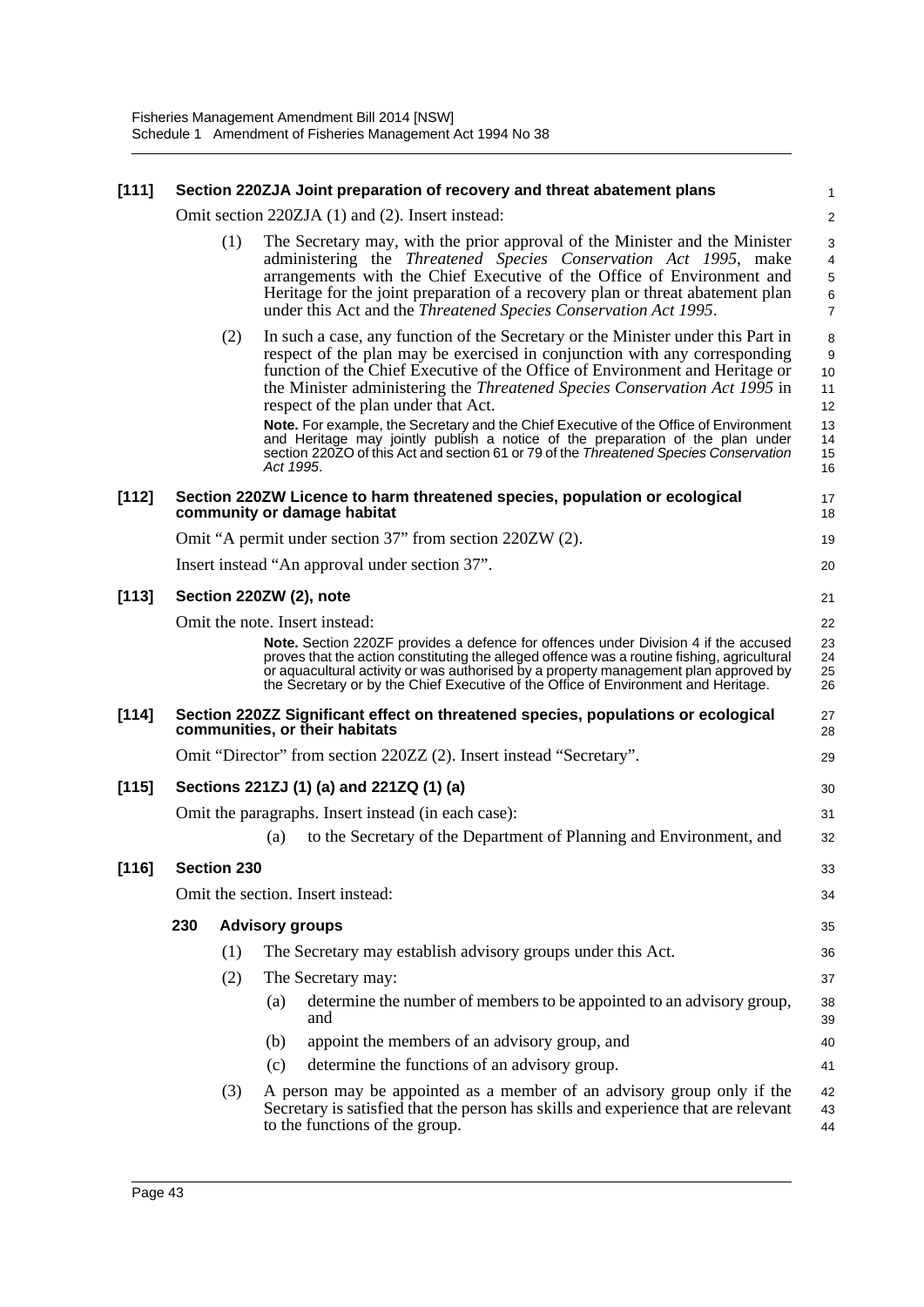| [111]   |     |             | Section 220ZJA Joint preparation of recovery and threat abatement plans                                                                                                                                                                                                                                                                                                                                                                                                                                                                                                                                                                              | 1                                                |
|---------|-----|-------------|------------------------------------------------------------------------------------------------------------------------------------------------------------------------------------------------------------------------------------------------------------------------------------------------------------------------------------------------------------------------------------------------------------------------------------------------------------------------------------------------------------------------------------------------------------------------------------------------------------------------------------------------------|--------------------------------------------------|
|         |     |             | Omit section 220ZJA (1) and (2). Insert instead:                                                                                                                                                                                                                                                                                                                                                                                                                                                                                                                                                                                                     | $\overline{a}$                                   |
|         |     | (1)         | The Secretary may, with the prior approval of the Minister and the Minister<br>administering the Threatened Species Conservation Act 1995, make<br>arrangements with the Chief Executive of the Office of Environment and<br>Heritage for the joint preparation of a recovery plan or threat abatement plan<br>under this Act and the Threatened Species Conservation Act 1995.                                                                                                                                                                                                                                                                      | 3<br>4<br>5<br>6<br>$\overline{7}$               |
|         |     | (2)         | In such a case, any function of the Secretary or the Minister under this Part in<br>respect of the plan may be exercised in conjunction with any corresponding<br>function of the Chief Executive of the Office of Environment and Heritage or<br>the Minister administering the Threatened Species Conservation Act 1995 in<br>respect of the plan under that Act.<br>Note. For example, the Secretary and the Chief Executive of the Office of Environment<br>and Heritage may jointly publish a notice of the preparation of the plan under<br>section 220ZO of this Act and section 61 or 79 of the Threatened Species Conservation<br>Act 1995. | 8<br>9<br>10<br>11<br>12<br>13<br>14<br>15<br>16 |
| $[112]$ |     |             | Section 220ZW Licence to harm threatened species, population or ecological<br>community or damage habitat                                                                                                                                                                                                                                                                                                                                                                                                                                                                                                                                            | 17<br>18                                         |
|         |     |             | Omit "A permit under section 37" from section 220ZW (2).                                                                                                                                                                                                                                                                                                                                                                                                                                                                                                                                                                                             | 19                                               |
|         |     |             | Insert instead "An approval under section 37".                                                                                                                                                                                                                                                                                                                                                                                                                                                                                                                                                                                                       | 20                                               |
| [113]   |     |             | Section 220ZW (2), note                                                                                                                                                                                                                                                                                                                                                                                                                                                                                                                                                                                                                              | 21                                               |
|         |     |             | Omit the note. Insert instead:                                                                                                                                                                                                                                                                                                                                                                                                                                                                                                                                                                                                                       | 22                                               |
|         |     |             | <b>Note.</b> Section 220ZF provides a defence for offences under Division 4 if the accused<br>proves that the action constituting the alleged offence was a routine fishing, agricultural<br>or aquacultural activity or was authorised by a property management plan approved by<br>the Secretary or by the Chief Executive of the Office of Environment and Heritage.                                                                                                                                                                                                                                                                              | 23<br>24<br>25<br>26                             |
| [114]   |     |             | Section 220ZZ Significant effect on threatened species, populations or ecological<br>communities, or their habitats                                                                                                                                                                                                                                                                                                                                                                                                                                                                                                                                  | 27<br>28                                         |
|         |     |             | Omit "Director" from section 220ZZ (2). Insert instead "Secretary".                                                                                                                                                                                                                                                                                                                                                                                                                                                                                                                                                                                  | 29                                               |
| [115]   |     |             | Sections 221ZJ (1) (a) and 221ZQ (1) (a)                                                                                                                                                                                                                                                                                                                                                                                                                                                                                                                                                                                                             | 30                                               |
|         |     |             | Omit the paragraphs. Insert instead (in each case):                                                                                                                                                                                                                                                                                                                                                                                                                                                                                                                                                                                                  | 31                                               |
|         |     |             | to the Secretary of the Department of Planning and Environment, and<br>(a)                                                                                                                                                                                                                                                                                                                                                                                                                                                                                                                                                                           | 32                                               |
| $[116]$ |     | Section 230 |                                                                                                                                                                                                                                                                                                                                                                                                                                                                                                                                                                                                                                                      | 33                                               |
|         |     |             | Omit the section. Insert instead:                                                                                                                                                                                                                                                                                                                                                                                                                                                                                                                                                                                                                    | 34                                               |
|         | 230 |             | <b>Advisory groups</b>                                                                                                                                                                                                                                                                                                                                                                                                                                                                                                                                                                                                                               | 35                                               |
|         |     | (1)         | The Secretary may establish advisory groups under this Act.                                                                                                                                                                                                                                                                                                                                                                                                                                                                                                                                                                                          | 36                                               |
|         |     | (2)         | The Secretary may:                                                                                                                                                                                                                                                                                                                                                                                                                                                                                                                                                                                                                                   | 37                                               |
|         |     |             | determine the number of members to be appointed to an advisory group,<br>(a)<br>and                                                                                                                                                                                                                                                                                                                                                                                                                                                                                                                                                                  | 38<br>39                                         |
|         |     |             | appoint the members of an advisory group, and<br>(b)                                                                                                                                                                                                                                                                                                                                                                                                                                                                                                                                                                                                 | 40                                               |
|         |     |             | determine the functions of an advisory group.<br>(c)                                                                                                                                                                                                                                                                                                                                                                                                                                                                                                                                                                                                 | 41                                               |
|         |     | (3)         | A person may be appointed as a member of an advisory group only if the<br>Secretary is satisfied that the person has skills and experience that are relevant<br>to the functions of the group.                                                                                                                                                                                                                                                                                                                                                                                                                                                       | 42<br>43<br>44                                   |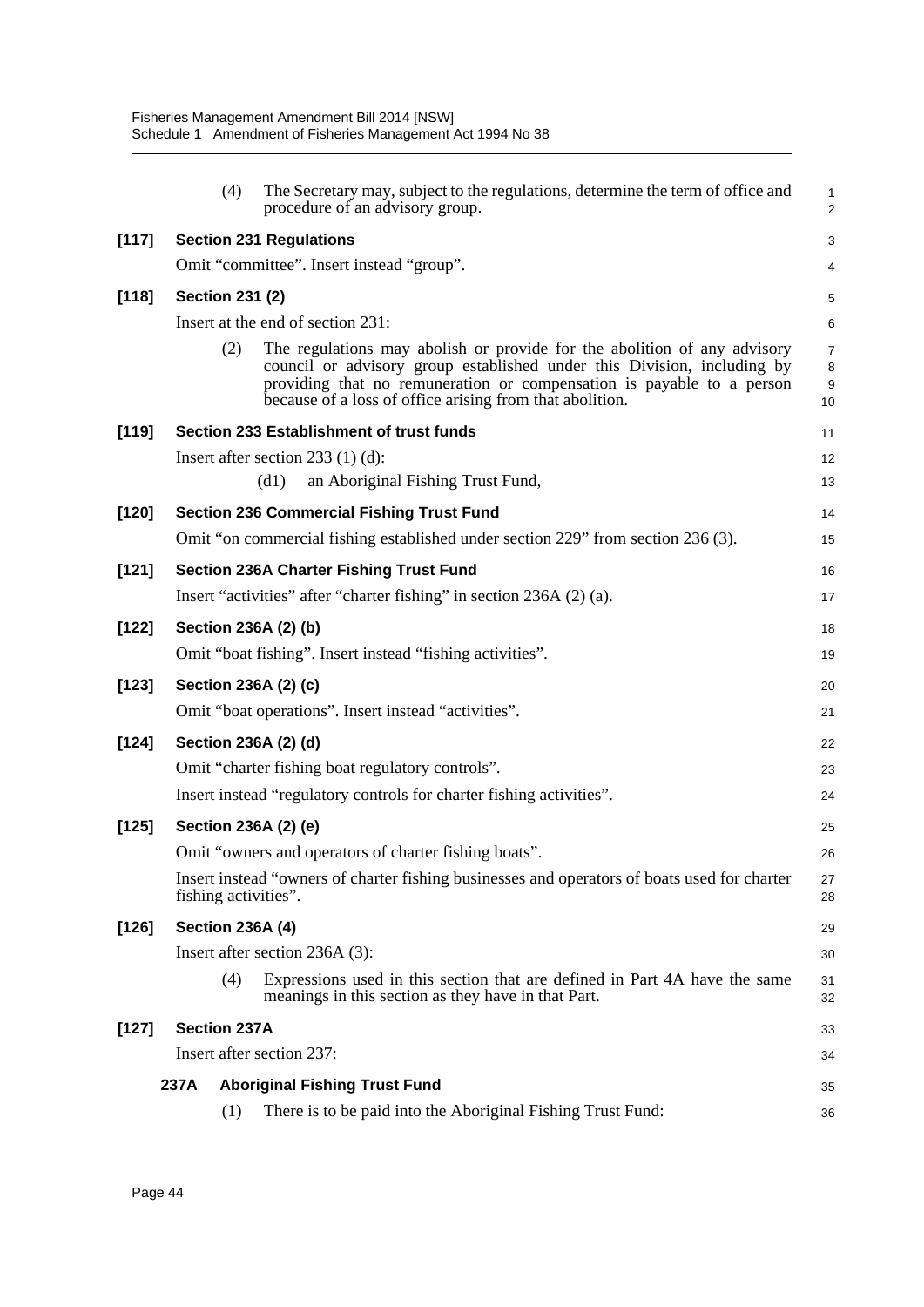|         |      | (4)                    | The Secretary may, subject to the regulations, determine the term of office and<br>procedure of an advisory group.                                                                                                                                                                       | 1<br>$\overline{a}$            |
|---------|------|------------------------|------------------------------------------------------------------------------------------------------------------------------------------------------------------------------------------------------------------------------------------------------------------------------------------|--------------------------------|
| [117]   |      |                        | <b>Section 231 Regulations</b>                                                                                                                                                                                                                                                           | 3                              |
|         |      |                        | Omit "committee". Insert instead "group".                                                                                                                                                                                                                                                | 4                              |
| $[118]$ |      | <b>Section 231 (2)</b> |                                                                                                                                                                                                                                                                                          | 5                              |
|         |      |                        | Insert at the end of section 231:                                                                                                                                                                                                                                                        | 6                              |
|         |      | (2)                    | The regulations may abolish or provide for the abolition of any advisory<br>council or advisory group established under this Division, including by<br>providing that no remuneration or compensation is payable to a person<br>because of a loss of office arising from that abolition. | $\overline{7}$<br>8<br>9<br>10 |
| $[119]$ |      |                        | Section 233 Establishment of trust funds                                                                                                                                                                                                                                                 | 11                             |
|         |      |                        | Insert after section $233$ (1) (d):                                                                                                                                                                                                                                                      | 12                             |
|         |      |                        | (d1)<br>an Aboriginal Fishing Trust Fund,                                                                                                                                                                                                                                                | 13                             |
| $[120]$ |      |                        | <b>Section 236 Commercial Fishing Trust Fund</b>                                                                                                                                                                                                                                         | 14                             |
|         |      |                        | Omit "on commercial fishing established under section 229" from section 236 (3).                                                                                                                                                                                                         | 15                             |
| [121]   |      |                        | <b>Section 236A Charter Fishing Trust Fund</b>                                                                                                                                                                                                                                           | 16                             |
|         |      |                        | Insert "activities" after "charter fishing" in section 236A (2) (a).                                                                                                                                                                                                                     | 17                             |
| $[122]$ |      |                        | Section 236A (2) (b)                                                                                                                                                                                                                                                                     | 18                             |
|         |      |                        | Omit "boat fishing". Insert instead "fishing activities".                                                                                                                                                                                                                                | 19                             |
| $[123]$ |      |                        | Section 236A (2) (c)                                                                                                                                                                                                                                                                     | 20                             |
|         |      |                        | Omit "boat operations". Insert instead "activities".                                                                                                                                                                                                                                     | 21                             |
| $[124]$ |      |                        | Section 236A (2) (d)                                                                                                                                                                                                                                                                     | 22                             |
|         |      |                        | Omit "charter fishing boat regulatory controls".                                                                                                                                                                                                                                         | 23                             |
|         |      |                        | Insert instead "regulatory controls for charter fishing activities".                                                                                                                                                                                                                     | 24                             |
| $[125]$ |      |                        | Section 236A (2) (e)                                                                                                                                                                                                                                                                     | 25                             |
|         |      |                        | Omit "owners and operators of charter fishing boats".                                                                                                                                                                                                                                    | 26                             |
|         |      |                        | Insert instead "owners of charter fishing businesses and operators of boats used for charter<br>fishing activities".                                                                                                                                                                     | 27<br>28                       |
| $[126]$ |      |                        | <b>Section 236A (4)</b>                                                                                                                                                                                                                                                                  | 29                             |
|         |      |                        | Insert after section 236A (3):                                                                                                                                                                                                                                                           | 30                             |
|         |      | (4)                    | Expressions used in this section that are defined in Part 4A have the same<br>meanings in this section as they have in that Part.                                                                                                                                                        | 31<br>32                       |
| $[127]$ |      | <b>Section 237A</b>    |                                                                                                                                                                                                                                                                                          | 33                             |
|         |      |                        | Insert after section 237:                                                                                                                                                                                                                                                                | 34                             |
|         | 237A |                        | <b>Aboriginal Fishing Trust Fund</b>                                                                                                                                                                                                                                                     | 35                             |
|         |      | (1)                    | There is to be paid into the Aboriginal Fishing Trust Fund:                                                                                                                                                                                                                              | 36                             |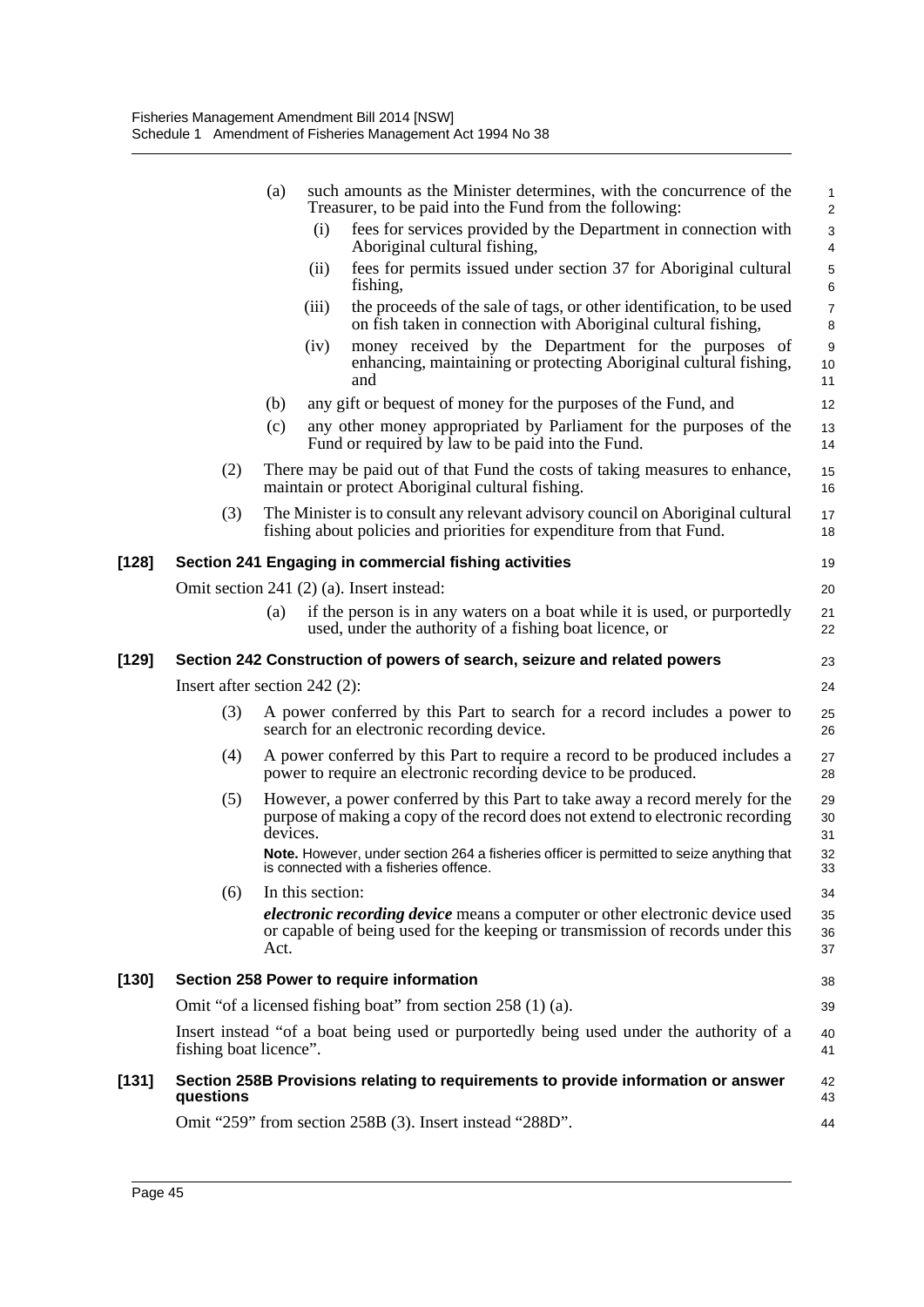|         |                                 | (a)      |                  | such amounts as the Minister determines, with the concurrence of the<br>Treasurer, to be paid into the Fund from the following:                                       | $\mathbf{1}$<br>$\overline{2}$ |
|---------|---------------------------------|----------|------------------|-----------------------------------------------------------------------------------------------------------------------------------------------------------------------|--------------------------------|
|         |                                 |          | (i)              | fees for services provided by the Department in connection with<br>Aboriginal cultural fishing,                                                                       | 3<br>4                         |
|         |                                 |          | (ii)             | fees for permits issued under section 37 for Aboriginal cultural<br>fishing,                                                                                          | 5<br>6                         |
|         |                                 |          | (iii)            | the proceeds of the sale of tags, or other identification, to be used<br>on fish taken in connection with Aboriginal cultural fishing,                                | $\overline{7}$<br>8            |
|         |                                 |          | (iv)             | money received by the Department for the purposes of<br>enhancing, maintaining or protecting Aboriginal cultural fishing,<br>and                                      | 9<br>10<br>11                  |
|         |                                 | (b)      |                  | any gift or bequest of money for the purposes of the Fund, and                                                                                                        | 12                             |
|         |                                 | (c)      |                  | any other money appropriated by Parliament for the purposes of the<br>Fund or required by law to be paid into the Fund.                                               | 13<br>14                       |
|         | (2)                             |          |                  | There may be paid out of that Fund the costs of taking measures to enhance,<br>maintain or protect Aboriginal cultural fishing.                                       | 15<br>16                       |
|         | (3)                             |          |                  | The Minister is to consult any relevant advisory council on Aboriginal cultural<br>fishing about policies and priorities for expenditure from that Fund.              | 17<br>18                       |
| $[128]$ |                                 |          |                  | Section 241 Engaging in commercial fishing activities                                                                                                                 | 19                             |
|         |                                 |          |                  | Omit section 241 (2) (a). Insert instead:                                                                                                                             | 20                             |
|         |                                 | (a)      |                  | if the person is in any waters on a boat while it is used, or purportedly<br>used, under the authority of a fishing boat licence, or                                  | 21<br>22                       |
| $[129]$ |                                 |          |                  | Section 242 Construction of powers of search, seizure and related powers                                                                                              | 23                             |
|         | Insert after section $242$ (2): |          |                  |                                                                                                                                                                       | 24                             |
|         | (3)                             |          |                  | A power conferred by this Part to search for a record includes a power to<br>search for an electronic recording device.                                               | 25<br>26                       |
|         | (4)                             |          |                  | A power conferred by this Part to require a record to be produced includes a<br>power to require an electronic recording device to be produced.                       | 27<br>28                       |
|         | (5)                             | devices. |                  | However, a power conferred by this Part to take away a record merely for the<br>purpose of making a copy of the record does not extend to electronic recording        | 29<br>30<br>31                 |
|         |                                 |          |                  | Note. However, under section 264 a fisheries officer is permitted to seize anything that<br>is connected with a fisheries offence.                                    | 32<br>33                       |
|         | (6)                             |          | In this section: |                                                                                                                                                                       | 34                             |
|         |                                 | Act.     |                  | <i>electronic recording device</i> means a computer or other electronic device used<br>or capable of being used for the keeping or transmission of records under this | 35<br>36<br>37                 |
| $[130]$ |                                 |          |                  | Section 258 Power to require information                                                                                                                              | 38                             |
|         |                                 |          |                  | Omit "of a licensed fishing boat" from section 258 (1) (a).                                                                                                           | 39                             |
|         | fishing boat licence".          |          |                  | Insert instead "of a boat being used or purportedly being used under the authority of a                                                                               | 40<br>41                       |
| [131]   | questions                       |          |                  | Section 258B Provisions relating to requirements to provide information or answer                                                                                     | 42<br>43                       |
|         |                                 |          |                  | Omit "259" from section 258B (3). Insert instead "288D".                                                                                                              | 44                             |
|         |                                 |          |                  |                                                                                                                                                                       |                                |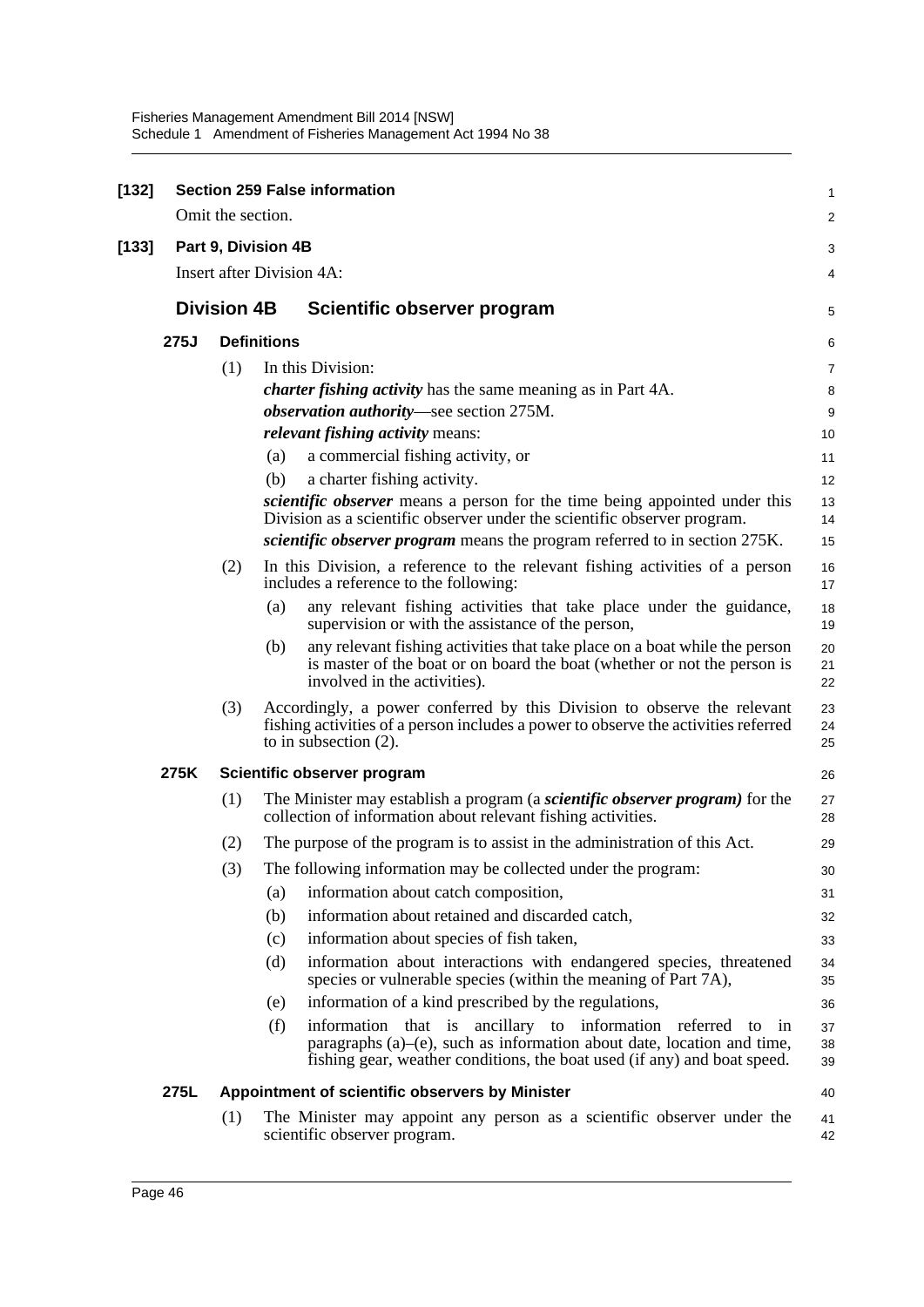| $[132]$ |                    |                    |                                  | <b>Section 259 False information</b>                                                                                                                                                                                           | 1              |
|---------|--------------------|--------------------|----------------------------------|--------------------------------------------------------------------------------------------------------------------------------------------------------------------------------------------------------------------------------|----------------|
|         |                    | Omit the section.  |                                  |                                                                                                                                                                                                                                | 2              |
| [133]   |                    |                    | Part 9, Division 4B              |                                                                                                                                                                                                                                | 3              |
|         |                    |                    | <b>Insert after Division 4A:</b> |                                                                                                                                                                                                                                | 4              |
|         | <b>Division 4B</b> |                    |                                  | Scientific observer program                                                                                                                                                                                                    | 5              |
|         | 275J               | <b>Definitions</b> |                                  |                                                                                                                                                                                                                                | 6              |
|         |                    | (1)                |                                  | In this Division:                                                                                                                                                                                                              | $\overline{7}$ |
|         |                    |                    |                                  | <i>charter fishing activity</i> has the same meaning as in Part 4A.                                                                                                                                                            | 8              |
|         |                    |                    |                                  | observation authority-see section 275M.                                                                                                                                                                                        | 9              |
|         |                    |                    |                                  | <i>relevant fishing activity means:</i>                                                                                                                                                                                        | 10             |
|         |                    |                    | (a)                              | a commercial fishing activity, or                                                                                                                                                                                              | 11             |
|         |                    |                    | (b)                              | a charter fishing activity.                                                                                                                                                                                                    | 12             |
|         |                    |                    |                                  | scientific observer means a person for the time being appointed under this<br>Division as a scientific observer under the scientific observer program.                                                                         | 13             |
|         |                    |                    |                                  | <i>scientific observer program</i> means the program referred to in section 275K.                                                                                                                                              | 14<br>15       |
|         |                    |                    |                                  |                                                                                                                                                                                                                                |                |
|         |                    | (2)                |                                  | In this Division, a reference to the relevant fishing activities of a person<br>includes a reference to the following:                                                                                                         | 16<br>17       |
|         |                    |                    | (a)                              | any relevant fishing activities that take place under the guidance,<br>supervision or with the assistance of the person,                                                                                                       | 18<br>19       |
|         |                    |                    | (b)                              | any relevant fishing activities that take place on a boat while the person<br>is master of the boat or on board the boat (whether or not the person is<br>involved in the activities).                                         | 20<br>21<br>22 |
|         |                    | (3)                |                                  | Accordingly, a power conferred by this Division to observe the relevant<br>fishing activities of a person includes a power to observe the activities referred<br>to in subsection $(2)$ .                                      | 23<br>24<br>25 |
|         | 275K               |                    |                                  | Scientific observer program                                                                                                                                                                                                    | 26             |
|         |                    | (1)                |                                  | The Minister may establish a program (a <i>scientific observer program</i> ) for the<br>collection of information about relevant fishing activities.                                                                           | 27<br>28       |
|         |                    | (2)                |                                  | The purpose of the program is to assist in the administration of this Act.                                                                                                                                                     | 29             |
|         |                    | (3)                |                                  | The following information may be collected under the program:                                                                                                                                                                  | 30             |
|         |                    |                    | (a)                              | information about catch composition,                                                                                                                                                                                           | 31             |
|         |                    |                    | (b)                              | information about retained and discarded catch,                                                                                                                                                                                | 32             |
|         |                    |                    | (c)                              | information about species of fish taken,                                                                                                                                                                                       | 33             |
|         |                    |                    | (d)                              | information about interactions with endangered species, threatened<br>species or vulnerable species (within the meaning of Part 7A),                                                                                           | 34<br>35       |
|         |                    |                    | (e)                              | information of a kind prescribed by the regulations,                                                                                                                                                                           | 36             |
|         |                    |                    | (f)                              | information that is ancillary to information referred<br>to<br>1n<br>paragraphs $(a)$ – $(e)$ , such as information about date, location and time,<br>fishing gear, weather conditions, the boat used (if any) and boat speed. | 37<br>38<br>39 |
|         | 275L               |                    |                                  | Appointment of scientific observers by Minister                                                                                                                                                                                | 40             |
|         |                    | (1)                |                                  | The Minister may appoint any person as a scientific observer under the<br>scientific observer program.                                                                                                                         | 41<br>42       |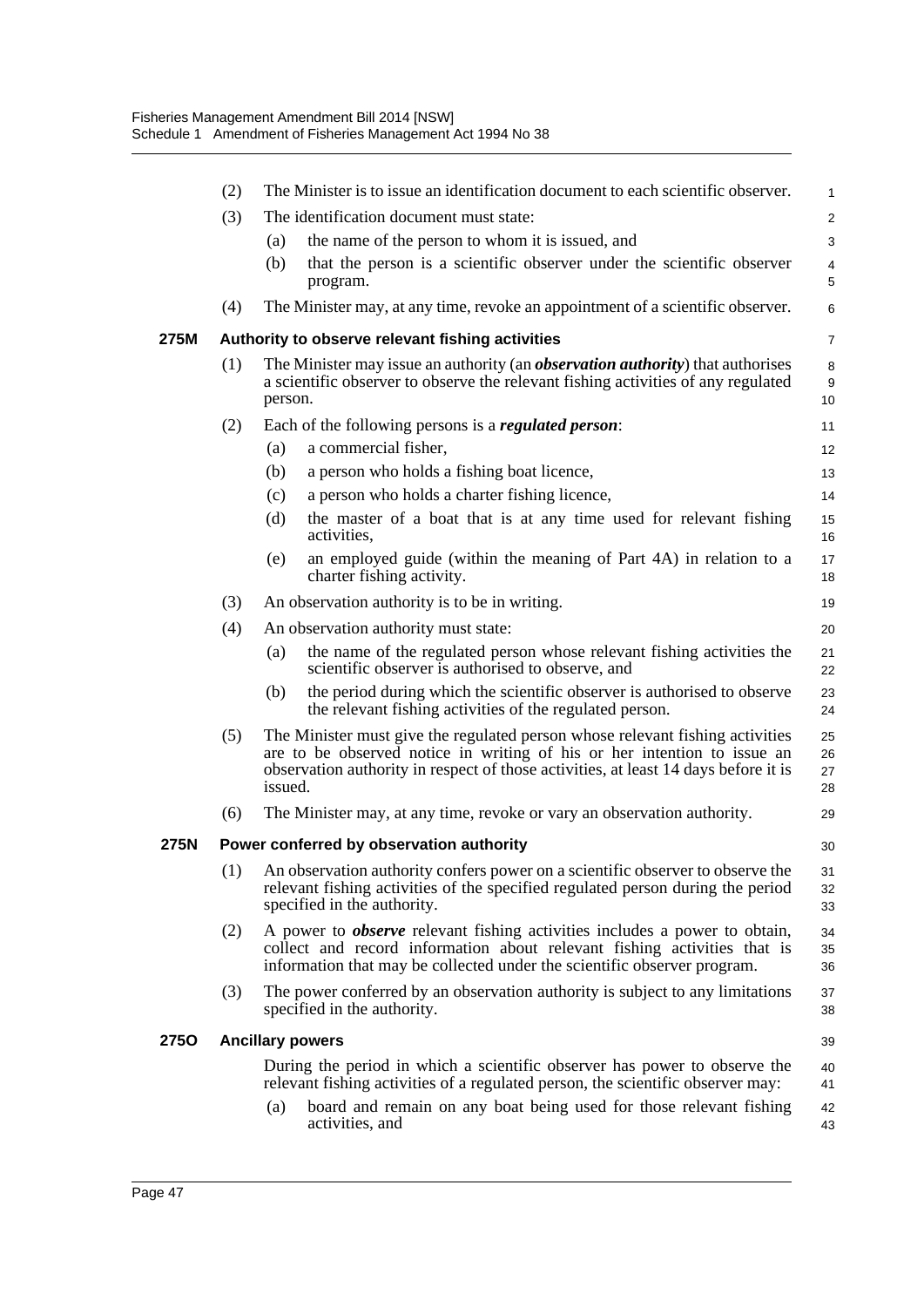|      | (2) | The Minister is to issue an identification document to each scientific observer.                                                                                                                                                                            | 1                    |
|------|-----|-------------------------------------------------------------------------------------------------------------------------------------------------------------------------------------------------------------------------------------------------------------|----------------------|
|      | (3) | The identification document must state:                                                                                                                                                                                                                     | $\overline{c}$       |
|      |     | (a)<br>the name of the person to whom it is issued, and                                                                                                                                                                                                     | 3                    |
|      |     | that the person is a scientific observer under the scientific observer<br>(b)<br>program.                                                                                                                                                                   | 4<br>5               |
|      | (4) | The Minister may, at any time, revoke an appointment of a scientific observer.                                                                                                                                                                              | 6                    |
| 275M |     | Authority to observe relevant fishing activities                                                                                                                                                                                                            | $\overline{7}$       |
|      | (1) | The Minister may issue an authority (an <i>observation authority</i> ) that authorises<br>a scientific observer to observe the relevant fishing activities of any regulated<br>person.                                                                      | 8<br>9<br>10         |
|      | (2) | Each of the following persons is a regulated person:                                                                                                                                                                                                        | 11                   |
|      |     | a commercial fisher,<br>(a)                                                                                                                                                                                                                                 | 12                   |
|      |     | a person who holds a fishing boat licence,<br>(b)                                                                                                                                                                                                           | 13                   |
|      |     | a person who holds a charter fishing licence,<br>(c)                                                                                                                                                                                                        | 14                   |
|      |     | (d)<br>the master of a boat that is at any time used for relevant fishing<br>activities.                                                                                                                                                                    | 15<br>16             |
|      |     | an employed guide (within the meaning of Part 4A) in relation to a<br>(e)<br>charter fishing activity.                                                                                                                                                      | 17<br>18             |
|      | (3) | An observation authority is to be in writing.                                                                                                                                                                                                               | 19                   |
|      | (4) | An observation authority must state:                                                                                                                                                                                                                        | 20                   |
|      |     | the name of the regulated person whose relevant fishing activities the<br>(a)<br>scientific observer is authorised to observe, and                                                                                                                          | 21<br>22             |
|      |     | the period during which the scientific observer is authorised to observe<br>(b)<br>the relevant fishing activities of the regulated person.                                                                                                                 | 23<br>24             |
|      | (5) | The Minister must give the regulated person whose relevant fishing activities<br>are to be observed notice in writing of his or her intention to issue an<br>observation authority in respect of those activities, at least 14 days before it is<br>issued. | 25<br>26<br>27<br>28 |
|      | (6) | The Minister may, at any time, revoke or vary an observation authority.                                                                                                                                                                                     | 29                   |
| 275N |     | Power conferred by observation authority                                                                                                                                                                                                                    | 30                   |
|      |     | (1) An observation authority confers power on a scientific observer to observe the<br>relevant fishing activities of the specified regulated person during the period<br>specified in the authority.                                                        | 31<br>32<br>33       |
|      | (2) | A power to <i>observe</i> relevant fishing activities includes a power to obtain,<br>collect and record information about relevant fishing activities that is<br>information that may be collected under the scientific observer program.                   | 34<br>35<br>36       |
|      | (3) | The power conferred by an observation authority is subject to any limitations<br>specified in the authority.                                                                                                                                                | 37<br>38             |
| 275O |     | <b>Ancillary powers</b>                                                                                                                                                                                                                                     | 39                   |
|      |     | During the period in which a scientific observer has power to observe the<br>relevant fishing activities of a regulated person, the scientific observer may:                                                                                                | 40<br>41             |
|      |     | board and remain on any boat being used for those relevant fishing<br>(a)<br>activities, and                                                                                                                                                                | 42<br>43             |
|      |     |                                                                                                                                                                                                                                                             |                      |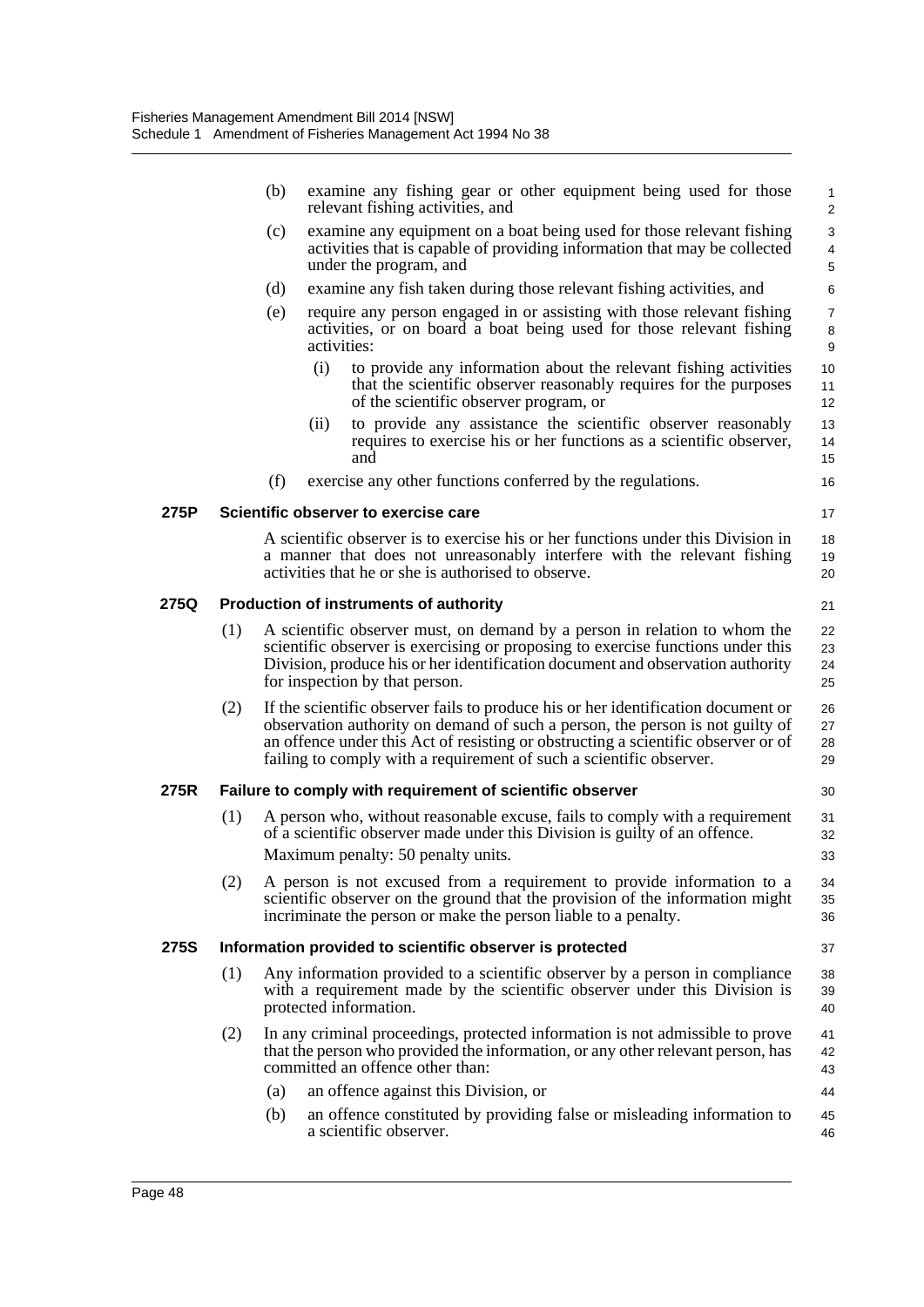|             |                                                     | (b) | relevant fishing activities, and                          | examine any fishing gear or other equipment being used for those                                                                                                                                                                                                                                                               | $\mathbf{1}$<br>2        |  |  |
|-------------|-----------------------------------------------------|-----|-----------------------------------------------------------|--------------------------------------------------------------------------------------------------------------------------------------------------------------------------------------------------------------------------------------------------------------------------------------------------------------------------------|--------------------------|--|--|
|             |                                                     | (c) | under the program, and                                    | examine any equipment on a boat being used for those relevant fishing<br>activities that is capable of providing information that may be collected                                                                                                                                                                             | 3<br>$\overline{4}$<br>5 |  |  |
|             |                                                     | (d) |                                                           | examine any fish taken during those relevant fishing activities, and                                                                                                                                                                                                                                                           | 6                        |  |  |
|             |                                                     | (e) | activities:                                               | require any person engaged in or assisting with those relevant fishing<br>activities, or on board a boat being used for those relevant fishing                                                                                                                                                                                 | $\overline{7}$<br>8<br>9 |  |  |
|             |                                                     |     | (i)<br>of the scientific observer program, or             | to provide any information about the relevant fishing activities<br>that the scientific observer reasonably requires for the purposes                                                                                                                                                                                          | 10<br>11<br>12           |  |  |
|             |                                                     |     | (ii)<br>and                                               | to provide any assistance the scientific observer reasonably<br>requires to exercise his or her functions as a scientific observer,                                                                                                                                                                                            | 13<br>14<br>15           |  |  |
|             |                                                     | (f) |                                                           | exercise any other functions conferred by the regulations.                                                                                                                                                                                                                                                                     | 16                       |  |  |
| 275P        |                                                     |     | Scientific observer to exercise care                      |                                                                                                                                                                                                                                                                                                                                | 17                       |  |  |
|             |                                                     |     | activities that he or she is authorised to observe.       | A scientific observer is to exercise his or her functions under this Division in<br>a manner that does not unreasonably interfere with the relevant fishing                                                                                                                                                                    | 18<br>19<br>20           |  |  |
| 275Q        | <b>Production of instruments of authority</b><br>21 |     |                                                           |                                                                                                                                                                                                                                                                                                                                |                          |  |  |
|             | (1)                                                 |     | for inspection by that person.                            | A scientific observer must, on demand by a person in relation to whom the<br>scientific observer is exercising or proposing to exercise functions under this<br>Division, produce his or her identification document and observation authority                                                                                 | 22<br>23<br>24<br>25     |  |  |
|             | (2)                                                 |     |                                                           | If the scientific observer fails to produce his or her identification document or<br>observation authority on demand of such a person, the person is not guilty of<br>an offence under this Act of resisting or obstructing a scientific observer or of<br>failing to comply with a requirement of such a scientific observer. | 26<br>27<br>28<br>29     |  |  |
| 275R        |                                                     |     | Failure to comply with requirement of scientific observer |                                                                                                                                                                                                                                                                                                                                | 30                       |  |  |
|             | (1)                                                 |     | Maximum penalty: 50 penalty units.                        | A person who, without reasonable excuse, fails to comply with a requirement<br>of a scientific observer made under this Division is guilty of an offence.                                                                                                                                                                      | 31<br>32<br>33           |  |  |
|             | (2)                                                 |     |                                                           | A person is not excused from a requirement to provide information to a<br>scientific observer on the ground that the provision of the information might<br>incriminate the person or make the person liable to a penalty.                                                                                                      | 34<br>35<br>36           |  |  |
| <b>275S</b> |                                                     |     | Information provided to scientific observer is protected  |                                                                                                                                                                                                                                                                                                                                | 37                       |  |  |
|             | (1)                                                 |     | protected information.                                    | Any information provided to a scientific observer by a person in compliance<br>with a requirement made by the scientific observer under this Division is                                                                                                                                                                       | 38<br>39<br>40           |  |  |
|             | (2)                                                 |     | committed an offence other than:                          | In any criminal proceedings, protected information is not admissible to prove<br>that the person who provided the information, or any other relevant person, has                                                                                                                                                               | 41<br>42<br>43           |  |  |
|             |                                                     | (a) | an offence against this Division, or                      |                                                                                                                                                                                                                                                                                                                                | 44                       |  |  |
|             |                                                     | (b) | a scientific observer.                                    | an offence constituted by providing false or misleading information to                                                                                                                                                                                                                                                         | 45<br>46                 |  |  |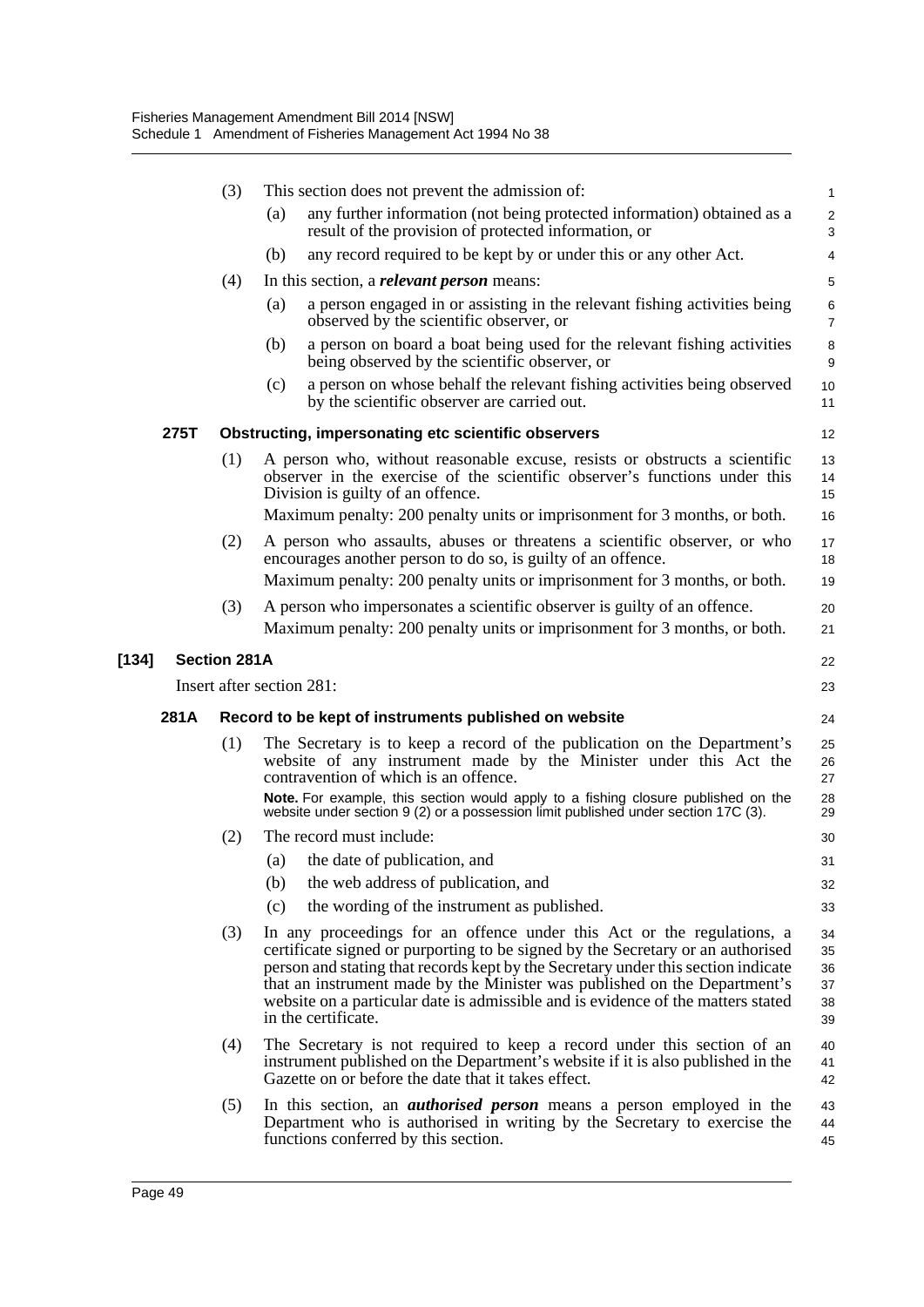|       |      | (3)                 | This section does not prevent the admission of:                                                                                                                                                                                                                                                                                                                                                                                        | $\mathbf{1}$                     |
|-------|------|---------------------|----------------------------------------------------------------------------------------------------------------------------------------------------------------------------------------------------------------------------------------------------------------------------------------------------------------------------------------------------------------------------------------------------------------------------------------|----------------------------------|
|       |      |                     | any further information (not being protected information) obtained as a<br>(a)<br>result of the provision of protected information, or                                                                                                                                                                                                                                                                                                 | $\overline{c}$<br>3              |
|       |      |                     | any record required to be kept by or under this or any other Act.<br>(b)                                                                                                                                                                                                                                                                                                                                                               | 4                                |
|       |      | (4)                 | In this section, a <i>relevant person</i> means:                                                                                                                                                                                                                                                                                                                                                                                       | 5                                |
|       |      |                     | a person engaged in or assisting in the relevant fishing activities being<br>(a)<br>observed by the scientific observer, or                                                                                                                                                                                                                                                                                                            | 6<br>$\overline{7}$              |
|       |      |                     | a person on board a boat being used for the relevant fishing activities<br>(b)<br>being observed by the scientific observer, or                                                                                                                                                                                                                                                                                                        | 8<br>9                           |
|       |      |                     | a person on whose behalf the relevant fishing activities being observed<br>(c)<br>by the scientific observer are carried out.                                                                                                                                                                                                                                                                                                          | 10<br>11                         |
|       | 275T |                     | Obstructing, impersonating etc scientific observers                                                                                                                                                                                                                                                                                                                                                                                    | 12                               |
|       |      | (1)                 | A person who, without reasonable excuse, resists or obstructs a scientific<br>observer in the exercise of the scientific observer's functions under this<br>Division is guilty of an offence.<br>Maximum penalty: 200 penalty units or imprisonment for 3 months, or both.                                                                                                                                                             | 13<br>14<br>15<br>16             |
|       |      | (2)                 | A person who assaults, abuses or threatens a scientific observer, or who<br>encourages another person to do so, is guilty of an offence.<br>Maximum penalty: 200 penalty units or imprisonment for 3 months, or both.                                                                                                                                                                                                                  | 17<br>18<br>19                   |
|       |      | (3)                 | A person who impersonates a scientific observer is guilty of an offence.<br>Maximum penalty: 200 penalty units or imprisonment for 3 months, or both.                                                                                                                                                                                                                                                                                  | 20<br>21                         |
| [134] |      | <b>Section 281A</b> |                                                                                                                                                                                                                                                                                                                                                                                                                                        | 22                               |
|       |      |                     | Insert after section 281:                                                                                                                                                                                                                                                                                                                                                                                                              | 23                               |
|       | 281A |                     | Record to be kept of instruments published on website                                                                                                                                                                                                                                                                                                                                                                                  | 24                               |
|       |      | (1)                 | The Secretary is to keep a record of the publication on the Department's<br>website of any instrument made by the Minister under this Act the<br>contravention of which is an offence.<br>Note. For example, this section would apply to a fishing closure published on the<br>website under section 9 (2) or a possession limit published under section 17C (3).                                                                      | 25<br>26<br>27<br>28<br>29       |
|       |      | (2)                 | The record must include:                                                                                                                                                                                                                                                                                                                                                                                                               | 30                               |
|       |      |                     | the date of publication, and<br>(a)                                                                                                                                                                                                                                                                                                                                                                                                    | 31                               |
|       |      |                     | the web address of publication, and<br>(b)                                                                                                                                                                                                                                                                                                                                                                                             | 32                               |
|       |      |                     | the wording of the instrument as published.<br>(c)                                                                                                                                                                                                                                                                                                                                                                                     | 33                               |
|       |      | (3)                 | In any proceedings for an offence under this Act or the regulations, a<br>certificate signed or purporting to be signed by the Secretary or an authorised<br>person and stating that records kept by the Secretary under this section indicate<br>that an instrument made by the Minister was published on the Department's<br>website on a particular date is admissible and is evidence of the matters stated<br>in the certificate. | 34<br>35<br>36<br>37<br>38<br>39 |
|       |      | (4)                 | The Secretary is not required to keep a record under this section of an<br>instrument published on the Department's website if it is also published in the<br>Gazette on or before the date that it takes effect.                                                                                                                                                                                                                      | 40<br>41<br>42                   |
|       |      | (5)                 | In this section, an <i>authorised person</i> means a person employed in the                                                                                                                                                                                                                                                                                                                                                            | 43                               |
|       |      |                     | Department who is authorised in writing by the Secretary to exercise the<br>functions conferred by this section.                                                                                                                                                                                                                                                                                                                       | 44<br>45                         |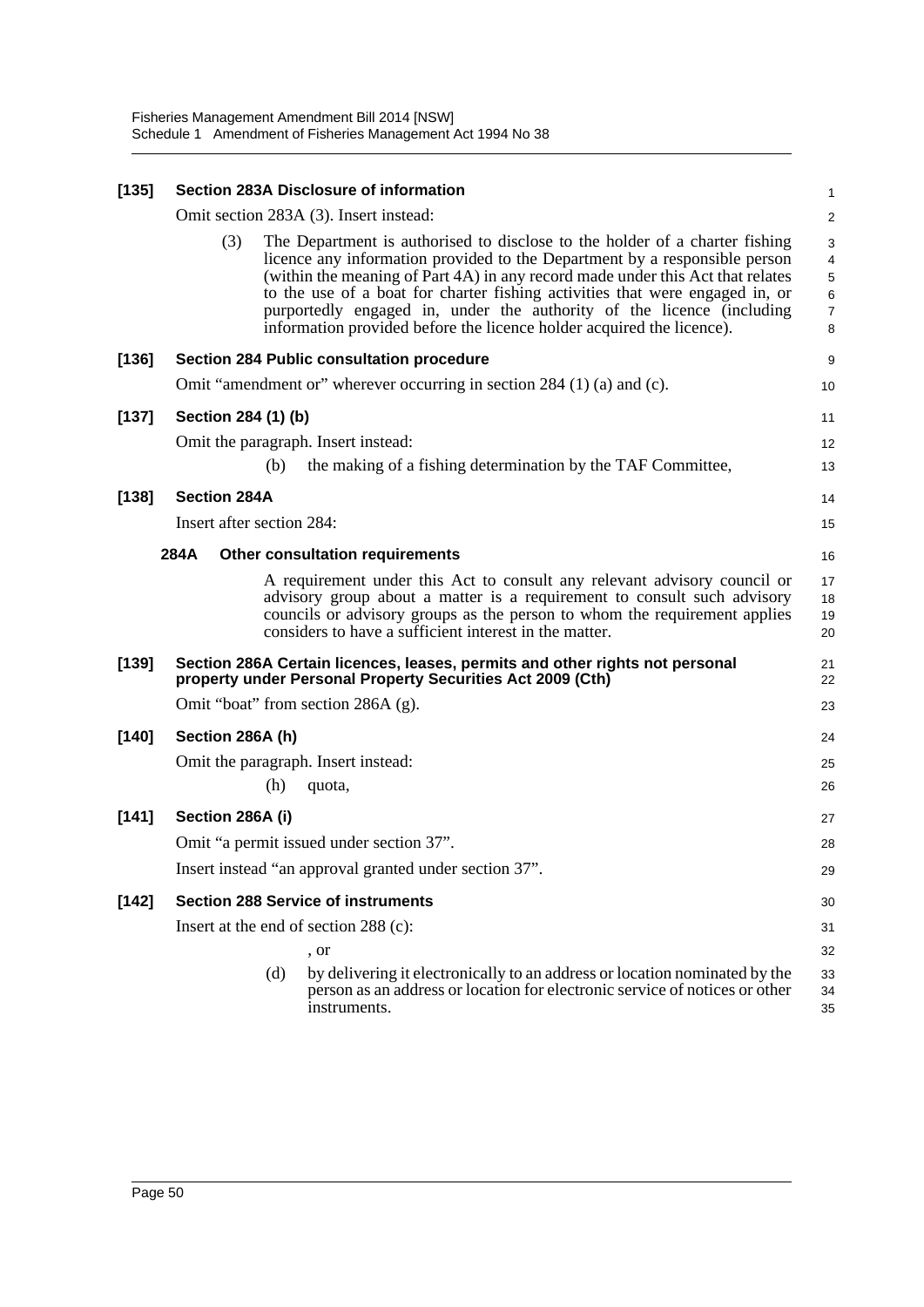| Section 283A Disclosure of information<br>[135] |                                           |     |                                                                                                                                                                                                                                                                                                                                                                                                                                                                               | 1                                                    |  |
|-------------------------------------------------|-------------------------------------------|-----|-------------------------------------------------------------------------------------------------------------------------------------------------------------------------------------------------------------------------------------------------------------------------------------------------------------------------------------------------------------------------------------------------------------------------------------------------------------------------------|------------------------------------------------------|--|
|                                                 | Omit section 283A (3). Insert instead:    |     |                                                                                                                                                                                                                                                                                                                                                                                                                                                                               |                                                      |  |
|                                                 | (3)                                       |     | The Department is authorised to disclose to the holder of a charter fishing<br>licence any information provided to the Department by a responsible person<br>(within the meaning of Part 4A) in any record made under this Act that relates<br>to the use of a boat for charter fishing activities that were engaged in, or<br>purportedly engaged in, under the authority of the licence (including<br>information provided before the licence holder acquired the licence). | 3<br>$\overline{4}$<br>5<br>6<br>$\overline{7}$<br>8 |  |
| $[136]$                                         |                                           |     | Section 284 Public consultation procedure                                                                                                                                                                                                                                                                                                                                                                                                                                     | 9                                                    |  |
|                                                 |                                           |     | Omit "amendment or" wherever occurring in section 284 (1) (a) and (c).                                                                                                                                                                                                                                                                                                                                                                                                        | 10                                                   |  |
| $[137]$                                         | Section 284 (1) (b)                       |     |                                                                                                                                                                                                                                                                                                                                                                                                                                                                               | 11                                                   |  |
|                                                 |                                           |     | Omit the paragraph. Insert instead:                                                                                                                                                                                                                                                                                                                                                                                                                                           | 12                                                   |  |
|                                                 |                                           | (b) | the making of a fishing determination by the TAF Committee,                                                                                                                                                                                                                                                                                                                                                                                                                   | 13                                                   |  |
| [138]                                           | <b>Section 284A</b>                       |     |                                                                                                                                                                                                                                                                                                                                                                                                                                                                               | 14                                                   |  |
|                                                 | Insert after section 284:                 |     |                                                                                                                                                                                                                                                                                                                                                                                                                                                                               | 15                                                   |  |
|                                                 | 284A                                      |     | Other consultation requirements                                                                                                                                                                                                                                                                                                                                                                                                                                               | 16                                                   |  |
|                                                 |                                           |     | A requirement under this Act to consult any relevant advisory council or<br>advisory group about a matter is a requirement to consult such advisory<br>councils or advisory groups as the person to whom the requirement applies<br>considers to have a sufficient interest in the matter.                                                                                                                                                                                    | 17<br>18<br>19<br>20                                 |  |
| [139]                                           |                                           |     | Section 286A Certain licences, leases, permits and other rights not personal<br>property under Personal Property Securities Act 2009 (Cth)                                                                                                                                                                                                                                                                                                                                    | 21<br>22                                             |  |
|                                                 | Omit "boat" from section 286A (g).        |     |                                                                                                                                                                                                                                                                                                                                                                                                                                                                               |                                                      |  |
| [140]                                           | Section 286A (h)                          |     |                                                                                                                                                                                                                                                                                                                                                                                                                                                                               | 24                                                   |  |
|                                                 |                                           |     | Omit the paragraph. Insert instead:                                                                                                                                                                                                                                                                                                                                                                                                                                           | 25                                                   |  |
|                                                 |                                           | (h) | quota,                                                                                                                                                                                                                                                                                                                                                                                                                                                                        | 26                                                   |  |
| [141]                                           | Section 286A (i)                          |     |                                                                                                                                                                                                                                                                                                                                                                                                                                                                               |                                                      |  |
|                                                 |                                           |     | Omit "a permit issued under section 37".                                                                                                                                                                                                                                                                                                                                                                                                                                      | 28                                                   |  |
|                                                 |                                           |     | Insert instead "an approval granted under section 37".                                                                                                                                                                                                                                                                                                                                                                                                                        | 29                                                   |  |
| $[142]$                                         | <b>Section 288 Service of instruments</b> |     |                                                                                                                                                                                                                                                                                                                                                                                                                                                                               |                                                      |  |
|                                                 |                                           |     | Insert at the end of section 288 (c):                                                                                                                                                                                                                                                                                                                                                                                                                                         | 31                                                   |  |
|                                                 |                                           |     | , or                                                                                                                                                                                                                                                                                                                                                                                                                                                                          | 32                                                   |  |
|                                                 |                                           | (d) | by delivering it electronically to an address or location nominated by the<br>person as an address or location for electronic service of notices or other<br>instruments.                                                                                                                                                                                                                                                                                                     | 33<br>34<br>35                                       |  |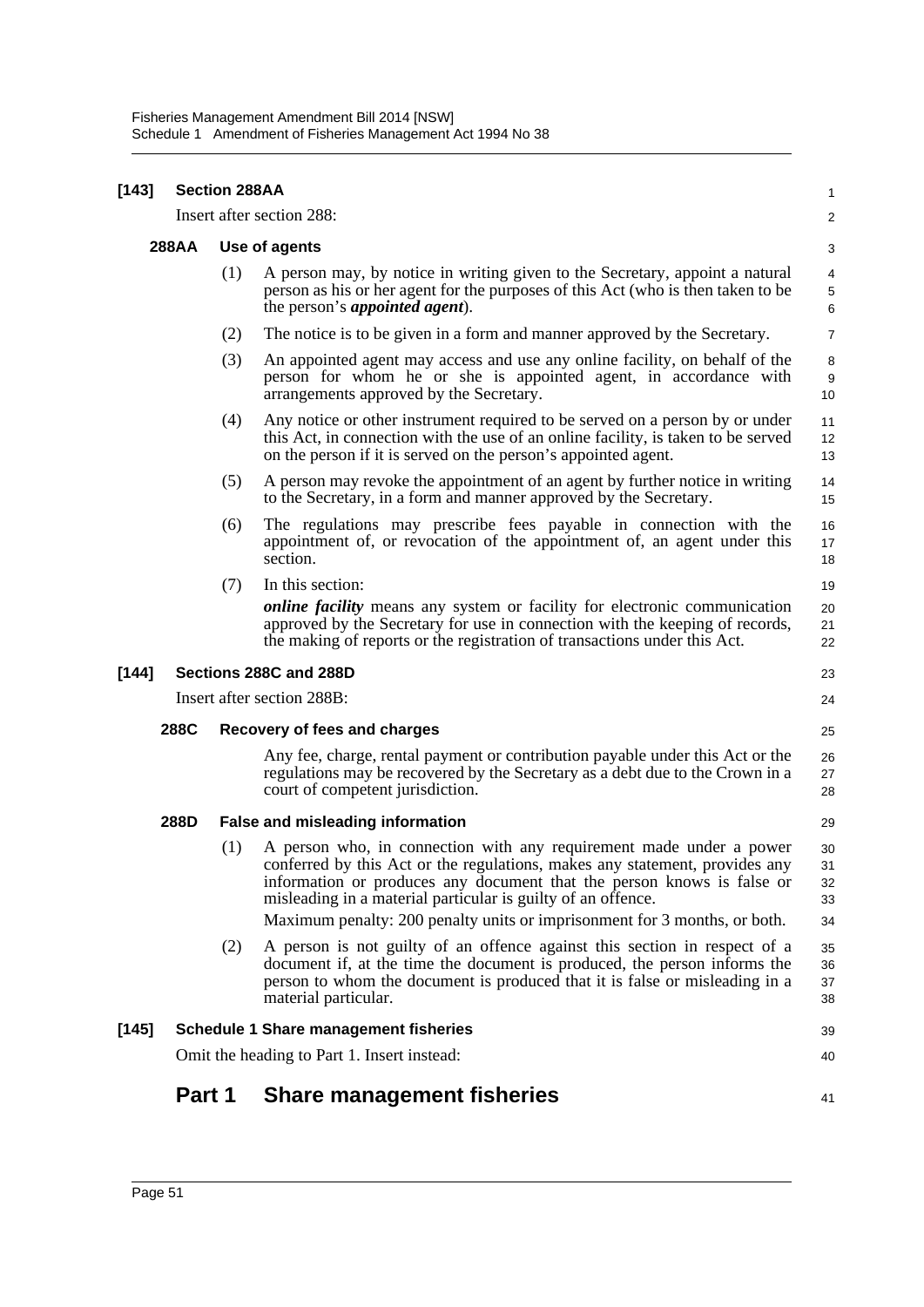| [143] | <b>Section 288AA</b>                 |                                                   |                                                                                                                                                                                                                                                                                                                                                                           |                            |  |  |
|-------|--------------------------------------|---------------------------------------------------|---------------------------------------------------------------------------------------------------------------------------------------------------------------------------------------------------------------------------------------------------------------------------------------------------------------------------------------------------------------------------|----------------------------|--|--|
|       |                                      |                                                   | Insert after section 288:                                                                                                                                                                                                                                                                                                                                                 | $\overline{a}$             |  |  |
|       | <b>288AA</b>                         | Use of agents                                     |                                                                                                                                                                                                                                                                                                                                                                           |                            |  |  |
|       |                                      | (1)                                               | A person may, by notice in writing given to the Secretary, appoint a natural<br>person as his or her agent for the purposes of this Act (who is then taken to be<br>the person's <i>appointed agent</i> ).                                                                                                                                                                | 4<br>5<br>6                |  |  |
|       |                                      | (2)                                               | The notice is to be given in a form and manner approved by the Secretary.                                                                                                                                                                                                                                                                                                 | 7                          |  |  |
|       |                                      | (3)                                               | An appointed agent may access and use any online facility, on behalf of the<br>person for whom he or she is appointed agent, in accordance with<br>arrangements approved by the Secretary.                                                                                                                                                                                | 8<br>9<br>10               |  |  |
|       |                                      | (4)                                               | Any notice or other instrument required to be served on a person by or under<br>this Act, in connection with the use of an online facility, is taken to be served<br>on the person if it is served on the person's appointed agent.                                                                                                                                       | 11<br>12<br>13             |  |  |
|       |                                      | (5)                                               | A person may revoke the appointment of an agent by further notice in writing<br>to the Secretary, in a form and manner approved by the Secretary.                                                                                                                                                                                                                         | 14<br>15                   |  |  |
|       |                                      | (6)                                               | The regulations may prescribe fees payable in connection with the<br>appointment of, or revocation of the appointment of, an agent under this<br>section.                                                                                                                                                                                                                 | 16<br>17<br>18             |  |  |
|       |                                      | (7)                                               | In this section:<br><i>online facility</i> means any system or facility for electronic communication<br>approved by the Secretary for use in connection with the keeping of records,<br>the making of reports or the registration of transactions under this Act.                                                                                                         | 19<br>20<br>21<br>22       |  |  |
| [144] |                                      |                                                   | Sections 288C and 288D                                                                                                                                                                                                                                                                                                                                                    | 23                         |  |  |
|       |                                      |                                                   | Insert after section 288B:                                                                                                                                                                                                                                                                                                                                                | 24                         |  |  |
|       | 288C<br>Recovery of fees and charges |                                                   |                                                                                                                                                                                                                                                                                                                                                                           |                            |  |  |
|       |                                      |                                                   | Any fee, charge, rental payment or contribution payable under this Act or the<br>regulations may be recovered by the Secretary as a debt due to the Crown in a<br>court of competent jurisdiction.                                                                                                                                                                        | 26<br>27<br>28             |  |  |
|       | 288D                                 |                                                   | False and misleading information                                                                                                                                                                                                                                                                                                                                          | 29                         |  |  |
|       |                                      | (1)                                               | A person who, in connection with any requirement made under a power<br>conferred by this Act or the regulations, makes any statement, provides any<br>information or produces any document that the person knows is false or<br>misleading in a material particular is guilty of an offence.<br>Maximum penalty: 200 penalty units or imprisonment for 3 months, or both. | 30<br>31<br>32<br>33<br>34 |  |  |
|       |                                      | (2)                                               | A person is not guilty of an offence against this section in respect of a<br>document if, at the time the document is produced, the person informs the<br>person to whom the document is produced that it is false or misleading in a<br>material particular.                                                                                                             | 35<br>36<br>37<br>38       |  |  |
| [145] |                                      |                                                   | <b>Schedule 1 Share management fisheries</b>                                                                                                                                                                                                                                                                                                                              | 39                         |  |  |
|       |                                      | Omit the heading to Part 1. Insert instead:<br>40 |                                                                                                                                                                                                                                                                                                                                                                           |                            |  |  |
|       | Part 1                               |                                                   | <b>Share management fisheries</b>                                                                                                                                                                                                                                                                                                                                         | 41                         |  |  |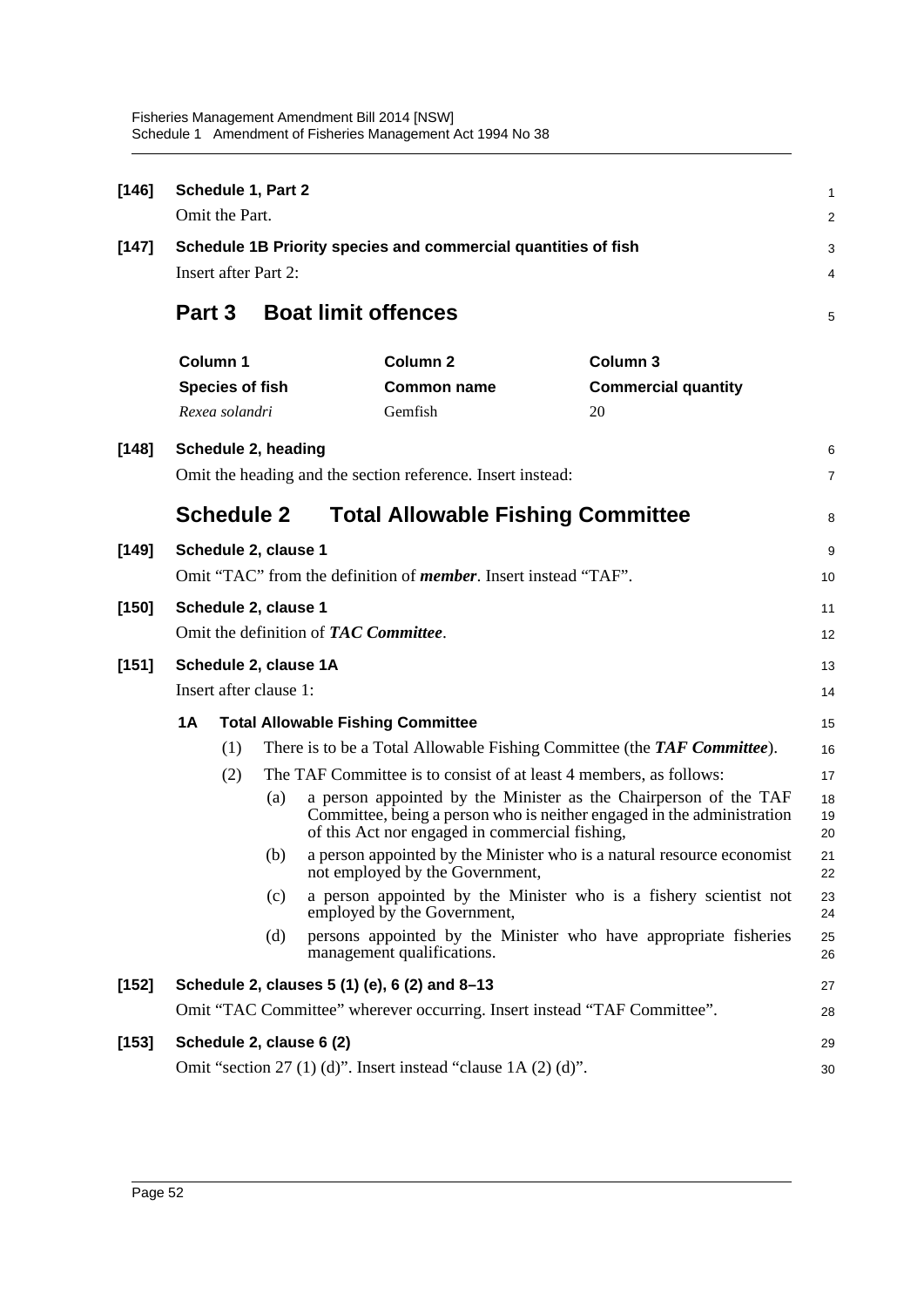| $[146]$ |                                                                          | Schedule 1, Part 2                                             |     |                                                                                                                                                                                              |                            | 1              |
|---------|--------------------------------------------------------------------------|----------------------------------------------------------------|-----|----------------------------------------------------------------------------------------------------------------------------------------------------------------------------------------------|----------------------------|----------------|
|         |                                                                          | Omit the Part.                                                 |     |                                                                                                                                                                                              |                            | $\overline{c}$ |
| $[147]$ |                                                                          | Schedule 1B Priority species and commercial quantities of fish |     |                                                                                                                                                                                              |                            |                |
|         |                                                                          | <b>Insert after Part 2:</b>                                    |     |                                                                                                                                                                                              |                            | 4              |
|         |                                                                          | <b>Part 3</b>                                                  |     | <b>Boat limit offences</b>                                                                                                                                                                   |                            | 5              |
|         |                                                                          | Column 1                                                       |     | <b>Column 2</b><br>Column 3                                                                                                                                                                  |                            |                |
|         |                                                                          | <b>Species of fish</b>                                         |     | <b>Common name</b>                                                                                                                                                                           | <b>Commercial quantity</b> |                |
|         |                                                                          | Rexea solandri                                                 |     | Gemfish<br>20                                                                                                                                                                                |                            |                |
| $[148]$ |                                                                          | Schedule 2, heading                                            |     |                                                                                                                                                                                              |                            | 6              |
|         |                                                                          |                                                                |     | Omit the heading and the section reference. Insert instead:                                                                                                                                  |                            | $\overline{7}$ |
|         |                                                                          | <b>Schedule 2</b>                                              |     | <b>Total Allowable Fishing Committee</b>                                                                                                                                                     |                            | 8              |
| $[149]$ |                                                                          | Schedule 2, clause 1                                           |     |                                                                                                                                                                                              |                            | 9              |
|         | Omit "TAC" from the definition of <i>member</i> . Insert instead "TAF".  |                                                                |     |                                                                                                                                                                                              |                            |                |
| $[150]$ | Schedule 2, clause 1                                                     |                                                                |     |                                                                                                                                                                                              |                            |                |
|         |                                                                          |                                                                |     | Omit the definition of <b>TAC</b> Committee.                                                                                                                                                 |                            | 12             |
| $[151]$ | Schedule 2, clause 1A                                                    |                                                                |     |                                                                                                                                                                                              |                            |                |
|         | Insert after clause 1:                                                   |                                                                |     |                                                                                                                                                                                              |                            |                |
|         | 1A                                                                       |                                                                |     | <b>Total Allowable Fishing Committee</b>                                                                                                                                                     |                            | 15             |
|         |                                                                          | (1)                                                            |     | There is to be a Total Allowable Fishing Committee (the TAF Committee).                                                                                                                      |                            | 16             |
|         |                                                                          | (2)                                                            |     | The TAF Committee is to consist of at least 4 members, as follows:                                                                                                                           |                            | 17             |
|         |                                                                          |                                                                | (a) | a person appointed by the Minister as the Chairperson of the TAF<br>Committee, being a person who is neither engaged in the administration<br>of this Act nor engaged in commercial fishing, |                            | 18<br>19<br>20 |
|         |                                                                          |                                                                | (b) | a person appointed by the Minister who is a natural resource economist<br>not employed by the Government,                                                                                    |                            | 21<br>22       |
|         |                                                                          |                                                                | (c) | a person appointed by the Minister who is a fishery scientist not<br>employed by the Government,                                                                                             |                            | 23<br>24       |
|         |                                                                          |                                                                | (d) | persons appointed by the Minister who have appropriate fisheries<br>management qualifications.                                                                                               |                            | 25<br>26       |
| $[152]$ | Schedule 2, clauses 5 (1) (e), 6 (2) and 8-13                            |                                                                |     |                                                                                                                                                                                              |                            | 27             |
|         | Omit "TAC Committee" wherever occurring. Insert instead "TAF Committee". |                                                                |     |                                                                                                                                                                                              |                            |                |
| $[153]$ | Schedule 2, clause 6 (2)<br>29                                           |                                                                |     |                                                                                                                                                                                              |                            |                |
|         | Omit "section 27 (1) (d)". Insert instead "clause $1A(2)$ (d)".          |                                                                |     |                                                                                                                                                                                              |                            |                |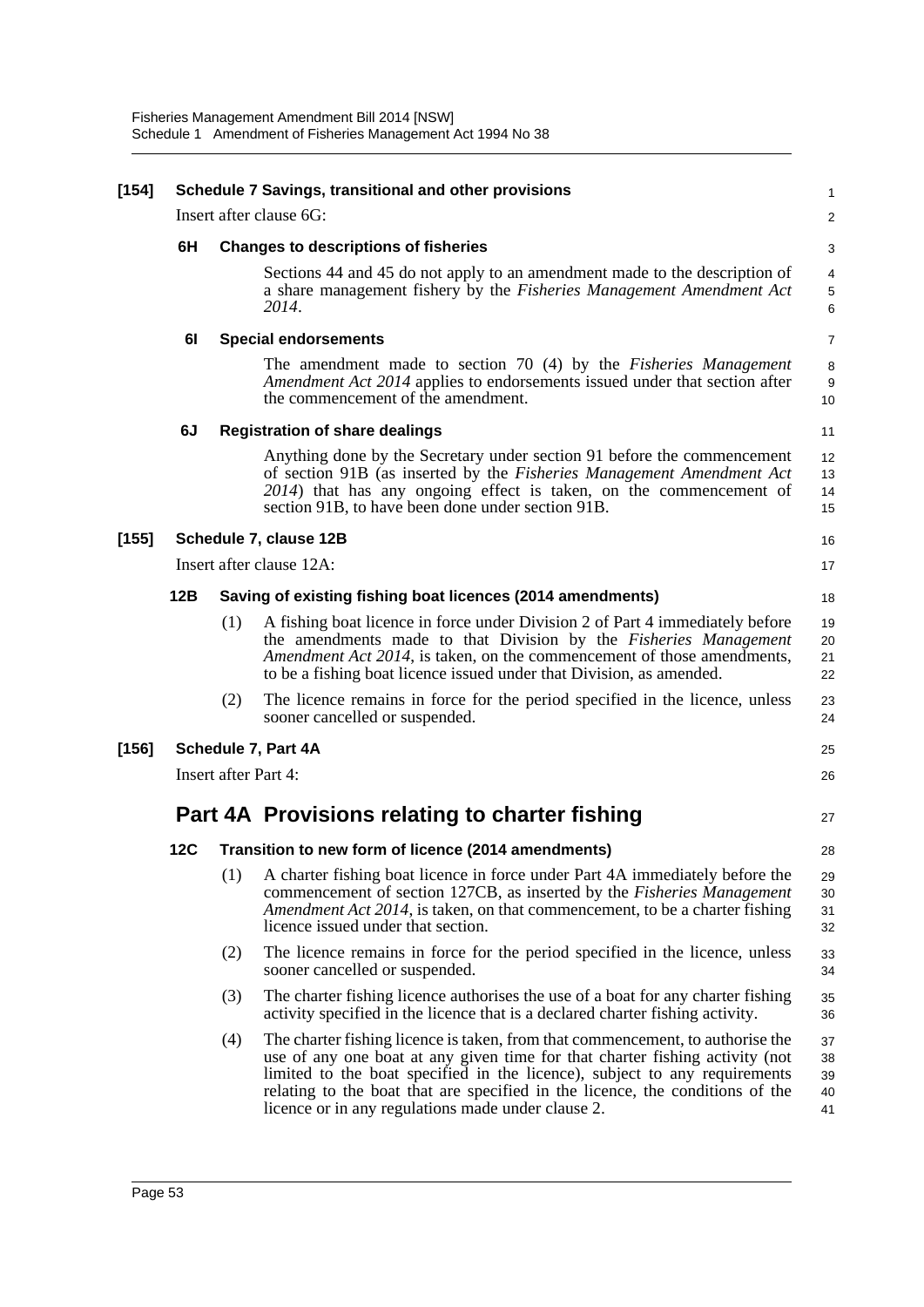| $[154]$ | Schedule 7 Savings, transitional and other provisions |                                                            |                                                                                                                                                                                                                                                                                                                                                                                     |                            |  |  |
|---------|-------------------------------------------------------|------------------------------------------------------------|-------------------------------------------------------------------------------------------------------------------------------------------------------------------------------------------------------------------------------------------------------------------------------------------------------------------------------------------------------------------------------------|----------------------------|--|--|
|         |                                                       |                                                            | Insert after clause 6G:                                                                                                                                                                                                                                                                                                                                                             | $\overline{\mathbf{c}}$    |  |  |
|         | 6H                                                    |                                                            | <b>Changes to descriptions of fisheries</b>                                                                                                                                                                                                                                                                                                                                         |                            |  |  |
|         |                                                       |                                                            | Sections 44 and 45 do not apply to an amendment made to the description of<br>a share management fishery by the Fisheries Management Amendment Act<br>2014.                                                                                                                                                                                                                         | 4<br>5<br>6                |  |  |
|         | 61                                                    |                                                            | <b>Special endorsements</b>                                                                                                                                                                                                                                                                                                                                                         |                            |  |  |
|         |                                                       |                                                            | The amendment made to section 70 (4) by the <i>Fisheries Management</i><br>Amendment Act 2014 applies to endorsements issued under that section after<br>the commencement of the amendment.                                                                                                                                                                                         | 8<br>9<br>10               |  |  |
|         | 6J                                                    |                                                            | <b>Registration of share dealings</b>                                                                                                                                                                                                                                                                                                                                               | 11                         |  |  |
|         |                                                       |                                                            | Anything done by the Secretary under section 91 before the commencement<br>of section 91B (as inserted by the Fisheries Management Amendment Act<br>2014) that has any ongoing effect is taken, on the commencement of<br>section 91B, to have been done under section 91B.                                                                                                         | 12<br>13<br>14<br>15       |  |  |
| $[155]$ | Schedule 7, clause 12B                                |                                                            |                                                                                                                                                                                                                                                                                                                                                                                     |                            |  |  |
|         |                                                       |                                                            | Insert after clause 12A:                                                                                                                                                                                                                                                                                                                                                            | 17                         |  |  |
|         | 12B                                                   | Saving of existing fishing boat licences (2014 amendments) |                                                                                                                                                                                                                                                                                                                                                                                     |                            |  |  |
|         |                                                       | (1)                                                        | A fishing boat licence in force under Division 2 of Part 4 immediately before<br>the amendments made to that Division by the Fisheries Management<br>Amendment Act 2014, is taken, on the commencement of those amendments,<br>to be a fishing boat licence issued under that Division, as amended.                                                                                 | 19<br>20<br>21<br>22       |  |  |
|         |                                                       | (2)                                                        | The licence remains in force for the period specified in the licence, unless<br>sooner cancelled or suspended.                                                                                                                                                                                                                                                                      | 23<br>24                   |  |  |
| $[156]$ |                                                       |                                                            | Schedule 7, Part 4A                                                                                                                                                                                                                                                                                                                                                                 | 25                         |  |  |
|         | <b>Insert after Part 4:</b><br>26                     |                                                            |                                                                                                                                                                                                                                                                                                                                                                                     |                            |  |  |
|         |                                                       |                                                            | Part 4A Provisions relating to charter fishing                                                                                                                                                                                                                                                                                                                                      | 27                         |  |  |
|         | 12C                                                   |                                                            | Transition to new form of licence (2014 amendments)                                                                                                                                                                                                                                                                                                                                 | 28                         |  |  |
|         |                                                       |                                                            | (1) A charter fishing boat licence in force under Part 4A immediately before the<br>commencement of section 127CB, as inserted by the <i>Fisheries Management</i><br><i>Amendment Act 2014</i> , is taken, on that commencement, to be a charter fishing<br>licence issued under that section.                                                                                      | 29<br>30<br>31<br>32       |  |  |
|         |                                                       | (2)                                                        | The licence remains in force for the period specified in the licence, unless<br>sooner cancelled or suspended.                                                                                                                                                                                                                                                                      | 33<br>34                   |  |  |
|         |                                                       | (3)                                                        | The charter fishing licence authorises the use of a boat for any charter fishing<br>activity specified in the licence that is a declared charter fishing activity.                                                                                                                                                                                                                  | 35<br>36                   |  |  |
|         |                                                       | (4)                                                        | The charter fishing licence is taken, from that commencement, to authorise the<br>use of any one boat at any given time for that charter fishing activity (not<br>limited to the boat specified in the licence), subject to any requirements<br>relating to the boat that are specified in the licence, the conditions of the<br>licence or in any regulations made under clause 2. | 37<br>38<br>39<br>40<br>41 |  |  |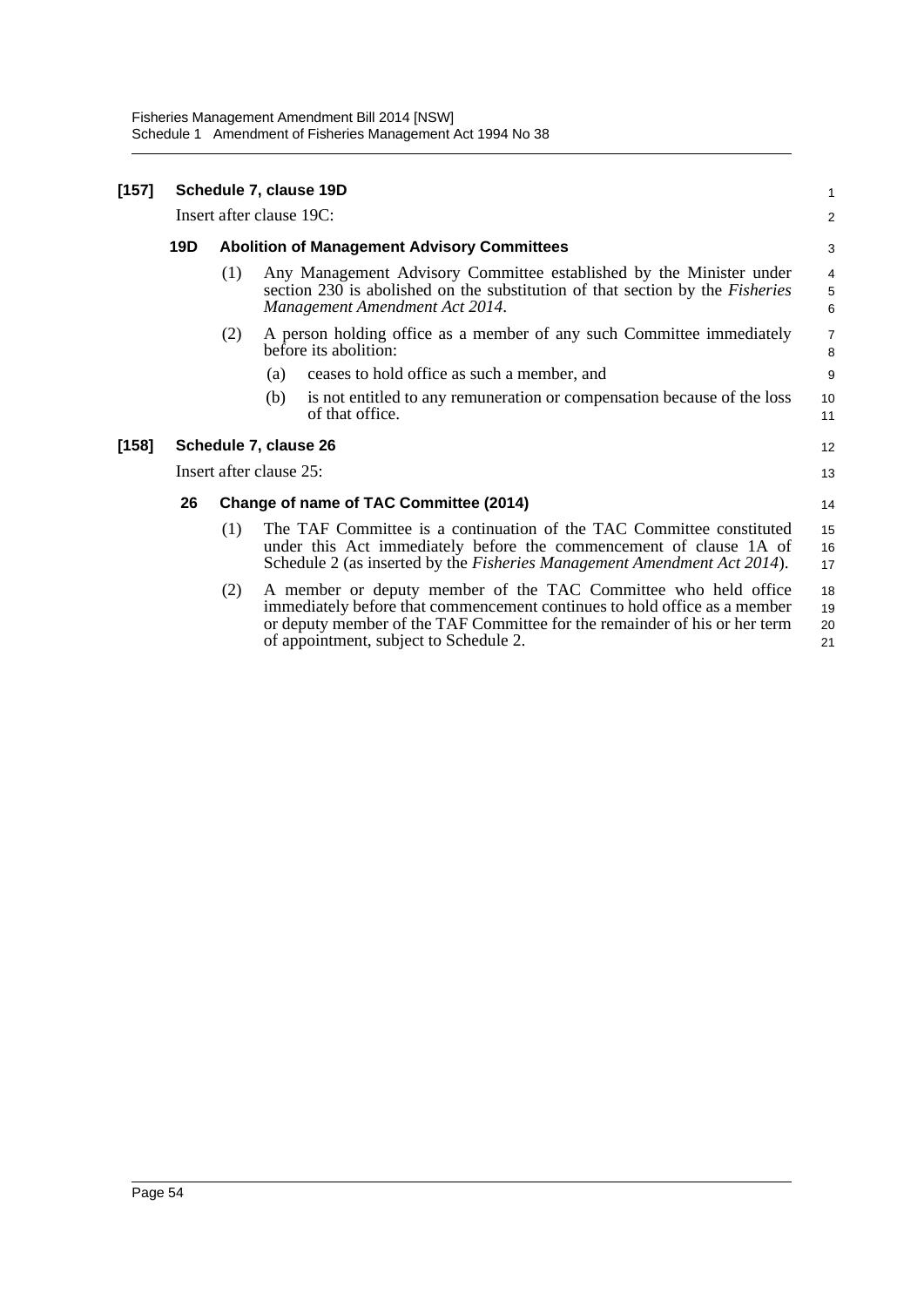Fisheries Management Amendment Bill 2014 [NSW] Schedule 1 Amendment of Fisheries Management Act 1994 No 38

| $[157]$ |                          | Schedule 7, clause 19D                             |                                                                                                                                                                                                                                                                     |                       |  |
|---------|--------------------------|----------------------------------------------------|---------------------------------------------------------------------------------------------------------------------------------------------------------------------------------------------------------------------------------------------------------------------|-----------------------|--|
|         | Insert after clause 19C: |                                                    |                                                                                                                                                                                                                                                                     |                       |  |
|         | 19D                      | <b>Abolition of Management Advisory Committees</b> |                                                                                                                                                                                                                                                                     |                       |  |
|         |                          | (1)                                                | Any Management Advisory Committee established by the Minister under<br>section 230 is abolished on the substitution of that section by the <i>Fisheries</i><br>Management Amendment Act 2014.                                                                       | 4<br>$\mathbf 5$<br>6 |  |
|         |                          | (2)                                                | A person holding office as a member of any such Committee immediately<br>before its abolition:                                                                                                                                                                      | $\overline{7}$<br>8   |  |
|         |                          |                                                    | ceases to hold office as such a member, and<br>(a)                                                                                                                                                                                                                  | 9                     |  |
|         |                          |                                                    | is not entitled to any remuneration or compensation because of the loss<br>(b)<br>of that office.                                                                                                                                                                   | 10<br>11              |  |
| [158]   |                          |                                                    | Schedule 7, clause 26                                                                                                                                                                                                                                               | 12                    |  |
|         | Insert after clause 25:  |                                                    |                                                                                                                                                                                                                                                                     |                       |  |
|         | 26                       |                                                    | Change of name of TAC Committee (2014)                                                                                                                                                                                                                              | 14                    |  |
|         |                          | (1)                                                | The TAF Committee is a continuation of the TAC Committee constituted<br>under this Act immediately before the commencement of clause 1A of<br>Schedule 2 (as inserted by the <i>Fisheries Management Amendment Act 2014</i> ).                                      | 15<br>16<br>17        |  |
|         |                          | (2)                                                | A member or deputy member of the TAC Committee who held office<br>immediately before that commencement continues to hold office as a member<br>or deputy member of the TAF Committee for the remainder of his or her term<br>of appointment, subject to Schedule 2. | 18<br>19<br>20<br>21  |  |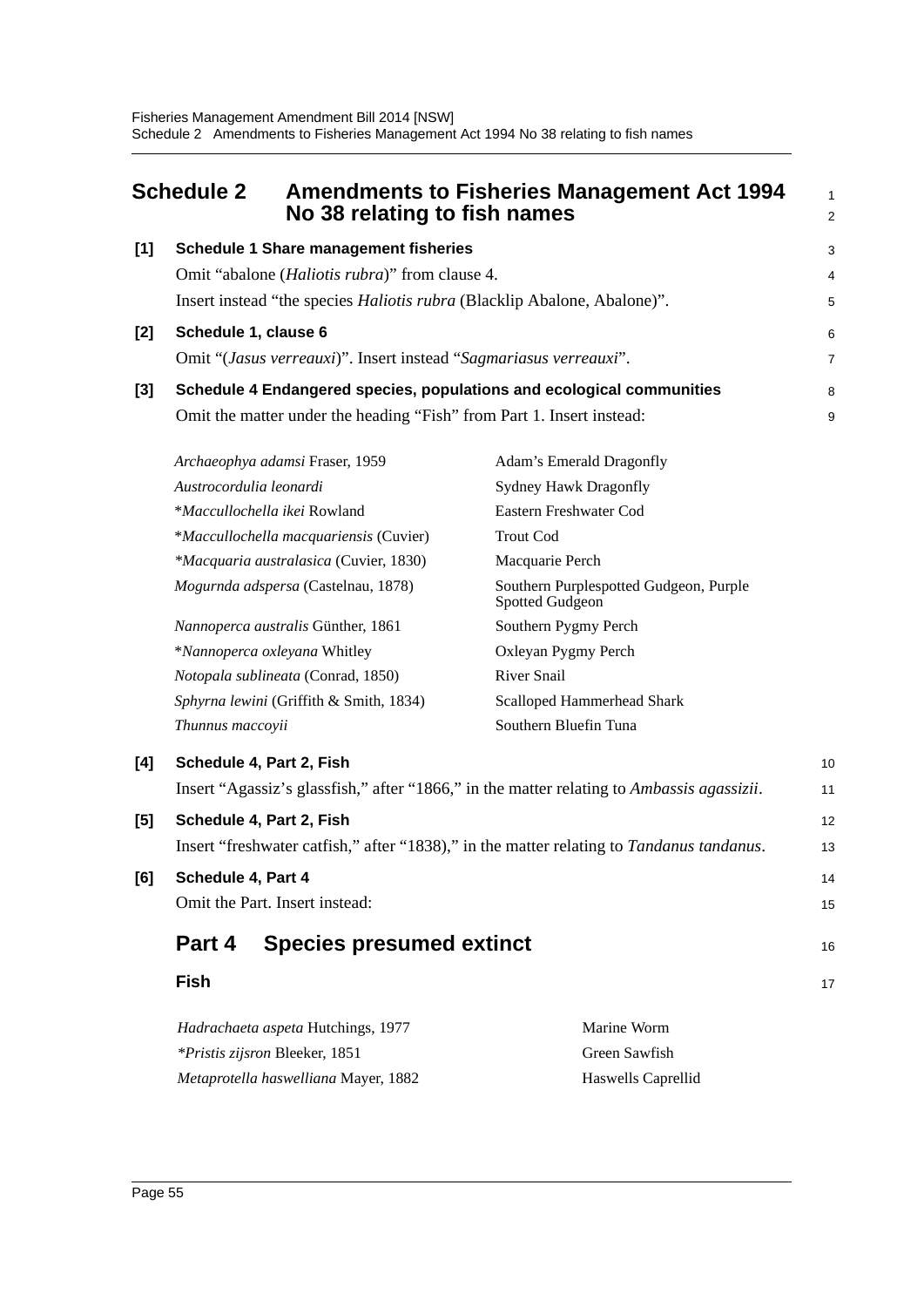<span id="page-65-0"></span>

|                                                       | <b>Schedule 2</b>                                                                         | <b>Amendments to Fisheries Management Act 1994</b><br>No 38 relating to fish names       | 1<br>$\overline{2}$ |  |  |
|-------------------------------------------------------|-------------------------------------------------------------------------------------------|------------------------------------------------------------------------------------------|---------------------|--|--|
| $[1]$<br><b>Schedule 1 Share management fisheries</b> |                                                                                           |                                                                                          |                     |  |  |
|                                                       | Omit "abalone ( <i>Haliotis rubra</i> )" from clause 4.                                   |                                                                                          | 4                   |  |  |
|                                                       | Insert instead "the species <i>Haliotis rubra</i> (Blacklip Abalone, Abalone)".           |                                                                                          |                     |  |  |
| $[2]$                                                 | Schedule 1, clause 6                                                                      |                                                                                          |                     |  |  |
|                                                       | Omit "(Jasus verreauxi)". Insert instead "Sagmariasus verreauxi".                         |                                                                                          | 7                   |  |  |
| $[3]$                                                 |                                                                                           | Schedule 4 Endangered species, populations and ecological communities                    | 8                   |  |  |
|                                                       | Omit the matter under the heading "Fish" from Part 1. Insert instead:                     |                                                                                          | 9                   |  |  |
|                                                       | Archaeophya adamsi Fraser, 1959                                                           | Adam's Emerald Dragonfly                                                                 |                     |  |  |
|                                                       | Austrocordulia leonardi                                                                   | <b>Sydney Hawk Dragonfly</b>                                                             |                     |  |  |
|                                                       | *Maccullochella ikei Rowland                                                              | Eastern Freshwater Cod                                                                   |                     |  |  |
|                                                       | *Maccullochella macquariensis (Cuvier)                                                    | <b>Trout Cod</b>                                                                         |                     |  |  |
|                                                       | *Macquaria australasica (Cuvier, 1830)                                                    | Macquarie Perch                                                                          |                     |  |  |
|                                                       | Mogurnda adspersa (Castelnau, 1878)                                                       | Southern Purplespotted Gudgeon, Purple<br>Spotted Gudgeon                                |                     |  |  |
|                                                       | Nannoperca australis Günther, 1861                                                        | Southern Pygmy Perch                                                                     |                     |  |  |
|                                                       | *Nannoperca oxleyana Whitley                                                              | Oxleyan Pygmy Perch                                                                      |                     |  |  |
|                                                       | Notopala sublineata (Conrad, 1850)                                                        | River Snail                                                                              |                     |  |  |
|                                                       | Sphyrna lewini (Griffith & Smith, 1834)                                                   | <b>Scalloped Hammerhead Shark</b>                                                        |                     |  |  |
|                                                       | Thunnus maccoyii                                                                          | Southern Bluefin Tuna                                                                    |                     |  |  |
| [4]                                                   | Schedule 4, Part 2, Fish                                                                  |                                                                                          | 10                  |  |  |
|                                                       | Insert "Agassiz's glassfish," after "1866," in the matter relating to Ambassis agassizii. |                                                                                          |                     |  |  |
| [5]                                                   | Schedule 4, Part 2, Fish                                                                  |                                                                                          | 12                  |  |  |
|                                                       |                                                                                           | Insert "freshwater catfish," after "1838)," in the matter relating to Tandanus tandanus. | 13                  |  |  |
| [6]                                                   | Schedule 4, Part 4                                                                        |                                                                                          |                     |  |  |
|                                                       | Omit the Part. Insert instead:                                                            |                                                                                          | 15                  |  |  |
|                                                       | <b>Species presumed extinct</b><br>Part 4                                                 |                                                                                          |                     |  |  |
|                                                       | <b>Fish</b>                                                                               |                                                                                          | 17                  |  |  |
|                                                       | Hadrachaeta aspeta Hutchings, 1977                                                        | Marine Worm                                                                              |                     |  |  |
|                                                       | Green Sawfish<br>*Pristis zijsron Bleeker, 1851                                           |                                                                                          |                     |  |  |

*Metaprotella haswelliana* Mayer, 1882 Haswells Caprellid